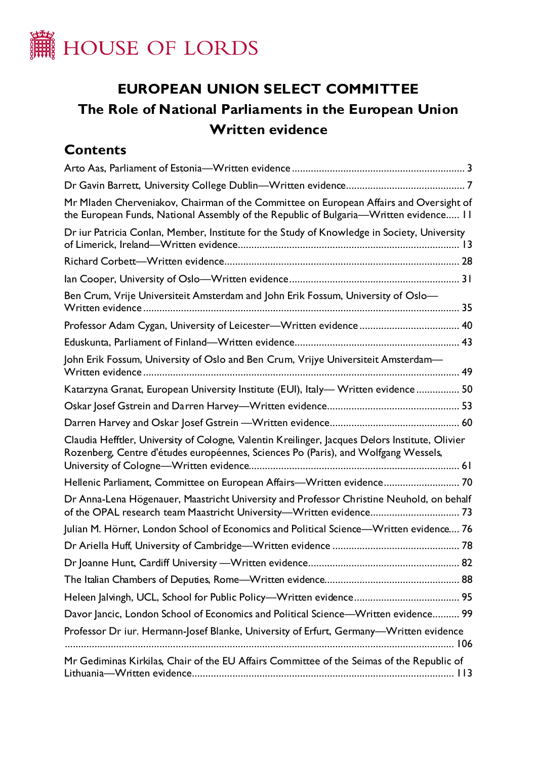

# **EUROPEAN UNION SELECT COMMITTEE The Role of National Parliaments in the European Union Written evidence**

# **Contents**

| Mr Mladen Cherveniakov, Chairman of the Committee on European Affairs and Oversight of<br>the European Funds, National Assembly of the Republic of Bulgaria-Written evidence 11       |
|---------------------------------------------------------------------------------------------------------------------------------------------------------------------------------------|
| Dr iur Patricia Conlan, Member, Institute for the Study of Knowledge in Society, University                                                                                           |
|                                                                                                                                                                                       |
|                                                                                                                                                                                       |
| Ben Crum, Vrije Universiteit Amsterdam and John Erik Fossum, University of Oslo-                                                                                                      |
|                                                                                                                                                                                       |
|                                                                                                                                                                                       |
| John Erik Fossum, University of Oslo and Ben Crum, Vrijye Universiteit Amsterdam—                                                                                                     |
| Katarzyna Granat, European University Institute (EUI), Italy- Written evidence 50                                                                                                     |
|                                                                                                                                                                                       |
|                                                                                                                                                                                       |
| Claudia Hefftler, University of Cologne, Valentin Kreilinger, Jacques Delors Institute, Olivier<br>Rozenberg, Centre d'études européennes, Sciences Po (Paris), and Wolfgang Wessels, |
| Hellenic Parliament, Committee on European Affairs-Written evidence 70                                                                                                                |
| Dr Anna-Lena Högenauer, Maastricht University and Professor Christine Neuhold, on behalf                                                                                              |
| Julian M. Hörner, London School of Economics and Political Science-Written evidence 76                                                                                                |
|                                                                                                                                                                                       |
|                                                                                                                                                                                       |
|                                                                                                                                                                                       |
|                                                                                                                                                                                       |
| Davor Jancic, London School of Economics and Political Science-Written evidence 99                                                                                                    |
| Professor Dr iur. Hermann-Josef Blanke, University of Erfurt, Germany-Written evidence                                                                                                |
| Mr Gediminas Kirkilas, Chair of the EU Affairs Committee of the Seimas of the Republic of                                                                                             |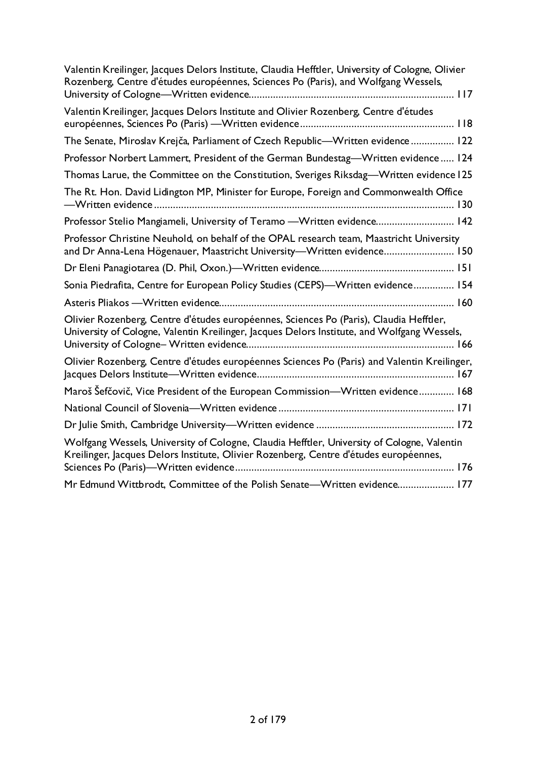| Valentin Kreilinger, Jacques Delors Institute, Claudia Hefftler, University of Cologne, Olivier<br>Rozenberg, Centre d'études européennes, Sciences Po (Paris), and Wolfgang Wessels, |
|---------------------------------------------------------------------------------------------------------------------------------------------------------------------------------------|
| Valentin Kreilinger, Jacques Delors Institute and Olivier Rozenberg, Centre d'études                                                                                                  |
| The Senate, Miroslav Krejča, Parliament of Czech Republic-Written evidence 122                                                                                                        |
| Professor Norbert Lammert, President of the German Bundestag-Written evidence 124                                                                                                     |
| Thomas Larue, the Committee on the Constitution, Sveriges Riksdag—Written evidence 125                                                                                                |
| The Rt. Hon. David Lidington MP, Minister for Europe, Foreign and Commonwealth Office                                                                                                 |
| Professor Stelio Mangiameli, University of Teramo - Written evidence 142                                                                                                              |
| Professor Christine Neuhold, on behalf of the OPAL research team, Maastricht University<br>and Dr Anna-Lena Högenauer, Maastricht University-Written evidence 150                     |
|                                                                                                                                                                                       |
| Sonia Piedrafita, Centre for European Policy Studies (CEPS)-Written evidence 154                                                                                                      |
|                                                                                                                                                                                       |
| Olivier Rozenberg, Centre d'études européennes, Sciences Po (Paris), Claudia Hefftler,<br>University of Cologne, Valentin Kreilinger, Jacques Delors Institute, and Wolfgang Wessels, |
| Olivier Rozenberg, Centre d'études européennes Sciences Po (Paris) and Valentin Kreilinger,                                                                                           |
| Maroš Šefčovič, Vice President of the European Commission—Written evidence 168                                                                                                        |
|                                                                                                                                                                                       |
|                                                                                                                                                                                       |
| Wolfgang Wessels, University of Cologne, Claudia Hefftler, University of Cologne, Valentin<br>Kreilinger, Jacques Delors Institute, Olivier Rozenberg, Centre d'études européennes,   |
| Mr Edmund Wittbrodt, Committee of the Polish Senate-Written evidence 177                                                                                                              |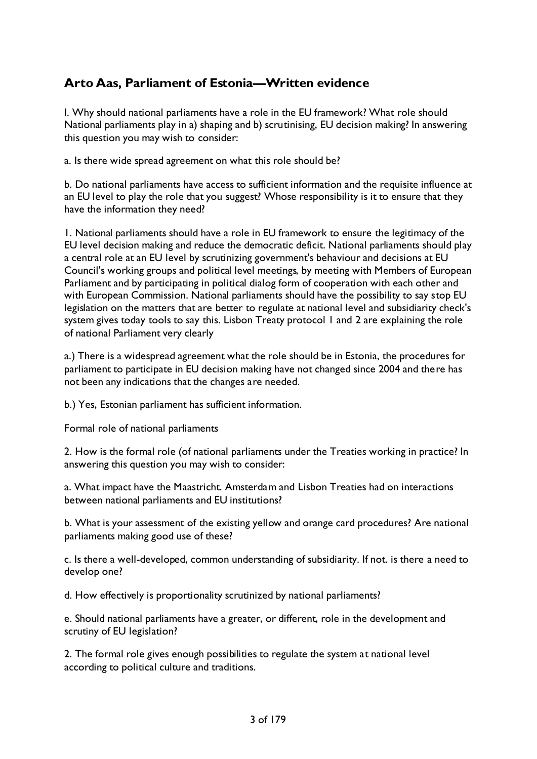# <span id="page-2-0"></span>**Arto Aas, Parliament of Estonia—Written evidence**

I. Why should national parliaments have a role in the EU framework? What role should National parliaments play in a) shaping and b) scrutinising, EU decision making? In answering this question you may wish to consider:

a. Is there wide spread agreement on what this role should be?

b. Do national parliaments have access to sufficient information and the requisite influence at an EU level to play the role that you suggest? Whose responsibility is it to ensure that they have the information they need?

1. National parliaments should have a role in EU framework to ensure the legitimacy of the EU level decision making and reduce the democratic deficit. National parliaments should play a central role at an EU level by scrutinizing government's behaviour and decisions at EU Council's working groups and political level meetings, by meeting with Members of European Parliament and by participating in political dialog form of cooperation with each other and with European Commission. National parliaments should have the possibility to say stop EU legislation on the matters that are better to regulate at national level and subsidiarity check's system gives today tools to say this. Lisbon Treaty protocol 1 and 2 are explaining the role of national Parliament very clearly

a.) There is a widespread agreement what the role should be in Estonia, the procedures for parliament to participate in EU decision making have not changed since 2004 and there has not been any indications that the changes are needed.

b.) Yes, Estonian parliament has sufficient information.

Formal role of national parliaments

2. How is the formal role (of national parliaments under the Treaties working in practice? In answering this question you may wish to consider:

a. What impact have the Maastricht. Amsterdam and Lisbon Treaties had on interactions between national parliaments and EU institutions?

b. What is your assessment of the existing yellow and orange card procedures? Are national parliaments making good use of these?

c. Is there a well-developed, common understanding of subsidiarity. If not. is there a need to develop one?

d. How effectively is proportionality scrutinized by national parliaments?

e. Should national parliaments have a greater, or different, role in the development and scrutiny of EU legislation?

2. The formal role gives enough possibilities to regulate the system at national level according to political culture and traditions.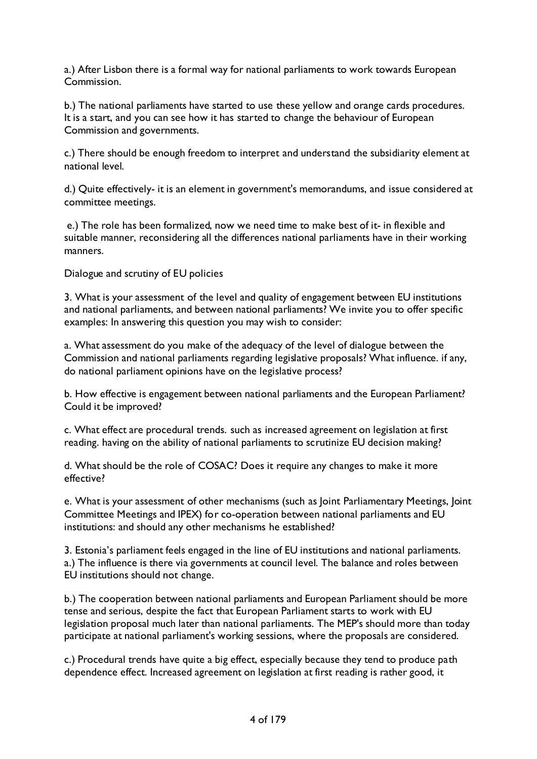a.) After Lisbon there is a formal way for national parliaments to work towards European Commission.

b.) The national parliaments have started to use these yellow and orange cards procedures. It is a start, and you can see how it has started to change the behaviour of European Commission and governments.

c.) There should be enough freedom to interpret and understand the subsidiarity element at national level.

d.) Quite effectively- it is an element in government's memorandums, and issue considered at committee meetings.

e.) The role has been formalized, now we need time to make best of it- in flexible and suitable manner, reconsidering all the differences national parliaments have in their working manners.

Dialogue and scrutiny of EU policies

3. What is your assessment of the level and quality of engagement between EU institutions and national parliaments, and between national parliaments? We invite you to offer specific examples: In answering this question you may wish to consider:

a. What assessment do you make of the adequacy of the level of dialogue between the Commission and national parliaments regarding legislative proposals? What influence. if any, do national parliament opinions have on the legislative process?

b. How effective is engagement between national parliaments and the European Parliament? Could it be improved?

c. What effect are procedural trends. such as increased agreement on legislation at first reading. having on the ability of national parliaments to scrutinize EU decision making?

d. What should be the role of COSAC? Does it require any changes to make it more effective?

e. What is your assessment of other mechanisms (such as Joint Parliamentary Meetings, Joint Committee Meetings and IPEX) for co-operation between national parliaments and EU institutions: and should any other mechanisms he established?

3. Estonia's parliament feels engaged in the line of EU institutions and national parliaments. a.) The influence is there via governments at council level. The balance and roles between EU institutions should not change.

b.) The cooperation between national parliaments and European Parliament should be more tense and serious, despite the fact that European Parliament starts to work with EU legislation proposal much later than national parliaments. The MEP's should more than today participate at national parliament's working sessions, where the proposals are considered.

c.) Procedural trends have quite a big effect, especially because they tend to produce path dependence effect. Increased agreement on legislation at first reading is rather good, it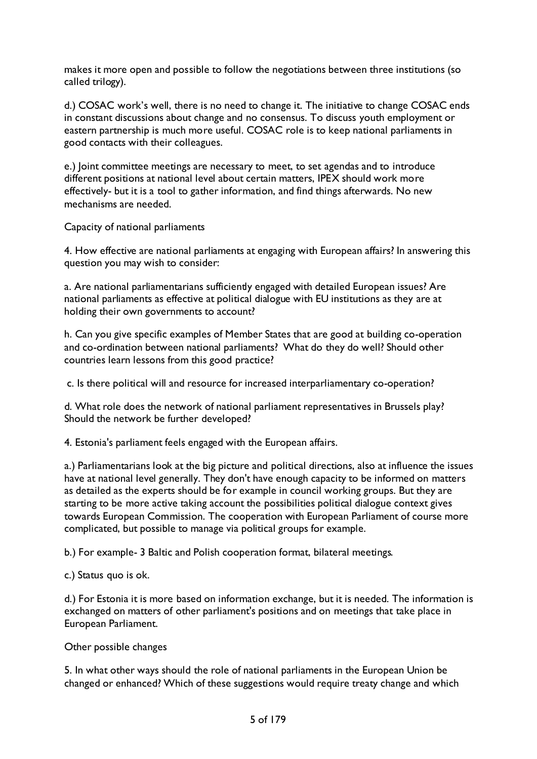makes it more open and possible to follow the negotiations between three institutions (so called trilogy).

d.) COSAC work's well, there is no need to change it. The initiative to change COSAC ends in constant discussions about change and no consensus. To discuss youth employment or eastern partnership is much more useful. COSAC role is to keep national parliaments in good contacts with their colleagues.

e.) Joint committee meetings are necessary to meet, to set agendas and to introduce different positions at national level about certain matters, IPEX should work more effectively- but it is a tool to gather information, and find things afterwards. No new mechanisms are needed.

Capacity of national parliaments

4. How effective are national parliaments at engaging with European affairs? In answering this question you may wish to consider:

a. Are national parliamentarians sufficiently engaged with detailed European issues? Are national parliaments as effective at political dialogue with EU institutions as they are at holding their own governments to account?

h. Can you give specific examples of Member States that are good at building co-operation and co-ordination between national parliaments? What do they do well? Should other countries learn lessons from this good practice?

c. Is there political will and resource for increased interparliamentary co-operation?

d. What role does the network of national parliament representatives in Brussels play? Should the network be further developed?

4. Estonia's parliament feels engaged with the European affairs.

a.) Parliamentarians look at the big picture and political directions, also at influence the issues have at national level generally. They don't have enough capacity to be informed on matters as detailed as the experts should be for example in council working groups. But they are starting to be more active taking account the possibilities political dialogue context gives towards European Commission. The cooperation with European Parliament of course more complicated, but possible to manage via political groups for example.

b.) For example- 3 Baltic and Polish cooperation format, bilateral meetings.

c.) Status quo is ok.

d.) For Estonia it is more based on information exchange, but it is needed. The information is exchanged on matters of other parliament's positions and on meetings that take place in European Parliament.

Other possible changes

5. In what other ways should the role of national parliaments in the European Union be changed or enhanced? Which of these suggestions would require treaty change and which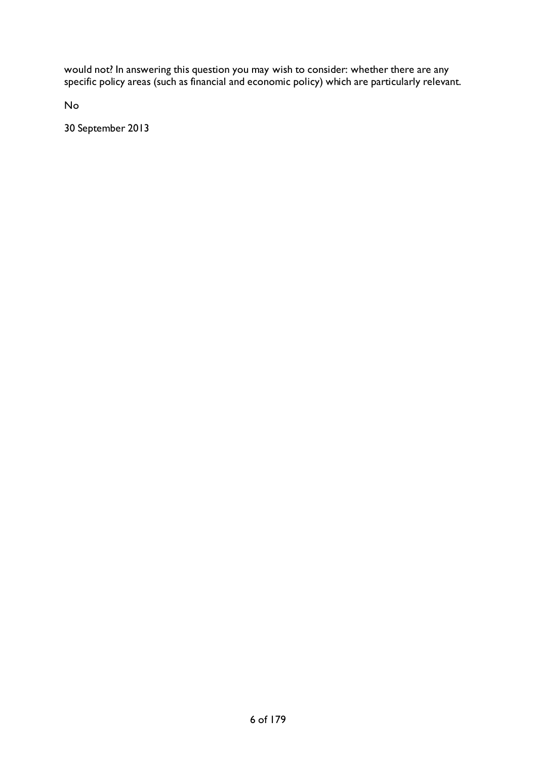would not? In answering this question you may wish to consider: whether there are any specific policy areas (such as financial and economic policy) which are particularly relevant.

No

30 September 2013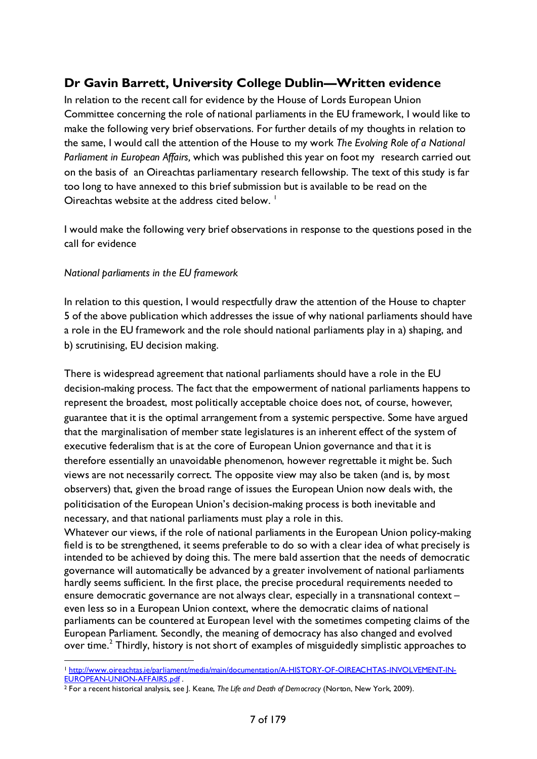# <span id="page-6-0"></span>**Dr Gavin Barrett, University College Dublin—Written evidence**

In relation to the recent call for evidence by the House of Lords European Union Committee concerning the role of national parliaments in the EU framework, I would like to make the following very brief observations. For further details of my thoughts in relation to the same, I would call the attention of the House to my work *The Evolving Role of a National Parliament in European Affairs,* which was published this year on foot my research carried out on the basis of an Oireachtas parliamentary research fellowship. The text of this study is far too long to have annexed to this brief submission but is available to be read on the Oireachtas website at the address cited below.  $\frac{1}{1}$ 

I would make the following very brief observations in response to the questions posed in the call for evidence

#### *National parliaments in the EU framework*

In relation to this question, I would respectfully draw the attention of the House to chapter 5 of the above publication which addresses the issue of why national parliaments should have a role in the EU framework and the role should national parliaments play in a) shaping, and b) scrutinising, EU decision making.

There is widespread agreement that national parliaments should have a role in the EU decision-making process. The fact that the empowerment of national parliaments happens to represent the broadest, most politically acceptable choice does not, of course, however, guarantee that it is the optimal arrangement from a systemic perspective. Some have argued that the marginalisation of member state legislatures is an inherent effect of the system of executive federalism that is at the core of European Union governance and that it is therefore essentially an unavoidable phenomenon, however regrettable it might be. Such views are not necessarily correct. The opposite view may also be taken (and is, by most observers) that, given the broad range of issues the European Union now deals with, the politicisation of the European Union's decision-making process is both inevitable and necessary, and that national parliaments must play a role in this.

Whatever our views, if the role of national parliaments in the European Union policy-making field is to be strengthened, it seems preferable to do so with a clear idea of what precisely is intended to be achieved by doing this. The mere bald assertion that the needs of democratic governance will automatically be advanced by a greater involvement of national parliaments hardly seems sufficient. In the first place, the precise procedural requirements needed to ensure democratic governance are not always clear, especially in a transnational context – even less so in a European Union context, where the democratic claims of national parliaments can be countered at European level with the sometimes competing claims of the European Parliament. Secondly, the meaning of democracy has also changed and evolved over time.<sup>[2](#page-6-2)</sup> Thirdly, history is not short of examples of misguidedly simplistic approaches to

<span id="page-6-1"></span><sup>&</sup>lt;sup>1</sup> [http://www.oireachtas.ie/parliament/media/main/documentation/A-HISTORY-OF-OIREACHTAS-INVOLVEMENT-IN-](http://www.oireachtas.ie/parliament/media/main/documentation/A-HISTORY-OF-OIREACHTAS-INVOLVEMENT-IN-EUROPEAN-UNION-AFFAIRS.pdf)[EUROPEAN-UNION-AFFAIRS.pdf](http://www.oireachtas.ie/parliament/media/main/documentation/A-HISTORY-OF-OIREACHTAS-INVOLVEMENT-IN-EUROPEAN-UNION-AFFAIRS.pdf) .

<span id="page-6-2"></span><sup>2</sup> For a recent historical analysis, see J. Keane, *The Life and Death of Democracy* (Norton, New York, 2009).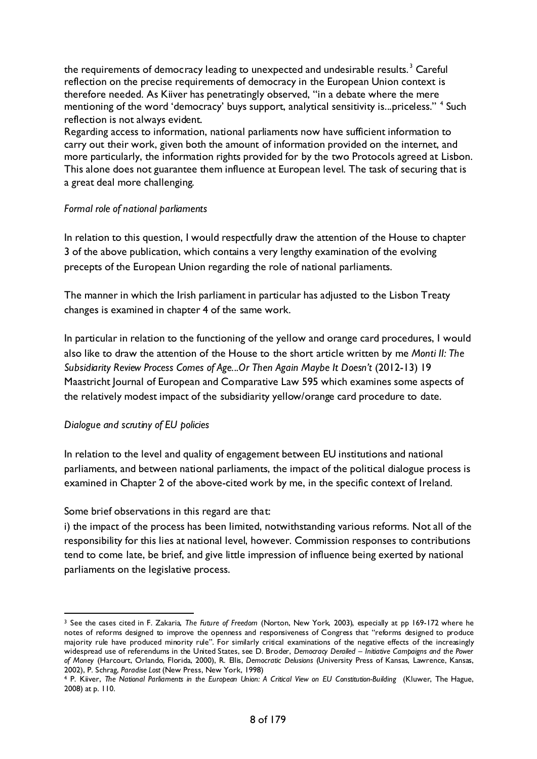the requirements of democracy leading to unexpected and undesirable results.<sup>[3](#page-7-0)</sup> Careful reflection on the precise requirements of democracy in the European Union context is therefore needed. As Kiiver has penetratingly observed, "in a debate where the mere mentioning of the word 'democracy' buys support, analytical sensitivity is...priceless." <sup>[4](#page-7-1)</sup> Such reflection is not always evident.

Regarding access to information, national parliaments now have sufficient information to carry out their work, given both the amount of information provided on the internet, and more particularly, the information rights provided for by the two Protocols agreed at Lisbon. This alone does not guarantee them influence at European level. The task of securing that is a great deal more challenging.

#### *Formal role of national parliaments*

In relation to this question, I would respectfully draw the attention of the House to chapter 3 of the above publication, which contains a very lengthy examination of the evolving precepts of the European Union regarding the role of national parliaments.

The manner in which the Irish parliament in particular has adjusted to the Lisbon Treaty changes is examined in chapter 4 of the same work.

In particular in relation to the functioning of the yellow and orange card procedures, I would also like to draw the attention of the House to the short article written by me *Monti II: The Subsidiarity Review Process Comes of Age...Or Then Again Maybe It Doesn't (2012-13) 19* Maastricht Journal of European and Comparative Law 595 which examines some aspects of the relatively modest impact of the subsidiarity yellow/orange card procedure to date.

#### *Dialogue and scrutiny of EU policies*

In relation to the level and quality of engagement between EU institutions and national parliaments, and between national parliaments, the impact of the political dialogue process is examined in Chapter 2 of the above-cited work by me, in the specific context of Ireland.

Some brief observations in this regard are that:

i) the impact of the process has been limited, notwithstanding various reforms. Not all of the responsibility for this lies at national level, however. Commission responses to contributions tend to come late, be brief, and give little impression of influence being exerted by national parliaments on the legislative process.

<span id="page-7-0"></span> <sup>3</sup> See the cases cited in F. Zakaria, *The Future of Freedom* (Norton, New York, 2003), especially at pp 169-172 where he notes of reforms designed to improve the openness and responsiveness of Congress that "reforms designed to produce majority rule have produced minority rule". For similarly critical examinations of the negative effects of the increasingly widespread use of referendums in the United States, see D. Broder, *Democracy Derailed – Initiative Campaigns and the Power of Money* (Harcourt, Orlando, Florida, 2000), R. Ellis, *Democratic Delusions* (University Press of Kansas, Lawrence, Kansas,

<span id="page-7-1"></span><sup>2002),</sup> P. Schrag, *Paradise Lost* (New Press, New York, 1998) 4 P. Kiiver, *The National Parliaments in the European Union: A Critical View on EU Constitution-Building* (Kluwer, The Hague, 2008) at p. 110.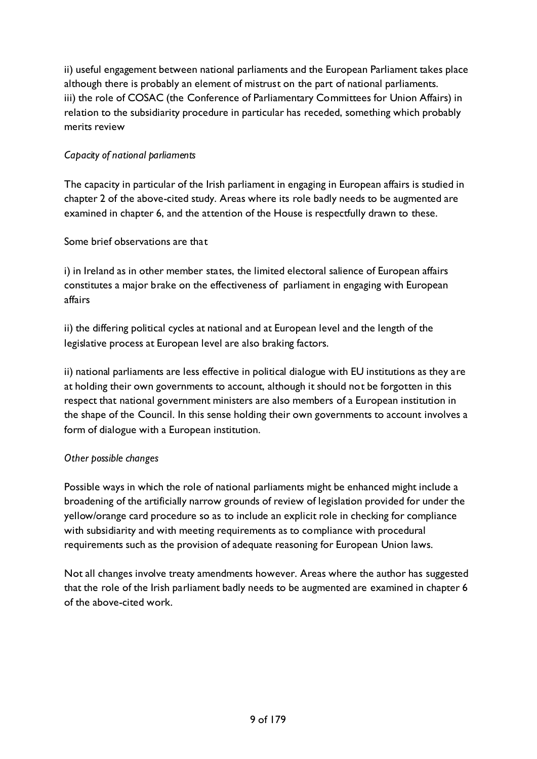ii) useful engagement between national parliaments and the European Parliament takes place although there is probably an element of mistrust on the part of national parliaments. iii) the role of COSAC (the Conference of Parliamentary Committees for Union Affairs) in relation to the subsidiarity procedure in particular has receded, something which probably merits review

### *Capacity of national parliaments*

The capacity in particular of the Irish parliament in engaging in European affairs is studied in chapter 2 of the above-cited study. Areas where its role badly needs to be augmented are examined in chapter 6, and the attention of the House is respectfully drawn to these.

Some brief observations are that

i) in Ireland as in other member states, the limited electoral salience of European affairs constitutes a major brake on the effectiveness of parliament in engaging with European affairs

ii) the differing political cycles at national and at European level and the length of the legislative process at European level are also braking factors.

ii) national parliaments are less effective in political dialogue with EU institutions as they are at holding their own governments to account, although it should not be forgotten in this respect that national government ministers are also members of a European institution in the shape of the Council. In this sense holding their own governments to account involves a form of dialogue with a European institution.

### *Other possible changes*

Possible ways in which the role of national parliaments might be enhanced might include a broadening of the artificially narrow grounds of review of legislation provided for under the yellow/orange card procedure so as to include an explicit role in checking for compliance with subsidiarity and with meeting requirements as to compliance with procedural requirements such as the provision of adequate reasoning for European Union laws.

Not all changes involve treaty amendments however. Areas where the author has suggested that the role of the Irish parliament badly needs to be augmented are examined in chapter 6 of the above-cited work.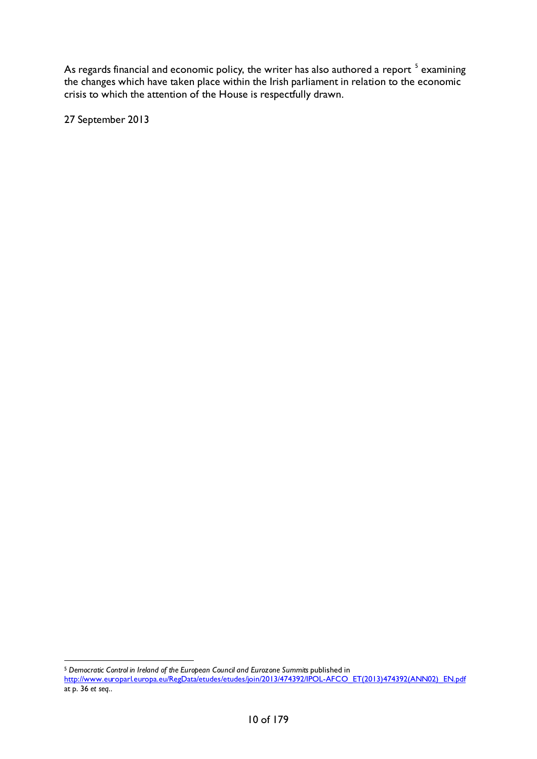As regards financial and economic policy, the writer has also authored a report  $^{\mathrm{5}}$  $^{\mathrm{5}}$  $^{\mathrm{5}}$  examining the changes which have taken place within the Irish parliament in relation to the economic crisis to which the attention of the House is respectfully drawn.

27 September 2013

 <sup>5</sup> *Democratic Control in Ireland of the European Council and Eurozone Summits* published in

<span id="page-9-0"></span>[http://www.europarl.europa.eu/RegData/etudes/etudes/join/2013/474392/IPOL-AFCO\\_ET\(2013\)474392\(ANN02\)\\_EN.pdf](http://www.europarl.europa.eu/RegData/etudes/etudes/join/2013/474392/IPOL-AFCO_ET(2013)474392(ANN02)_EN.pdf) at p. 36 *et seq..*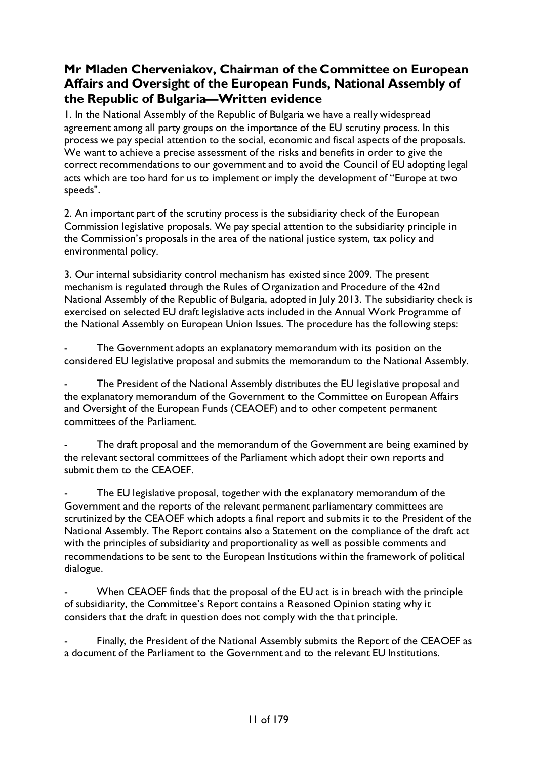# <span id="page-10-0"></span>**Mr Mladen Cherveniakov, Chairman of the Committee on European Affairs and Oversight of the European Funds, National Assembly of the Republic of Bulgaria—Written evidence**

1. In the National Assembly of the Republic of Bulgaria we have a really widespread agreement among all party groups on the importance of the EU scrutiny process. In this process we pay special attention to the social, economic and fiscal aspects of the proposals. We want to achieve a precise assessment of the risks and benefits in order to give the correct recommendations to our government and to avoid the Council of EU adopting legal acts which are too hard for us to implement or imply the development of "Europe at two speeds".

2. An important part of the scrutiny process is the subsidiarity check of the European Commission legislative proposals. We pay special attention to the subsidiarity principle in the Commission's proposals in the area of the national justice system, tax policy and environmental policy.

3. Our internal subsidiarity control mechanism has existed since 2009. The present mechanism is regulated through the Rules of Organization and Procedure of the 42nd National Assembly of the Republic of Bulgaria, adopted in July 2013. The subsidiarity check is exercised on selected EU draft legislative acts included in the Annual Work Programme of the National Assembly on European Union Issues. The procedure has the following steps:

The Government adopts an explanatory memorandum with its position on the considered EU legislative proposal and submits the memorandum to the National Assembly.

The President of the National Assembly distributes the EU legislative proposal and the explanatory memorandum of the Government to the Committee on European Affairs and Oversight of the European Funds (CEAOEF) and to other competent permanent committees of the Parliament.

The draft proposal and the memorandum of the Government are being examined by the relevant sectoral committees of the Parliament which adopt their own reports and submit them to the CEAOEF.

The EU legislative proposal, together with the explanatory memorandum of the Government and the reports of the relevant permanent parliamentary committees are scrutinized by the CEAOEF which adopts a final report and submits it to the President of the National Assembly. The Report contains also a Statement on the compliance of the draft act with the principles of subsidiarity and proportionality as well as possible comments and recommendations to be sent to the European Institutions within the framework of political dialogue.

When CEAOEF finds that the proposal of the EU act is in breach with the principle of subsidiarity, the Committee's Report contains a Reasoned Opinion stating why it considers that the draft in question does not comply with the that principle.

Finally, the President of the National Assembly submits the Report of the CEAOEF as a document of the Parliament to the Government and to the relevant EU Institutions.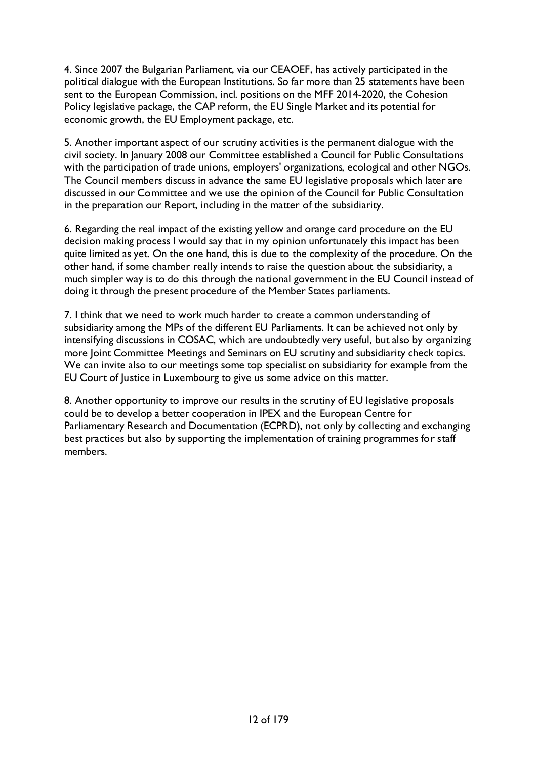4. Since 2007 the Bulgarian Parliament, via our CEAOEF, has actively participated in the political dialogue with the European Institutions. So far more than 25 statements have been sent to the European Commission, incl. positions on the MFF 2014-2020, the Cohesion Policy legislative package, the CAP reform, the EU Single Market and its potential for economic growth, the EU Employment package, etc.

5. Another important aspect of our scrutiny activities is the permanent dialogue with the civil society. In January 2008 our Committee established a Council for Public Consultations with the participation of trade unions, employers' organizations, ecological and other NGOs. The Council members discuss in advance the same EU legislative proposals which later are discussed in our Committee and we use the opinion of the Council for Public Consultation in the preparation our Report, including in the matter of the subsidiarity.

6. Regarding the real impact of the existing yellow and orange card procedure on the EU decision making process I would say that in my opinion unfortunately this impact has been quite limited as yet. On the one hand, this is due to the complexity of the procedure. On the other hand, if some chamber really intends to raise the question about the subsidiarity, a much simpler way is to do this through the national government in the EU Council instead of doing it through the present procedure of the Member States parliaments.

7. I think that we need to work much harder to create a common understanding of subsidiarity among the MPs of the different EU Parliaments. It can be achieved not only by intensifying discussions in COSAC, which are undoubtedly very useful, but also by organizing more Joint Committee Meetings and Seminars on EU scrutiny and subsidiarity check topics. We can invite also to our meetings some top specialist on subsidiarity for example from the EU Court of Justice in Luxembourg to give us some advice on this matter.

8. Another opportunity to improve our results in the scrutiny of EU legislative proposals could be to develop a better cooperation in IPEX and the European Centre for Parliamentary Research and Documentation (ECPRD), not only by collecting and exchanging best practices but also by supporting the implementation of training programmes for staff members.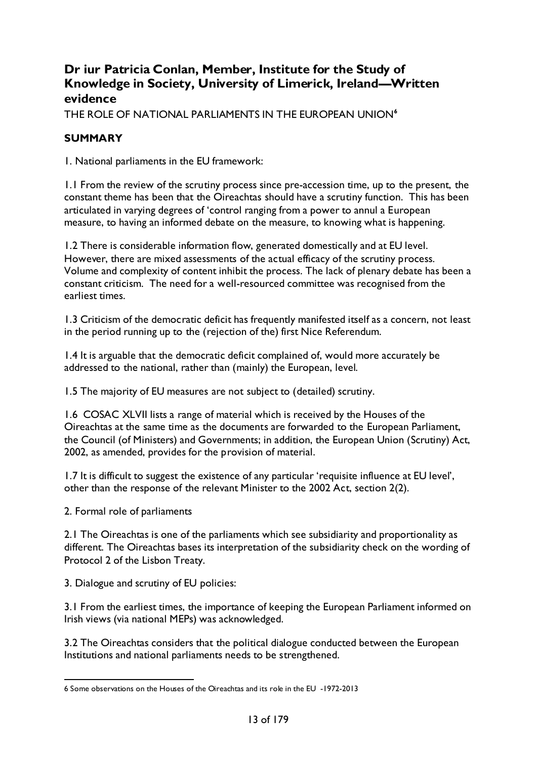### <span id="page-12-0"></span>**Dr iur Patricia Conlan, Member, Institute for the Study of Knowledge in Society, University of Limerick, Ireland—Written evidence**

THE ROLE OF NATIONAL PARLIAMENTS IN THE EUROPEAN UNION**[6](#page-12-1)**

### **SUMMARY**

1. National parliaments in the EU framework:

1.1 From the review of the scrutiny process since pre-accession time, up to the present, the constant theme has been that the Oireachtas should have a scrutiny function. This has been articulated in varying degrees of 'control ranging from a power to annul a European measure, to having an informed debate on the measure, to knowing what is happening.

1.2 There is considerable information flow, generated domestically and at EU level. However, there are mixed assessments of the actual efficacy of the scrutiny process. Volume and complexity of content inhibit the process. The lack of plenary debate has been a constant criticism. The need for a well-resourced committee was recognised from the earliest times.

1.3 Criticism of the democratic deficit has frequently manifested itself as a concern, not least in the period running up to the (rejection of the) first Nice Referendum.

1.4 It is arguable that the democratic deficit complained of, would more accurately be addressed to the national, rather than (mainly) the European, level.

1.5 The majority of EU measures are not subject to (detailed) scrutiny.

1.6 COSAC XLVII lists a range of material which is received by the Houses of the Oireachtas at the same time as the documents are forwarded to the European Parliament, the Council (of Ministers) and Governments; in addition, the European Union (Scrutiny) Act, 2002, as amended, provides for the provision of material.

1.7 It is difficult to suggest the existence of any particular 'requisite influence at EU level', other than the response of the relevant Minister to the 2002 Act, section 2(2).

2. Formal role of parliaments

2.1 The Oireachtas is one of the parliaments which see subsidiarity and proportionality as different. The Oireachtas bases its interpretation of the subsidiarity check on the wording of Protocol 2 of the Lisbon Treaty.

3. Dialogue and scrutiny of EU policies:

3.1 From the earliest times, the importance of keeping the European Parliament informed on Irish views (via national MEPs) was acknowledged.

3.2 The Oireachtas considers that the political dialogue conducted between the European Institutions and national parliaments needs to be strengthened.

<span id="page-12-1"></span> <sup>6</sup> Some observations on the Houses of the Oireachtas and its role in the EU -1972-2013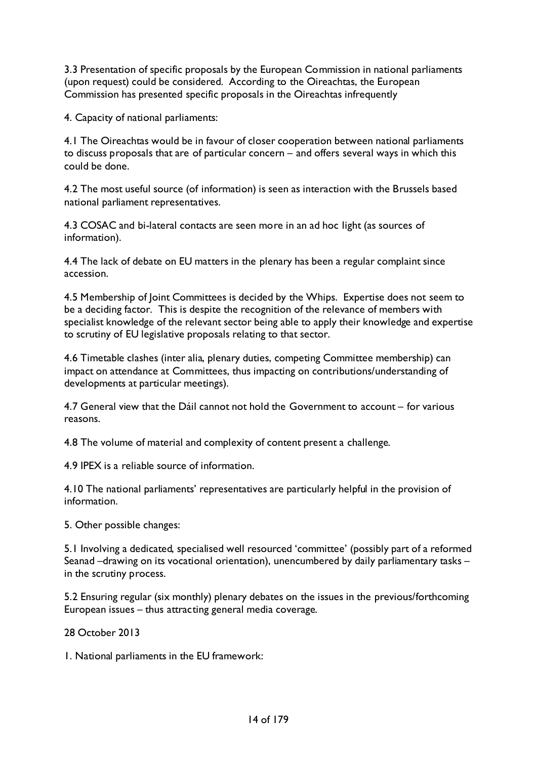3.3 Presentation of specific proposals by the European Commission in national parliaments (upon request) could be considered. According to the Oireachtas, the European Commission has presented specific proposals in the Oireachtas infrequently

4. Capacity of national parliaments:

4.1 The Oireachtas would be in favour of closer cooperation between national parliaments to discuss proposals that are of particular concern – and offers several ways in which this could be done.

4.2 The most useful source (of information) is seen as interaction with the Brussels based national parliament representatives.

4.3 COSAC and bi-lateral contacts are seen more in an ad hoc light (as sources of information).

4.4 The lack of debate on EU matters in the plenary has been a regular complaint since accession.

4.5 Membership of Joint Committees is decided by the Whips. Expertise does not seem to be a deciding factor. This is despite the recognition of the relevance of members with specialist knowledge of the relevant sector being able to apply their knowledge and expertise to scrutiny of EU legislative proposals relating to that sector.

4.6 Timetable clashes (inter alia, plenary duties, competing Committee membership) can impact on attendance at Committees, thus impacting on contributions/understanding of developments at particular meetings).

4.7 General view that the Dáil cannot not hold the Government to account – for various reasons.

4.8 The volume of material and complexity of content present a challenge.

4.9 IPEX is a reliable source of information.

4.10 The national parliaments' representatives are particularly helpful in the provision of information.

5. Other possible changes:

5.1 Involving a dedicated, specialised well resourced 'committee' (possibly part of a reformed Seanad –drawing on its vocational orientation), unencumbered by daily parliamentary tasks – in the scrutiny process.

5.2 Ensuring regular (six monthly) plenary debates on the issues in the previous/forthcoming European issues – thus attracting general media coverage.

28 October 2013

1. National parliaments in the EU framework: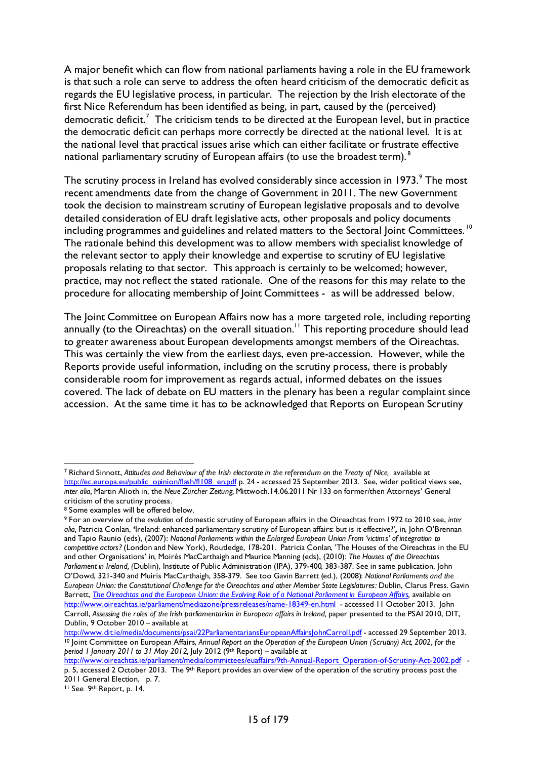A major benefit which can flow from national parliaments having a role in the EU framework is that such a role can serve to address the often heard criticism of the democratic deficit as regards the EU legislative process, in particular. The rejection by the Irish electorate of the first Nice Referendum has been identified as being, in part, caused by the (perceived) democratic deficit.<sup>[7](#page-14-0)</sup> The criticism tends to be directed at the European level, but in practice the democratic deficit can perhaps more correctly be directed at the national level. It is at the national level that practical issues arise which can either facilitate or frustrate effective national parliamentary scrutiny of European affairs (to use the broadest term).<sup>[8](#page-14-1)</sup>

The scrutiny process in Ireland has evolved considerably since accession in 1[9](#page-14-2)73.<sup>9</sup> The most recent amendments date from the change of Government in 2011. The new Government took the decision to mainstream scrutiny of European legislative proposals and to devolve detailed consideration of EU draft legislative acts, other proposals and policy documents including programmes and guidelines and related matters to the Sectoral Joint Committees.<sup>[10](#page-14-3)</sup> The rationale behind this development was to allow members with specialist knowledge of the relevant sector to apply their knowledge and expertise to scrutiny of EU legislative proposals relating to that sector. This approach is certainly to be welcomed; however, practice, may not reflect the stated rationale. One of the reasons for this may relate to the procedure for allocating membership of Joint Committees - as will be addressed below.

The Joint Committee on European Affairs now has a more targeted role, including reporting annually (to the Oireachtas) on the overall situation.<sup>11</sup> This reporting procedure should lead to greater awareness about European developments amongst members of the Oireachtas. This was certainly the view from the earliest days, even pre-accession. However, while the Reports provide useful information, including on the scrutiny process, there is probably considerable room for improvement as regards actual, informed debates on the issues covered. The lack of debate on EU matters in the plenary has been a regular complaint since accession. At the same time it has to be acknowledged that Reports on European Scrutiny

<span id="page-14-4"></span><sup>11</sup> See 9th Report, p. 14.

<span id="page-14-0"></span> <sup>7</sup> Richard Sinnott, *Attitudes and Behaviour of the Irish electorate in the referendum on the Treaty of Nice,* available at [http://ec.europa.eu/public\\_opinion/flash/fl108\\_en.pdf](http://ec.europa.eu/public_opinion/flash/fl108_en.pdf) p. 24 - accessed 25 September 2013. See, wider political views see, *inter alia,* Martin Alioth in, the *Neue Zürcher Zeitung,* Mittwoch.14.06.2011 Nr 133 on former/then Attorneys' General criticism of the scrutiny process.

<span id="page-14-1"></span><sup>8</sup> Some examples will be offered below.

<span id="page-14-2"></span><sup>9</sup> For an overview of the *evolution* of domestic scrutiny of European affairs in the Oireachtas from 1972 to 2010 see, *inter alia,* Patricia Conlan, **'**Ireland: enhanced parliamentary scrutiny of European affairs: but is it effective?'*,* in, John O'Brennan and Tapio Raunio (eds), (2007): *National Parliaments within the Enlarged European Union From 'victims' of integration to competitive actors?* (London and New York), Routledge, 178-201. Patricia Conlan, 'The Houses of the Oireachtas in the EU and other Organisations' in, Moirés MacCarthaigh and Maurice Manning (eds), (2010): *The Houses of the Oireachtas Parliament in Ireland, (*Dublin), Institute of Public Administration (IPA), 379-400, 383-387. See in same publication, John O'Dowd, 321-340 and Muiris MacCarthaigh, 358-379. See too Gavin Barrett (ed.), (2008): *National Parliaments and the European Union: the Constitutional Challenge for the Oireachtas and other Member State Legislatures:* Dublin, Clarus Press*.* Gavin Barrett, *The Oireachtas and the European Union: the Evolving Role of a National Parliament in European Affairs*, available on <http://www.oireachtas.ie/parliament/mediazone/pressreleases/name-18349-en.html>- accessed 11 October 2013. John Carroll, *Assessing the roles of the Irish parliamentarian in European affairs in Ireland,* paper presented to the PSAI 2010, DIT, Dublin, 9 October 2010 – available at<br>http://www.dit.ie/media/documents/psai/22ParliamentariansEuropeanAffairsJohnCarroll.pdf - accessed 29 September 2013.

<span id="page-14-3"></span><sup>&</sup>lt;sup>10</sup> Joint Committee on European Affairs, Annual Report on the Operation of the European Union (Scrutiny) Act, 2002, for the *period 1 January 2011 to 31 May 2012,* July 2012 (9th Report) – available at

http://www.oireachtas.ie/parliament/media/committees/euaffairs/9th-Annual-Report\_Operation-of-Scrutiny-Act-2002.pdf p. 5, accessed 2 October 2013. The 9<sup>th</sup> Report provides an overview of the operation of the scrutiny process post the 2011 General Election, p. 7.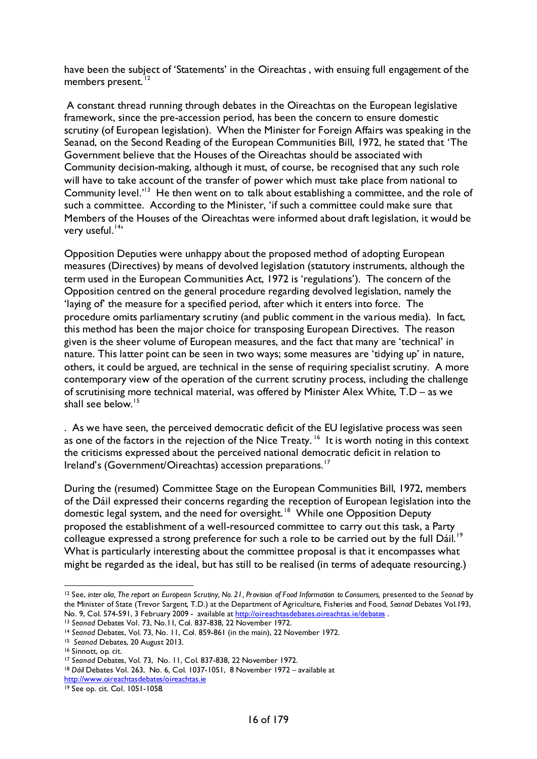have been the subject of 'Statements' in the Oireachtas , with ensuing full engagement of the members present.<sup>[12](#page-15-0)</sup>

A constant thread running through debates in the Oireachtas on the European legislative framework, since the pre-accession period, has been the concern to ensure domestic scrutiny (of European legislation). When the Minister for Foreign Affairs was speaking in the Seanad, on the Second Reading of the European Communities Bill, 1972, he stated that 'The Government believe that the Houses of the Oireachtas should be associated with Community decision-making, although it must, of course, be recognised that any such role will have to take account of the transfer of power which must take place from national to Community level.<sup> $13$ </sup> He then went on to talk about establishing a committee, and the role of such a committee. According to the Minister, 'if such a committee could make sure that Members of the Houses of the Oireachtas were informed about draft legislation, it would be very useful.<sup>[14](#page-15-2)</sup>'

Opposition Deputies were unhappy about the proposed method of adopting European measures (Directives) by means of devolved legislation (statutory instruments, although the term used in the European Communities Act, 1972 is 'regulations'). The concern of the Opposition centred on the general procedure regarding devolved legislation, namely the 'laying of' the measure for a specified period, after which it enters into force. The procedure omits parliamentary scrutiny (and public comment in the various media). In fact, this method has been the major choice for transposing European Directives. The reason given is the sheer volume of European measures, and the fact that many are 'technical' in nature. This latter point can be seen in two ways; some measures are 'tidying up' in nature, others, it could be argued, are technical in the sense of requiring specialist scrutiny. A more contemporary view of the operation of the current scrutiny process, including the challenge of scrutinising more technical material, was offered by Minister Alex White, T.D – as we shall see below.<sup>[15](#page-15-3)</sup>

. As we have seen, the perceived democratic deficit of the EU legislative process was seen as one of the factors in the rejection of the Nice Treaty.<sup>16</sup> It is worth noting in this context the criticisms expressed about the perceived national democratic deficit in relation to Ireland's (Government/Oireachtas) accession preparations.<sup>[17](#page-15-5)</sup>

During the (resumed) Committee Stage on the European Communities Bill, 1972, members of the Dáil expressed their concerns regarding the reception of European legislation into the domestic legal system, and the need for oversight.<sup>18</sup> While one Opposition Deputy proposed the establishment of a well-resourced committee to carry out this task, a Party colleague expressed a strong preference for such a role to be carried out by the full Dáil.<sup>19</sup> What is particularly interesting about the committee proposal is that it encompasses what might be regarded as the ideal, but has still to be realised (in terms of adequate resourcing.)

<span id="page-15-0"></span> <sup>12</sup> See, *inter alia, The report on European Scrutiny, No. 21, Provision of Food Information to Consumers,* presented to the *Seanad* by the Minister of State (Trevor Sargent, T.D.) at the Department of Agriculture, Fisheries and Food, *Seanad* Debates Vol.193, No. 9, Col. 574-591, 3 February 2009 - available at<http://oireachtasdebates.oireachtas.ie/debates> .<br><sup>13</sup> Seanad Debates Vol. 73, No. II, Col. 837-838, 22 November 1972.

<span id="page-15-1"></span>

<span id="page-15-2"></span><sup>&</sup>lt;sup>14</sup> Seanad Debates, Vol. 73, No. 11, Col. 859-861 (in the main), 22 November 1972.

<span id="page-15-3"></span><sup>15</sup> *Seanad* Debates, 20 August 2013.

<sup>16</sup> Sinnott, op. cit.

<span id="page-15-5"></span><span id="page-15-4"></span><sup>17</sup> *Seanad* Debates, Vol. 73, No. 11, Col. 837-838, 22 November 1972.

<span id="page-15-6"></span><sup>&</sup>lt;sup>18</sup> Dáil Debates Vol. 263, No. 6, Col. 1037-1051, 8 November 1972 – available at

<http://www.oireachtasdebates/oireachtas.ie>

<span id="page-15-7"></span><sup>19</sup> See op. cit. Col. 1051-1058.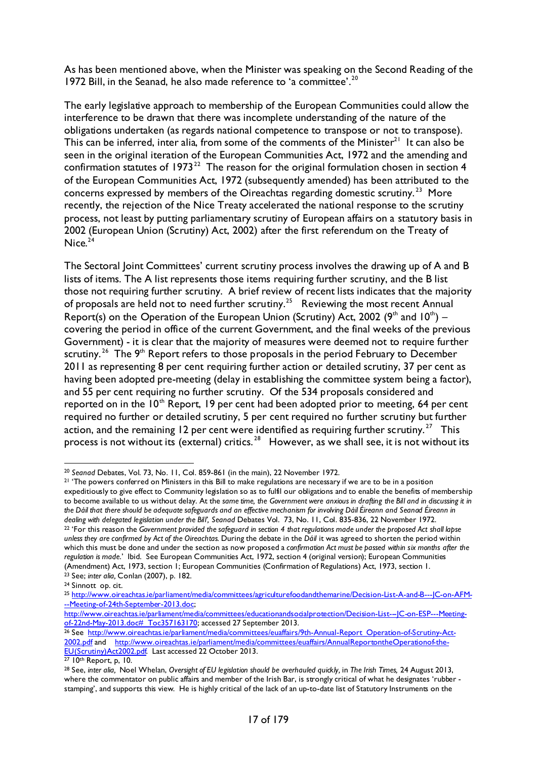As has been mentioned above, when the Minister was speaking on the Second Reading of the 1972 Bill, in the Seanad, he also made reference to 'a committee'.<sup>[20](#page-16-0)</sup>

The early legislative approach to membership of the European Communities could allow the interference to be drawn that there was incomplete understanding of the nature of the obligations undertaken (as regards national competence to transpose or not to transpose). This can be inferred, inter alia, from some of the comments of the Minister<sup>21</sup> It can also be seen in the original iteration of the European Communities Act, 1972 and the amending and confirmation statutes of 1973<sup>22</sup> The reason for the original formulation chosen in section 4 of the European Communities Act, 1972 (subsequently amended) has been attributed to the concerns expressed by members of the Oireachtas regarding domestic scrutiny.<sup>23</sup> More recently, the rejection of the Nice Treaty accelerated the national response to the scrutiny process, not least by putting parliamentary scrutiny of European affairs on a statutory basis in 2002 (European Union (Scrutiny) Act, 2002) after the first referendum on the Treaty of Nice. $24$ 

The Sectoral Joint Committees' current scrutiny process involves the drawing up of A and B lists of items. The A list represents those items requiring further scrutiny, and the B list those not requiring further scrutiny. A brief review of recent lists indicates that the majority of proposals are held not to need further scrutiny.[25](#page-16-5) Reviewing the most recent Annual Report(s) on the Operation of the European Union (Scrutiny) Act, 2002 ( $9<sup>th</sup>$  and  $10<sup>th</sup>$ ) – covering the period in office of the current Government, and the final weeks of the previous Government) - it is clear that the majority of measures were deemed not to require further scrutiny.<sup>26</sup> The 9<sup>th</sup> Report refers to those proposals in the period February to December 2011 as representing 8 per cent requiring further action or detailed scrutiny, 37 per cent as having been adopted pre-meeting (delay in establishing the committee system being a factor), and 55 per cent requiring no further scrutiny. Of the 534 proposals considered and reported on in the  $10<sup>th</sup>$  Report, 19 per cent had been adopted prior to meeting, 64 per cent required no further or detailed scrutiny, 5 per cent required no further scrutiny but further action, and the remaining 12 per cent were identified as requiring further scrutiny.<sup>[27](#page-16-7)</sup> This process is not without its (external) critics.  $28$  However, as we shall see, it is not without its

<span id="page-16-2"></span><span id="page-16-1"></span><sup>21</sup> 'The powers conferred on Ministers in this Bill to make regulations are necessary if we are to be in a position expeditiously to give effect to Community legislation so as to fulfil our obligations and to enable the benefits of membership to become available to us without delay. At the *same time, the Government were anxious in drafting the Bill and in discussing it in the Dáil that there should be adequate safeguards and an effective mechanism for involving Dáil Éireann and Seanad Éireann in* <sup>22</sup> 'For this reason the Government provided the safeguard in section 4 that regulations made under the proposed Act shall lapse *unless they are confirmed by Act of the Oireachtas.* During the debate in the *Dáil* it was agreed to shorten the period within which this must be done and under the section as now proposed a *confirmation Act must be passed within six months after the regulation is made*.' Ibid. See European Communities Act, 1972, section 4 (original version); European Communities (Amendment) Act, 1973, section 1; European Communities (Confirmation of Regulations) Act, 1973, section 1. <sup>23</sup> See; *inter alia,* Conlan (2007), p. 182. 24 Sinnott op. cit.

http://www.oireachtas.ie/parliament/media/committees/educationandsocialprotection/Decision-List--JC-on-ESP---Meeting-<br>of-22nd-May-2013.doc#\_Toc357163170; accessed 27 September 2013.

<span id="page-16-0"></span> <sup>20</sup> *Seanad* Debates, Vol. 73, No. 11, Col. 859-861 (in the main), 22 November 1972.

<span id="page-16-4"></span><span id="page-16-3"></span>

<span id="page-16-5"></span><sup>25</sup> [http://www.oireachtas.ie/parliament/media/committees/agriculturefoodandthemarine/Decision-List-A-and-B---JC-on-AFM-](http://www.oireachtas.ie/parliament/media/committees/agriculturefoodandthemarine/Decision-List-A-and-B---JC-on-AFM---Meeting-of-24th-September-2013.doc) [--Meeting-of-24th-September-2013.doc;](http://www.oireachtas.ie/parliament/media/committees/agriculturefoodandthemarine/Decision-List-A-and-B---JC-on-AFM---Meeting-of-24th-September-2013.doc)

<span id="page-16-6"></span><sup>&</sup>lt;sup>[26](http://www.oireachtas.ie/parliament/media/committees/educationandsocialprotection/Decision-List---JC-on-ESP---Meeting-of-22nd-May-2013.doc#_Toc357163170)</sup> See [http://www.oireachtas.ie/parliament/media/committees/euaffairs/9th-Annual-Report\\_Operation-of-Scrutiny-Act-](http://www.oireachtas.ie/parliament/media/committees/euaffairs/9th-Annual-Report_Operation-of-Scrutiny-Act-2002.pdf)[2002.pdf](http://www.oireachtas.ie/parliament/media/committees/euaffairs/9th-Annual-Report_Operation-of-Scrutiny-Act-2002.pdf) and [http://www.oireachtas.ie/parliament/media/committees/euaffairs/AnnualReportontheOperationof-the-](http://www.oireachtas.ie/parliament/media/committees/euaffairs/AnnualReportontheOperationof-the-EU(Scrutiny)Act2002.pdf)[EU\(Scrutiny\)Act2002.pdf.](http://www.oireachtas.ie/parliament/media/committees/euaffairs/AnnualReportontheOperationof-the-EU(Scrutiny)Act2002.pdf) Last accessed 22 October 2013.

<sup>&</sup>lt;sup>27</sup> 10<sup>th</sup> Report, p, 10.

<span id="page-16-8"></span><span id="page-16-7"></span><sup>28</sup> See, *inter alia,* Noel Whelan, *Oversight of EU legislation should be overhauled quickly,* in *The Irish Times,* 24 August 2013, where the commentator on public affairs and member of the Irish Bar, is strongly critical of what he designates 'rubber stamping', and supports this view. He is highly critical of the lack of an up-to-date list of Statutory Instruments on the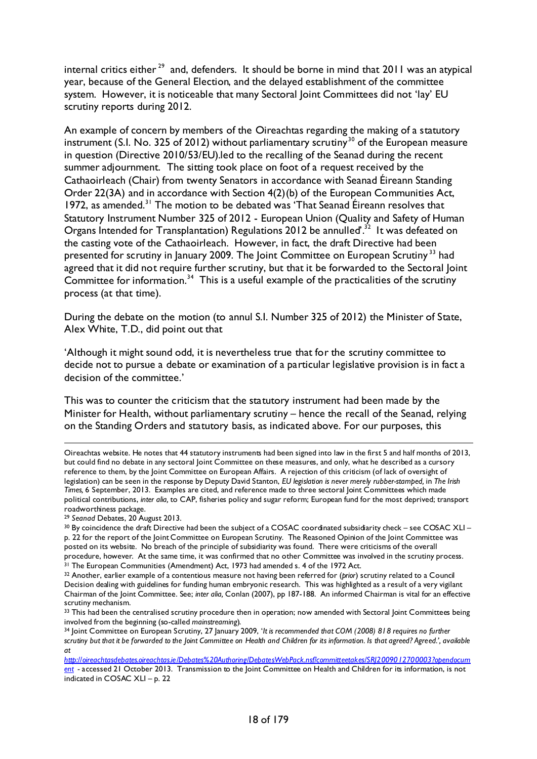internal critics either<sup>[29](#page-17-0)</sup> and, defenders. It should be borne in mind that 2011 was an atypical year, because of the General Election, and the delayed establishment of the committee system. However, it is noticeable that many Sectoral Joint Committees did not 'lay' EU scrutiny reports during 2012.

An example of concern by members of the Oireachtas regarding the making of a statutory instrument (S.I. No. 325 of 2012) without parliamentary scrutiny<sup>[30](#page-17-1)</sup> of the European measure in question (Directive 2010/53/EU).led to the recalling of the Seanad during the recent summer adjournment. The sitting took place on foot of a request received by the Cathaoirleach (Chair) from twenty Senators in accordance with Seanad Éireann Standing Order 22(3A) and in accordance with Section 4(2)(b) of the European Communities Act, 1972, as amended.<sup>[31](#page-17-2)</sup> The motion to be debated was 'That Seanad Éireann resolves that Statutory Instrument Number 325 of 2012 - European Union (Quality and Safety of Human Organs Intended for Transplantation) Regulations 2012 be annulled<sup>32</sup> It was defeated on the casting vote of the Cathaoirleach. However, in fact, the draft Directive had been presented for scrutiny in January 2009. The Joint Committee on European Scrutiny<sup>[33](#page-17-4)</sup> had agreed that it did not require further scrutiny, but that it be forwarded to the Sectoral Joint Committee for information.<sup>[34](#page-17-5)</sup> This is a useful example of the practicalities of the scrutiny process (at that time).

During the debate on the motion (to annul S.I. Number 325 of 2012) the Minister of State, Alex White, T.D., did point out that

'Although it might sound odd, it is nevertheless true that for the scrutiny committee to decide not to pursue a debate or examination of a particular legislative provision is in fact a decision of the committee.'

This was to counter the criticism that the statutory instrument had been made by the Minister for Health, without parliamentary scrutiny – hence the recall of the Seanad, relying on the Standing Orders and statutory basis, as indicated above. For our purposes, this

<span id="page-17-0"></span><sup>29</sup> *Seanad* Debates, 20 August 2013.

Oireachtas website. He notes that 44 statutory instruments had been signed into law in the first 5 and half months of 2013, but could find no debate in any sectoral Joint Committee on these measures, and only, what he described as a cursory reference to them, by the Joint Committee on European Affairs. A rejection of this criticism (of lack of oversight of legislation) can be seen in the response by Deputy David Stanton, *EU legislation is never merely rubber-stamped,* in *The Irish Times,* 6 September, 2013. Examples are cited, and reference made to three sectoral Joint Committees which made political contributions, *inter alia,* to CAP, fisheries policy and sugar reform; European fund for the most deprived; transport roadworthiness package.

<span id="page-17-1"></span><sup>&</sup>lt;sup>30</sup> By coincidence the draft Directive had been the subject of a COSAC coordinated subsidiarity check – see COSAC XLI – p. 22 for the report of the Joint Committee on European Scrutiny. The Reasoned Opinion of the Joint Committee was posted on its website. No breach of the principle of subsidiarity was found. There were criticisms of the overall procedure, however. At the same time, it was confirmed that no other Committee was involved in the scrutiny process. 31 The European Communities (Amendment) Act, 1973 had amended s. 4 of the 1972 Act.

<span id="page-17-3"></span><span id="page-17-2"></span><sup>32</sup> Another, earlier example of a contentious measure not having been referred for (*prior*) scrutiny related to a Council Decision dealing with guidelines for funding human embryonic research. This was highlighted as a result of a very vigilant Chairman of the Joint Committee. See; *inter alia,* Conlan (2007), pp 187-188. An informed Chairman is vital for an effective

<span id="page-17-4"></span><sup>33</sup> This had been the centralised scrutiny procedure then in operation; now amended with Sectoral Joint Committees being involved from the beginning (so-called *mainstreaming*).

<span id="page-17-5"></span><sup>34</sup> Joint Committee on European Scrutiny, 27 January 2009, '*It is recommended that COM (2008) 818 requires no further scrutiny but that it be forwarded to the Joint Committee on Health and Children for its information. Is that agreed? Agreed.', available at* 

*[http://oireachtasdebates.oireachtas.ie/Debates%20Authoring/DebatesWebPack.nsf/committeetakes/SRJ2009012700003?opendocum](http://oireachtasdebates.oireachtas.ie/Debates%20Authoring/DebatesWebPack.nsf/committeetakes/SRJ2009012700003?opendocument) [ent](http://oireachtasdebates.oireachtas.ie/Debates%20Authoring/DebatesWebPack.nsf/committeetakes/SRJ2009012700003?opendocument) -* accessed 21 October 2013. Transmission to the Joint Committee on Health and Children for its information, is not indicated in COSAC XLI – p. 22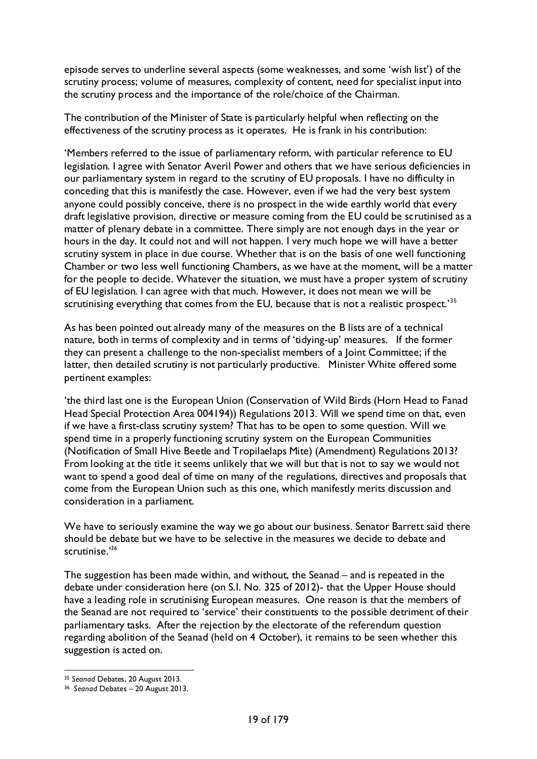episode serves to underline several aspects (some weaknesses, and some 'wish list') of the scrutiny process; volume of measures, complexity of content, need for specialist input into the scrutiny process and the importance of the role/choice of the Chairman.

The contribution of the Minister of State is particularly helpful when reflecting on the effectiveness of the scrutiny process as it operates. He is frank in his contribution:

'Members referred to the issue of parliamentary reform, with particular reference to EU legislation. I agree with Senator Averil Power and others that we have serious deficiencies in our parliamentary system in regard to the scrutiny of EU proposals. I have no difficulty in conceding that this is manifestly the case. However, even if we had the very best system anyone could possibly conceive, there is no prospect in the wide earthly world that every draft legislative provision, directive or measure coming from the EU could be scrutinised as a matter of plenary debate in a committee. There simply are not enough days in the year or hours in the day. It could not and will not happen. I very much hope we will have a better scrutiny system in place in due course. Whether that is on the basis of one well functioning Chamber or two less well functioning Chambers, as we have at the moment, will be a matter for the people to decide. Whatever the situation, we must have a proper system of scrutiny of EU legislation. I can agree with that much. However, it does not mean we will be scrutinising everything that comes from the EU, because that is not a realistic prospect.'<sup>[35](#page-18-0)</sup>

As has been pointed out already many of the measures on the B lists are of a technical nature, both in terms of complexity and in terms of 'tidying-up' measures. If the former they can present a challenge to the non-specialist members of a Joint Committee; if the latter, then detailed scrutiny is not particularly productive. Minister White offered some pertinent examples:

'the third last one is the European Union (Conservation of Wild Birds (Horn Head to Fanad Head Special Protection Area 004194)) Regulations 2013. Will we spend time on that, even if we have a first-class scrutiny system? That has to be open to some question. Will we spend time in a properly functioning scrutiny system on the European Communities (Notification of Small Hive Beetle and Tropilaelaps Mite) (Amendment) Regulations 2013? From looking at the title it seems unlikely that we will but that is not to say we would not want to spend a good deal of time on many of the regulations, directives and proposals that come from the European Union such as this one, which manifestly merits discussion and consideration in a parliament.

We have to seriously examine the way we go about our business. Senator Barrett said there should be debate but we have to be selective in the measures we decide to debate and scrutinise.['36](#page-18-1)

The suggestion has been made within, and without, the Seanad – and is repeated in the debate under consideration here (on S.I. No. 325 of 2012)- that the Upper House should have a leading role in scrutinising European measures. One reason is that the members of the Seanad are not required to 'service' their constituents to the possible detriment of their parliamentary tasks. After the rejection by the electorate of the referendum question regarding abolition of the Seanad (held on 4 October), it remains to be seen whether this suggestion is acted on.

<span id="page-18-0"></span> <sup>35</sup> *Seanad* Debates, 20 August 2013.

<span id="page-18-1"></span><sup>36</sup> *Seanad* Debates – 20 August 2013.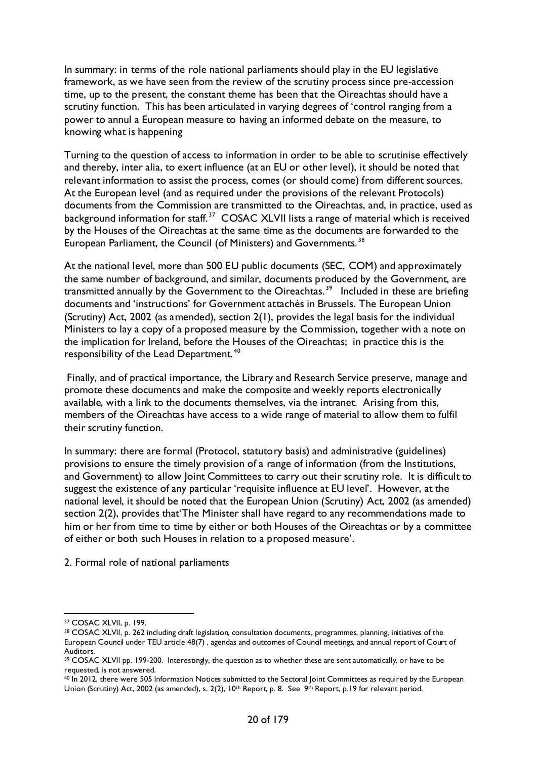In summary: in terms of the role national parliaments should play in the EU legislative framework, as we have seen from the review of the scrutiny process since pre-accession time, up to the present, the constant theme has been that the Oireachtas should have a scrutiny function. This has been articulated in varying degrees of 'control ranging from a power to annul a European measure to having an informed debate on the measure, to knowing what is happening

Turning to the question of access to information in order to be able to scrutinise effectively and thereby, inter alia, to exert influence (at an EU or other level), it should be noted that relevant information to assist the process, comes (or should come) from different sources. At the European level (and as required under the provisions of the relevant Protocols) documents from the Commission are transmitted to the Oireachtas, and, in practice, used as background information for staff.<sup>[37](#page-19-0)</sup> COSAC XLVII lists a range of material which is received by the Houses of the Oireachtas at the same time as the documents are forwarded to the European Parliament, the Council (of Ministers) and Governments.<sup>[38](#page-19-1)</sup>

At the national level, more than 500 EU public documents (SEC, COM) and approximately the same number of background, and similar, documents produced by the Government, are transmitted annually by the Government to the Oireachtas.<sup>[39](#page-19-2)</sup> Included in these are briefing documents and 'instructions' for Government attachés in Brussels. The European Union (Scrutiny) Act, 2002 (as amended), section 2(1), provides the legal basis for the individual Ministers to lay a copy of a proposed measure by the Commission, together with a note on the implication for Ireland, before the Houses of the Oireachtas; in practice this is the responsibility of the Lead Department. [40](#page-19-3)

Finally, and of practical importance, the Library and Research Service preserve, manage and promote these documents and make the composite and weekly reports electronically available, with a link to the documents themselves, via the intranet. Arising from this, members of the Oireachtas have access to a wide range of material to allow them to fulfil their scrutiny function.

In summary: there are formal (Protocol, statutory basis) and administrative (guidelines) provisions to ensure the timely provision of a range of information (from the Institutions, and Government) to allow Joint Committees to carry out their scrutiny role. It is difficult to suggest the existence of any particular 'requisite influence at EU level'. However, at the national level, it should be noted that the European Union (Scrutiny) Act, 2002 (as amended) section 2(2), provides that'The Minister shall have regard to any recommendations made to him or her from time to time by either or both Houses of the Oireachtas or by a committee of either or both such Houses in relation to a proposed measure'.

2. Formal role of national parliaments

<span id="page-19-0"></span> <sup>37</sup> COSAC XLVII, p. 199.

<span id="page-19-1"></span><sup>38</sup> COSAC XLVII, p. 262 including draft legislation, consultation documents, programmes, planning, initiatives of the European Council under TEU article 48(7) , agendas and outcomes of Council meetings, and annual report of Court of Auditors.

<span id="page-19-2"></span><sup>&</sup>lt;sup>39</sup> COSAC XLVII pp. 199-200. Interestingly, the question as to whether these are sent automatically, or have to be requested, is not answered.

<span id="page-19-3"></span><sup>40</sup> In 2012, there were 505 Information Notices submitted to the Sectoral Joint Committees as required by the European Union (Scrutiny) Act, 2002 (as amended), s. 2(2), 10<sup>th</sup> Report, p. 8. See 9<sup>th</sup> Report, p. 19 for relevant period.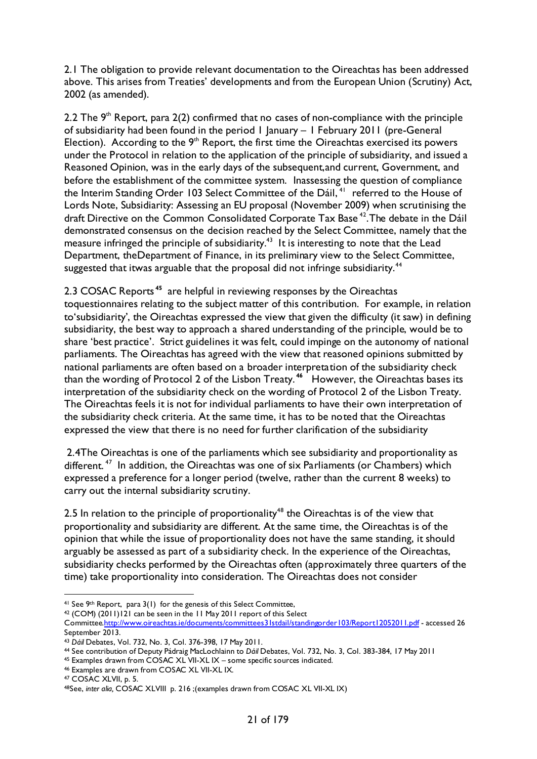2.1 The obligation to provide relevant documentation to the Oireachtas has been addressed above. This arises from Treaties' developments and from the European Union (Scrutiny) Act, 2002 (as amended).

2.2 The  $9<sup>th</sup>$  Report, para 2(2) confirmed that no cases of non-compliance with the principle of subsidiarity had been found in the period 1 January – 1 February 2011 (pre-General Election). According to the  $9<sup>th</sup>$  Report, the first time the Oireachtas exercised its powers under the Protocol in relation to the application of the principle of subsidiarity, and issued a Reasoned Opinion, was in the early days of the subsequent,and current, Government, and before the establishment of the committee system. Inassessing the question of compliance the Interim Standing Order 103 Select Committee of the Dáil,<sup>[41](#page-20-0)</sup> referred to the House of Lords Note, Subsidiarity: Assessing an EU proposal (November 2009) when scrutinising the draft Directive on the Common Consolidated Corporate Tax Base<sup>42</sup>. The debate in the Dáil demonstrated consensus on the decision reached by the Select Committee, namely that the measure infringed the principle of subsidiarity.<sup>[43](#page-20-2)</sup> It is interesting to note that the Lead Department, theDepartment of Finance, in its preliminary view to the Select Committee, suggested that itwas arguable that the proposal did not infringe subsidiarity.<sup>[44](#page-20-3)</sup>

2.3 COSAC Reports **[45](#page-20-4)** are helpful in reviewing responses by the Oireachtas toquestionnaires relating to the subject matter of this contribution. For example, in relation to'subsidiarity', the Oireachtas expressed the view that given the difficulty (it saw) in defining subsidiarity, the best way to approach a shared understanding of the principle, would be to share 'best practice'. Strict guidelines it was felt, could impinge on the autonomy of national parliaments. The Oireachtas has agreed with the view that reasoned opinions submitted by national parliaments are often based on a broader interpretation of the subsidiarity check than the wording of Protocol 2 of the Lisbon Treaty. **[46](#page-20-5)** However, the Oireachtas bases its interpretation of the subsidiarity check on the wording of Protocol 2 of the Lisbon Treaty. The Oireachtas feels it is not for individual parliaments to have their own interpretation of the subsidiarity check criteria. At the same time, it has to be noted that the Oireachtas expressed the view that there is no need for further clarification of the subsidiarity

2.4The Oireachtas is one of the parliaments which see subsidiarity and proportionality as different.<sup>47</sup> In addition, the Oireachtas was one of six Parliaments (or Chambers) which expressed a preference for a longer period (twelve, rather than the current 8 weeks) to carry out the internal subsidiarity scrutiny.

2.5 In relation to the principle of proportionality<sup>[48](#page-20-7)</sup> the Oireachtas is of the view that proportionality and subsidiarity are different. At the same time, the Oireachtas is of the opinion that while the issue of proportionality does not have the same standing, it should arguably be assessed as part of a subsidiarity check. In the experience of the Oireachtas, subsidiarity checks performed by the Oireachtas often (approximately three quarters of the time) take proportionality into consideration. The Oireachtas does not consider

<span id="page-20-5"></span><sup>46</sup> Examples are drawn from COSAC XL VII-XL IX.

<span id="page-20-0"></span><sup>&</sup>lt;sup>41</sup> See 9<sup>th</sup> Report, para 3(1) for the genesis of this Select Committee,  $42$  (COM) (2011)121 can be seen in the 11 May 2011 report of this Select

<span id="page-20-1"></span>Committe[e.http://www.oireachtas.ie/documents/committees31stdail/standingorder103/Report12052011.pdf](http://www.oireachtas.ie/documents/committees31stdail/standingorder103/Report12052011.pdf) - accessed 26 September 2013.

<span id="page-20-2"></span><sup>43</sup> *Dáil* Debates, Vol. 732, No. 3, Col. 376-398, 17 May 2011.

<span id="page-20-3"></span><sup>44</sup> See contribution of Deputy Pádraig MacLochlainn to *Dáil* Debates, Vol. 732, No. 3, Col. 383-384, 17 May 2011

<span id="page-20-4"></span><sup>45</sup> Examples drawn from COSAC XL VII-XL IX – some specific sources indicated.

<span id="page-20-6"></span><sup>47</sup> COSAC XLVII, p. 5.

<span id="page-20-7"></span><sup>48</sup>See, *inter alia,* COSAC XLVIII p. 216 ;(examples drawn from COSAC XL VII-XL IX)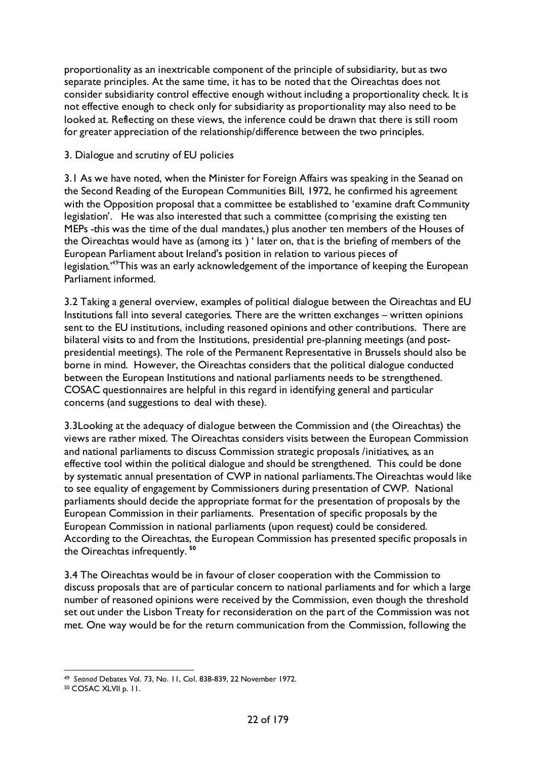proportionality as an inextricable component of the principle of subsidiarity, but as two separate principles. At the same time, it has to be noted that the Oireachtas does not consider subsidiarity control effective enough without including a proportionality check. It is not effective enough to check only for subsidiarity as proportionality may also need to be looked at. Reflecting on these views, the inference could be drawn that there is still room for greater appreciation of the relationship/difference between the two principles.

#### 3. Dialogue and scrutiny of EU policies

3.1 As we have noted, when the Minister for Foreign Affairs was speaking in the Seanad on the Second Reading of the European Communities Bill, 1972, he confirmed his agreement with the Opposition proposal that a committee be established to 'examine draft Community legislation'. He was also interested that such a committee (comprising the existing ten MEPs -this was the time of the dual mandates,) plus another ten members of the Houses of the Oireachtas would have as (among its ) ' later on, that is the briefing of members of the European Parliament about Ireland's position in relation to various pieces of legislation.<sup>49</sup>This was an early acknowledgement of the importance of keeping the European Parliament informed.

3.2 Taking a general overview, examples of political dialogue between the Oireachtas and EU Institutions fall into several categories. There are the written exchanges – written opinions sent to the EU institutions, including reasoned opinions and other contributions. There are bilateral visits to and from the Institutions, presidential pre-planning meetings (and postpresidential meetings). The role of the Permanent Representative in Brussels should also be borne in mind. However, the Oireachtas considers that the political dialogue conducted between the European Institutions and national parliaments needs to be strengthened. COSAC questionnaires are helpful in this regard in identifying general and particular concerns (and suggestions to deal with these).

3.3Looking at the adequacy of dialogue between the Commission and (the Oireachtas) the views are rather mixed. The Oireachtas considers visits between the European Commission and national parliaments to discuss Commission strategic proposals /initiatives, as an effective tool within the political dialogue and should be strengthened. This could be done by systematic annual presentation of CWP in national parliaments.The Oireachtas would like to see equality of engagement by Commissioners during presentation of CWP. National parliaments should decide the appropriate format for the presentation of proposals by the European Commission in their parliaments. Presentation of specific proposals by the European Commission in national parliaments (upon request) could be considered. According to the Oireachtas, the European Commission has presented specific proposals in the Oireachtas infrequently. **[50](#page-21-1)**

3.4 The Oireachtas would be in favour of closer cooperation with the Commission to discuss proposals that are of particular concern to national parliaments and for which a large number of reasoned opinions were received by the Commission, even though the threshold set out under the Lisbon Treaty for reconsideration on the part of the Commission was not met. One way would be for the return communication from the Commission, following the

<span id="page-21-0"></span> <sup>49</sup> *Seanad* Debates Vol. 73, No. 11, Col. 838-839, 22 November 1972.

<span id="page-21-1"></span><sup>50</sup> COSAC XLVII p. 11.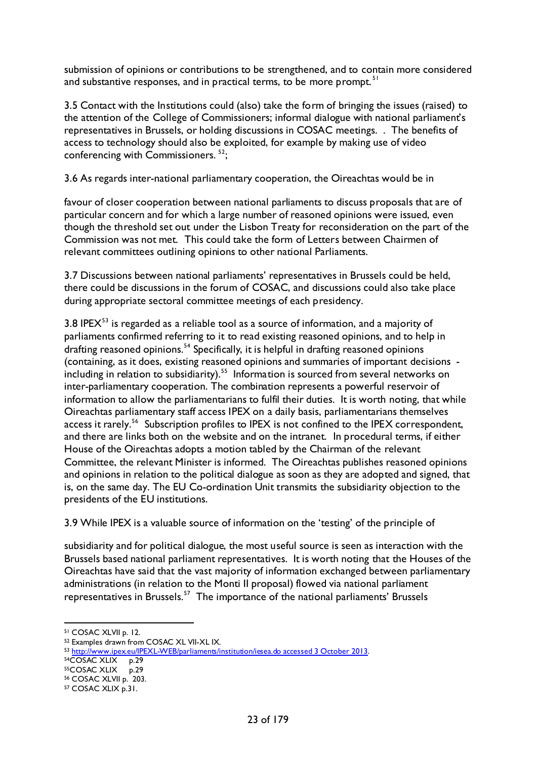submission of opinions or contributions to be strengthened, and to contain more considered and substantive responses, and in practical terms, to be more prompt.<sup>51</sup>

3.5 Contact with the Institutions could (also) take the form of bringing the issues (raised) to the attention of the College of Commissioners; informal dialogue with national parliament's representatives in Brussels, or holding discussions in COSAC meetings. . The benefits of access to technology should also be exploited, for example by making use of video conferencing with Commissioners.<sup>52</sup>;

3.6 As regards inter-national parliamentary cooperation, the Oireachtas would be in

favour of closer cooperation between national parliaments to discuss proposals that are of particular concern and for which a large number of reasoned opinions were issued, even though the threshold set out under the Lisbon Treaty for reconsideration on the part of the Commission was not met. This could take the form of Letters between Chairmen of relevant committees outlining opinions to other national Parliaments.

3.7 Discussions between national parliaments' representatives in Brussels could be held, there could be discussions in the forum of COSAC, and discussions could also take place during appropriate sectoral committee meetings of each presidency.

3.8 IPE $X<sup>53</sup>$  $X<sup>53</sup>$  $X<sup>53</sup>$  is regarded as a reliable tool as a source of information, and a majority of parliaments confirmed referring to it to read existing reasoned opinions, and to help in drafting reasoned opinions.<sup>[54](#page-22-3)</sup> Specifically, it is helpful in drafting reasoned opinions (containing, as it does, existing reasoned opinions and summaries of important decisions including in relation to subsidiarity).<sup>55</sup> Information is sourced from several networks on inter-parliamentary cooperation. The combination represents a powerful reservoir of information to allow the parliamentarians to fulfil their duties. It is worth noting, that while Oireachtas parliamentary staff access IPEX on a daily basis, parliamentarians themselves access it rarely.<sup>56</sup> Subscription profiles to IPEX is not confined to the IPEX correspondent, and there are links both on the website and on the intranet. In procedural terms, if either House of the Oireachtas adopts a motion tabled by the Chairman of the relevant Committee, the relevant Minister is informed. The Oireachtas publishes reasoned opinions and opinions in relation to the political dialogue as soon as they are adopted and signed, that is, on the same day. The EU Co-ordination Unit transmits the subsidiarity objection to the presidents of the EU institutions.

3.9 While IPEX is a valuable source of information on the 'testing' of the principle of

subsidiarity and for political dialogue, the most useful source is seen as interaction with the Brussels based national parliament representatives. It is worth noting that the Houses of the Oireachtas have said that the vast majority of information exchanged between parliamentary administrations (in relation to the Monti II proposal) flowed via national parliament representatives in Brussels.<sup>57</sup> The importance of the national parliaments' Brussels

<span id="page-22-0"></span> <sup>51</sup> COSAC XLVII p. 12.

<span id="page-22-1"></span><sup>52</sup> Examples drawn from COSAC XL VII-XL IX.

<span id="page-22-2"></span><sup>&</sup>lt;sup>53</sup> [http://www.ipex.eu/IPEXL-WEB/parliaments/institution/iesea.do accessed 3 October 2013.](http://www.ipex.eu/IPEXL-WEB/parliaments/institution/iesea.do%20accessed%203%20October%202013)<br><sup>54</sup>COSAC XLIX p.29<br><sup>55</sup>COSAC XLVII p. 203.

<span id="page-22-3"></span>

<span id="page-22-4"></span>

<span id="page-22-5"></span>

<span id="page-22-6"></span><sup>57</sup> COSAC XLIX p.31.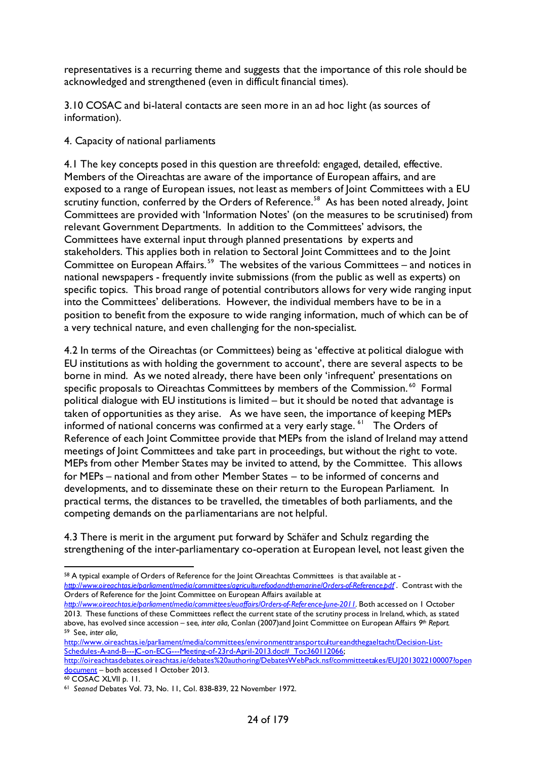representatives is a recurring theme and suggests that the importance of this role should be acknowledged and strengthened (even in difficult financial times).

3.10 COSAC and bi-lateral contacts are seen more in an ad hoc light (as sources of information).

4. Capacity of national parliaments

4.1 The key concepts posed in this question are threefold: engaged, detailed, effective. Members of the Oireachtas are aware of the importance of European affairs, and are exposed to a range of European issues, not least as members of Joint Committees with a EU scrutiny function, conferred by the Orders of Reference.<sup>58</sup> As has been noted already, Joint Committees are provided with 'Information Notes' (on the measures to be scrutinised) from relevant Government Departments. In addition to the Committees' advisors, the Committees have external input through planned presentations by experts and stakeholders. This applies both in relation to Sectoral Joint Committees and to the Joint Committee on European Affairs. [59](#page-23-1) The websites of the various Committees – and notices in national newspapers - frequently invite submissions (from the public as well as experts) on specific topics. This broad range of potential contributors allows for very wide ranging input into the Committees' deliberations. However, the individual members have to be in a position to benefit from the exposure to wide ranging information, much of which can be of a very technical nature, and even challenging for the non-specialist.

4.2 In terms of the Oireachtas (or Committees) being as 'effective at political dialogue with EU institutions as with holding the government to account', there are several aspects to be borne in mind. As we noted already, there have been only 'infrequent' presentations on specific proposals to Oireachtas Committees by members of the Commission.<sup>[60](#page-23-2)</sup> Formal political dialogue with EU institutions is limited – but it should be noted that advantage is taken of opportunities as they arise. As we have seen, the importance of keeping MEPs informed of national concerns was confirmed at a very early stage.  $61$  The Orders of Reference of each Joint Committee provide that MEPs from the island of Ireland may attend meetings of Joint Committees and take part in proceedings, but without the right to vote. MEPs from other Member States may be invited to attend, by the Committee. This allows for MEPs – national and from other Member States – to be informed of concerns and developments, and to disseminate these on their return to the European Parliament. In practical terms, the distances to be travelled, the timetables of both parliaments, and the competing demands on the parliamentarians are not helpful.

4.3 There is merit in the argument put forward by Schäfer and Schulz regarding the strengthening of the inter-parliamentary co-operation at European level, not least given the

<span id="page-23-1"></span>[http://www.oireachtas.ie/parliament/media/committees/environmenttransportcultureandthegaeltacht/Decision-List-](http://www.oireachtas.ie/parliament/media/committees/environmenttransportcultureandthegaeltacht/Decision-List-Schedules-A-and-B---JC-on-ECG---Meeting-of-23rd-April-2013.doc#_Toc360112066)[Schedules-A-and-B---JC-on-ECG---Meeting-of-23rd-April-2013.doc#\\_Toc360112066;](http://www.oireachtas.ie/parliament/media/committees/environmenttransportcultureandthegaeltacht/Decision-List-Schedules-A-and-B---JC-on-ECG---Meeting-of-23rd-April-2013.doc#_Toc360112066)

<span id="page-23-0"></span><sup>58</sup> A typical example of Orders of Reference for the Joint Oireachtas Committees is that available at *<http://www.oireachtas.ie/parliament/media/committees/agriculturefoodandthemarine/Orders-of-Reference.pdf>* . Contrast with the Orders of Reference for the Joint Committee on European Affairs available at

*[http://www.oireachtas.ie/parliament/media/committees/euaffairs/Orders-of-Reference-June-2011.](http://www.oireachtas.ie/parliament/media/committees/euaffairs/Orders-of-Reference-June-2011)* Both accessed on 1 October 2013*.* These functions of these Committees reflect the current state of the scrutiny process in Ireland, which, as stated above, has evolved since accession – see, *inter alia,* Conlan (2007)and Joint Committee on European Affairs *9th Report.* 59 See, *inter alia,* 

[http://oireachtasdebates.oireachtas.ie/debates%20authoring/DebatesWebPack.nsf/committeetakes/EUJ2013022100007?open](http://oireachtasdebates.oireachtas.ie/debates%20authoring/DebatesWebPack.nsf/committeetakes/EUJ2013022100007?opendocument) [document](http://oireachtasdebates.oireachtas.ie/debates%20authoring/DebatesWebPack.nsf/committeetakes/EUJ2013022100007?opendocument) – both accessed 1 October 2013.<br><sup>60</sup> COSAC XLVII p. 11.

<span id="page-23-3"></span><span id="page-23-2"></span><sup>&</sup>lt;sup>61</sup> Seanad Debates Vol. 73, No. 11, Col. 838-839, 22 November 1972.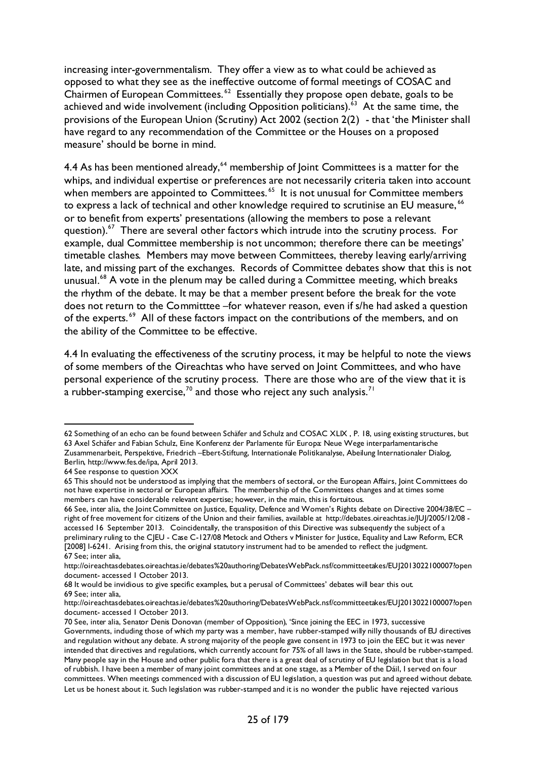increasing inter-governmentalism. They offer a view as to what could be achieved as opposed to what they see as the ineffective outcome of formal meetings of COSAC and Chairmen of European Committees. [62](#page-24-0) Essentially they propose open debate, goals to be achieved and wide involvement (including Opposition politicians).<sup> $63$ </sup> At the same time, the provisions of the European Union (Scrutiny) Act 2002 (section 2(2) - that 'the Minister shall have regard to any recommendation of the Committee or the Houses on a proposed measure' should be borne in mind.

4.4 As has been mentioned already,  $64$  membership of Joint Committees is a matter for the whips, and individual expertise or preferences are not necessarily criteria taken into account when members are appointed to Committees.<sup>[65](#page-24-3)</sup> It is not unusual for Committee members to express a lack of technical and other knowledge required to scrutinise an EU measure,<sup>[66](#page-24-4)</sup> or to benefit from experts' presentations (allowing the members to pose a relevant question). $67$  There are several other factors which intrude into the scrutiny process. For example, dual Committee membership is not uncommon; therefore there can be meetings' timetable clashes. Members may move between Committees, thereby leaving early/arriving late, and missing part of the exchanges. Records of Committee debates show that this is not unusual.<sup>[68](#page-24-6)</sup> A vote in the plenum may be called during a Committee meeting, which breaks the rhythm of the debate. It may be that a member present before the break for the vote does not return to the Committtee –for whatever reason, even if s/he had asked a question of the experts.<sup>69</sup> All of these factors impact on the contributions of the members, and on the ability of the Committee to be effective.

4.4 In evaluating the effectiveness of the scrutiny process, it may be helpful to note the views of some members of the Oireachtas who have served on Joint Committees, and who have personal experience of the scrutiny process. There are those who are of the view that it is a rubber-stamping exercise,<sup>[70](#page-24-8)</sup> and those who reject any such analysis.<sup>[71](#page-24-9)</sup>

<span id="page-24-1"></span><span id="page-24-0"></span> <sup>62</sup> Something of an echo can be found between Schäfer and Schulz and COSAC XLIX , P. 18, using existing structures, but 63 Axel Schäfer and Fabian Schulz, Eine Konferenz der Parlamente fűr Europa: Neue Wege interparlamentarische Zusammenarbeit, Perspektive, Friedrich –Ebert-Stiftung, Internationale Politikanalyse, Abeilung Internationaler Dialog, Berlin, [http://www.fes.de/ipa,](http://www.fes.de/ipa) April 2013.

<span id="page-24-2"></span><sup>64</sup> See response to question XXX

<span id="page-24-3"></span><sup>65</sup> This should not be understood as implying that the members of sectoral, or the European Affairs, Joint Committees do not have expertise in sectoral or European affairs. The membership of the Committees changes and at times some members can have considerable relevant expertise; however, in the main, this is fortuitous.

<span id="page-24-4"></span><sup>66</sup> See, inter alia, the Joint Committee on Justice, Equality, Defence and Women's Rights debate on Directive 2004/38/EC – right of free movement for citizens of the Union and their families, available at http://debates.oireachtas.ie/JUJ/2005/12/08 accessed 16 September 2013. Coincidentally, the transposition of this Directive was subsequently the subject of a preliminary ruling to the CJEU - Case C-127/08 Metock and Others v Minister for Justice, Equality and Law Reform, ECR [2008] I-6241. Arising from this, the original statutory instrument had to be amended to reflect the judgment. 67 See; inter alia,

<span id="page-24-9"></span><span id="page-24-5"></span>[http://oireachtasdebates.oireachtas.ie/debates%20authoring/DebatesWebPack.nsf/committeetakes/EUJ2013022100007?open](http://oireachtasdebates.oireachtas.ie/debates%20authoring/DebatesWebPack.nsf/committeetakes/EUJ2013022100007?opendocument-) [document-](http://oireachtasdebates.oireachtas.ie/debates%20authoring/DebatesWebPack.nsf/committeetakes/EUJ2013022100007?opendocument-) accessed 1 October 2013.

<span id="page-24-6"></span><sup>68</sup> It would be invidious to give specific examples, but a perusal of Committees' debates will bear this out. 69 See; inter alia,

<span id="page-24-7"></span>[http://oireachtasdebates.oireachtas.ie/debates%20authoring/DebatesWebPack.nsf/committeetakes/EUJ2013022100007?open](http://oireachtasdebates.oireachtas.ie/debates%20authoring/DebatesWebPack.nsf/committeetakes/EUJ2013022100007?opendocument-) [document-](http://oireachtasdebates.oireachtas.ie/debates%20authoring/DebatesWebPack.nsf/committeetakes/EUJ2013022100007?opendocument-) accessed 1 October 2013.

<span id="page-24-8"></span><sup>70</sup> See, inter alia, Senator Denis Donovan (member of Opposition), 'Since joining the EEC in 1973, successive Governments, induding those of which my party was a member, have rubber-stamped willy nilly thousands of EU directives and regulation without any debate. A strong majority of the people gave consent in 1973 to join the EEC but it was never intended that directives and regulations, which currently account for 75% of all laws in the State, should be rubber-stamped. Many people say in the House and other public fora that there is a great deal of scrutiny of EU legislation but that is a load of rubbish. I have been a member of many joint committees and at one stage, as a Member of the Dáil, I served on four committees. When meetings commenced with a discussion of EU legislation, a question was put and agreed without debate. Let us be honest about it. Such legislation was rubber-stamped and it is no wonder the public have rejected various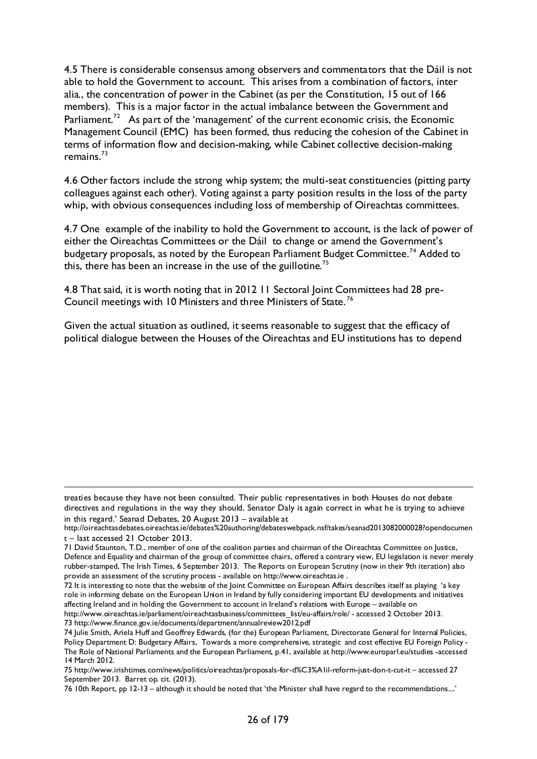4.5 There is considerable consensus among observers and commentators that the Dáil is not able to hold the Government to account. This arises from a combination of factors, inter alia., the concentration of power in the Cabinet (as per the Constitution, 15 out of 166 members). This is a major factor in the actual imbalance between the Government and Parliament.<sup>72</sup> As part of the 'management' of the current economic crisis, the Economic Management Council (EMC) has been formed, thus reducing the cohesion of the Cabinet in terms of information flow and decision-making, while Cabinet collective decision-making remains. $^{73}$  $^{73}$  $^{73}$ 

4.6 Other factors include the strong whip system; the multi-seat constituencies (pitting party colleagues against each other). Voting against a party position results in the loss of the party whip, with obvious consequences including loss of membership of Oireachtas committees.

4.7 One example of the inability to hold the Government to account, is the lack of power of either the Oireachtas Committees or the Dáil to change or amend the Government's budgetary proposals, as noted by the European Parliament Budget Committee.<sup>[74](#page-25-2)</sup> Added to this, there has been an increase in the use of the guillotine.<sup>[75](#page-25-3)</sup>

4.8 That said, it is worth noting that in 2012 11 Sectoral Joint Committees had 28 pre-Council meetings with 10 Ministers and three Ministers of State. [76](#page-25-4)

Given the actual situation as outlined, it seems reasonable to suggest that the efficacy of political dialogue between the Houses of the Oireachtas and EU institutions has to depend

-

treaties because they have not been consulted. Their public representatives in both Houses do not debate directives and regulations in the way they should. Senator Daly is again correct in what he is trying to achieve in this regard.' Seanad Debates, 20 August 2013 – available at

[http://oireachtasdebates.oireachtas.ie/debates%20authoring/debateswebpack.nsf/takes/seanad2013082000028?opendocumen](http://oireachtasdebates.oireachtas.ie/debates%20authoring/debateswebpack.nsf/takes/seanad2013082000028?opendocument) [t](http://oireachtasdebates.oireachtas.ie/debates%20authoring/debateswebpack.nsf/takes/seanad2013082000028?opendocument) – last accessed 21 October 2013.

<sup>71</sup> David Staunton, T.D., member of one of the coalition parties and chairman of the Oireachtas Committee on Justice, Defence and Equality and chairman of the group of committee chairs, offered a contrary view, EU legislation is never merely rubber-stamped, The Irish Times, 6 September 2013. The Reports on European Scrutiny (now in their 9th iteration) also provide an assessment of the scrutiny process - available o[n http://www.oireachtas.ie](http://www.oireachtas.ie/) .

<span id="page-25-0"></span><sup>72</sup> It is interesting to note that the website of the Joint Committee on European Affairs describes itself as playing 'a key role in informing debate on the European Union in Ireland by fully considering important EU developments and initiatives affecting Ireland and in holding the Government to account in Ireland's relations with Europe – available on [http://www.oireachtas.ie/parliament/oireachtasbusiness/committees\\_list/eu-affairs/role/](http://www.oireachtas.ie/parliament/oireachtasbusiness/committees_list/eu-affairs/role/) - accessed 2 October 2013.

<span id="page-25-1"></span><sup>73</sup> <http://www.finance.gov.ie/documents/department/annualreview2012.pdf>

<span id="page-25-2"></span><sup>74</sup> Julie Smith, Ariela Huff and Geoffrey Edwards, (for the) European Parliament, Directorate General for Internal Policies, Policy Department D: Budgetary Affairs, Towards a more comprehensive, strategic and cost effective EU Foreign Policy - The Role of National Parliaments and the European Parliament, p.41, available a[t http://www.europarl.eu/studies](http://www.europarl.eu/studies) -accessed 14 March 2012.

<span id="page-25-3"></span><sup>75</sup> <http://www.irishtimes.com/news/politics/oireachtas/proposals-for-d%C3%A1il-reform-just-don-t-cut-it> – accessed 27 September 2013. Barret op. cit. (2013).

<span id="page-25-4"></span><sup>76</sup> 10th Report, pp 12-13 – although it should be noted that 'the Minister shall have regard to the recommendations....'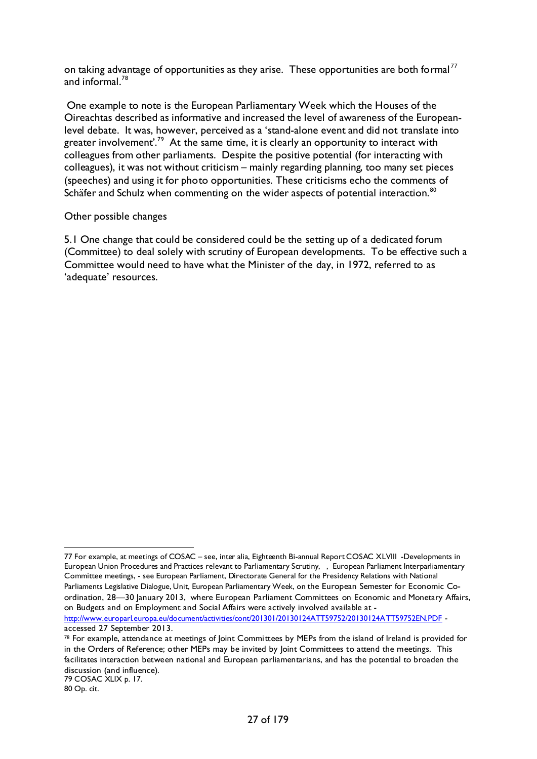on taking advantage of opportunities as they arise. These opportunities are both formal<sup>[77](#page-26-0)</sup> and informal.<sup>78</sup>

One example to note is the European Parliamentary Week which the Houses of the Oireachtas described as informative and increased the level of awareness of the Europeanlevel debate. It was, however, perceived as a 'stand-alone event and did not translate into greater involvement'.<sup>[79](#page-26-2)</sup> At the same time, it is clearly an opportunity to interact with colleagues from other parliaments. Despite the positive potential (for interacting with colleagues), it was not without criticism – mainly regarding planning, too many set pieces (speeches) and using it for photo opportunities. These criticisms echo the comments of Schäfer and Schulz when commenting on the wider aspects of potential interaction.<sup>[80](#page-26-3)</sup>

#### Other possible changes

5.1 One change that could be considered could be the setting up of a dedicated forum (Committee) to deal solely with scrutiny of European developments. To be effective such a Committee would need to have what the Minister of the day, in 1972, referred to as 'adequate' resources.

accessed 27 September 2013.

<span id="page-26-2"></span>79 COSAC XLIX p. 17.

<span id="page-26-0"></span> <sup>77</sup> For example, at meetings of COSAC – see, inter alia, Eighteenth Bi-annual Report COSAC XLVIII -Developments in European Union Procedures and Practices relevant to Parliamentary Scrutiny, , European Parliament Interparliamentary Committee meetings, - see European Parliament, Directorate General for the Presidency Relations with National Parliaments Legislative Dialogue, Unit, European Parliamentary Week, on the European Semester for Economic Coordination, 28—30 January 2013, where European Parliament Committees on Economic and Monetary Affairs, on Budgets and on Employment and Social Affairs were actively involved available at <http://www.europarl.europa.eu/document/activities/cont/201301/20130124ATT59752/20130124ATT59752EN.PDF> -

<span id="page-26-1"></span><sup>78</sup> For example, attendance at meetings of Joint Committees by MEPs from the island of Ireland is provided for in the Orders of Reference; other MEPs may be invited by Joint Committees to attend the meetings. This facilitates interaction between national and European parliamentarians, and has the potential to broaden the discussion (and influence).

<span id="page-26-3"></span><sup>80</sup> Op. cit.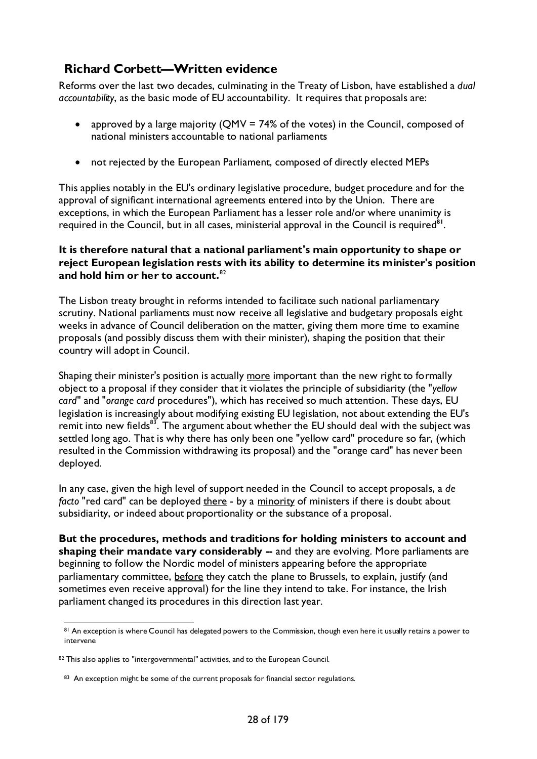### <span id="page-27-0"></span>**Richard Corbett—Written evidence**

Reforms over the last two decades, culminating in the Treaty of Lisbon, have established a *dual accountability*, as the basic mode of EU accountability. It requires that proposals are:

- approved by a large majority (QMV = 74% of the votes) in the Council, composed of national ministers accountable to national parliaments
- not rejected by the European Parliament, composed of directly elected MEPs

This applies notably in the EU's ordinary legislative procedure, budget procedure and for the approval of significant international agreements entered into by the Union. There are exceptions, in which the European Parliament has a lesser role and/or where unanimity is required in the Council, but in all cases, ministerial approval in the Council is required**[81](#page-27-1)**.

#### **It is therefore natural that a national parliament's main opportunity to shape or reject European legislation rests with its ability to determine its minister's position and hold him or her to account.**[82](#page-27-2)

The Lisbon treaty brought in reforms intended to facilitate such national parliamentary scrutiny. National parliaments must now receive all legislative and budgetary proposals eight weeks in advance of Council deliberation on the matter, giving them more time to examine proposals (and possibly discuss them with their minister), shaping the position that their country will adopt in Council.

Shaping their minister's position is actually more important than the new right to formally object to a proposal if they consider that it violates the principle of subsidiarity (the "*yellow card*" and "*orange card* procedures"), which has received so much attention. These days, EU legislation is increasingly about modifying existing EU legislation, not about extending the EU's remit into new fields<sup>83</sup>. The argument about whether the EU should deal with the subject was settled long ago. That is why there has only been one "yellow card" procedure so far, (which resulted in the Commission withdrawing its proposal) and the "orange card" has never been deployed.

In any case, given the high level of support needed in the Council to accept proposals, a *de facto* "red card" can be deployed there - by a minority of ministers if there is doubt about subsidiarity, or indeed about proportionality or the substance of a proposal.

**But the procedures, methods and traditions for holding ministers to account and**  shaping their mandate vary considerably -- and they are evolving. More parliaments are beginning to follow the Nordic model of ministers appearing before the appropriate parliamentary committee, before they catch the plane to Brussels, to explain, justify (and sometimes even receive approval) for the line they intend to take. For instance, the Irish parliament changed its procedures in this direction last year.

<span id="page-27-1"></span><sup>81</sup> An exception is where Council has delegated powers to the Commission, though even here it usually retains a power to intervene

<span id="page-27-3"></span><span id="page-27-2"></span><sup>82</sup> This also applies to "intergovernmental" activities, and to the European Council.

<sup>83</sup> An exception might be some of the current proposals for financial sector regulations.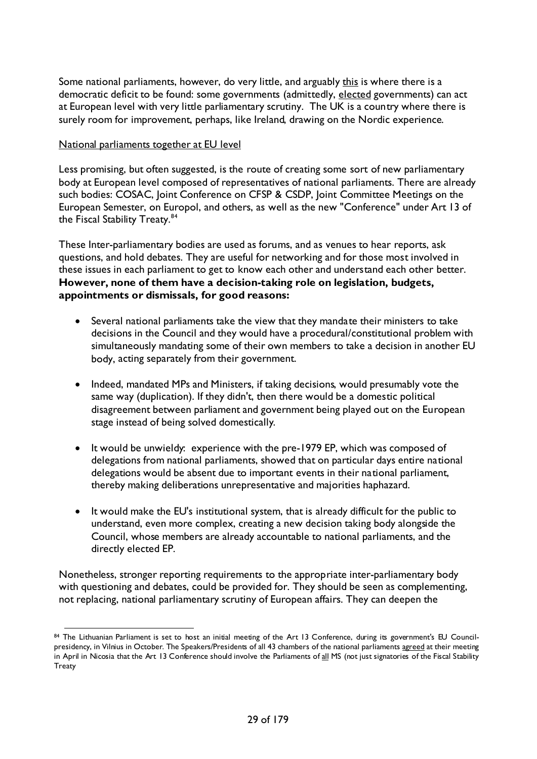Some national parliaments, however, do very little, and arguably this is where there is a democratic deficit to be found: some governments (admittedly, elected governments) can act at European level with very little parliamentary scrutiny. The UK is a country where there is surely room for improvement, perhaps, like Ireland, drawing on the Nordic experience.

#### National parliaments together at EU level

Less promising, but often suggested, is the route of creating some sort of new parliamentary body at European level composed of representatives of national parliaments. There are already such bodies: COSAC, Joint Conference on CFSP & CSDP, Joint Committee Meetings on the European Semester, on Europol, and others, as well as the new "Conference" under Art 13 of the Fiscal Stability Treaty.<sup>[84](#page-28-0)</sup>

These Inter-parliamentary bodies are used as forums, and as venues to hear reports, ask questions, and hold debates. They are useful for networking and for those most involved in these issues in each parliament to get to know each other and understand each other better. **However, none of them have a decision-taking role on legislation, budgets, appointments or dismissals, for good reasons:**

- Several national parliaments take the view that they mandate their ministers to take decisions in the Council and they would have a procedural/constitutional problem with simultaneously mandating some of their own members to take a decision in another EU body, acting separately from their government.
- Indeed, mandated MPs and Ministers, if taking decisions, would presumably vote the same way (duplication). If they didn't, then there would be a domestic political disagreement between parliament and government being played out on the European stage instead of being solved domestically.
- It would be unwieldy: experience with the pre-1979 EP, which was composed of delegations from national parliaments, showed that on particular days entire national delegations would be absent due to important events in their national parliament, thereby making deliberations unrepresentative and majorities haphazard.
- It would make the EU's institutional system, that is already difficult for the public to understand, even more complex, creating a new decision taking body alongside the Council, whose members are already accountable to national parliaments, and the directly elected EP.

Nonetheless, stronger reporting requirements to the appropriate inter-parliamentary body with questioning and debates, could be provided for. They should be seen as complementing, not replacing, national parliamentary scrutiny of European affairs. They can deepen the

<span id="page-28-0"></span><sup>84</sup> The Lithuanian Parliament is set to host an initial meeting of the Art 13 Conference, during its government's EU Councilpresidency, in Vilnius in October. The Speakers/Presidents of all 43 chambers of the national parliaments agreed at their meeting in April in Nicosia that the Art 13 Conference should involve the Parliaments of all MS (not just signatories of the Fiscal Stability **Treaty**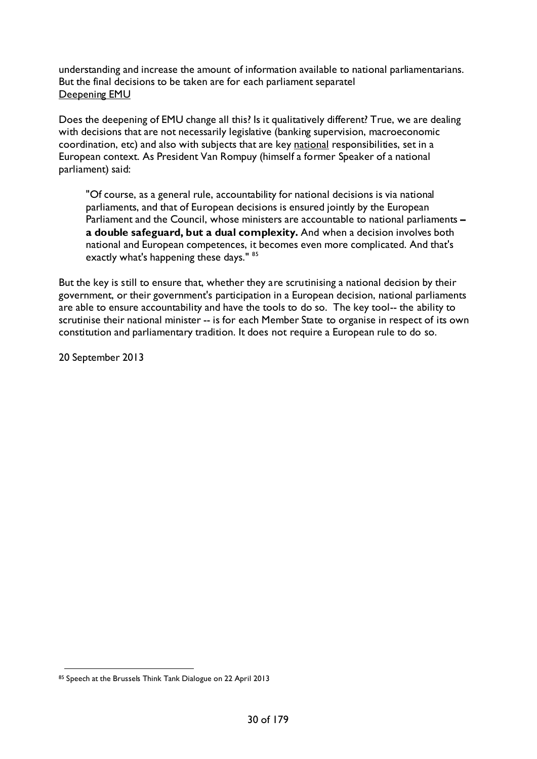understanding and increase the amount of information available to national parliamentarians. But the final decisions to be taken are for each parliament separatel Deepening EMU

Does the deepening of EMU change all this? Is it qualitatively different? True, we are dealing with decisions that are not necessarily legislative (banking supervision, macroeconomic coordination, etc) and also with subjects that are key national responsibilities, set in a European context. As President Van Rompuy (himself a former Speaker of a national parliament) said:

"Of course, as a general rule, accountability for national decisions is via national parliaments, and that of European decisions is ensured jointly by the European Parliament and the Council, whose ministers are accountable to national parliaments **– a double safeguard, but a dual complexity.** And when a decision involves both national and European competences, it becomes even more complicated. And that's exactly what's happening these days." [85](#page-29-0)

But the key is still to ensure that, whether they are scrutinising a national decision by their government, or their government's participation in a European decision, national parliaments are able to ensure accountability and have the tools to do so. The key tool-- the ability to scrutinise their national minister -- is for each Member State to organise in respect of its own constitution and parliamentary tradition. It does not require a European rule to do so.

20 September 2013

<span id="page-29-0"></span><sup>85</sup> Speech at the Brussels Think Tank Dialogue on 22 April 2013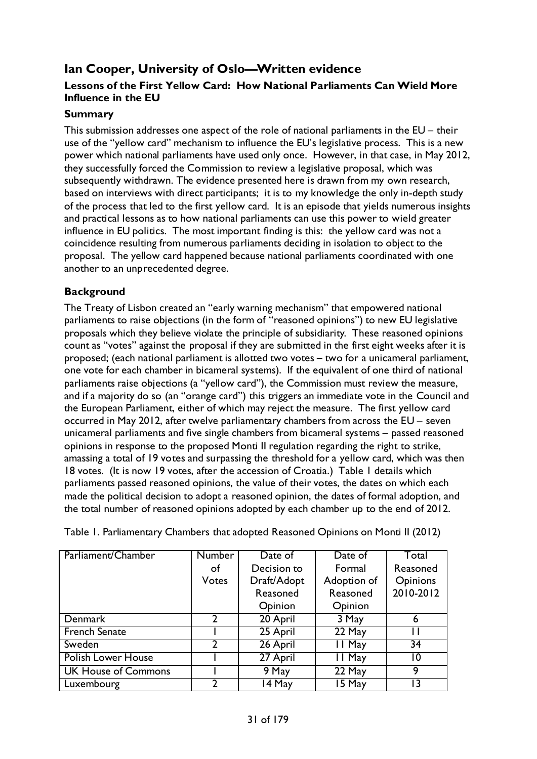# <span id="page-30-0"></span>**Ian Cooper, University of Oslo—Written evidence**

### **Lessons of the First Yellow Card: How National Parliaments Can Wield More Influence in the EU**

#### **Summary**

This submission addresses one aspect of the role of national parliaments in the EU – their use of the "yellow card" mechanism to influence the EU's legislative process. This is a new power which national parliaments have used only once. However, in that case, in May 2012, they successfully forced the Commission to review a legislative proposal, which was subsequently withdrawn. The evidence presented here is drawn from my own research, based on interviews with direct participants; it is to my knowledge the only in-depth study of the process that led to the first yellow card. It is an episode that yields numerous insights and practical lessons as to how national parliaments can use this power to wield greater influence in EU politics. The most important finding is this: the yellow card was not a coincidence resulting from numerous parliaments deciding in isolation to object to the proposal. The yellow card happened because national parliaments coordinated with one another to an unprecedented degree.

### **Background**

The Treaty of Lisbon created an "early warning mechanism" that empowered national parliaments to raise objections (in the form of "reasoned opinions") to new EU legislative proposals which they believe violate the principle of subsidiarity. These reasoned opinions count as "votes" against the proposal if they are submitted in the first eight weeks after it is proposed; (each national parliament is allotted two votes – two for a unicameral parliament, one vote for each chamber in bicameral systems). If the equivalent of one third of national parliaments raise objections (a "yellow card"), the Commission must review the measure, and if a majority do so (an "orange card") this triggers an immediate vote in the Council and the European Parliament, either of which may reject the measure. The first yellow card occurred in May 2012, after twelve parliamentary chambers from across the EU – seven unicameral parliaments and five single chambers from bicameral systems – passed reasoned opinions in response to the proposed Monti II regulation regarding the right to strike, amassing a total of 19 votes and surpassing the threshold for a yellow card, which was then 18 votes. (It is now 19 votes, after the accession of Croatia.) Table 1 details which parliaments passed reasoned opinions, the value of their votes, the dates on which each made the political decision to adopt a reasoned opinion, the dates of formal adoption, and the total number of reasoned opinions adopted by each chamber up to the end of 2012.

| Parliament/Chamber         | <b>Number</b>  | Date of     | Date of     | Total     |
|----------------------------|----------------|-------------|-------------|-----------|
|                            | of             | Decision to | Formal      | Reasoned  |
|                            | <b>Votes</b>   | Draft/Adopt | Adoption of | Opinions  |
|                            |                | Reasoned    | Reasoned    | 2010-2012 |
|                            |                | Opinion     | Opinion     |           |
| <b>Denmark</b>             | $\overline{2}$ | 20 April    | 3 May       | 6         |
| <b>French Senate</b>       |                | 25 April    | 22 May      | ш         |
| Sweden                     | 2              | 26 April    | II May      | 34        |
| <b>Polish Lower House</b>  |                | 27 April    | 11 May      | 10        |
| <b>UK House of Commons</b> |                | 9 May       | 22 May      | 9         |
| Luxembourg                 |                | 14 May      | 15 May      |           |

Table 1. Parliamentary Chambers that adopted Reasoned Opinions on Monti II (2012)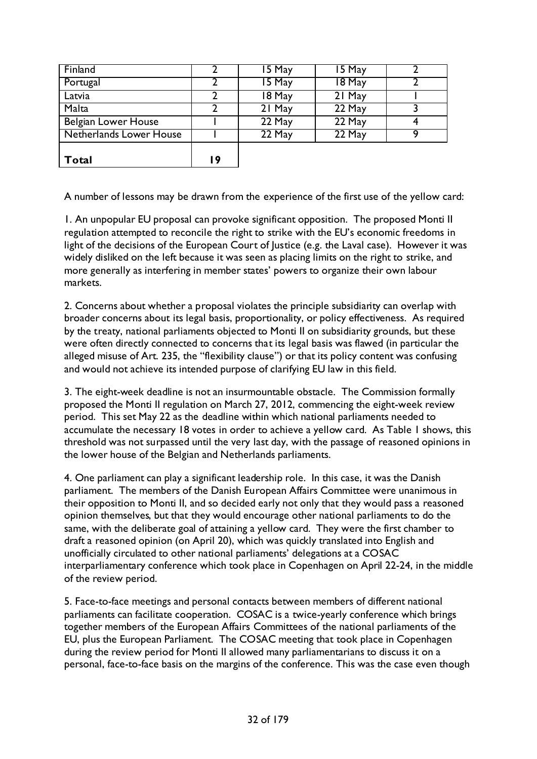| Latvia                  |    | 18 May | 21 May |   |
|-------------------------|----|--------|--------|---|
| Malta                   | 2  | 21 May | 22 May |   |
| Belgian Lower House     |    | 22 May | 22 May | Q |
| Netherlands Lower House |    | 22 May | 22 May |   |
| Total                   | 19 |        |        |   |

A number of lessons may be drawn from the experience of the first use of the yellow card:

1. An unpopular EU proposal can provoke significant opposition. The proposed Monti II regulation attempted to reconcile the right to strike with the EU's economic freedoms in light of the decisions of the European Court of Justice (e.g. the Laval case). However it was widely disliked on the left because it was seen as placing limits on the right to strike, and more generally as interfering in member states' powers to organize their own labour markets.

2. Concerns about whether a proposal violates the principle subsidiarity can overlap with broader concerns about its legal basis, proportionality, or policy effectiveness. As required by the treaty, national parliaments objected to Monti II on subsidiarity grounds, but these were often directly connected to concerns that its legal basis was flawed (in particular the alleged misuse of Art. 235, the "flexibility clause") or that its policy content was confusing and would not achieve its intended purpose of clarifying EU law in this field.

3. The eight-week deadline is not an insurmountable obstacle. The Commission formally proposed the Monti II regulation on March 27, 2012, commencing the eight-week review period. This set May 22 as the deadline within which national parliaments needed to accumulate the necessary 18 votes in order to achieve a yellow card. As Table 1 shows, this threshold was not surpassed until the very last day, with the passage of reasoned opinions in the lower house of the Belgian and Netherlands parliaments.

4. One parliament can play a significant leadership role. In this case, it was the Danish parliament. The members of the Danish European Affairs Committee were unanimous in their opposition to Monti II, and so decided early not only that they would pass a reasoned opinion themselves, but that they would encourage other national parliaments to do the same, with the deliberate goal of attaining a yellow card. They were the first chamber to draft a reasoned opinion (on April 20), which was quickly translated into English and unofficially circulated to other national parliaments' delegations at a COSAC interparliamentary conference which took place in Copenhagen on April 22-24, in the middle of the review period.

5. Face-to-face meetings and personal contacts between members of different national parliaments can facilitate cooperation. COSAC is a twice-yearly conference which brings together members of the European Affairs Committees of the national parliaments of the EU, plus the European Parliament. The COSAC meeting that took place in Copenhagen during the review period for Monti II allowed many parliamentarians to discuss it on a personal, face-to-face basis on the margins of the conference. This was the case even though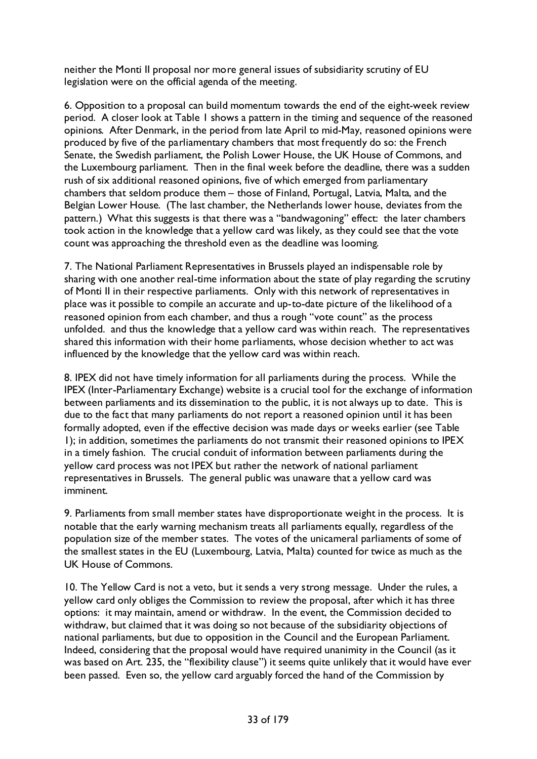neither the Monti II proposal nor more general issues of subsidiarity scrutiny of EU legislation were on the official agenda of the meeting.

6. Opposition to a proposal can build momentum towards the end of the eight-week review period. A closer look at Table 1 shows a pattern in the timing and sequence of the reasoned opinions. After Denmark, in the period from late April to mid-May, reasoned opinions were produced by five of the parliamentary chambers that most frequently do so: the French Senate, the Swedish parliament, the Polish Lower House, the UK House of Commons, and the Luxembourg parliament. Then in the final week before the deadline, there was a sudden rush of six additional reasoned opinions, five of which emerged from parliamentary chambers that seldom produce them – those of Finland, Portugal, Latvia, Malta, and the Belgian Lower House. (The last chamber, the Netherlands lower house, deviates from the pattern.) What this suggests is that there was a "bandwagoning" effect: the later chambers took action in the knowledge that a yellow card was likely, as they could see that the vote count was approaching the threshold even as the deadline was looming.

7. The National Parliament Representatives in Brussels played an indispensable role by sharing with one another real-time information about the state of play regarding the scrutiny of Monti II in their respective parliaments. Only with this network of representatives in place was it possible to compile an accurate and up-to-date picture of the likelihood of a reasoned opinion from each chamber, and thus a rough "vote count" as the process unfolded. and thus the knowledge that a yellow card was within reach. The representatives shared this information with their home parliaments, whose decision whether to act was influenced by the knowledge that the yellow card was within reach.

8. IPEX did not have timely information for all parliaments during the process. While the IPEX (Inter-Parliamentary Exchange) website is a crucial tool for the exchange of information between parliaments and its dissemination to the public, it is not always up to date. This is due to the fact that many parliaments do not report a reasoned opinion until it has been formally adopted, even if the effective decision was made days or weeks earlier (see Table 1); in addition, sometimes the parliaments do not transmit their reasoned opinions to IPEX in a timely fashion. The crucial conduit of information between parliaments during the yellow card process was not IPEX but rather the network of national parliament representatives in Brussels. The general public was unaware that a yellow card was imminent.

9. Parliaments from small member states have disproportionate weight in the process. It is notable that the early warning mechanism treats all parliaments equally, regardless of the population size of the member states. The votes of the unicameral parliaments of some of the smallest states in the EU (Luxembourg, Latvia, Malta) counted for twice as much as the UK House of Commons.

10. The Yellow Card is not a veto, but it sends a very strong message. Under the rules, a yellow card only obliges the Commission to review the proposal, after which it has three options: it may maintain, amend or withdraw. In the event, the Commission decided to withdraw, but claimed that it was doing so not because of the subsidiarity objections of national parliaments, but due to opposition in the Council and the European Parliament. Indeed, considering that the proposal would have required unanimity in the Council (as it was based on Art. 235, the "flexibility clause") it seems quite unlikely that it would have ever been passed. Even so, the yellow card arguably forced the hand of the Commission by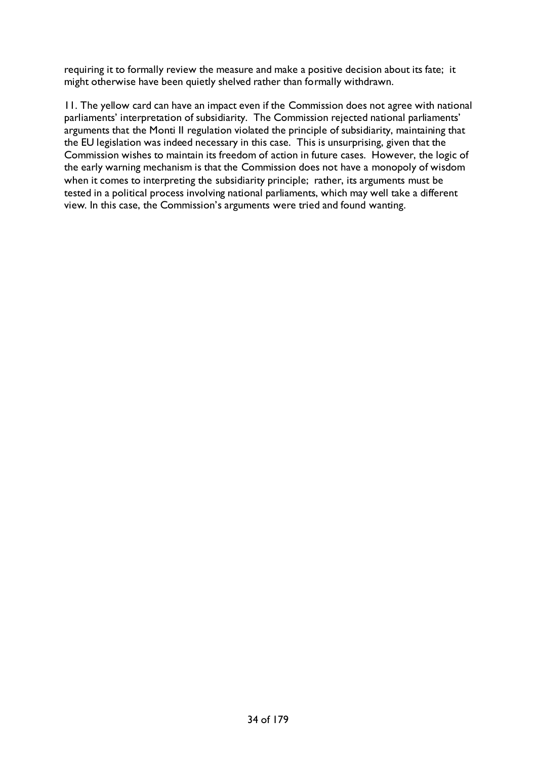requiring it to formally review the measure and make a positive decision about its fate; it might otherwise have been quietly shelved rather than formally withdrawn.

11. The yellow card can have an impact even if the Commission does not agree with national parliaments' interpretation of subsidiarity. The Commission rejected national parliaments' arguments that the Monti II regulation violated the principle of subsidiarity, maintaining that the EU legislation was indeed necessary in this case. This is unsurprising, given that the Commission wishes to maintain its freedom of action in future cases. However, the logic of the early warning mechanism is that the Commission does not have a monopoly of wisdom when it comes to interpreting the subsidiarity principle; rather, its arguments must be tested in a political process involving national parliaments, which may well take a different view. In this case, the Commission's arguments were tried and found wanting.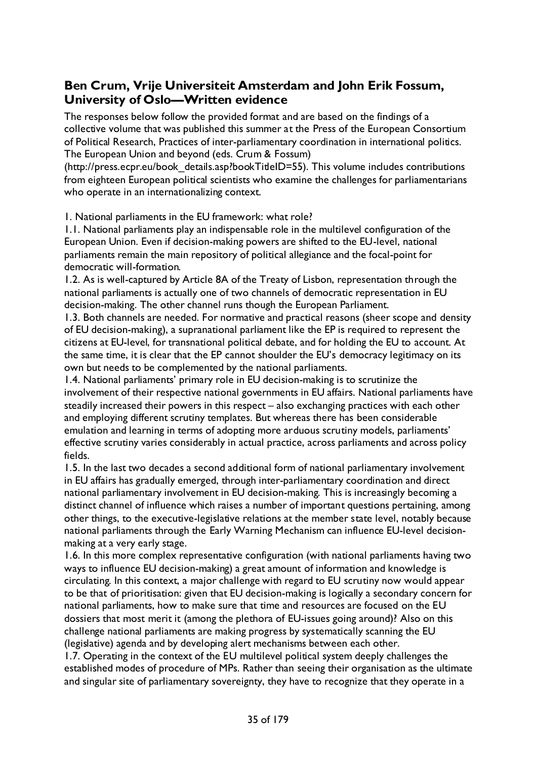### <span id="page-34-0"></span>**Ben Crum, Vrije Universiteit Amsterdam and John Erik Fossum, University of Oslo—Written evidence**

The responses below follow the provided format and are based on the findings of a collective volume that was published this summer at the Press of the European Consortium of Political Research, Practices of inter-parliamentary coordination in international politics. The European Union and beyond (eds. Crum & Fossum)

(http://press.ecpr.eu/book details.asp?bookTitleID=55). This volume includes contributions from eighteen European political scientists who examine the challenges for parliamentarians who operate in an internationalizing context.

1. National parliaments in the EU framework: what role?

1.1. National parliaments play an indispensable role in the multilevel configuration of the European Union. Even if decision-making powers are shifted to the EU-level, national parliaments remain the main repository of political allegiance and the focal-point for democratic will-formation.

1.2. As is well-captured by Article 8A of the Treaty of Lisbon, representation through the national parliaments is actually one of two channels of democratic representation in EU decision-making. The other channel runs though the European Parliament.

1.3. Both channels are needed. For normative and practical reasons (sheer scope and density of EU decision-making), a supranational parliament like the EP is required to represent the citizens at EU-level, for transnational political debate, and for holding the EU to account. At the same time, it is clear that the EP cannot shoulder the EU's democracy legitimacy on its own but needs to be complemented by the national parliaments.

1.4. National parliaments' primary role in EU decision-making is to scrutinize the involvement of their respective national governments in EU affairs. National parliaments have steadily increased their powers in this respect – also exchanging practices with each other and employing different scrutiny templates. But whereas there has been considerable emulation and learning in terms of adopting more arduous scrutiny models, parliaments' effective scrutiny varies considerably in actual practice, across parliaments and across policy fields.

1.5. In the last two decades a second additional form of national parliamentary involvement in EU affairs has gradually emerged, through inter-parliamentary coordination and direct national parliamentary involvement in EU decision-making. This is increasingly becoming a distinct channel of influence which raises a number of important questions pertaining, among other things, to the executive-legislative relations at the member state level, notably because national parliaments through the Early Warning Mechanism can influence EU-level decisionmaking at a very early stage.

1.6. In this more complex representative configuration (with national parliaments having two ways to influence EU decision-making) a great amount of information and knowledge is circulating. In this context, a major challenge with regard to EU scrutiny now would appear to be that of prioritisation: given that EU decision-making is logically a secondary concern for national parliaments, how to make sure that time and resources are focused on the EU dossiers that most merit it (among the plethora of EU-issues going around)? Also on this challenge national parliaments are making progress by systematically scanning the EU (legislative) agenda and by developing alert mechanisms between each other.

1.7. Operating in the context of the EU multilevel political system deeply challenges the established modes of procedure of MPs. Rather than seeing their organisation as the ultimate and singular site of parliamentary sovereignty, they have to recognize that they operate in a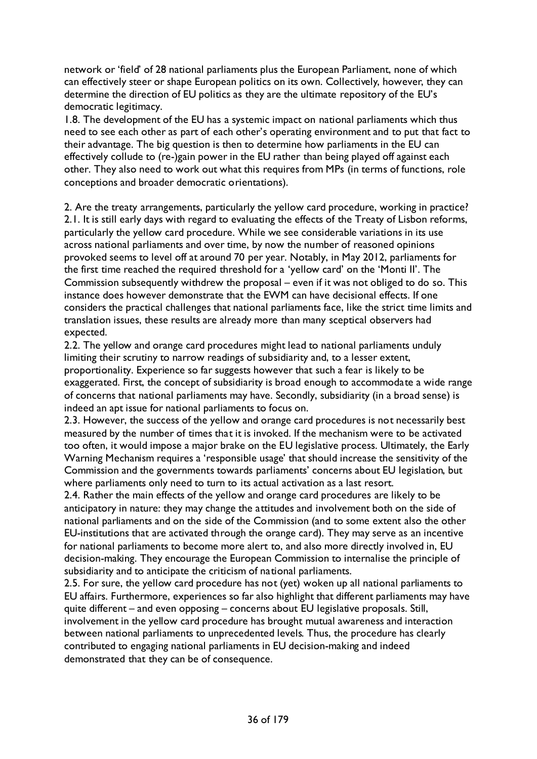network or 'field' of 28 national parliaments plus the European Parliament, none of which can effectively steer or shape European politics on its own. Collectively, however, they can determine the direction of EU politics as they are the ultimate repository of the EU's democratic legitimacy.

1.8. The development of the EU has a systemic impact on national parliaments which thus need to see each other as part of each other's operating environment and to put that fact to their advantage. The big question is then to determine how parliaments in the EU can effectively collude to (re-)gain power in the EU rather than being played off against each other. They also need to work out what this requires from MPs (in terms of functions, role conceptions and broader democratic orientations).

2. Are the treaty arrangements, particularly the yellow card procedure, working in practice? 2.1. It is still early days with regard to evaluating the effects of the Treaty of Lisbon reforms, particularly the yellow card procedure. While we see considerable variations in its use across national parliaments and over time, by now the number of reasoned opinions provoked seems to level off at around 70 per year. Notably, in May 2012, parliaments for the first time reached the required threshold for a 'yellow card' on the 'Monti II'. The Commission subsequently withdrew the proposal – even if it was not obliged to do so. This instance does however demonstrate that the EWM can have decisional effects. If one considers the practical challenges that national parliaments face, like the strict time limits and translation issues, these results are already more than many sceptical observers had expected.

2.2. The yellow and orange card procedures might lead to national parliaments unduly limiting their scrutiny to narrow readings of subsidiarity and, to a lesser extent, proportionality. Experience so far suggests however that such a fear is likely to be exaggerated. First, the concept of subsidiarity is broad enough to accommodate a wide range of concerns that national parliaments may have. Secondly, subsidiarity (in a broad sense) is indeed an apt issue for national parliaments to focus on.

2.3. However, the success of the yellow and orange card procedures is not necessarily best measured by the number of times that it is invoked. If the mechanism were to be activated too often, it would impose a major brake on the EU legislative process. Ultimately, the Early Warning Mechanism requires a 'responsible usage' that should increase the sensitivity of the Commission and the governments towards parliaments' concerns about EU legislation, but where parliaments only need to turn to its actual activation as a last resort.

2.4. Rather the main effects of the yellow and orange card procedures are likely to be anticipatory in nature: they may change the attitudes and involvement both on the side of national parliaments and on the side of the Commission (and to some extent also the other EU-institutions that are activated through the orange card). They may serve as an incentive for national parliaments to become more alert to, and also more directly involved in, EU decision-making. They encourage the European Commission to internalise the principle of subsidiarity and to anticipate the criticism of national parliaments.

2.5. For sure, the yellow card procedure has not (yet) woken up all national parliaments to EU affairs. Furthermore, experiences so far also highlight that different parliaments may have quite different – and even opposing – concerns about EU legislative proposals. Still, involvement in the yellow card procedure has brought mutual awareness and interaction between national parliaments to unprecedented levels. Thus, the procedure has clearly contributed to engaging national parliaments in EU decision-making and indeed demonstrated that they can be of consequence.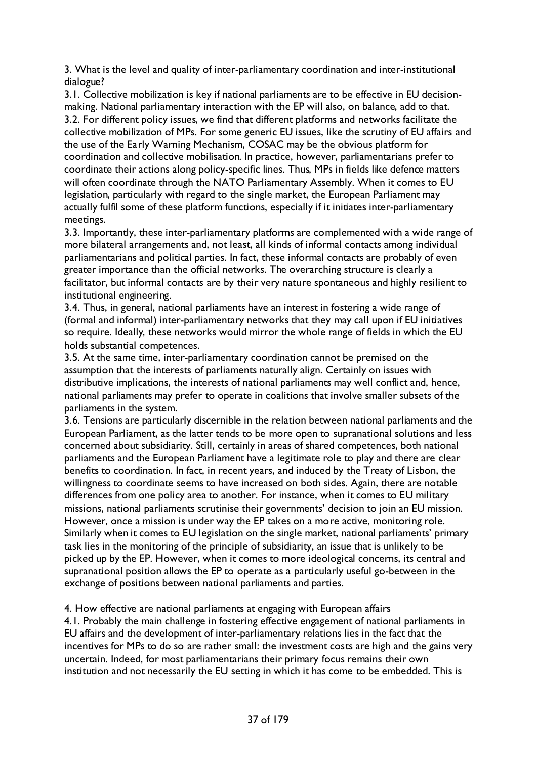3. What is the level and quality of inter-parliamentary coordination and inter-institutional dialogue?

3.1. Collective mobilization is key if national parliaments are to be effective in EU decisionmaking. National parliamentary interaction with the EP will also, on balance, add to that. 3.2. For different policy issues, we find that different platforms and networks facilitate the collective mobilization of MPs. For some generic EU issues, like the scrutiny of EU affairs and the use of the Early Warning Mechanism, COSAC may be the obvious platform for coordination and collective mobilisation. In practice, however, parliamentarians prefer to coordinate their actions along policy-specific lines. Thus, MPs in fields like defence matters will often coordinate through the NATO Parliamentary Assembly. When it comes to EU legislation, particularly with regard to the single market, the European Parliament may actually fulfil some of these platform functions, especially if it initiates inter-parliamentary meetings.

3.3. Importantly, these inter-parliamentary platforms are complemented with a wide range of more bilateral arrangements and, not least, all kinds of informal contacts among individual parliamentarians and political parties. In fact, these informal contacts are probably of even greater importance than the official networks. The overarching structure is clearly a facilitator, but informal contacts are by their very nature spontaneous and highly resilient to institutional engineering.

3.4. Thus, in general, national parliaments have an interest in fostering a wide range of (formal and informal) inter-parliamentary networks that they may call upon if EU initiatives so require. Ideally, these networks would mirror the whole range of fields in which the EU holds substantial competences.

3.5. At the same time, inter-parliamentary coordination cannot be premised on the assumption that the interests of parliaments naturally align. Certainly on issues with distributive implications, the interests of national parliaments may well conflict and, hence, national parliaments may prefer to operate in coalitions that involve smaller subsets of the parliaments in the system.

3.6. Tensions are particularly discernible in the relation between national parliaments and the European Parliament, as the latter tends to be more open to supranational solutions and less concerned about subsidiarity. Still, certainly in areas of shared competences, both national parliaments and the European Parliament have a legitimate role to play and there are clear benefits to coordination. In fact, in recent years, and induced by the Treaty of Lisbon, the willingness to coordinate seems to have increased on both sides. Again, there are notable differences from one policy area to another. For instance, when it comes to EU military missions, national parliaments scrutinise their governments' decision to join an EU mission. However, once a mission is under way the EP takes on a more active, monitoring role. Similarly when it comes to EU legislation on the single market, national parliaments' primary task lies in the monitoring of the principle of subsidiarity, an issue that is unlikely to be picked up by the EP. However, when it comes to more ideological concerns, its central and supranational position allows the EP to operate as a particularly useful go-between in the exchange of positions between national parliaments and parties.

4. How effective are national parliaments at engaging with European affairs

4.1. Probably the main challenge in fostering effective engagement of national parliaments in EU affairs and the development of inter-parliamentary relations lies in the fact that the incentives for MPs to do so are rather small: the investment costs are high and the gains very uncertain. Indeed, for most parliamentarians their primary focus remains their own institution and not necessarily the EU setting in which it has come to be embedded. This is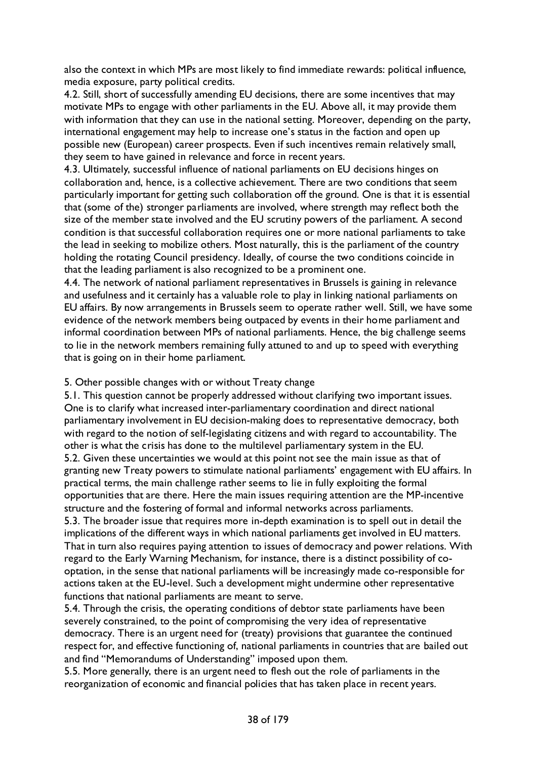also the context in which MPs are most likely to find immediate rewards: political influence, media exposure, party political credits.

4.2. Still, short of successfully amending EU decisions, there are some incentives that may motivate MPs to engage with other parliaments in the EU. Above all, it may provide them with information that they can use in the national setting. Moreover, depending on the party, international engagement may help to increase one's status in the faction and open up possible new (European) career prospects. Even if such incentives remain relatively small, they seem to have gained in relevance and force in recent years.

4.3. Ultimately, successful influence of national parliaments on EU decisions hinges on collaboration and, hence, is a collective achievement. There are two conditions that seem particularly important for getting such collaboration off the ground. One is that it is essential that (some of the) stronger parliaments are involved, where strength may reflect both the size of the member state involved and the EU scrutiny powers of the parliament. A second condition is that successful collaboration requires one or more national parliaments to take the lead in seeking to mobilize others. Most naturally, this is the parliament of the country holding the rotating Council presidency. Ideally, of course the two conditions coincide in that the leading parliament is also recognized to be a prominent one.

4.4. The network of national parliament representatives in Brussels is gaining in relevance and usefulness and it certainly has a valuable role to play in linking national parliaments on EU affairs. By now arrangements in Brussels seem to operate rather well. Still, we have some evidence of the network members being outpaced by events in their home parliament and informal coordination between MPs of national parliaments. Hence, the big challenge seems to lie in the network members remaining fully attuned to and up to speed with everything that is going on in their home parliament.

#### 5. Other possible changes with or without Treaty change

5.1. This question cannot be properly addressed without clarifying two important issues. One is to clarify what increased inter-parliamentary coordination and direct national parliamentary involvement in EU decision-making does to representative democracy, both with regard to the notion of self-legislating citizens and with regard to accountability. The other is what the crisis has done to the multilevel parliamentary system in the EU. 5.2. Given these uncertainties we would at this point not see the main issue as that of granting new Treaty powers to stimulate national parliaments' engagement with EU affairs. In practical terms, the main challenge rather seems to lie in fully exploiting the formal opportunities that are there. Here the main issues requiring attention are the MP-incentive structure and the fostering of formal and informal networks across parliaments.

5.3. The broader issue that requires more in-depth examination is to spell out in detail the implications of the different ways in which national parliaments get involved in EU matters. That in turn also requires paying attention to issues of democracy and power relations. With regard to the Early Warning Mechanism, for instance, there is a distinct possibility of cooptation, in the sense that national parliaments will be increasingly made co-responsible for actions taken at the EU-level. Such a development might undermine other representative functions that national parliaments are meant to serve.

5.4. Through the crisis, the operating conditions of debtor state parliaments have been severely constrained, to the point of compromising the very idea of representative democracy. There is an urgent need for (treaty) provisions that guarantee the continued respect for, and effective functioning of, national parliaments in countries that are bailed out and find "Memorandums of Understanding" imposed upon them.

5.5. More generally, there is an urgent need to flesh out the role of parliaments in the reorganization of economic and financial policies that has taken place in recent years.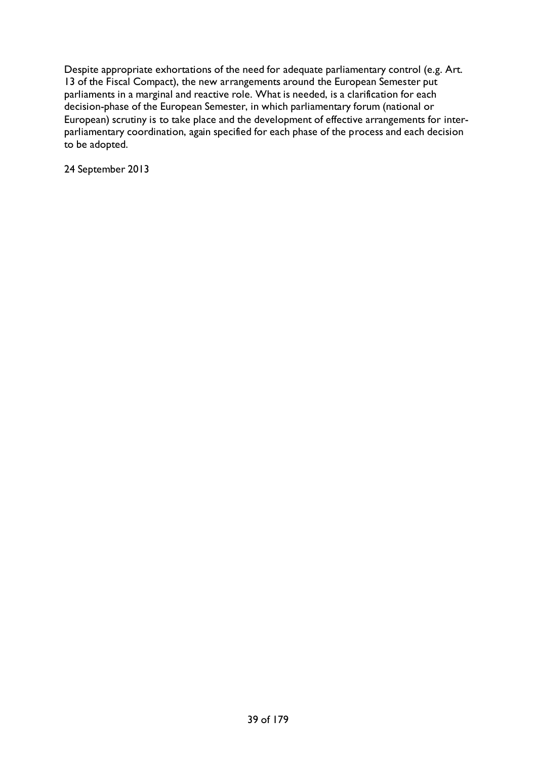Despite appropriate exhortations of the need for adequate parliamentary control (e.g. Art. 13 of the Fiscal Compact), the new arrangements around the European Semester put parliaments in a marginal and reactive role. What is needed, is a clarification for each decision-phase of the European Semester, in which parliamentary forum (national or European) scrutiny is to take place and the development of effective arrangements for interparliamentary coordination, again specified for each phase of the process and each decision to be adopted.

24 September 2013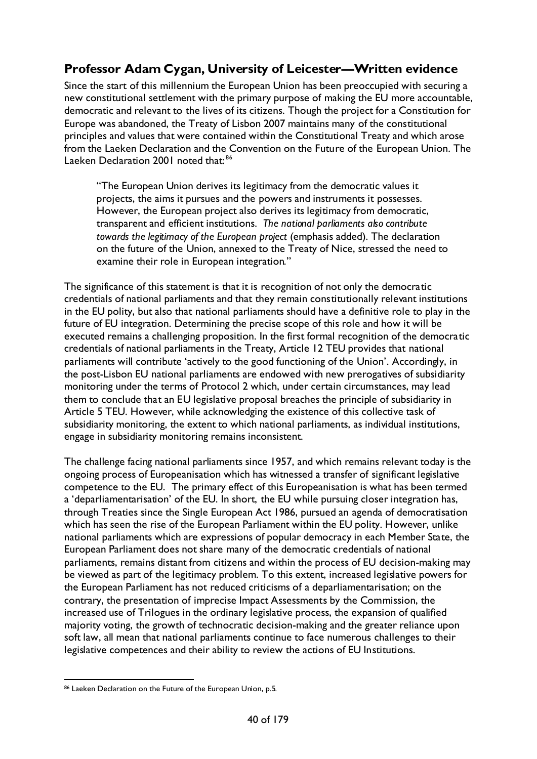# **Professor Adam Cygan, University of Leicester—Written evidence**

Since the start of this millennium the European Union has been preoccupied with securing a new constitutional settlement with the primary purpose of making the EU more accountable, democratic and relevant to the lives of its citizens. Though the project for a Constitution for Europe was abandoned, the Treaty of Lisbon 2007 maintains many of the constitutional principles and values that were contained within the Constitutional Treaty and which arose from the Laeken Declaration and the Convention on the Future of the European Union. The Laeken Declaration 2001 noted that:<sup>[86](#page-39-0)</sup>

"The European Union derives its legitimacy from the democratic values it projects, the aims it pursues and the powers and instruments it possesses. However, the European project also derives its legitimacy from democratic, transparent and efficient institutions. *The national parliaments also contribute towards the legitimacy of the European project* (emphasis added). The declaration on the future of the Union, annexed to the Treaty of Nice, stressed the need to examine their role in European integration."

The significance of this statement is that it is recognition of not only the democratic credentials of national parliaments and that they remain constitutionally relevant institutions in the EU polity, but also that national parliaments should have a definitive role to play in the future of EU integration. Determining the precise scope of this role and how it will be executed remains a challenging proposition. In the first formal recognition of the democratic credentials of national parliaments in the Treaty, Article 12 TEU provides that national parliaments will contribute 'actively to the good functioning of the Union'. Accordingly, in the post-Lisbon EU national parliaments are endowed with new prerogatives of subsidiarity monitoring under the terms of Protocol 2 which, under certain circumstances, may lead them to conclude that an EU legislative proposal breaches the principle of subsidiarity in Article 5 TEU. However, while acknowledging the existence of this collective task of subsidiarity monitoring, the extent to which national parliaments, as individual institutions, engage in subsidiarity monitoring remains inconsistent.

The challenge facing national parliaments since 1957, and which remains relevant today is the ongoing process of Europeanisation which has witnessed a transfer of significant legislative competence to the EU. The primary effect of this Europeanisation is what has been termed a 'deparliamentarisation' of the EU. In short, the EU while pursuing closer integration has, through Treaties since the Single European Act 1986, pursued an agenda of democratisation which has seen the rise of the European Parliament within the EU polity. However, unlike national parliaments which are expressions of popular democracy in each Member State, the European Parliament does not share many of the democratic credentials of national parliaments, remains distant from citizens and within the process of EU decision-making may be viewed as part of the legitimacy problem. To this extent, increased legislative powers for the European Parliament has not reduced criticisms of a deparliamentarisation; on the contrary, the presentation of imprecise Impact Assessments by the Commission, the increased use of Trilogues in the ordinary legislative process, the expansion of qualified majority voting, the growth of technocratic decision-making and the greater reliance upon soft law, all mean that national parliaments continue to face numerous challenges to their legislative competences and their ability to review the actions of EU Institutions.

<span id="page-39-0"></span><sup>86</sup> Laeken Declaration on the Future of the European Union, p.5.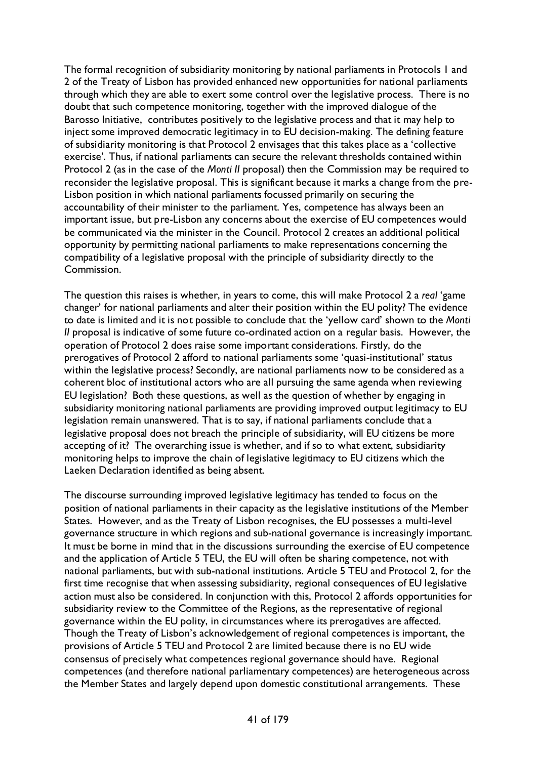The formal recognition of subsidiarity monitoring by national parliaments in Protocols 1 and 2 of the Treaty of Lisbon has provided enhanced new opportunities for national parliaments through which they are able to exert some control over the legislative process. There is no doubt that such competence monitoring, together with the improved dialogue of the Barosso Initiative, contributes positively to the legislative process and that it may help to inject some improved democratic legitimacy in to EU decision-making. The defining feature of subsidiarity monitoring is that Protocol 2 envisages that this takes place as a 'collective exercise'. Thus, if national parliaments can secure the relevant thresholds contained within Protocol 2 (as in the case of the *Monti II* proposal) then the Commission may be required to reconsider the legislative proposal. This is significant because it marks a change from the pre-Lisbon position in which national parliaments focussed primarily on securing the accountability of their minister to the parliament. Yes, competence has always been an important issue, but pre-Lisbon any concerns about the exercise of EU competences would be communicated via the minister in the Council. Protocol 2 creates an additional political opportunity by permitting national parliaments to make representations concerning the compatibility of a legislative proposal with the principle of subsidiarity directly to the Commission.

The question this raises is whether, in years to come, this will make Protocol 2 a *real* 'game changer' for national parliaments and alter their position within the EU polity? The evidence to date is limited and it is not possible to conclude that the 'yellow card' shown to the *Monti II* proposal is indicative of some future co-ordinated action on a regular basis. However, the operation of Protocol 2 does raise some important considerations. Firstly, do the prerogatives of Protocol 2 afford to national parliaments some 'quasi-institutional' status within the legislative process? Secondly, are national parliaments now to be considered as a coherent bloc of institutional actors who are all pursuing the same agenda when reviewing EU legislation? Both these questions, as well as the question of whether by engaging in subsidiarity monitoring national parliaments are providing improved output legitimacy to EU legislation remain unanswered. That is to say, if national parliaments conclude that a legislative proposal does not breach the principle of subsidiarity, will EU citizens be more accepting of it? The overarching issue is whether, and if so to what extent, subsidiarity monitoring helps to improve the chain of legislative legitimacy to EU citizens which the Laeken Declaration identified as being absent.

The discourse surrounding improved legislative legitimacy has tended to focus on the position of national parliaments in their capacity as the legislative institutions of the Member States. However, and as the Treaty of Lisbon recognises, the EU possesses a multi-level governance structure in which regions and sub-national governance is increasingly important. It must be borne in mind that in the discussions surrounding the exercise of EU competence and the application of Article 5 TEU, the EU will often be sharing competence, not with national parliaments, but with sub-national institutions. Article 5 TEU and Protocol 2, for the first time recognise that when assessing subsidiarity, regional consequences of EU legislative action must also be considered. In conjunction with this, Protocol 2 affords opportunities for subsidiarity review to the Committee of the Regions, as the representative of regional governance within the EU polity, in circumstances where its prerogatives are affected. Though the Treaty of Lisbon's acknowledgement of regional competences is important, the provisions of Article 5 TEU and Protocol 2 are limited because there is no EU wide consensus of precisely what competences regional governance should have. Regional competences (and therefore national parliamentary competences) are heterogeneous across the Member States and largely depend upon domestic constitutional arrangements. These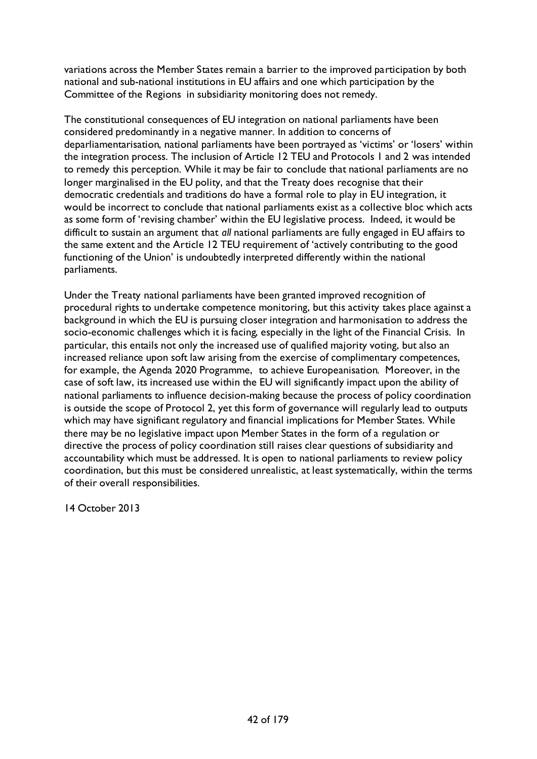variations across the Member States remain a barrier to the improved participation by both national and sub-national institutions in EU affairs and one which participation by the Committee of the Regions in subsidiarity monitoring does not remedy.

The constitutional consequences of EU integration on national parliaments have been considered predominantly in a negative manner. In addition to concerns of deparliamentarisation, national parliaments have been portrayed as 'victims' or 'losers' within the integration process. The inclusion of Article 12 TEU and Protocols 1 and 2 was intended to remedy this perception. While it may be fair to conclude that national parliaments are no longer marginalised in the EU polity, and that the Treaty does recognise that their democratic credentials and traditions do have a formal role to play in EU integration, it would be incorrect to conclude that national parliaments exist as a collective bloc which acts as some form of 'revising chamber' within the EU legislative process. Indeed, it would be difficult to sustain an argument that *all* national parliaments are fully engaged in EU affairs to the same extent and the Article 12 TEU requirement of 'actively contributing to the good functioning of the Union' is undoubtedly interpreted differently within the national parliaments.

Under the Treaty national parliaments have been granted improved recognition of procedural rights to undertake competence monitoring, but this activity takes place against a background in which the EU is pursuing closer integration and harmonisation to address the socio-economic challenges which it is facing, especially in the light of the Financial Crisis. In particular, this entails not only the increased use of qualified majority voting, but also an increased reliance upon soft law arising from the exercise of complimentary competences, for example, the Agenda 2020 Programme, to achieve Europeanisation. Moreover, in the case of soft law, its increased use within the EU will significantly impact upon the ability of national parliaments to influence decision-making because the process of policy coordination is outside the scope of Protocol 2, yet this form of governance will regularly lead to outputs which may have significant regulatory and financial implications for Member States. While there may be no legislative impact upon Member States in the form of a regulation or directive the process of policy coordination still raises clear questions of subsidiarity and accountability which must be addressed. It is open to national parliaments to review policy coordination, but this must be considered unrealistic, at least systematically, within the terms of their overall responsibilities.

14 October 2013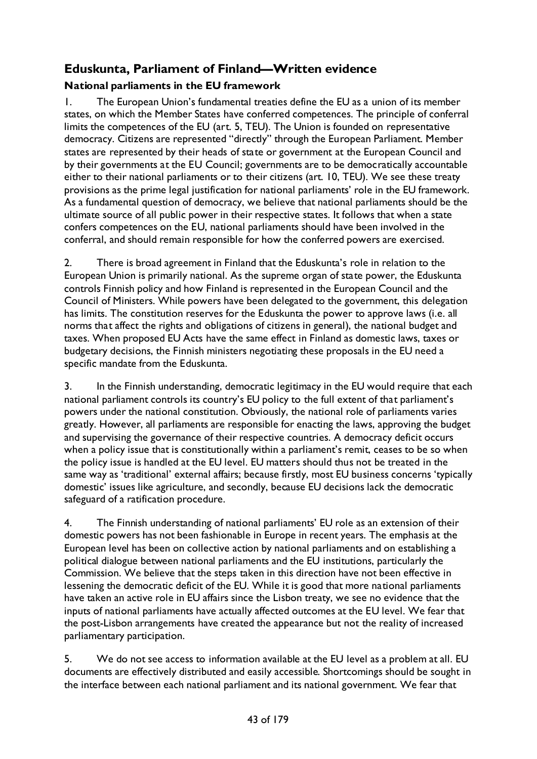# **Eduskunta, Parliament of Finland—Written evidence**

## **National parliaments in the EU framework**

1. The European Union's fundamental treaties define the EU as a union of its member states, on which the Member States have conferred competences. The principle of conferral limits the competences of the EU (art. 5, TEU). The Union is founded on representative democracy. Citizens are represented "directly" through the European Parliament. Member states are represented by their heads of state or government at the European Council and by their governments at the EU Council; governments are to be democratically accountable either to their national parliaments or to their citizens (art. 10, TEU). We see these treaty provisions as the prime legal justification for national parliaments' role in the EU framework. As a fundamental question of democracy, we believe that national parliaments should be the ultimate source of all public power in their respective states. It follows that when a state confers competences on the EU, national parliaments should have been involved in the conferral, and should remain responsible for how the conferred powers are exercised.

2. There is broad agreement in Finland that the Eduskunta's role in relation to the European Union is primarily national. As the supreme organ of state power, the Eduskunta controls Finnish policy and how Finland is represented in the European Council and the Council of Ministers. While powers have been delegated to the government, this delegation has limits. The constitution reserves for the Eduskunta the power to approve laws (i.e. all norms that affect the rights and obligations of citizens in general), the national budget and taxes. When proposed EU Acts have the same effect in Finland as domestic laws, taxes or budgetary decisions, the Finnish ministers negotiating these proposals in the EU need a specific mandate from the Eduskunta.

3. In the Finnish understanding, democratic legitimacy in the EU would require that each national parliament controls its country's EU policy to the full extent of that parliament's powers under the national constitution. Obviously, the national role of parliaments varies greatly. However, all parliaments are responsible for enacting the laws, approving the budget and supervising the governance of their respective countries. A democracy deficit occurs when a policy issue that is constitutionally within a parliament's remit, ceases to be so when the policy issue is handled at the EU level. EU matters should thus not be treated in the same way as 'traditional' external affairs; because firstly, most EU business concerns 'typically domestic' issues like agriculture, and secondly, because EU decisions lack the democratic safeguard of a ratification procedure.

4. The Finnish understanding of national parliaments' EU role as an extension of their domestic powers has not been fashionable in Europe in recent years. The emphasis at the European level has been on collective action by national parliaments and on establishing a political dialogue between national parliaments and the EU institutions, particularly the Commission. We believe that the steps taken in this direction have not been effective in lessening the democratic deficit of the EU. While it is good that more national parliaments have taken an active role in EU affairs since the Lisbon treaty, we see no evidence that the inputs of national parliaments have actually affected outcomes at the EU level. We fear that the post-Lisbon arrangements have created the appearance but not the reality of increased parliamentary participation.

5. We do not see access to information available at the EU level as a problem at all. EU documents are effectively distributed and easily accessible. Shortcomings should be sought in the interface between each national parliament and its national government. We fear that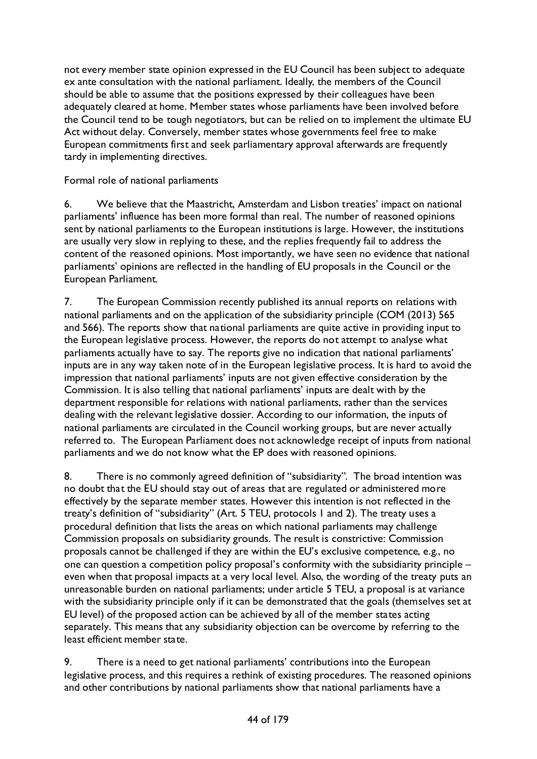not every member state opinion expressed in the EU Council has been subject to adequate ex ante consultation with the national parliament. Ideally, the members of the Council should be able to assume that the positions expressed by their colleagues have been adequately cleared at home. Member states whose parliaments have been involved before the Council tend to be tough negotiators, but can be relied on to implement the ultimate EU Act without delay. Conversely, member states whose governments feel free to make European commitments first and seek parliamentary approval afterwards are frequently tardy in implementing directives.

Formal role of national parliaments

6. We believe that the Maastricht, Amsterdam and Lisbon treaties' impact on national parliaments' influence has been more formal than real. The number of reasoned opinions sent by national parliaments to the European institutions is large. However, the institutions are usually very slow in replying to these, and the replies frequently fail to address the content of the reasoned opinions. Most importantly, we have seen no evidence that national parliaments' opinions are reflected in the handling of EU proposals in the Council or the European Parliament.

7. The European Commission recently published its annual reports on relations with national parliaments and on the application of the subsidiarity principle (COM (2013) 565 and 566). The reports show that national parliaments are quite active in providing input to the European legislative process. However, the reports do not attempt to analyse what parliaments actually have to say. The reports give no indication that national parliaments' inputs are in any way taken note of in the European legislative process. It is hard to avoid the impression that national parliaments' inputs are not given effective consideration by the Commission. It is also telling that national parliaments' inputs are dealt with by the department responsible for relations with national parliaments, rather than the services dealing with the relevant legislative dossier. According to our information, the inputs of national parliaments are circulated in the Council working groups, but are never actually referred to. The European Parliament does not acknowledge receipt of inputs from national parliaments and we do not know what the EP does with reasoned opinions.

8. There is no commonly agreed definition of "subsidiarity". The broad intention was no doubt that the EU should stay out of areas that are regulated or administered more effectively by the separate member states. However this intention is not reflected in the treaty's definition of "subsidiarity" (Art. 5 TEU, protocols 1 and 2). The treaty uses a procedural definition that lists the areas on which national parliaments may challenge Commission proposals on subsidiarity grounds. The result is constrictive: Commission proposals cannot be challenged if they are within the EU's exclusive competence, e.g., no one can question a competition policy proposal's conformity with the subsidiarity principle – even when that proposal impacts at a very local level. Also, the wording of the treaty puts an unreasonable burden on national parliaments; under article 5 TEU, a proposal is at variance with the subsidiarity principle only if it can be demonstrated that the goals (themselves set at EU level) of the proposed action can be achieved by all of the member states acting separately. This means that any subsidiarity objection can be overcome by referring to the least efficient member state.

9. There is a need to get national parliaments' contributions into the European legislative process, and this requires a rethink of existing procedures. The reasoned opinions and other contributions by national parliaments show that national parliaments have a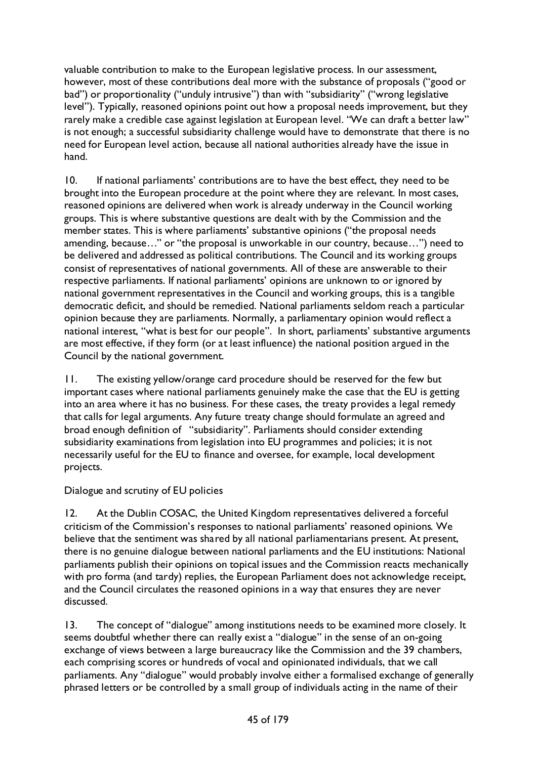valuable contribution to make to the European legislative process. In our assessment, however, most of these contributions deal more with the substance of proposals ("good or bad") or proportionality ("unduly intrusive") than with "subsidiarity" ("wrong legislative level"). Typically, reasoned opinions point out how a proposal needs improvement, but they rarely make a credible case against legislation at European level. "We can draft a better law" is not enough; a successful subsidiarity challenge would have to demonstrate that there is no need for European level action, because all national authorities already have the issue in hand.

10. If national parliaments' contributions are to have the best effect, they need to be brought into the European procedure at the point where they are relevant. In most cases, reasoned opinions are delivered when work is already underway in the Council working groups. This is where substantive questions are dealt with by the Commission and the member states. This is where parliaments' substantive opinions ("the proposal needs amending, because…" or "the proposal is unworkable in our country, because…") need to be delivered and addressed as political contributions. The Council and its working groups consist of representatives of national governments. All of these are answerable to their respective parliaments. If national parliaments' opinions are unknown to or ignored by national government representatives in the Council and working groups, this is a tangible democratic deficit, and should be remedied. National parliaments seldom reach a particular opinion because they are parliaments. Normally, a parliamentary opinion would reflect a national interest, "what is best for our people". In short, parliaments' substantive arguments are most effective, if they form (or at least influence) the national position argued in the Council by the national government.

11. The existing yellow/orange card procedure should be reserved for the few but important cases where national parliaments genuinely make the case that the EU is getting into an area where it has no business. For these cases, the treaty provides a legal remedy that calls for legal arguments. Any future treaty change should formulate an agreed and broad enough definition of "subsidiarity". Parliaments should consider extending subsidiarity examinations from legislation into EU programmes and policies; it is not necessarily useful for the EU to finance and oversee, for example, local development projects.

Dialogue and scrutiny of EU policies

12. At the Dublin COSAC, the United Kingdom representatives delivered a forceful criticism of the Commission's responses to national parliaments' reasoned opinions. We believe that the sentiment was shared by all national parliamentarians present. At present, there is no genuine dialogue between national parliaments and the EU institutions: National parliaments publish their opinions on topical issues and the Commission reacts mechanically with pro forma (and tardy) replies, the European Parliament does not acknowledge receipt, and the Council circulates the reasoned opinions in a way that ensures they are never discussed.

13. The concept of "dialogue" among institutions needs to be examined more closely. It seems doubtful whether there can really exist a "dialogue" in the sense of an on-going exchange of views between a large bureaucracy like the Commission and the 39 chambers, each comprising scores or hundreds of vocal and opinionated individuals, that we call parliaments. Any "dialogue" would probably involve either a formalised exchange of generally phrased letters or be controlled by a small group of individuals acting in the name of their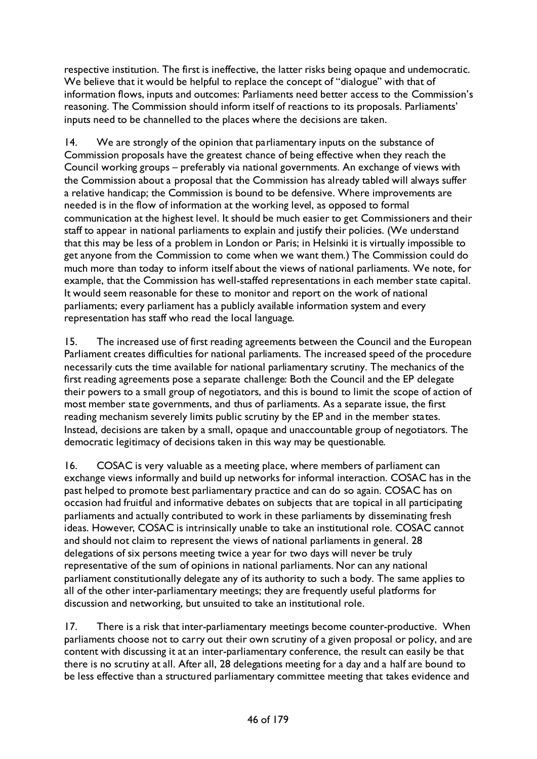respective institution. The first is ineffective, the latter risks being opaque and undemocratic. We believe that it would be helpful to replace the concept of "dialogue" with that of information flows, inputs and outcomes: Parliaments need better access to the Commission's reasoning. The Commission should inform itself of reactions to its proposals. Parliaments' inputs need to be channelled to the places where the decisions are taken.

14. We are strongly of the opinion that parliamentary inputs on the substance of Commission proposals have the greatest chance of being effective when they reach the Council working groups – preferably via national governments. An exchange of views with the Commission about a proposal that the Commission has already tabled will always suffer a relative handicap; the Commission is bound to be defensive. Where improvements are needed is in the flow of information at the working level, as opposed to formal communication at the highest level. It should be much easier to get Commissioners and their staff to appear in national parliaments to explain and justify their policies. (We understand that this may be less of a problem in London or Paris; in Helsinki it is virtually impossible to get anyone from the Commission to come when we want them.) The Commission could do much more than today to inform itself about the views of national parliaments. We note, for example, that the Commission has well-staffed representations in each member state capital. It would seem reasonable for these to monitor and report on the work of national parliaments; every parliament has a publicly available information system and every representation has staff who read the local language.

15. The increased use of first reading agreements between the Council and the European Parliament creates difficulties for national parliaments. The increased speed of the procedure necessarily cuts the time available for national parliamentary scrutiny. The mechanics of the first reading agreements pose a separate challenge: Both the Council and the EP delegate their powers to a small group of negotiators, and this is bound to limit the scope of action of most member state governments, and thus of parliaments. As a separate issue, the first reading mechanism severely limits public scrutiny by the EP and in the member states. Instead, decisions are taken by a small, opaque and unaccountable group of negotiators. The democratic legitimacy of decisions taken in this way may be questionable.

16. COSAC is very valuable as a meeting place, where members of parliament can exchange views informally and build up networks for informal interaction. COSAC has in the past helped to promote best parliamentary practice and can do so again. COSAC has on occasion had fruitful and informative debates on subjects that are topical in all participating parliaments and actually contributed to work in these parliaments by disseminating fresh ideas. However, COSAC is intrinsically unable to take an institutional role. COSAC cannot and should not claim to represent the views of national parliaments in general. 28 delegations of six persons meeting twice a year for two days will never be truly representative of the sum of opinions in national parliaments. Nor can any national parliament constitutionally delegate any of its authority to such a body. The same applies to all of the other inter-parliamentary meetings; they are frequently useful platforms for discussion and networking, but unsuited to take an institutional role.

17. There is a risk that inter-parliamentary meetings become counter-productive. When parliaments choose not to carry out their own scrutiny of a given proposal or policy, and are content with discussing it at an inter-parliamentary conference, the result can easily be that there is no scrutiny at all. After all, 28 delegations meeting for a day and a half are bound to be less effective than a structured parliamentary committee meeting that takes evidence and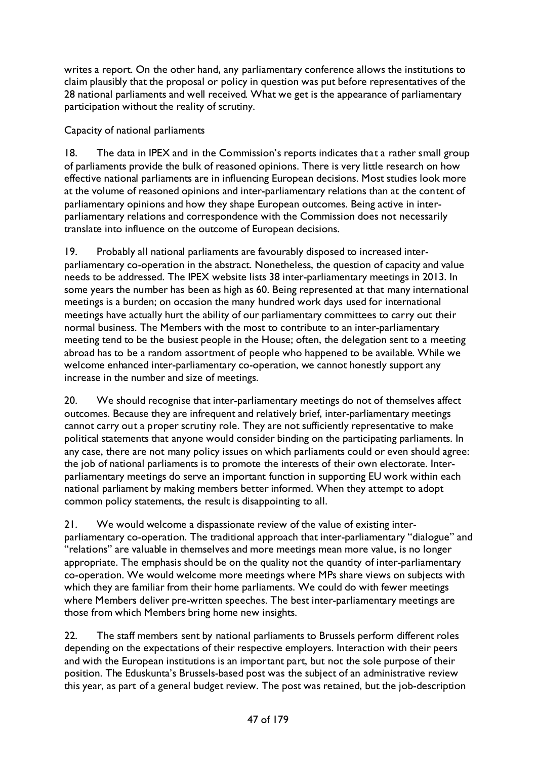writes a report. On the other hand, any parliamentary conference allows the institutions to claim plausibly that the proposal or policy in question was put before representatives of the 28 national parliaments and well received. What we get is the appearance of parliamentary participation without the reality of scrutiny.

Capacity of national parliaments

18. The data in IPEX and in the Commission's reports indicates that a rather small group of parliaments provide the bulk of reasoned opinions. There is very little research on how effective national parliaments are in influencing European decisions. Most studies look more at the volume of reasoned opinions and inter-parliamentary relations than at the content of parliamentary opinions and how they shape European outcomes. Being active in interparliamentary relations and correspondence with the Commission does not necessarily translate into influence on the outcome of European decisions.

19. Probably all national parliaments are favourably disposed to increased interparliamentary co-operation in the abstract. Nonetheless, the question of capacity and value needs to be addressed. The IPEX website lists 38 inter-parliamentary meetings in 2013. In some years the number has been as high as 60. Being represented at that many international meetings is a burden; on occasion the many hundred work days used for international meetings have actually hurt the ability of our parliamentary committees to carry out their normal business. The Members with the most to contribute to an inter-parliamentary meeting tend to be the busiest people in the House; often, the delegation sent to a meeting abroad has to be a random assortment of people who happened to be available. While we welcome enhanced inter-parliamentary co-operation, we cannot honestly support any increase in the number and size of meetings.

20. We should recognise that inter-parliamentary meetings do not of themselves affect outcomes. Because they are infrequent and relatively brief, inter-parliamentary meetings cannot carry out a proper scrutiny role. They are not sufficiently representative to make political statements that anyone would consider binding on the participating parliaments. In any case, there are not many policy issues on which parliaments could or even should agree: the job of national parliaments is to promote the interests of their own electorate. Interparliamentary meetings do serve an important function in supporting EU work within each national parliament by making members better informed. When they attempt to adopt common policy statements, the result is disappointing to all.

21. We would welcome a dispassionate review of the value of existing interparliamentary co-operation. The traditional approach that inter-parliamentary "dialogue" and "relations" are valuable in themselves and more meetings mean more value, is no longer appropriate. The emphasis should be on the quality not the quantity of inter-parliamentary co-operation. We would welcome more meetings where MPs share views on subjects with which they are familiar from their home parliaments. We could do with fewer meetings where Members deliver pre-written speeches. The best inter-parliamentary meetings are those from which Members bring home new insights.

22. The staff members sent by national parliaments to Brussels perform different roles depending on the expectations of their respective employers. Interaction with their peers and with the European institutions is an important part, but not the sole purpose of their position. The Eduskunta's Brussels-based post was the subject of an administrative review this year, as part of a general budget review. The post was retained, but the job-description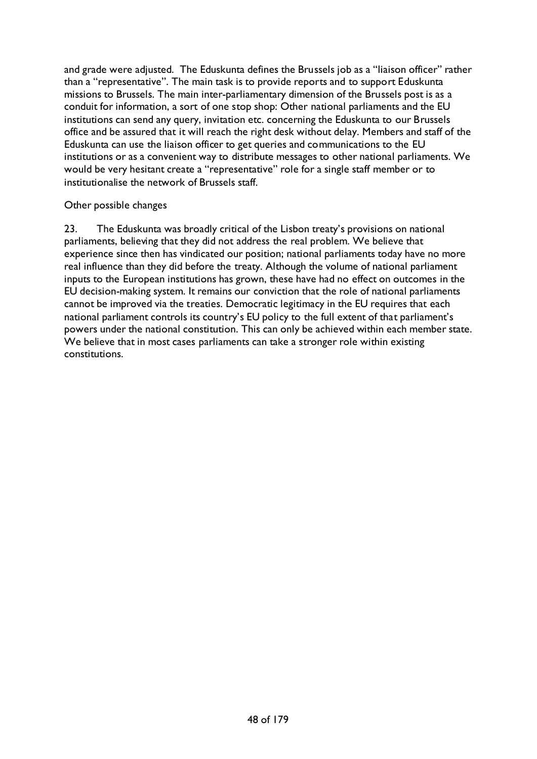and grade were adjusted. The Eduskunta defines the Brussels job as a "liaison officer" rather than a "representative". The main task is to provide reports and to support Eduskunta missions to Brussels. The main inter-parliamentary dimension of the Brussels post is as a conduit for information, a sort of one stop shop: Other national parliaments and the EU institutions can send any query, invitation etc. concerning the Eduskunta to our Brussels office and be assured that it will reach the right desk without delay. Members and staff of the Eduskunta can use the liaison officer to get queries and communications to the EU institutions or as a convenient way to distribute messages to other national parliaments. We would be very hesitant create a "representative" role for a single staff member or to institutionalise the network of Brussels staff.

## Other possible changes

23. The Eduskunta was broadly critical of the Lisbon treaty's provisions on national parliaments, believing that they did not address the real problem. We believe that experience since then has vindicated our position; national parliaments today have no more real influence than they did before the treaty. Although the volume of national parliament inputs to the European institutions has grown, these have had no effect on outcomes in the EU decision-making system. It remains our conviction that the role of national parliaments cannot be improved via the treaties. Democratic legitimacy in the EU requires that each national parliament controls its country's EU policy to the full extent of that parliament's powers under the national constitution. This can only be achieved within each member state. We believe that in most cases parliaments can take a stronger role within existing constitutions.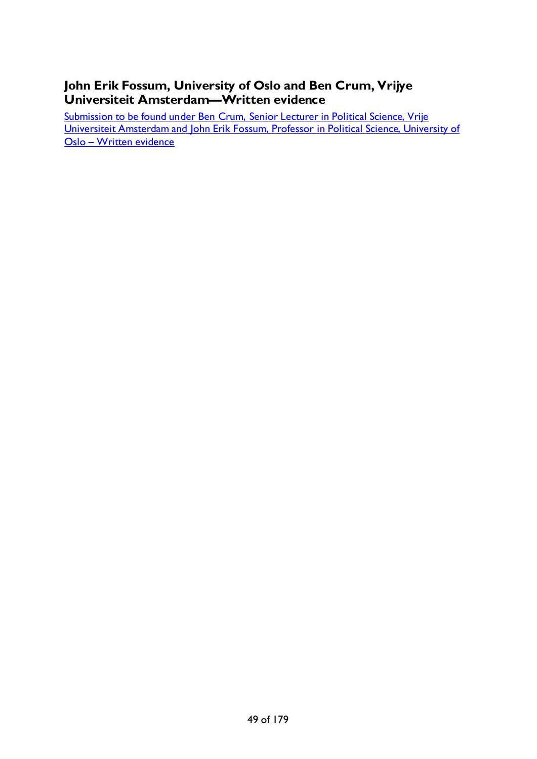# **John Erik Fossum, University of Oslo and Ben Crum, Vrijye Universiteit Amsterdam—Written evidence**

Submission [to be found under Ben Crum, Senior Lecturer in Political Science, Vrije](#page-34-0)  [Universiteit Amsterdam and John Erik Fossum, Professor in Political Science, University of](#page-34-0)  Oslo – [Written evidence](#page-34-0)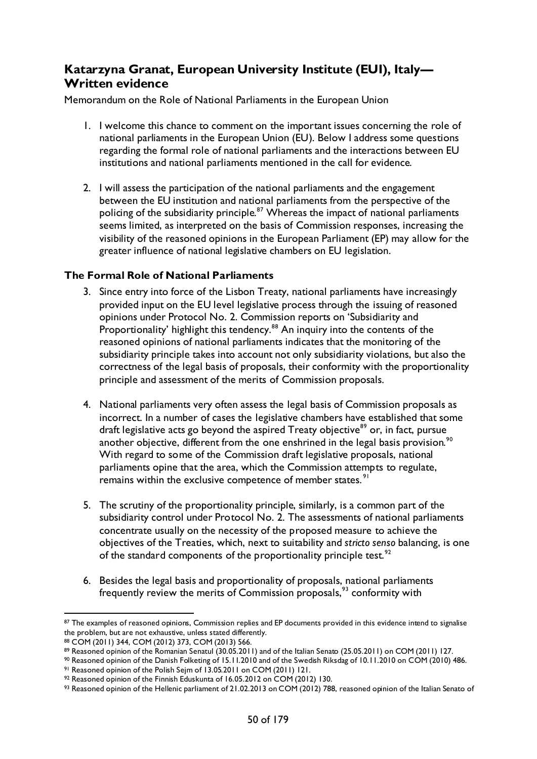## **Katarzyna Granat, European University Institute (EUI), Italy— Written evidence**

Memorandum on the Role of National Parliaments in the European Union

- 1. I welcome this chance to comment on the important issues concerning the role of national parliaments in the European Union (EU). Below I address some questions regarding the formal role of national parliaments and the interactions between EU institutions and national parliaments mentioned in the call for evidence.
- 2. I will assess the participation of the national parliaments and the engagement between the EU institution and national parliaments from the perspective of the policing of the subsidiarity principle. $87$  Whereas the impact of national parliaments seems limited, as interpreted on the basis of Commission responses, increasing the visibility of the reasoned opinions in the European Parliament (EP) may allow for the greater influence of national legislative chambers on EU legislation.

## **The Formal Role of National Parliaments**

- 3. Since entry into force of the Lisbon Treaty, national parliaments have increasingly provided input on the EU level legislative process through the issuing of reasoned opinions under Protocol No. 2. Commission reports on 'Subsidiarity and Proportionality' highlight this tendency.<sup>[88](#page-49-1)</sup> An inquiry into the contents of the reasoned opinions of national parliaments indicates that the monitoring of the subsidiarity principle takes into account not only subsidiarity violations, but also the correctness of the legal basis of proposals, their conformity with the proportionality principle and assessment of the merits of Commission proposals.
- 4. National parliaments very often assess the legal basis of Commission proposals as incorrect. In a number of cases the legislative chambers have established that some draft legislative acts go beyond the aspired Treaty objective<sup>[89](#page-49-2)</sup> or, in fact, pursue another objective, different from the one enshrined in the legal basis provision.<sup>[90](#page-49-3)</sup> With regard to some of the Commission draft legislative proposals, national parliaments opine that the area, which the Commission attempts to regulate, remains within the exclusive competence of member states.<sup>[91](#page-49-4)</sup>
- 5. The scrutiny of the proportionality principle, similarly, is a common part of the subsidiarity control under Protocol No. 2. The assessments of national parliaments concentrate usually on the necessity of the proposed measure to achieve the objectives of the Treaties, which, next to suitability and *stricto senso* balancing, is one of the standard components of the proportionality principle test.<sup>[92](#page-49-5)</sup>
- 6. Besides the legal basis and proportionality of proposals, national parliaments frequently review the merits of Commission proposals,<sup>[93](#page-49-6)</sup> conformity with

<span id="page-49-0"></span><sup>87</sup> The examples of reasoned opinions, Commission replies and EP documents provided in this evidence intend to signalise the problem, but are not exhaustive, unless stated differently.

<span id="page-49-1"></span><sup>88</sup> COM (2011) 344, COM (2012) 373, COM (2013) 566.

<span id="page-49-2"></span><sup>89</sup> Reasoned opinion of the Romanian Senatul (30.05.2011) and of the Italian Senato (25.05.2011) on COM (2011) 127.

<span id="page-49-3"></span><sup>90</sup> Reasoned opinion of the Danish Folketing of 15.11.2010 and of the Swedish Riksdag of 10.11.2010 on COM (2010) 486.

<span id="page-49-4"></span><sup>91</sup> Reasoned opinion of the Polish Sejm of 13.05.2011 on COM (2011) 121.

<span id="page-49-5"></span><sup>92</sup> Reasoned opinion of the Finnish Eduskunta of 16.05.2012 on COM (2012) 130.

<span id="page-49-6"></span><sup>93</sup> Reasoned opinion of the Hellenic parliament of 21.02.2013 on COM (2012) 788, reasoned opinion of the Italian Senato of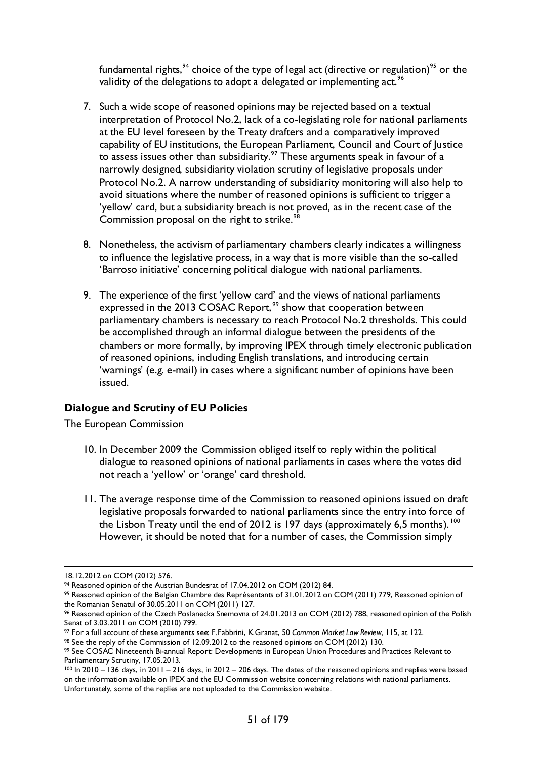fundamental rights,<sup>[94](#page-50-0)</sup> choice of the type of legal act (directive or regulation)<sup>[95](#page-50-1)</sup> or the validity of the delegations to adopt a delegated or implementing act.<sup>[96](#page-50-2)</sup>

- 7. Such a wide scope of reasoned opinions may be rejected based on a textual interpretation of Protocol No.2, lack of a co-legislating role for national parliaments at the EU level foreseen by the Treaty drafters and a comparatively improved capability of EU institutions, the European Parliament, Council and Court of Justice to assess issues other than subsidiarity.<sup>[97](#page-50-3)</sup> These arguments speak in favour of a narrowly designed, subsidiarity violation scrutiny of legislative proposals under Protocol No.2. A narrow understanding of subsidiarity monitoring will also help to avoid situations where the number of reasoned opinions is sufficient to trigger a 'yellow' card, but a subsidiarity breach is not proved, as in the recent case of the Commission proposal on the right to strike.<sup>[98](#page-50-4)</sup>
- 8. Nonetheless, the activism of parliamentary chambers clearly indicates a willingness to influence the legislative process, in a way that is more visible than the so-called 'Barroso initiative' concerning political dialogue with national parliaments.
- 9. The experience of the first 'yellow card' and the views of national parliaments expressed in the 2013 COSAC Report,<sup>[99](#page-50-5)</sup> show that cooperation between parliamentary chambers is necessary to reach Protocol No.2 thresholds. This could be accomplished through an informal dialogue between the presidents of the chambers or more formally, by improving IPEX through timely electronic publication of reasoned opinions, including English translations, and introducing certain 'warnings' (e.g. e-mail) in cases where a significant number of opinions have been issued.

## **Dialogue and Scrutiny of EU Policies**

The European Commission

- 10. In December 2009 the Commission obliged itself to reply within the political dialogue to reasoned opinions of national parliaments in cases where the votes did not reach a 'yellow' or 'orange' card threshold.
- 11. The average response time of the Commission to reasoned opinions issued on draft legislative proposals forwarded to national parliaments since the entry into force of the Lisbon Treaty until the end of 2012 is 197 days (approximately 6,5 months). <sup>[100](#page-50-6)</sup> However, it should be noted that for a number of cases, the Commission simply

 <sup>18.12.2012</sup> on COM (2012) 576.

<span id="page-50-0"></span><sup>94</sup> Reasoned opinion of the Austrian Bundesrat of 17.04.2012 on COM (2012) 84.

<span id="page-50-1"></span><sup>95</sup> Reasoned opinion of the Belgian Chambre des Représentants of 31.01.2012 on COM (2011) 779, Reasoned opinion of the Romanian Senatul of 30.05.2011 on COM (2011) 127.

<span id="page-50-2"></span><sup>96</sup> Reasoned opinion of the Czech Poslanecka Snemovna of 24.01.2013 on COM (2012) 788, reasoned opinion of the Polish Senat of 3.03.2011 on COM (2010) 799.

<span id="page-50-3"></span><sup>&</sup>lt;sup>97</sup> For a full account of these arguments see: F.Fabbrini, K.Granat, 50 *Common Market Law Review*, 115, at 122. <sup>98</sup> See the reply of the Commission of 12.09.2012 to the reasoned opinions on COM (2012) 130.

<span id="page-50-4"></span>

<span id="page-50-5"></span><sup>99</sup> See COSAC Nineteenth Bi-annual Report: Developments in European Union Procedures and Practices Relevant to Parliamentary Scrutiny, 17.05.2013.

<span id="page-50-6"></span><sup>100</sup> In 2010 – 136 days, in 2011 – 216 days, in 2012 – 206 days. The dates of the reasoned opinions and replies were based on the information available on IPEX and the EU Commission website concerning relations with national parliaments. Unfortunately, some of the replies are not uploaded to the Commission website.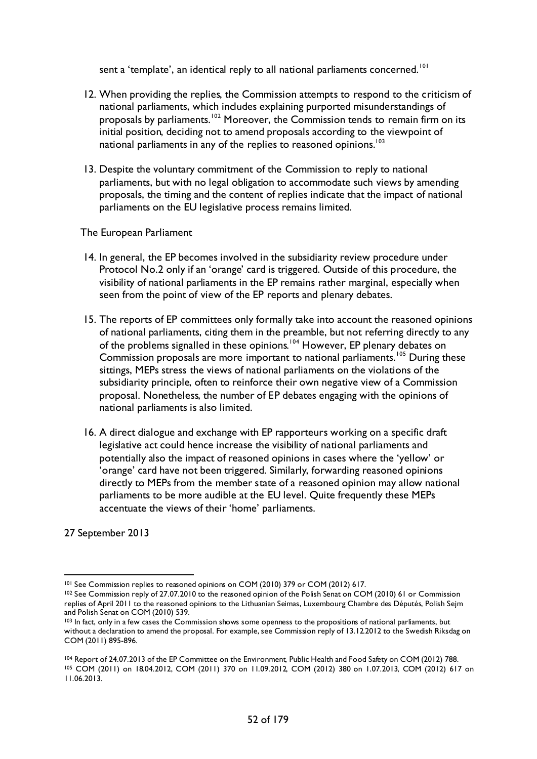sent a 'template', an identical reply to all national parliaments concerned.<sup>[101](#page-51-0)</sup>

- 12. When providing the replies, the Commission attempts to respond to the criticism of national parliaments, which includes explaining purported misunderstandings of proposals by parliaments.<sup>[102](#page-51-1)</sup> Moreover, the Commission tends to remain firm on its initial position, deciding not to amend proposals according to the viewpoint of national parliaments in any of the replies to reasoned opinions.<sup>103</sup>
- 13. Despite the voluntary commitment of the Commission to reply to national parliaments, but with no legal obligation to accommodate such views by amending proposals, the timing and the content of replies indicate that the impact of national parliaments on the EU legislative process remains limited.

#### The European Parliament

- 14. In general, the EP becomes involved in the subsidiarity review procedure under Protocol No.2 only if an 'orange' card is triggered. Outside of this procedure, the visibility of national parliaments in the EP remains rather marginal, especially when seen from the point of view of the EP reports and plenary debates.
- 15. The reports of EP committees only formally take into account the reasoned opinions of national parliaments, citing them in the preamble, but not referring directly to any of the problems signalled in these opinions.<sup>[104](#page-51-3)</sup> However, EP plenary debates on Commission proposals are more important to national parliaments.<sup>[105](#page-51-4)</sup> During these sittings, MEPs stress the views of national parliaments on the violations of the subsidiarity principle, often to reinforce their own negative view of a Commission proposal. Nonetheless, the number of EP debates engaging with the opinions of national parliaments is also limited.
- 16. A direct dialogue and exchange with EP rapporteurs working on a specific draft legislative act could hence increase the visibility of national parliaments and potentially also the impact of reasoned opinions in cases where the 'yellow' or 'orange' card have not been triggered. Similarly, forwarding reasoned opinions directly to MEPs from the member state of a reasoned opinion may allow national parliaments to be more audible at the EU level. Quite frequently these MEPs accentuate the views of their 'home' parliaments.

27 September 2013

<span id="page-51-1"></span><span id="page-51-0"></span><sup>&</sup>lt;sup>101</sup> See Commission replies to reasoned opinions on COM (2010) 379 or COM (2012) 617.<br><sup>102</sup> See Commission reply of 27.07.2010 to the reasoned opinion of the Polish Senat on COM (2010) 61 or Commission replies of April 2011 to the reasoned opinions to the Lithuanian Seimas, Luxembourg Chambre des Députés, Polish Sejm and Polish Senat on COM (2010) 539.

<span id="page-51-2"></span><sup>103</sup> In fact, only in a few cases the Commission shows some openness to the propositions of national parliaments, but without a declaration to amend the proposal. For example, see Commission reply of 13.12.2012 to the Swedish Riksdag on COM (2011) 895-896.

<span id="page-51-4"></span><span id="page-51-3"></span><sup>104</sup> Report of 24.07.2013 of the EP Committee on the Environment, Public Health and Food Safety on COM (2012) 788. <sup>105</sup> COM (2011) on 18.04.2012, COM (2011) 370 on 11.09.2012, COM (2012) 380 on 1.07.2013, COM (2012) 617 on 11.06.2013.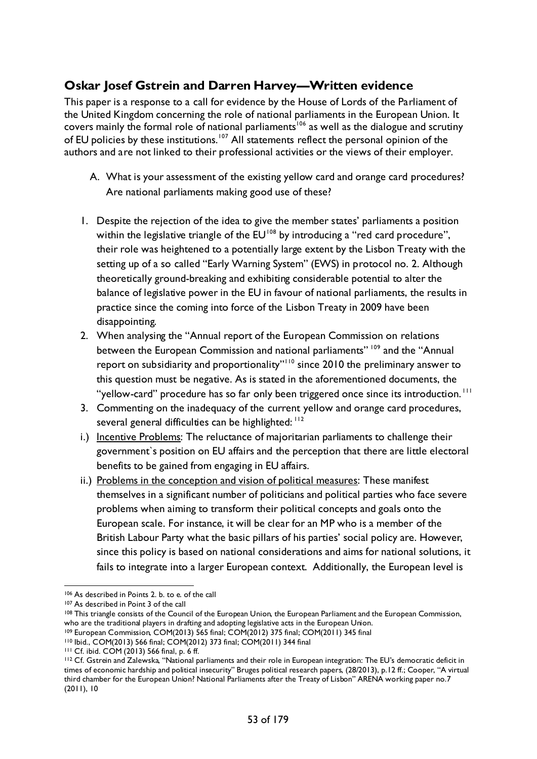# **Oskar Josef Gstrein and Darren Harvey—Written evidence**

This paper is a response to a call for evidence by the House of Lords of the Parliament of the United Kingdom concerning the role of national parliaments in the European Union. It covers mainly the formal role of national parliaments<sup>106</sup> as well as the dialogue and scrutiny of EU policies by these institutions.<sup>[107](#page-52-1)</sup> All statements reflect the personal opinion of the authors and are not linked to their professional activities or the views of their employer.

- A. What is your assessment of the existing yellow card and orange card procedures? Are national parliaments making good use of these?
- 1. Despite the rejection of the idea to give the member states' parliaments a position within the legislative triangle of the  $EU^{108}$  $EU^{108}$  $EU^{108}$  by introducing a "red card procedure", their role was heightened to a potentially large extent by the Lisbon Treaty with the setting up of a so called "Early Warning System" (EWS) in protocol no. 2. Although theoretically ground-breaking and exhibiting considerable potential to alter the balance of legislative power in the EU in favour of national parliaments, the results in practice since the coming into force of the Lisbon Treaty in 2009 have been disappointing.
- 2. When analysing the "Annual report of the European Commission on relations between the European Commission and national parliaments"<sup>[109](#page-52-3)</sup> and the "Annual report on subsidiarity and proportionality"[110](#page-52-4) since 2010 the preliminary answer to this question must be negative. As is stated in the aforementioned documents, the "yellow-card" procedure has so far only been triggered once since its introduction.<sup>[111](#page-52-5)</sup>
- 3. Commenting on the inadequacy of the current yellow and orange card procedures, several general difficulties can be highlighted: [112](#page-52-6)
- i.) Incentive Problems: The reluctance of majoritarian parliaments to challenge their government`s position on EU affairs and the perception that there are little electoral benefits to be gained from engaging in EU affairs.
- ii.) Problems in the conception and vision of political measures: These manifest themselves in a significant number of politicians and political parties who face severe problems when aiming to transform their political concepts and goals onto the European scale. For instance, it will be clear for an MP who is a member of the British Labour Party what the basic pillars of his parties' social policy are. However, since this policy is based on national considerations and aims for national solutions, it fails to integrate into a larger European context. Additionally, the European level is

<span id="page-52-4"></span><span id="page-52-3"></span><sup>110</sup> Ibid., COM(2013) 566 final; COM(2012) 373 final; COM(2011) 344 final

 <sup>106</sup> As described in Points 2. b. to e. of the call

<span id="page-52-1"></span><span id="page-52-0"></span><sup>107</sup> As described in Point 3 of the call

<span id="page-52-2"></span><sup>&</sup>lt;sup>108</sup> This triangle consists of the Council of the European Union, the European Parliament and the European Commission, who are the traditional players in drafting and adopting legislative acts in the European Union.

<sup>109</sup> European Commission, COM(2013) 565 final; COM(2012) 375 final; COM(2011) 345 final

<span id="page-52-5"></span><sup>111</sup> Cf. ibid. COM (2013) 566 final, p. 6 ff.

<span id="page-52-6"></span><sup>112</sup> Cf. Gstrein and Zalewska, "National parliaments and their role in European integration: The EU's democratic deficit in times of economic hardship and political insecurity" Bruges political research papers, (28/2013), p.12 ff.; Cooper, "A virtual third chamber for the European Union? National Parliaments after the Treaty of Lisbon" ARENA working paper no.7 (2011), 10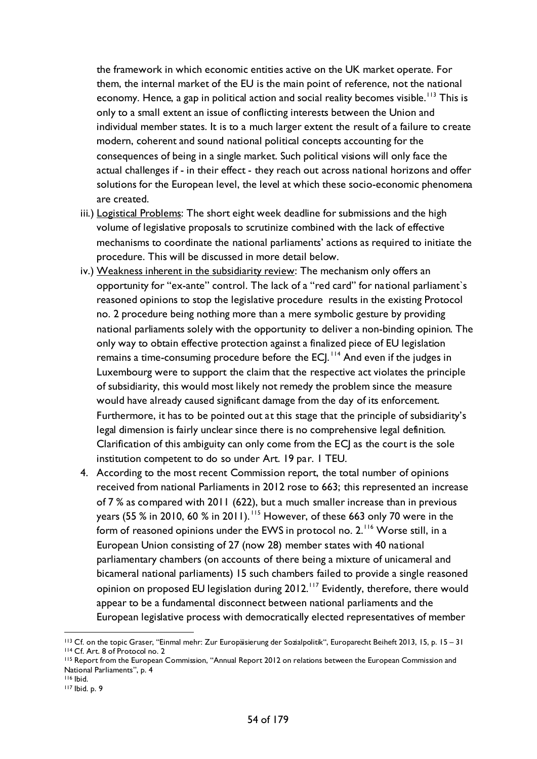the framework in which economic entities active on the UK market operate. For them, the internal market of the EU is the main point of reference, not the national economy. Hence, a gap in political action and social reality becomes visible.<sup>[113](#page-53-0)</sup> This is only to a small extent an issue of conflicting interests between the Union and individual member states. It is to a much larger extent the result of a failure to create modern, coherent and sound national political concepts accounting for the consequences of being in a single market. Such political visions will only face the actual challenges if - in their effect - they reach out across national horizons and offer solutions for the European level, the level at which these socio-economic phenomena are created.

- iii.) Logistical Problems: The short eight week deadline for submissions and the high volume of legislative proposals to scrutinize combined with the lack of effective mechanisms to coordinate the national parliaments' actions as required to initiate the procedure. This will be discussed in more detail below.
- iv.) Weakness inherent in the subsidiarity review: The mechanism only offers an opportunity for "ex-ante" control. The lack of a "red card" for national parliament`s reasoned opinions to stop the legislative procedure results in the existing Protocol no. 2 procedure being nothing more than a mere symbolic gesture by providing national parliaments solely with the opportunity to deliver a non-binding opinion. The only way to obtain effective protection against a finalized piece of EU legislation remains a time-consuming procedure before the ECJ.<sup>[114](#page-53-1)</sup> And even if the judges in Luxembourg were to support the claim that the respective act violates the principle of subsidiarity, this would most likely not remedy the problem since the measure would have already caused significant damage from the day of its enforcement. Furthermore, it has to be pointed out at this stage that the principle of subsidiarity's legal dimension is fairly unclear since there is no comprehensive legal definition. Clarification of this ambiguity can only come from the ECJ as the court is the sole institution competent to do so under Art. 19 par. 1 TEU.
- 4. According to the most recent Commission report, the total number of opinions received from national Parliaments in 2012 rose to 663; this represented an increase of 7 % as compared with 2011 (622), but a much smaller increase than in previous years (55 % in 2010, 60 % in 2011). [115](#page-53-2) However, of these 663 only 70 were in the form of reasoned opinions under the EWS in protocol no. 2.<sup>[116](#page-53-3)</sup> Worse still, in a European Union consisting of 27 (now 28) member states with 40 national parliamentary chambers (on accounts of there being a mixture of unicameral and bicameral national parliaments) 15 such chambers failed to provide a single reasoned opinion on proposed EU legislation during 2012.<sup>[117](#page-53-4)</sup> Evidently, therefore, there would appear to be a fundamental disconnect between national parliaments and the European legislative process with democratically elected representatives of member

<span id="page-53-0"></span> <sup>113</sup> Cf. on the topic Graser, "Einmal mehr: Zur Europäisierung der Sozialpolitik", Europarecht Beiheft 2013, 15, p. 15 – <sup>31</sup> <sup>114</sup> Cf. Art. 8 of Protocol no. 2

<span id="page-53-2"></span><span id="page-53-1"></span><sup>115</sup> Report from the European Commission, "Annual Report 2012 on relations between the European Commission and National Parliaments", p. 4

<span id="page-53-3"></span><sup>116</sup> Ibid.

<span id="page-53-4"></span><sup>117</sup> Ibid. p. 9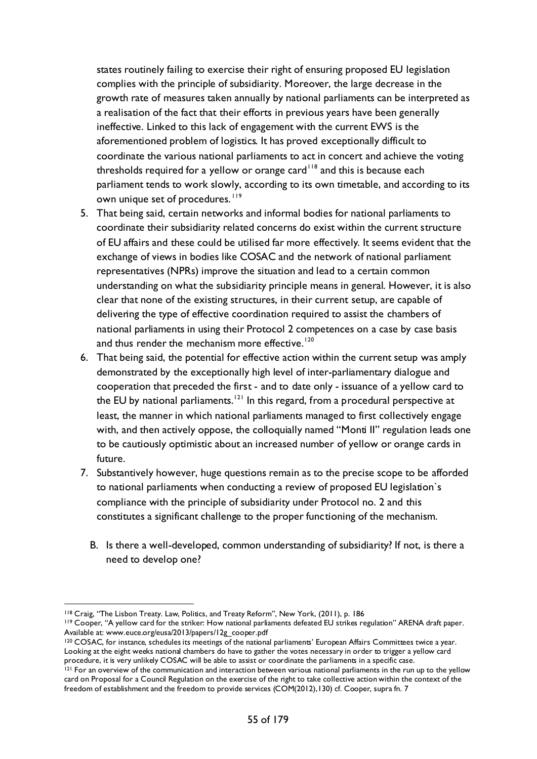states routinely failing to exercise their right of ensuring proposed EU legislation complies with the principle of subsidiarity. Moreover, the large decrease in the growth rate of measures taken annually by national parliaments can be interpreted as a realisation of the fact that their efforts in previous years have been generally ineffective. Linked to this lack of engagement with the current EWS is the aforementioned problem of logistics. It has proved exceptionally difficult to coordinate the various national parliaments to act in concert and achieve the voting thresholds required for a yellow or orange card<sup> $118$ </sup> and this is because each parliament tends to work slowly, according to its own timetable, and according to its own unique set of procedures.<sup>[119](#page-54-1)</sup>

- 5. That being said, certain networks and informal bodies for national parliaments to coordinate their subsidiarity related concerns do exist within the current structure of EU affairs and these could be utilised far more effectively. It seems evident that the exchange of views in bodies like COSAC and the network of national parliament representatives (NPRs) improve the situation and lead to a certain common understanding on what the subsidiarity principle means in general. However, it is also clear that none of the existing structures, in their current setup, are capable of delivering the type of effective coordination required to assist the chambers of national parliaments in using their Protocol 2 competences on a case by case basis and thus render the mechanism more effective.<sup>[120](#page-54-2)</sup>
- 6. That being said, the potential for effective action within the current setup was amply demonstrated by the exceptionally high level of inter-parliamentary dialogue and cooperation that preceded the first - and to date only - issuance of a yellow card to the EU by national parliaments.<sup>[121](#page-54-3)</sup> In this regard, from a procedural perspective at least, the manner in which national parliaments managed to first collectively engage with, and then actively oppose, the colloquially named "Monti II" regulation leads one to be cautiously optimistic about an increased number of yellow or orange cards in future.
- 7. Substantively however, huge questions remain as to the precise scope to be afforded to national parliaments when conducting a review of proposed EU legislation`s compliance with the principle of subsidiarity under Protocol no. 2 and this constitutes a significant challenge to the proper functioning of the mechanism.
	- B. Is there a well-developed, common understanding of subsidiarity? If not, is there a need to develop one?

<span id="page-54-0"></span> <sup>118</sup> Craig, "The Lisbon Treaty. Law, Politics, and Treaty Reform", New York, (2011), p. 186

<span id="page-54-1"></span><sup>119</sup> Cooper, "A yellow card for the striker: How national parliaments defeated EU strikes regulation" ARENA draft paper. Available at: www.euce.org/eusa/2013/papers/12g\_cooper.pdf

<span id="page-54-2"></span><sup>120</sup> COSAC, for instance, schedules its meetings of the national parliaments' European Affairs Committees twice a year. Looking at the eight weeks national chambers do have to gather the votes necessary in order to trigger a yellow card procedure, it is very unlikely COSAC will be able to assist or coordinate the parliaments in a specific case.

<span id="page-54-3"></span><sup>&</sup>lt;sup>121</sup> For an overview of the communication and interaction between various national parliaments in the run up to the yellow card on Proposal for a Council Regulation on the exercise of the right to take collective action within the context of the freedom of establishment and the freedom to provide services (COM(2012),130) cf. Cooper, supra fn. 7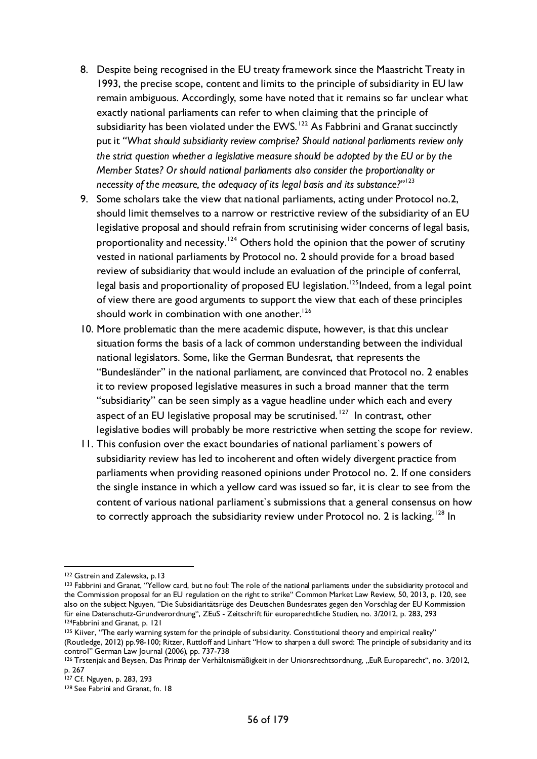- 8. Despite being recognised in the EU treaty framework since the Maastricht Treaty in 1993, the precise scope, content and limits to the principle of subsidiarity in EU law remain ambiguous. Accordingly, some have noted that it remains so far unclear what exactly national parliaments can refer to when claiming that the principle of subsidiarity has been violated under the EWS.<sup>[122](#page-55-0)</sup> As Fabbrini and Granat succinctly put it *"What should subsidiarity review comprise? Should national parliaments review only the strict question whether a legislative measure should be adopted by the EU or by the Member States? Or should national parliaments also consider the proportionality or necessity of the measure, the adequacy of its legal basis and its substance?"*[123](#page-55-1)
- 9. Some scholars take the view that national parliaments, acting under Protocol no.2, should limit themselves to a narrow or restrictive review of the subsidiarity of an EU legislative proposal and should refrain from scrutinising wider concerns of legal basis, proportionality and necessity.<sup>[124](#page-55-2)</sup> Others hold the opinion that the power of scrutiny vested in national parliaments by Protocol no. 2 should provide for a broad based review of subsidiarity that would include an evaluation of the principle of conferral, legal basis and proportionality of proposed EU legislation.<sup>125</sup>Indeed, from a legal point of view there are good arguments to support the view that each of these principles should work in combination with one another. $126$
- 10. More problematic than the mere academic dispute, however, is that this unclear situation forms the basis of a lack of common understanding between the individual national legislators. Some, like the German Bundesrat, that represents the "Bundesländer" in the national parliament, are convinced that Protocol no. 2 enables it to review proposed legislative measures in such a broad manner that the term "subsidiarity" can be seen simply as a vague headline under which each and every aspect of an EU legislative proposal may be scrutinised.<sup>[127](#page-55-5)</sup> In contrast, other legislative bodies will probably be more restrictive when setting the scope for review.
- 11. This confusion over the exact boundaries of national parliament`s powers of subsidiarity review has led to incoherent and often widely divergent practice from parliaments when providing reasoned opinions under Protocol no. 2. If one considers the single instance in which a yellow card was issued so far, it is clear to see from the content of various national parliament`s submissions that a general consensus on how to correctly approach the subsidiarity review under Protocol no. 2 is lacking.<sup>[128](#page-55-6)</sup> In

<span id="page-55-0"></span><sup>122</sup> Gstrein and Zalewska, p.13

<span id="page-55-1"></span><sup>123</sup> Fabbrini and Granat, "Yellow card, but no foul: The role of the national parliaments under the subsidiarity protocol and the Commission proposal for an EU regulation on the right to strike" Common Market Law Review, 50, 2013, p. 120, see also on the subject Nguyen, "Die Subsidiaritätsrüge des Deutschen Bundesrates gegen den Vorschlag der EU Kommission für eine Datenschutz-Grundverordnung", ZEuS - Zeitschrift für europarechtliche Studien, no. 3/2012, p. 283, 293 124Fabbrini and Granat, p. 121

<span id="page-55-3"></span><span id="page-55-2"></span><sup>&</sup>lt;sup>125</sup> Kiiver, "The early warning system for the principle of subsidiarity. Constitutional theory and empirical reality" (Routledge, 2012) pp.98-100; Ritzer, Ruttloff and Linhart "How to sharpen a dull sword: The principle of subsidiarity and its control" German Law Journal (2006), pp. 737-738

<span id="page-55-4"></span><sup>&</sup>lt;sup>126</sup> Trstenjak and Beysen, Das Prinzip der Verhältnismäßigkeit in der Unionsrechtsordnung, "EuR Europarecht", no. 3/2012, p. 267

<span id="page-55-5"></span><sup>127</sup> Cf. Nguyen, p. 283, 293

<span id="page-55-6"></span><sup>128</sup> See Fabrini and Granat, fn. 18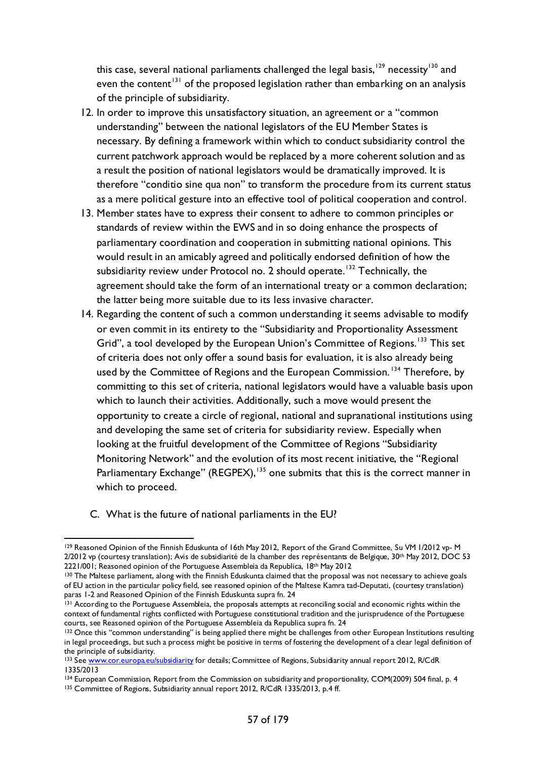this case, several national parliaments challenged the legal basis,  $129$  necessity  $130$  and even the content<sup>[131](#page-56-2)</sup> of the proposed legislation rather than embarking on an analysis of the principle of subsidiarity.

- 12. In order to improve this unsatisfactory situation, an agreement or a "common understanding" between the national legislators of the EU Member States is necessary. By defining a framework within which to conduct subsidiarity control the current patchwork approach would be replaced by a more coherent solution and as a result the position of national legislators would be dramatically improved. It is therefore "conditio sine qua non" to transform the procedure from its current status as a mere political gesture into an effective tool of political cooperation and control.
- 13. Member states have to express their consent to adhere to common principles or standards of review within the EWS and in so doing enhance the prospects of parliamentary coordination and cooperation in submitting national opinions. This would result in an amicably agreed and politically endorsed definition of how the subsidiarity review under Protocol no. 2 should operate.<sup>[132](#page-56-3)</sup> Technically, the agreement should take the form of an international treaty or a common declaration; the latter being more suitable due to its less invasive character.
- 14. Regarding the content of such a common understanding it seems advisable to modify or even commit in its entirety to the "Subsidiarity and Proportionality Assessment Grid", a tool developed by the European Union's Committee of Regions.<sup>[133](#page-56-4)</sup> This set of criteria does not only offer a sound basis for evaluation, it is also already being used by the Committee of Regions and the European Commission.<sup>[134](#page-56-5)</sup> Therefore, by committing to this set of criteria, national legislators would have a valuable basis upon which to launch their activities. Additionally, such a move would present the opportunity to create a circle of regional, national and supranational institutions using and developing the same set of criteria for subsidiarity review. Especially when looking at the fruitful development of the Committee of Regions "Subsidiarity Monitoring Network" and the evolution of its most recent initiative, the "Regional Parliamentary Exchange" (REGPEX),<sup>[135](#page-56-6)</sup> one submits that this is the correct manner in which to proceed.
	- C. What is the future of national parliaments in the EU?

<span id="page-56-0"></span><sup>129</sup> Reasoned Opinion of the Finnish Eduskunta of 16th May 2012, Report of the Grand Committee, Su VM 1/2012 vp- M 2/2012 vp (courtesy translation); Avis de subsidiarité de la chamber des représentants de Belgique, 30th May 2012, DOC 53 2221/001; Reasoned opinion of the Portuguese Assembleia da Republica, 18<sup>th</sup> May 2012

<span id="page-56-1"></span><sup>&</sup>lt;sup>130</sup> The Maltese parliament, along with the Finnish Eduskunta claimed that the proposal was not necessary to achieve goals of EU action in the particular policy field, see reasoned opinion of the Maltese Kamra tad-Deputati, (courtesy translation) paras 1-2 and Reasoned Opinion of the Finnish Eduskunta supra fn. 24

<span id="page-56-2"></span><sup>&</sup>lt;sup>131</sup> According to the Portuguese Assembleia, the proposals attempts at reconciling social and economic rights within the context of fundamental rights conflicted with Portuguese constitutional tradition and the jurisprudence of the Portuguese courts, see Reasoned opinion of the Portuguese Assembleia da Republica supra fn. 24

<span id="page-56-3"></span><sup>&</sup>lt;sup>132</sup> Once this "common understanding" is being applied there might be challenges from other European Institutions resulting in legal proceedings, but such a process might be positive in terms of fostering the development of a clear legal definition of the principle of subsidiarity.

<span id="page-56-4"></span><sup>133</sup> Se[e www.cor.europa.eu/subsidiarity](http://www.cor.europa.eu/subsidiarity) for details; Committee of Regions, Subsidiarity annual report 2012, R/CdR 1335/2013

<sup>134</sup> European Commission, Report from the Commission on subsidiarity and proportionality, COM(2009) 504 final, p. 4

<span id="page-56-6"></span><span id="page-56-5"></span><sup>135</sup> Committee of Regions, Subsidiarity annual report 2012, R/CdR 1335/2013, p.4 ff.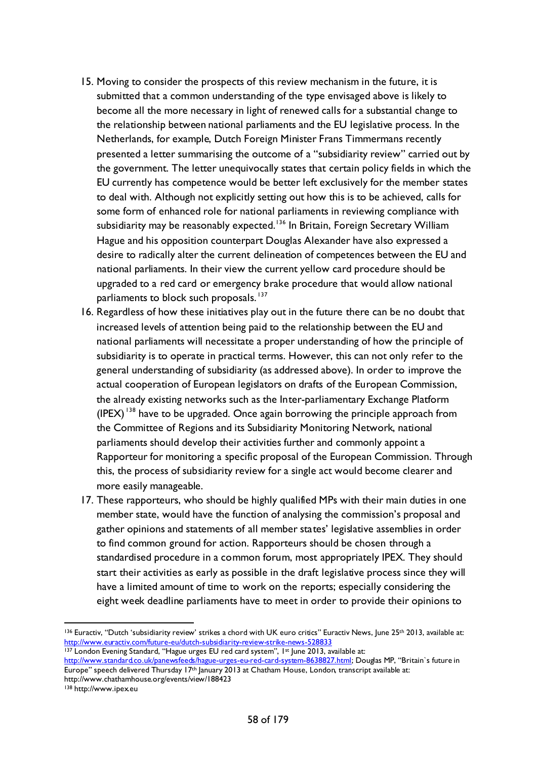- 15. Moving to consider the prospects of this review mechanism in the future, it is submitted that a common understanding of the type envisaged above is likely to become all the more necessary in light of renewed calls for a substantial change to the relationship between national parliaments and the EU legislative process. In the Netherlands, for example, Dutch Foreign Minister Frans Timmermans recently presented a letter summarising the outcome of a "subsidiarity review" carried out by the government. The letter unequivocally states that certain policy fields in which the EU currently has competence would be better left exclusively for the member states to deal with. Although not explicitly setting out how this is to be achieved, calls for some form of enhanced role for national parliaments in reviewing compliance with subsidiarity may be reasonably expected.<sup>[136](#page-57-0)</sup> In Britain, Foreign Secretary William Hague and his opposition counterpart Douglas Alexander have also expressed a desire to radically alter the current delineation of competences between the EU and national parliaments. In their view the current yellow card procedure should be upgraded to a red card or emergency brake procedure that would allow national parliaments to block such proposals.<sup>[137](#page-57-1)</sup>
- 16. Regardless of how these initiatives play out in the future there can be no doubt that increased levels of attention being paid to the relationship between the EU and national parliaments will necessitate a proper understanding of how the principle of subsidiarity is to operate in practical terms. However, this can not only refer to the general understanding of subsidiarity (as addressed above). In order to improve the actual cooperation of European legislators on drafts of the European Commission, the already existing networks such as the Inter-parliamentary Exchange Platform  $($ IPEX $)$ <sup>[138](#page-57-2)</sup> have to be upgraded. Once again borrowing the principle approach from the Committee of Regions and its Subsidiarity Monitoring Network, national parliaments should develop their activities further and commonly appoint a Rapporteur for monitoring a specific proposal of the European Commission. Through this, the process of subsidiarity review for a single act would become clearer and more easily manageable.
- 17. These rapporteurs, who should be highly qualified MPs with their main duties in one member state, would have the function of analysing the commission's proposal and gather opinions and statements of all member states' legislative assemblies in order to find common ground for action. Rapporteurs should be chosen through a standardised procedure in a common forum, most appropriately IPEX. They should start their activities as early as possible in the draft legislative process since they will have a limited amount of time to work on the reports; especially considering the eight week deadline parliaments have to meet in order to provide their opinions to

<span id="page-57-0"></span><sup>136</sup> Euractiv, "Dutch 'subsidiarity review' strikes a chord with UK euro critics" Euractiv News, June 25th 2013, available at: <http://www.euractiv.com/future-eu/dutch-subsidiarity-review-strike-news-528833> 137 London Evening Standard, "Hague urges EU red card system", 1st June 2013, available at:

<span id="page-57-1"></span>[http://www.standard.co.uk/panewsfeeds/hague-urges-eu-red-card-system-8638827.html;](http://www.standard.co.uk/panewsfeeds/hague-urges-eu-red-card-system-8638827.html) Douglas MP, "Britain`s future in Europe" speech delivered Thursday 17<sup>th</sup> January 2013 at Chatham House, London, transcript available at: http://www.chathamhouse.org/events/view/188423

<span id="page-57-2"></span><sup>138</sup> http://www.ipex.eu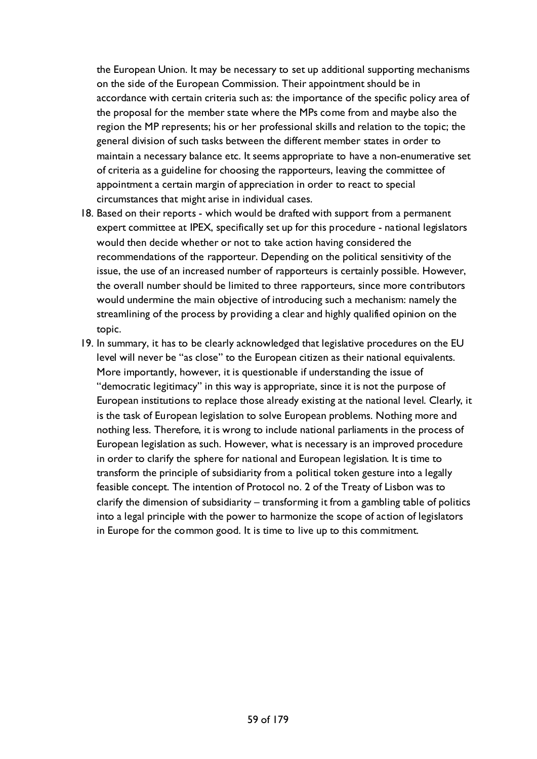the European Union. It may be necessary to set up additional supporting mechanisms on the side of the European Commission. Their appointment should be in accordance with certain criteria such as: the importance of the specific policy area of the proposal for the member state where the MPs come from and maybe also the region the MP represents; his or her professional skills and relation to the topic; the general division of such tasks between the different member states in order to maintain a necessary balance etc. It seems appropriate to have a non-enumerative set of criteria as a guideline for choosing the rapporteurs, leaving the committee of appointment a certain margin of appreciation in order to react to special circumstances that might arise in individual cases.

- 18. Based on their reports which would be drafted with support from a permanent expert committee at IPEX, specifically set up for this procedure - national legislators would then decide whether or not to take action having considered the recommendations of the rapporteur. Depending on the political sensitivity of the issue, the use of an increased number of rapporteurs is certainly possible. However, the overall number should be limited to three rapporteurs, since more contributors would undermine the main objective of introducing such a mechanism: namely the streamlining of the process by providing a clear and highly qualified opinion on the topic.
- 19. In summary, it has to be clearly acknowledged that legislative procedures on the EU level will never be "as close" to the European citizen as their national equivalents. More importantly, however, it is questionable if understanding the issue of "democratic legitimacy" in this way is appropriate, since it is not the purpose of European institutions to replace those already existing at the national level. Clearly, it is the task of European legislation to solve European problems. Nothing more and nothing less. Therefore, it is wrong to include national parliaments in the process of European legislation as such. However, what is necessary is an improved procedure in order to clarify the sphere for national and European legislation. It is time to transform the principle of subsidiarity from a political token gesture into a legally feasible concept. The intention of Protocol no. 2 of the Treaty of Lisbon was to clarify the dimension of subsidiarity – transforming it from a gambling table of politics into a legal principle with the power to harmonize the scope of action of legislators in Europe for the common good. It is time to live up to this commitment.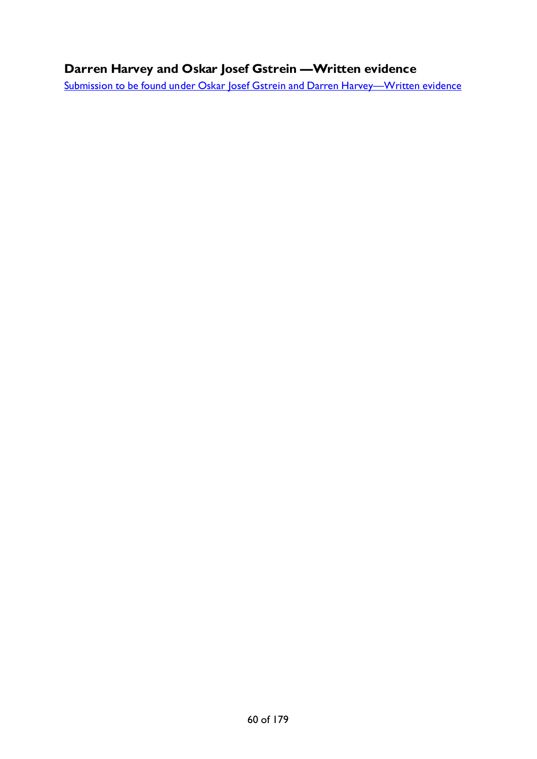# **Darren Harvey and Oskar Josef Gstrein —Written evidence**

[Submission to be found under Oskar Josef Gstrein and Darren Harvey—Written evidence](#page-177-0)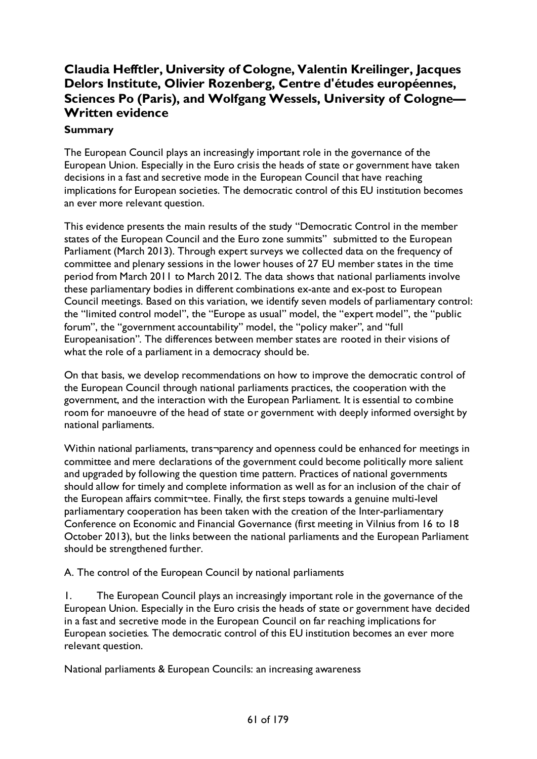# **Claudia Hefftler, University of Cologne, Valentin Kreilinger, Jacques Delors Institute, Olivier Rozenberg, Centre d'études européennes, Sciences Po (Paris), and Wolfgang Wessels, University of Cologne— Written evidence**

## **Summary**

The European Council plays an increasingly important role in the governance of the European Union. Especially in the Euro crisis the heads of state or government have taken decisions in a fast and secretive mode in the European Council that have reaching implications for European societies. The democratic control of this EU institution becomes an ever more relevant question.

This evidence presents the main results of the study "Democratic Control in the member states of the European Council and the Euro zone summits" submitted to the European Parliament (March 2013). Through expert surveys we collected data on the frequency of committee and plenary sessions in the lower houses of 27 EU member states in the time period from March 2011 to March 2012. The data shows that national parliaments involve these parliamentary bodies in different combinations ex-ante and ex-post to European Council meetings. Based on this variation, we identify seven models of parliamentary control: the "limited control model", the "Europe as usual" model, the "expert model", the "public forum", the "government accountability" model, the "policy maker", and "full Europeanisation". The differences between member states are rooted in their visions of what the role of a parliament in a democracy should be.

On that basis, we develop recommendations on how to improve the democratic control of the European Council through national parliaments practices, the cooperation with the government, and the interaction with the European Parliament. It is essential to combine room for manoeuvre of the head of state or government with deeply informed oversight by national parliaments.

Within national parliaments, trans¬parency and openness could be enhanced for meetings in committee and mere declarations of the government could become politically more salient and upgraded by following the question time pattern. Practices of national governments should allow for timely and complete information as well as for an inclusion of the chair of the European affairs commit¬tee. Finally, the first steps towards a genuine multi-level parliamentary cooperation has been taken with the creation of the Inter-parliamentary Conference on Economic and Financial Governance (first meeting in Vilnius from 16 to 18 October 2013), but the links between the national parliaments and the European Parliament should be strengthened further.

A. The control of the European Council by national parliaments

1. The European Council plays an increasingly important role in the governance of the European Union. Especially in the Euro crisis the heads of state or government have decided in a fast and secretive mode in the European Council on far reaching implications for European societies. The democratic control of this EU institution becomes an ever more relevant question.

National parliaments & European Councils: an increasing awareness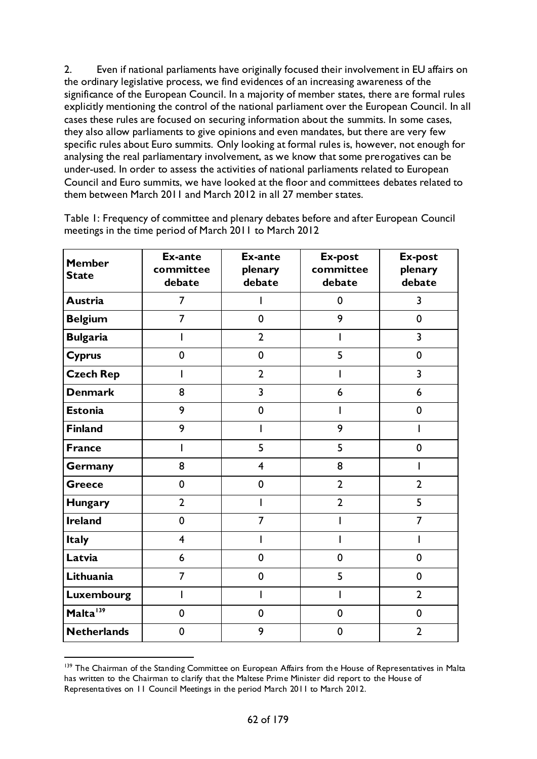2. Even if national parliaments have originally focused their involvement in EU affairs on the ordinary legislative process, we find evidences of an increasing awareness of the significance of the European Council. In a majority of member states, there are formal rules explicitly mentioning the control of the national parliament over the European Council. In all cases these rules are focused on securing information about the summits. In some cases, they also allow parliaments to give opinions and even mandates, but there are very few specific rules about Euro summits. Only looking at formal rules is, however, not enough for analysing the real parliamentary involvement, as we know that some prerogatives can be under-used. In order to assess the activities of national parliaments related to European Council and Euro summits, we have looked at the floor and committees debates related to them between March 2011 and March 2012 in all 27 member states.

| <b>Member</b><br><b>State</b> | Ex-ante<br>committee<br>debate | <b>Ex-ante</b><br>plenary<br>debate | Ex-post<br>committee<br>debate | <b>Ex-post</b><br>plenary<br>debate |
|-------------------------------|--------------------------------|-------------------------------------|--------------------------------|-------------------------------------|
| Austria                       | $\overline{7}$                 |                                     | $\mathbf 0$                    | $\overline{3}$                      |
| <b>Belgium</b>                | $\overline{7}$                 | $\mathbf 0$                         | 9                              | $\mathbf 0$                         |
| <b>Bulgaria</b>               | I                              | $\overline{2}$                      | I                              | $\overline{3}$                      |
| <b>Cyprus</b>                 | $\mathbf 0$                    | $\mathbf 0$                         | 5                              | $\mathbf 0$                         |
| <b>Czech Rep</b>              |                                | $\overline{2}$                      |                                | $\overline{\mathbf{3}}$             |
| <b>Denmark</b>                | 8                              | $\overline{3}$                      | 6                              | 6                                   |
| <b>Estonia</b>                | 9                              | $\mathbf 0$                         |                                | $\mathbf 0$                         |
| <b>Finland</b>                | 9                              |                                     | 9                              | I                                   |
| <b>France</b>                 | I                              | 5                                   | 5                              | $\pmb{0}$                           |
| Germany                       | 8                              | $\overline{\mathbf{4}}$             | 8                              |                                     |
| <b>Greece</b>                 | $\mathbf 0$                    | $\mathbf 0$                         | $\overline{2}$                 | $\overline{2}$                      |
| <b>Hungary</b>                | $\overline{2}$                 | I                                   | $\overline{2}$                 | 5                                   |
| <b>Ireland</b>                | $\mathbf 0$                    | $\overline{7}$                      |                                | $\overline{7}$                      |
| <b>Italy</b>                  | $\overline{4}$                 |                                     |                                |                                     |
| Latvia                        | 6                              | 0                                   | $\mathbf 0$                    | $\mathbf 0$                         |
| Lithuania                     | $\overline{7}$                 | $\mathbf 0$                         | 5                              | $\mathbf 0$                         |
| Luxembourg                    | I                              |                                     |                                | $\overline{2}$                      |
| Malta <sup>139</sup>          | $\mathbf 0$                    | $\mathbf 0$                         | $\mathbf 0$                    | $\mathbf 0$                         |
| <b>Netherlands</b>            | 0                              | 9                                   | $\overline{2}$<br>0            |                                     |

Table 1: Frequency of committee and plenary debates before and after European Council meetings in the time period of March 2011 to March 2012

<span id="page-61-0"></span><sup>&</sup>lt;sup>139</sup> The Chairman of the Standing Committee on European Affairs from the House of Representatives in Malta has written to the Chairman to clarify that the Maltese Prime Minister did report to the House of Representatives on 11 Council Meetings in the period March 2011 to March 2012.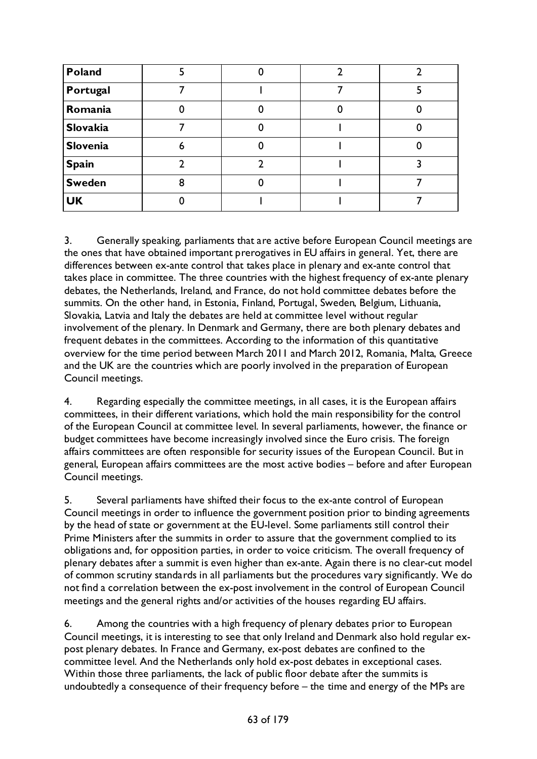| Poland        |   |  |  |
|---------------|---|--|--|
| Portugal      |   |  |  |
| Romania       |   |  |  |
| Slovakia      |   |  |  |
| Slovenia      | 6 |  |  |
| <b>Spain</b>  |   |  |  |
| <b>Sweden</b> | 8 |  |  |
| <b>UK</b>     |   |  |  |

3. Generally speaking, parliaments that are active before European Council meetings are the ones that have obtained important prerogatives in EU affairs in general. Yet, there are differences between ex-ante control that takes place in plenary and ex-ante control that takes place in committee. The three countries with the highest frequency of ex-ante plenary debates, the Netherlands, Ireland, and France, do not hold committee debates before the summits. On the other hand, in Estonia, Finland, Portugal, Sweden, Belgium, Lithuania, Slovakia, Latvia and Italy the debates are held at committee level without regular involvement of the plenary. In Denmark and Germany, there are both plenary debates and frequent debates in the committees. According to the information of this quantitative overview for the time period between March 2011 and March 2012, Romania, Malta, Greece and the UK are the countries which are poorly involved in the preparation of European Council meetings.

4. Regarding especially the committee meetings, in all cases, it is the European affairs committees, in their different variations, which hold the main responsibility for the control of the European Council at committee level. In several parliaments, however, the finance or budget committees have become increasingly involved since the Euro crisis. The foreign affairs committees are often responsible for security issues of the European Council. But in general, European affairs committees are the most active bodies – before and after European Council meetings.

5. Several parliaments have shifted their focus to the ex-ante control of European Council meetings in order to influence the government position prior to binding agreements by the head of state or government at the EU-level. Some parliaments still control their Prime Ministers after the summits in order to assure that the government complied to its obligations and, for opposition parties, in order to voice criticism. The overall frequency of plenary debates after a summit is even higher than ex-ante. Again there is no clear-cut model of common scrutiny standards in all parliaments but the procedures vary significantly. We do not find a correlation between the ex-post involvement in the control of European Council meetings and the general rights and/or activities of the houses regarding EU affairs.

6. Among the countries with a high frequency of plenary debates prior to European Council meetings, it is interesting to see that only Ireland and Denmark also hold regular expost plenary debates. In France and Germany, ex-post debates are confined to the committee level. And the Netherlands only hold ex-post debates in exceptional cases. Within those three parliaments, the lack of public floor debate after the summits is undoubtedly a consequence of their frequency before – the time and energy of the MPs are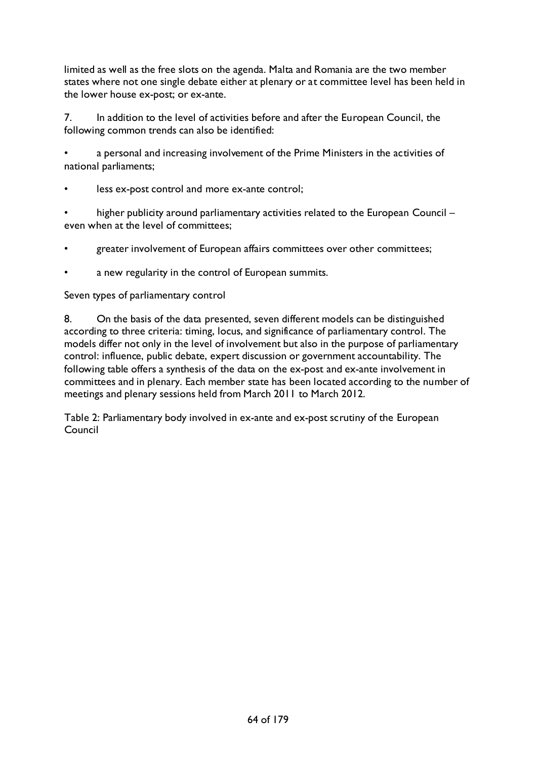limited as well as the free slots on the agenda. Malta and Romania are the two member states where not one single debate either at plenary or at committee level has been held in the lower house ex-post; or ex-ante.

7. In addition to the level of activities before and after the European Council, the following common trends can also be identified:

a personal and increasing involvement of the Prime Ministers in the activities of national parliaments;

less ex-post control and more ex-ante control;

higher publicity around parliamentary activities related to the European Council – even when at the level of committees;

- greater involvement of European affairs committees over other committees;
- a new regularity in the control of European summits.

Seven types of parliamentary control

8. On the basis of the data presented, seven different models can be distinguished according to three criteria: timing, locus, and significance of parliamentary control. The models differ not only in the level of involvement but also in the purpose of parliamentary control: influence, public debate, expert discussion or government accountability. The following table offers a synthesis of the data on the ex-post and ex-ante involvement in committees and in plenary. Each member state has been located according to the number of meetings and plenary sessions held from March 2011 to March 2012.

Table 2: Parliamentary body involved in ex-ante and ex-post scrutiny of the European Council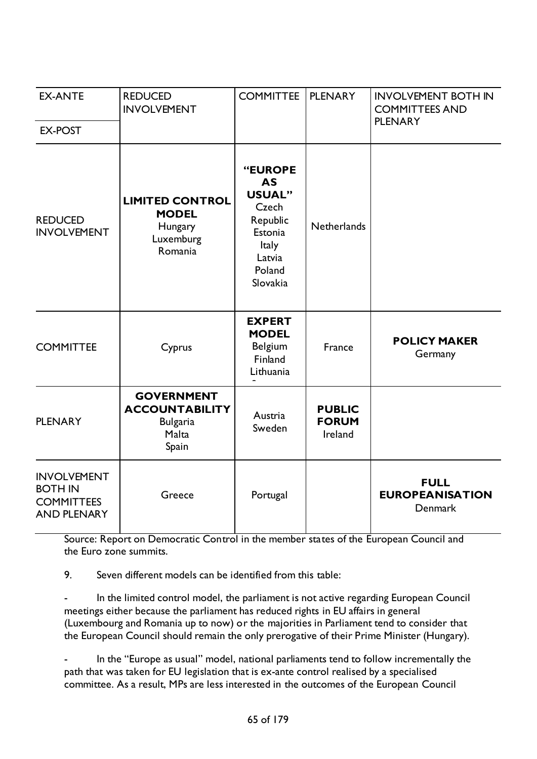| <b>EX-ANTE</b>                                                                  | <b>REDUCED</b><br><b>INVOLVEMENT</b>                                            | <b>COMMITTEE</b>                                                                                               | <b>PLENARY</b>                           | <b>INVOLVEMENT BOTH IN</b><br><b>COMMITTEES AND</b><br><b>PLENARY</b> |
|---------------------------------------------------------------------------------|---------------------------------------------------------------------------------|----------------------------------------------------------------------------------------------------------------|------------------------------------------|-----------------------------------------------------------------------|
| <b>EX-POST</b>                                                                  |                                                                                 |                                                                                                                |                                          |                                                                       |
| <b>REDUCED</b><br><b>INVOLVEMENT</b>                                            | <b>LIMITED CONTROL</b><br><b>MODEL</b><br>Hungary<br>Luxemburg<br>Romania       | "EUROPE<br>AS<br><b>USUAL"</b><br>Czech<br>Republic<br>Estonia<br><b>Italy</b><br>Latvia<br>Poland<br>Slovakia | Netherlands                              |                                                                       |
| <b>COMMITTEE</b>                                                                | Cyprus                                                                          | <b>EXPERT</b><br><b>MODEL</b><br>Belgium<br>Finland<br>Lithuania                                               | France                                   | <b>POLICY MAKER</b><br>Germany                                        |
| <b>PLENARY</b>                                                                  | <b>GOVERNMENT</b><br><b>ACCOUNTABILITY</b><br><b>Bulgaria</b><br>Malta<br>Spain | Austria<br>Sweden                                                                                              | <b>PUBLIC</b><br><b>FORUM</b><br>Ireland |                                                                       |
| <b>INVOLVEMENT</b><br><b>BOTH IN</b><br><b>COMMITTEES</b><br><b>AND PLENARY</b> | Greece                                                                          | Portugal                                                                                                       |                                          | <b>FULL</b><br><b>EUROPEANISATION</b><br><b>Denmark</b>               |

Source: Report on Democratic Control in the member states of the European Council and the Euro zone summits.

9. Seven different models can be identified from this table:

In the limited control model, the parliament is not active regarding European Council meetings either because the parliament has reduced rights in EU affairs in general (Luxembourg and Romania up to now) or the majorities in Parliament tend to consider that the European Council should remain the only prerogative of their Prime Minister (Hungary).

In the "Europe as usual" model, national parliaments tend to follow incrementally the path that was taken for EU legislation that is ex-ante control realised by a specialised committee. As a result, MPs are less interested in the outcomes of the European Council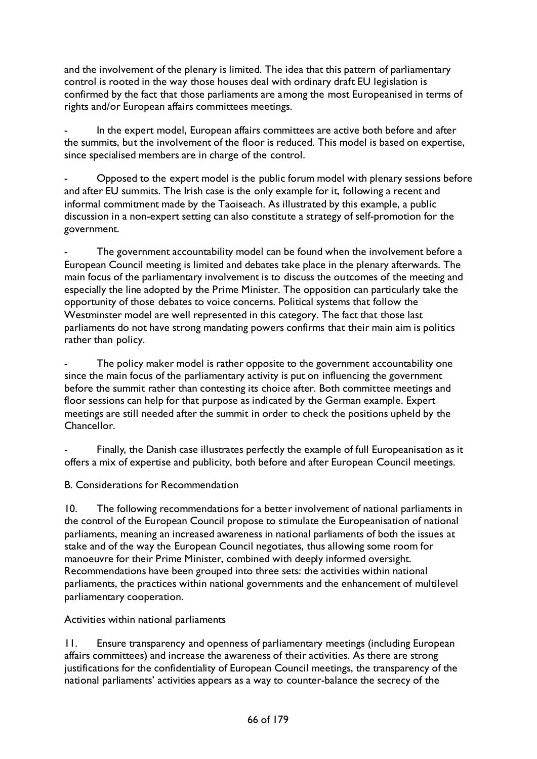and the involvement of the plenary is limited. The idea that this pattern of parliamentary control is rooted in the way those houses deal with ordinary draft EU legislation is confirmed by the fact that those parliaments are among the most Europeanised in terms of rights and/or European affairs committees meetings.

In the expert model, European affairs committees are active both before and after the summits, but the involvement of the floor is reduced. This model is based on expertise, since specialised members are in charge of the control.

Opposed to the expert model is the public forum model with plenary sessions before and after EU summits. The Irish case is the only example for it, following a recent and informal commitment made by the Taoiseach. As illustrated by this example, a public discussion in a non-expert setting can also constitute a strategy of self-promotion for the government.

The government accountability model can be found when the involvement before a European Council meeting is limited and debates take place in the plenary afterwards. The main focus of the parliamentary involvement is to discuss the outcomes of the meeting and especially the line adopted by the Prime Minister. The opposition can particularly take the opportunity of those debates to voice concerns. Political systems that follow the Westminster model are well represented in this category. The fact that those last parliaments do not have strong mandating powers confirms that their main aim is politics rather than policy.

The policy maker model is rather opposite to the government accountability one since the main focus of the parliamentary activity is put on influencing the government before the summit rather than contesting its choice after. Both committee meetings and floor sessions can help for that purpose as indicated by the German example. Expert meetings are still needed after the summit in order to check the positions upheld by the Chancellor.

Finally, the Danish case illustrates perfectly the example of full Europeanisation as it offers a mix of expertise and publicity, both before and after European Council meetings.

B. Considerations for Recommendation

10. The following recommendations for a better involvement of national parliaments in the control of the European Council propose to stimulate the Europeanisation of national parliaments, meaning an increased awareness in national parliaments of both the issues at stake and of the way the European Council negotiates, thus allowing some room for manoeuvre for their Prime Minister, combined with deeply informed oversight. Recommendations have been grouped into three sets: the activities within national parliaments, the practices within national governments and the enhancement of multilevel parliamentary cooperation.

Activities within national parliaments

11. Ensure transparency and openness of parliamentary meetings (including European affairs committees) and increase the awareness of their activities. As there are strong justifications for the confidentiality of European Council meetings, the transparency of the national parliaments' activities appears as a way to counter-balance the secrecy of the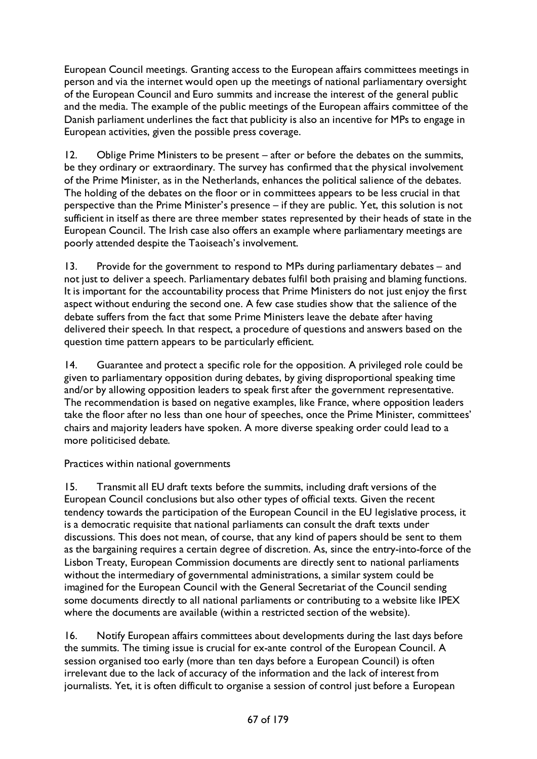European Council meetings. Granting access to the European affairs committees meetings in person and via the internet would open up the meetings of national parliamentary oversight of the European Council and Euro summits and increase the interest of the general public and the media. The example of the public meetings of the European affairs committee of the Danish parliament underlines the fact that publicity is also an incentive for MPs to engage in European activities, given the possible press coverage.

12. Oblige Prime Ministers to be present – after or before the debates on the summits, be they ordinary or extraordinary. The survey has confirmed that the physical involvement of the Prime Minister, as in the Netherlands, enhances the political salience of the debates. The holding of the debates on the floor or in committees appears to be less crucial in that perspective than the Prime Minister's presence – if they are public. Yet, this solution is not sufficient in itself as there are three member states represented by their heads of state in the European Council. The Irish case also offers an example where parliamentary meetings are poorly attended despite the Taoiseach's involvement.

13. Provide for the government to respond to MPs during parliamentary debates – and not just to deliver a speech. Parliamentary debates fulfil both praising and blaming functions. It is important for the accountability process that Prime Ministers do not just enjoy the first aspect without enduring the second one. A few case studies show that the salience of the debate suffers from the fact that some Prime Ministers leave the debate after having delivered their speech. In that respect, a procedure of questions and answers based on the question time pattern appears to be particularly efficient.

14. Guarantee and protect a specific role for the opposition. A privileged role could be given to parliamentary opposition during debates, by giving disproportional speaking time and/or by allowing opposition leaders to speak first after the government representative. The recommendation is based on negative examples, like France, where opposition leaders take the floor after no less than one hour of speeches, once the Prime Minister, committees' chairs and majority leaders have spoken. A more diverse speaking order could lead to a more politicised debate.

Practices within national governments

15. Transmit all EU draft texts before the summits, including draft versions of the European Council conclusions but also other types of official texts. Given the recent tendency towards the participation of the European Council in the EU legislative process, it is a democratic requisite that national parliaments can consult the draft texts under discussions. This does not mean, of course, that any kind of papers should be sent to them as the bargaining requires a certain degree of discretion. As, since the entry-into-force of the Lisbon Treaty, European Commission documents are directly sent to national parliaments without the intermediary of governmental administrations, a similar system could be imagined for the European Council with the General Secretariat of the Council sending some documents directly to all national parliaments or contributing to a website like IPEX where the documents are available (within a restricted section of the website).

16. Notify European affairs committees about developments during the last days before the summits. The timing issue is crucial for ex-ante control of the European Council. A session organised too early (more than ten days before a European Council) is often irrelevant due to the lack of accuracy of the information and the lack of interest from journalists. Yet, it is often difficult to organise a session of control just before a European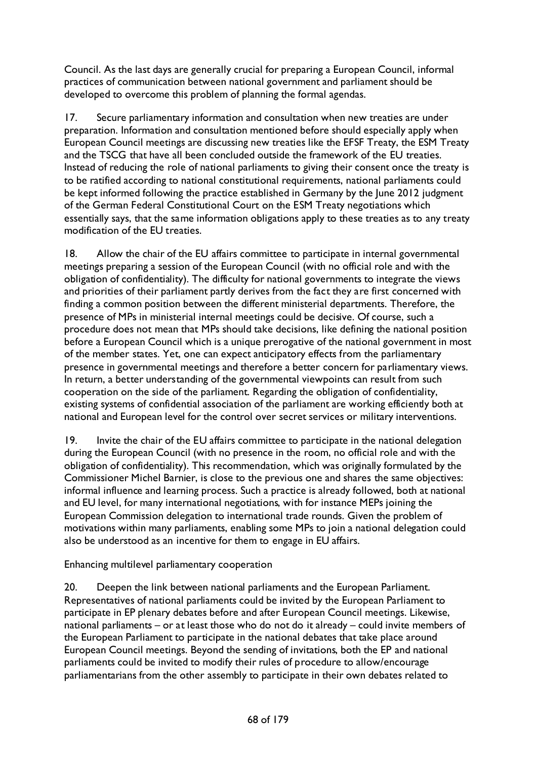Council. As the last days are generally crucial for preparing a European Council, informal practices of communication between national government and parliament should be developed to overcome this problem of planning the formal agendas.

17. Secure parliamentary information and consultation when new treaties are under preparation. Information and consultation mentioned before should especially apply when European Council meetings are discussing new treaties like the EFSF Treaty, the ESM Treaty and the TSCG that have all been concluded outside the framework of the EU treaties. Instead of reducing the role of national parliaments to giving their consent once the treaty is to be ratified according to national constitutional requirements, national parliaments could be kept informed following the practice established in Germany by the June 2012 judgment of the German Federal Constitutional Court on the ESM Treaty negotiations which essentially says, that the same information obligations apply to these treaties as to any treaty modification of the EU treaties.

18. Allow the chair of the EU affairs committee to participate in internal governmental meetings preparing a session of the European Council (with no official role and with the obligation of confidentiality). The difficulty for national governments to integrate the views and priorities of their parliament partly derives from the fact they are first concerned with finding a common position between the different ministerial departments. Therefore, the presence of MPs in ministerial internal meetings could be decisive. Of course, such a procedure does not mean that MPs should take decisions, like defining the national position before a European Council which is a unique prerogative of the national government in most of the member states. Yet, one can expect anticipatory effects from the parliamentary presence in governmental meetings and therefore a better concern for parliamentary views. In return, a better understanding of the governmental viewpoints can result from such cooperation on the side of the parliament. Regarding the obligation of confidentiality, existing systems of confidential association of the parliament are working efficiently both at national and European level for the control over secret services or military interventions.

19. Invite the chair of the EU affairs committee to participate in the national delegation during the European Council (with no presence in the room, no official role and with the obligation of confidentiality). This recommendation, which was originally formulated by the Commissioner Michel Barnier, is close to the previous one and shares the same objectives: informal influence and learning process. Such a practice is already followed, both at national and EU level, for many international negotiations, with for instance MEPs joining the European Commission delegation to international trade rounds. Given the problem of motivations within many parliaments, enabling some MPs to join a national delegation could also be understood as an incentive for them to engage in EU affairs.

Enhancing multilevel parliamentary cooperation

20. Deepen the link between national parliaments and the European Parliament. Representatives of national parliaments could be invited by the European Parliament to participate in EP plenary debates before and after European Council meetings. Likewise, national parliaments – or at least those who do not do it already – could invite members of the European Parliament to participate in the national debates that take place around European Council meetings. Beyond the sending of invitations, both the EP and national parliaments could be invited to modify their rules of procedure to allow/encourage parliamentarians from the other assembly to participate in their own debates related to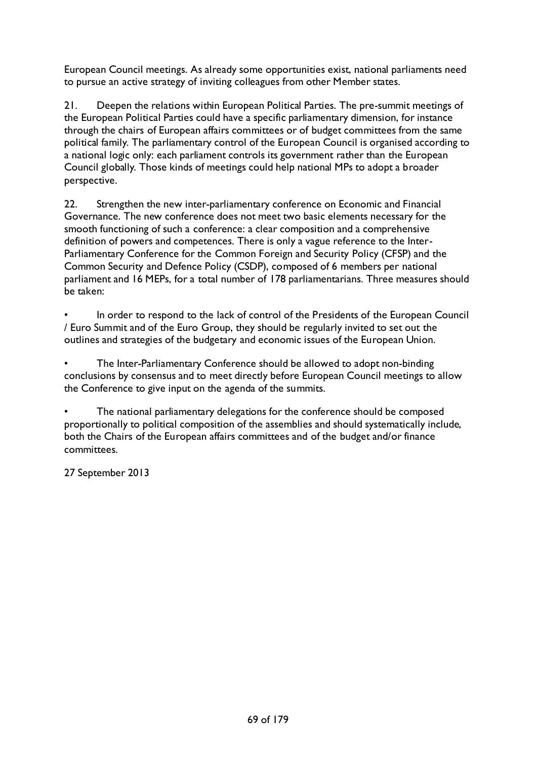European Council meetings. As already some opportunities exist, national parliaments need to pursue an active strategy of inviting colleagues from other Member states.

21. Deepen the relations within European Political Parties. The pre-summit meetings of the European Political Parties could have a specific parliamentary dimension, for instance through the chairs of European affairs committees or of budget committees from the same political family. The parliamentary control of the European Council is organised according to a national logic only: each parliament controls its government rather than the European Council globally. Those kinds of meetings could help national MPs to adopt a broader perspective.

22. Strengthen the new inter-parliamentary conference on Economic and Financial Governance. The new conference does not meet two basic elements necessary for the smooth functioning of such a conference: a clear composition and a comprehensive definition of powers and competences. There is only a vague reference to the Inter-Parliamentary Conference for the Common Foreign and Security Policy (CFSP) and the Common Security and Defence Policy (CSDP), composed of 6 members per national parliament and 16 MEPs, for a total number of 178 parliamentarians. Three measures should be taken:

In order to respond to the lack of control of the Presidents of the European Council / Euro Summit and of the Euro Group, they should be regularly invited to set out the outlines and strategies of the budgetary and economic issues of the European Union.

• The Inter-Parliamentary Conference should be allowed to adopt non-binding conclusions by consensus and to meet directly before European Council meetings to allow the Conference to give input on the agenda of the summits.

• The national parliamentary delegations for the conference should be composed proportionally to political composition of the assemblies and should systematically include, both the Chairs of the European affairs committees and of the budget and/or finance committees.

27 September 2013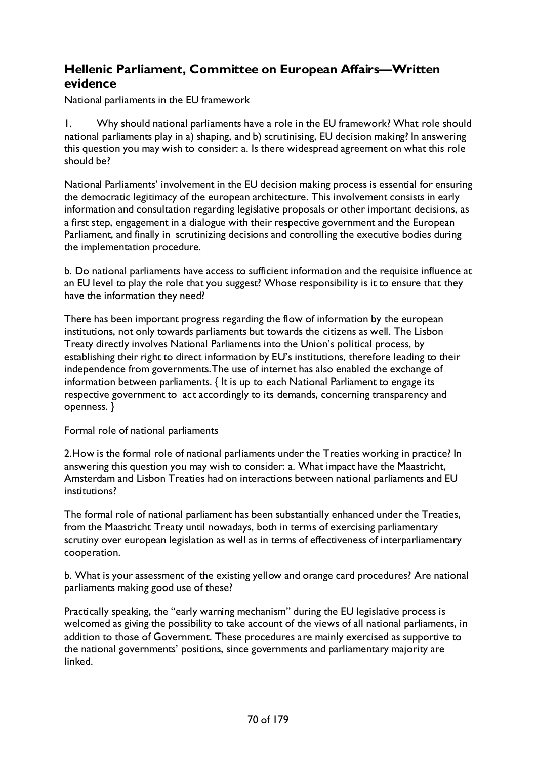## **Hellenic Parliament, Committee on European Affairs—Written evidence**

National parliaments in the EU framework

1. Why should national parliaments have a role in the EU framework? What role should national parliaments play in a) shaping, and b) scrutinising, EU decision making? In answering this question you may wish to consider: a. Is there widespread agreement on what this role should be?

National Parliaments' involvement in the EU decision making process is essential for ensuring the democratic legitimacy of the european architecture. This involvement consists in early information and consultation regarding legislative proposals or other important decisions, as a first step, engagement in a dialogue with their respective government and the European Parliament, and finally in scrutinizing decisions and controlling the executive bodies during the implementation procedure.

b. Do national parliaments have access to sufficient information and the requisite influence at an EU level to play the role that you suggest? Whose responsibility is it to ensure that they have the information they need?

There has been important progress regarding the flow of information by the european institutions, not only towards parliaments but towards the citizens as well. The Lisbon Treaty directly involves National Parliaments into the Union's political process, by establishing their right to direct information by EU's institutions, therefore leading to their independence from governments.The use of internet has also enabled the exchange of information between parliaments. { It is up to each National Parliament to engage its respective government to act accordingly to its demands, concerning transparency and openness. }

Formal role of national parliaments

2.How is the formal role of national parliaments under the Treaties working in practice? In answering this question you may wish to consider: a. What impact have the Maastricht, Amsterdam and Lisbon Treaties had on interactions between national parliaments and EU institutions?

The formal role of national parliament has been substantially enhanced under the Treaties, from the Maastricht Treaty until nowadays, both in terms of exercising parliamentary scrutiny over european legislation as well as in terms of effectiveness of interparliamentary cooperation.

b. What is your assessment of the existing yellow and orange card procedures? Are national parliaments making good use of these?

Practically speaking, the "early warning mechanism" during the EU legislative process is welcomed as giving the possibility to take account of the views of all national parliaments, in addition to those of Government. These procedures are mainly exercised as supportive to the national governments' positions, since governments and parliamentary majority are linked.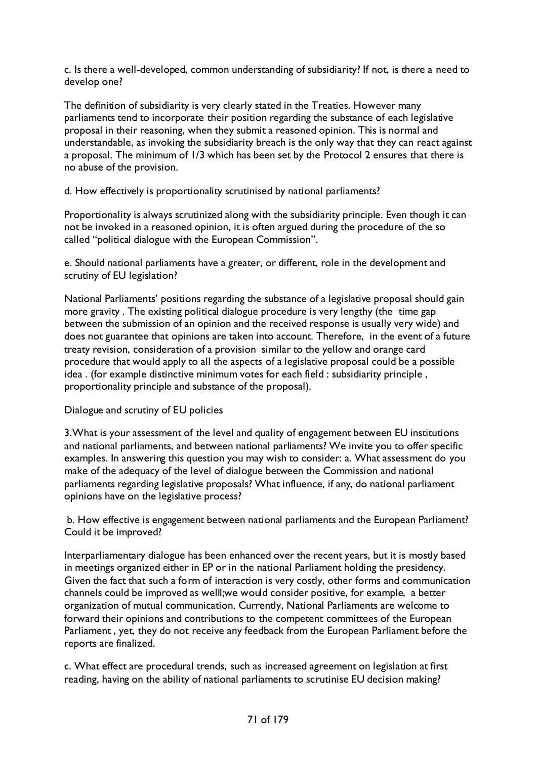c. Is there a well-developed, common understanding of subsidiarity? If not, is there a need to develop one?

The definition of subsidiarity is very clearly stated in the Treaties. However many parliaments tend to incorporate their position regarding the substance of each legislative proposal in their reasoning, when they submit a reasoned opinion. This is normal and understandable, as invoking the subsidiarity breach is the only way that they can react against a proposal. The minimum of 1/3 which has been set by the Protocol 2 ensures that there is no abuse of the provision.

d. How effectively is proportionality scrutinised by national parliaments?

Proportionality is always scrutinized along with the subsidiarity principle. Even though it can not be invoked in a reasoned opinion, it is often argued during the procedure of the so called "political dialogue with the European Commission".

e. Should national parliaments have a greater, or different, role in the development and scrutiny of EU legislation?

National Parliaments' positions regarding the substance of a legislative proposal should gain more gravity . The existing political dialogue procedure is very lengthy (the time gap between the submission of an opinion and the received response is usually very wide) and does not guarantee that opinions are taken into account. Therefore, in the event of a future treaty revision, consideration of a provision similar to the yellow and orange card procedure that would apply to all the aspects of a legislative proposal could be a possible idea . (for example distinctive minimum votes for each field : subsidiarity principle , proportionality principle and substance of the proposal).

## Dialogue and scrutiny of EU policies

3.What is your assessment of the level and quality of engagement between EU institutions and national parliaments, and between national parliaments? We invite you to offer specific examples. In answering this question you may wish to consider: a. What assessment do you make of the adequacy of the level of dialogue between the Commission and national parliaments regarding legislative proposals? What influence, if any, do national parliament opinions have on the legislative process?

b. How effective is engagement between national parliaments and the European Parliament? Could it be improved?

Interparliamentary dialogue has been enhanced over the recent years, but it is mostly based in meetings organized either in EP or in the national Parliament holding the presidency. Given the fact that such a form of interaction is very costly, other forms and communication channels could be improved as welll;we would consider positive, for example, a better organization of mutual communication. Currently, National Parliaments are welcome to forward their opinions and contributions to the competent committees of the European Parliament , yet, they do not receive any feedback from the European Parliament before the reports are finalized.

c. What effect are procedural trends, such as increased agreement on legislation at first reading, having on the ability of national parliaments to scrutinise EU decision making?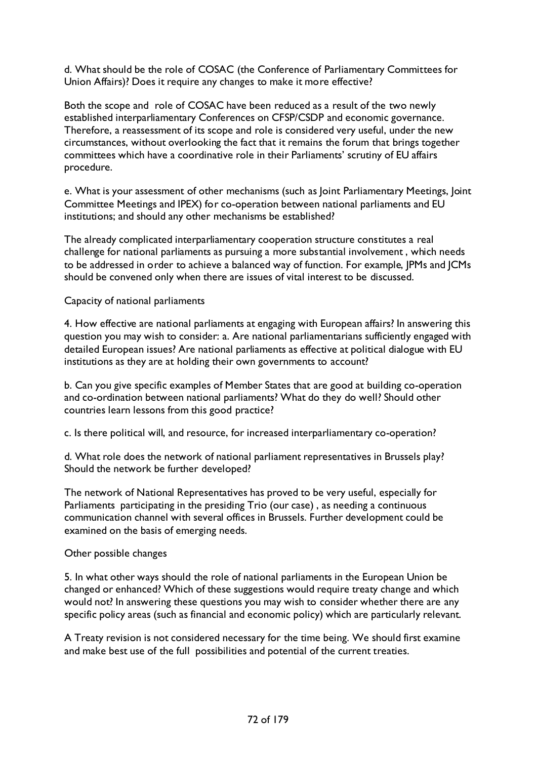d. What should be the role of COSAC (the Conference of Parliamentary Committees for Union Affairs)? Does it require any changes to make it more effective?

Both the scope and role of COSAC have been reduced as a result of the two newly established interparliamentary Conferences on CFSP/CSDP and economic governance. Therefore, a reassessment of its scope and role is considered very useful, under the new circumstances, without overlooking the fact that it remains the forum that brings together committees which have a coordinative role in their Parliaments' scrutiny of EU affairs procedure.

e. What is your assessment of other mechanisms (such as Joint Parliamentary Meetings, Joint Committee Meetings and IPEX) for co-operation between national parliaments and EU institutions; and should any other mechanisms be established?

The already complicated interparliamentary cooperation structure constitutes a real challenge for national parliaments as pursuing a more substantial involvement , which needs to be addressed in order to achieve a balanced way of function. For example, JPMs and JCMs should be convened only when there are issues of vital interest to be discussed.

Capacity of national parliaments

4. How effective are national parliaments at engaging with European affairs? In answering this question you may wish to consider: a. Are national parliamentarians sufficiently engaged with detailed European issues? Are national parliaments as effective at political dialogue with EU institutions as they are at holding their own governments to account?

b. Can you give specific examples of Member States that are good at building co-operation and co-ordination between national parliaments? What do they do well? Should other countries learn lessons from this good practice?

c. Is there political will, and resource, for increased interparliamentary co-operation?

d. What role does the network of national parliament representatives in Brussels play? Should the network be further developed?

The network of National Representatives has proved to be very useful, especially for Parliaments participating in the presiding Trio (our case) , as needing a continuous communication channel with several offices in Brussels. Further development could be examined on the basis of emerging needs.

Other possible changes

5. In what other ways should the role of national parliaments in the European Union be changed or enhanced? Which of these suggestions would require treaty change and which would not? In answering these questions you may wish to consider whether there are any specific policy areas (such as financial and economic policy) which are particularly relevant.

A Treaty revision is not considered necessary for the time being. We should first examine and make best use of the full possibilities and potential of the current treaties.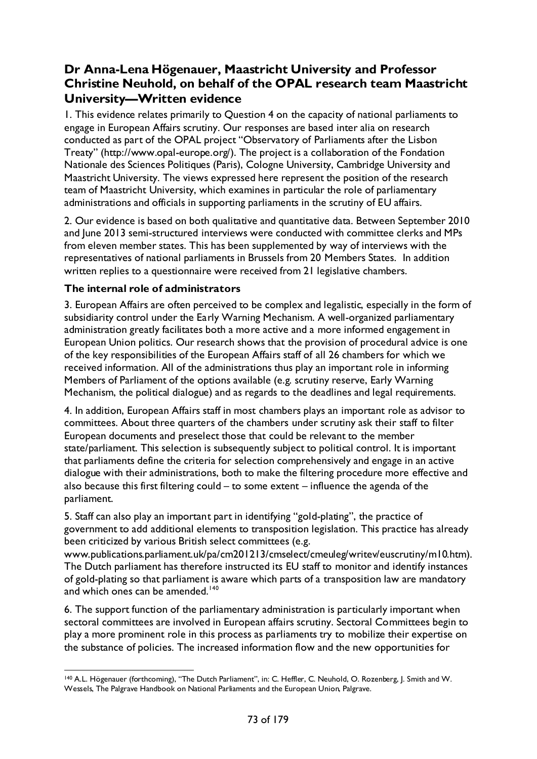# **Dr Anna-Lena Högenauer, Maastricht University and Professor Christine Neuhold, on behalf of the OPAL research team Maastricht University—Written evidence**

1. This evidence relates primarily to Question 4 on the capacity of national parliaments to engage in European Affairs scrutiny. Our responses are based inter alia on research conducted as part of the OPAL project "Observatory of Parliaments after the Lisbon Treaty" (http://www.opal-europe.org/). The project is a collaboration of the Fondation Nationale des Sciences Politiques (Paris), Cologne University, Cambridge University and Maastricht University. The views expressed here represent the position of the research team of Maastricht University, which examines in particular the role of parliamentary administrations and officials in supporting parliaments in the scrutiny of EU affairs.

2. Our evidence is based on both qualitative and quantitative data. Between September 2010 and June 2013 semi-structured interviews were conducted with committee clerks and MPs from eleven member states. This has been supplemented by way of interviews with the representatives of national parliaments in Brussels from 20 Members States. In addition written replies to a questionnaire were received from 21 legislative chambers.

### **The internal role of administrators**

3. European Affairs are often perceived to be complex and legalistic, especially in the form of subsidiarity control under the Early Warning Mechanism. A well-organized parliamentary administration greatly facilitates both a more active and a more informed engagement in European Union politics. Our research shows that the provision of procedural advice is one of the key responsibilities of the European Affairs staff of all 26 chambers for which we received information. All of the administrations thus play an important role in informing Members of Parliament of the options available (e.g. scrutiny reserve, Early Warning Mechanism, the political dialogue) and as regards to the deadlines and legal requirements.

4. In addition, European Affairs staff in most chambers plays an important role as advisor to committees. About three quarters of the chambers under scrutiny ask their staff to filter European documents and preselect those that could be relevant to the member state/parliament. This selection is subsequently subject to political control. It is important that parliaments define the criteria for selection comprehensively and engage in an active dialogue with their administrations, both to make the filtering procedure more effective and also because this first filtering could – to some extent – influence the agenda of the parliament.

5. Staff can also play an important part in identifying "gold-plating", the practice of government to add additional elements to transposition legislation. This practice has already been criticized by various British select committees (e.g.

www.publications.parliament.uk/pa/cm201213/cmselect/cmeuleg/writev/euscrutiny/m10.htm). The Dutch parliament has therefore instructed its EU staff to monitor and identify instances of gold-plating so that parliament is aware which parts of a transposition law are mandatory and which ones can be amended.<sup>[140](#page-72-0)</sup>

6. The support function of the parliamentary administration is particularly important when sectoral committees are involved in European affairs scrutiny. Sectoral Committees begin to play a more prominent role in this process as parliaments try to mobilize their expertise on the substance of policies. The increased information flow and the new opportunities for

<span id="page-72-0"></span> <sup>140</sup> A.L. Högenauer (forthcoming), "The Dutch Parliament", in: C. Heffler, C. Neuhold, O. Rozenberg, J. Smith and W. Wessels, The Palgrave Handbook on National Parliaments and the European Union, Palgrave.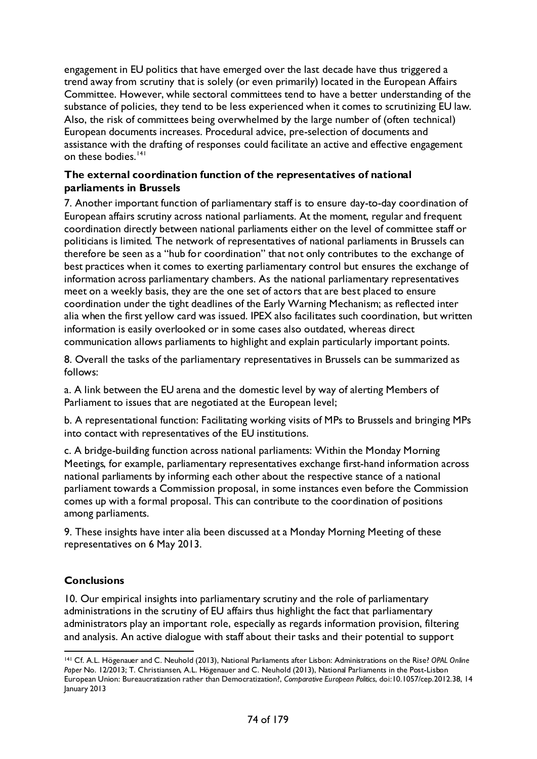engagement in EU politics that have emerged over the last decade have thus triggered a trend away from scrutiny that is solely (or even primarily) located in the European Affairs Committee. However, while sectoral committees tend to have a better understanding of the substance of policies, they tend to be less experienced when it comes to scrutinizing EU law. Also, the risk of committees being overwhelmed by the large number of (often technical) European documents increases. Procedural advice, pre-selection of documents and assistance with the drafting of responses could facilitate an active and effective engagement on these bodies.<sup>[141](#page-73-0)</sup>

### **The external coordination function of the representatives of national parliaments in Brussels**

7. Another important function of parliamentary staff is to ensure day-to-day coordination of European affairs scrutiny across national parliaments. At the moment, regular and frequent coordination directly between national parliaments either on the level of committee staff or politicians is limited. The network of representatives of national parliaments in Brussels can therefore be seen as a "hub for coordination" that not only contributes to the exchange of best practices when it comes to exerting parliamentary control but ensures the exchange of information across parliamentary chambers. As the national parliamentary representatives meet on a weekly basis, they are the one set of actors that are best placed to ensure coordination under the tight deadlines of the Early Warning Mechanism; as reflected inter alia when the first yellow card was issued. IPEX also facilitates such coordination, but written information is easily overlooked or in some cases also outdated, whereas direct communication allows parliaments to highlight and explain particularly important points.

8. Overall the tasks of the parliamentary representatives in Brussels can be summarized as follows:

a. A link between the EU arena and the domestic level by way of alerting Members of Parliament to issues that are negotiated at the European level;

b. A representational function: Facilitating working visits of MPs to Brussels and bringing MPs into contact with representatives of the EU institutions.

c. A bridge-building function across national parliaments: Within the Monday Morning Meetings, for example, parliamentary representatives exchange first-hand information across national parliaments by informing each other about the respective stance of a national parliament towards a Commission proposal, in some instances even before the Commission comes up with a formal proposal. This can contribute to the coordination of positions among parliaments.

9. These insights have inter alia been discussed at a Monday Morning Meeting of these representatives on 6 May 2013.

## **Conclusions**

10. Our empirical insights into parliamentary scrutiny and the role of parliamentary administrations in the scrutiny of EU affairs thus highlight the fact that parliamentary administrators play an important role, especially as regards information provision, filtering and analysis. An active dialogue with staff about their tasks and their potential to support

<span id="page-73-0"></span> <sup>141</sup> Cf. A.L. Högenauer and C. Neuhold (2013), National Parliaments after Lisbon: Administrations on the Rise? *OPAL Online Paper* No. 12/2013; T. Christiansen, A.L. Högenauer and C. Neuhold (2013), National Parliaments in the Post-Lisbon European Union: Bureaucratization rather than Democratization?, *Comparative European Politics*, doi:10.1057/cep.2012.38, 14 January 2013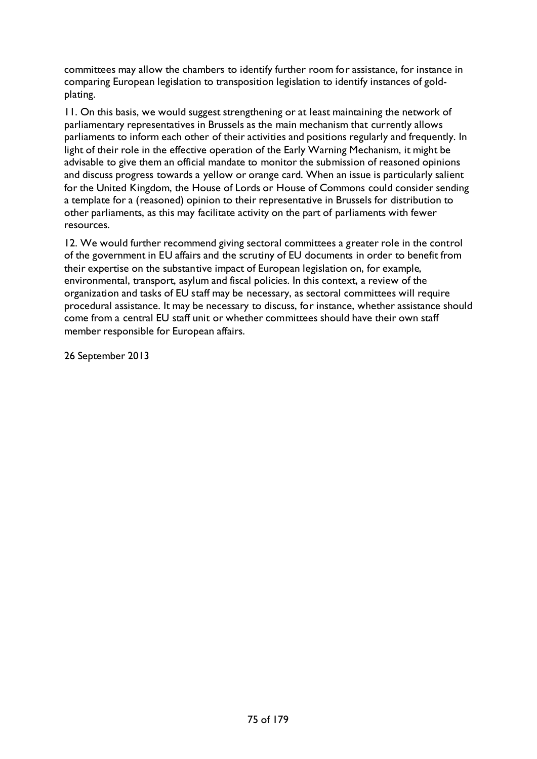committees may allow the chambers to identify further room for assistance, for instance in comparing European legislation to transposition legislation to identify instances of goldplating.

11. On this basis, we would suggest strengthening or at least maintaining the network of parliamentary representatives in Brussels as the main mechanism that currently allows parliaments to inform each other of their activities and positions regularly and frequently. In light of their role in the effective operation of the Early Warning Mechanism, it might be advisable to give them an official mandate to monitor the submission of reasoned opinions and discuss progress towards a yellow or orange card. When an issue is particularly salient for the United Kingdom, the House of Lords or House of Commons could consider sending a template for a (reasoned) opinion to their representative in Brussels for distribution to other parliaments, as this may facilitate activity on the part of parliaments with fewer resources.

12. We would further recommend giving sectoral committees a greater role in the control of the government in EU affairs and the scrutiny of EU documents in order to benefit from their expertise on the substantive impact of European legislation on, for example, environmental, transport, asylum and fiscal policies. In this context, a review of the organization and tasks of EU staff may be necessary, as sectoral committees will require procedural assistance. It may be necessary to discuss, for instance, whether assistance should come from a central EU staff unit or whether committees should have their own staff member responsible for European affairs.

26 September 2013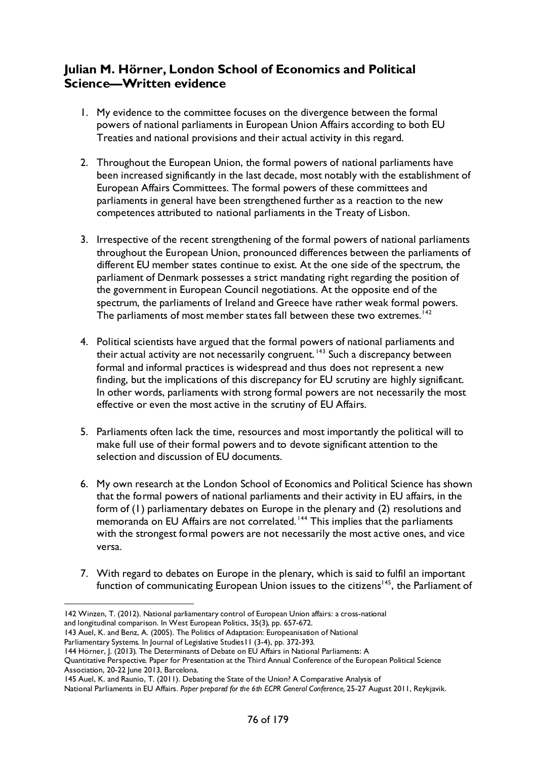## **Julian M. Hörner, London School of Economics and Political Science—Written evidence**

- 1. My evidence to the committee focuses on the divergence between the formal powers of national parliaments in European Union Affairs according to both EU Treaties and national provisions and their actual activity in this regard.
- 2. Throughout the European Union, the formal powers of national parliaments have been increased significantly in the last decade, most notably with the establishment of European Affairs Committees. The formal powers of these committees and parliaments in general have been strengthened further as a reaction to the new competences attributed to national parliaments in the Treaty of Lisbon.
- 3. Irrespective of the recent strengthening of the formal powers of national parliaments throughout the European Union, pronounced differences between the parliaments of different EU member states continue to exist. At the one side of the spectrum, the parliament of Denmark possesses a strict mandating right regarding the position of the government in European Council negotiations. At the opposite end of the spectrum, the parliaments of Ireland and Greece have rather weak formal powers. The parliaments of most member states fall between these two extremes.<sup>[142](#page-75-0)</sup>
- 4. Political scientists have argued that the formal powers of national parliaments and their actual activity are not necessarily congruent. [143](#page-75-1) Such a discrepancy between formal and informal practices is widespread and thus does not represent a new finding, but the implications of this discrepancy for EU scrutiny are highly significant. In other words, parliaments with strong formal powers are not necessarily the most effective or even the most active in the scrutiny of EU Affairs.
- 5. Parliaments often lack the time, resources and most importantly the political will to make full use of their formal powers and to devote significant attention to the selection and discussion of EU documents.
- 6. My own research at the London School of Economics and Political Science has shown that the formal powers of national parliaments and their activity in EU affairs, in the form of (1) parliamentary debates on Europe in the plenary and (2) resolutions and memoranda on EU Affairs are not correlated.<sup>[144](#page-75-2)</sup> This implies that the parliaments with the strongest formal powers are not necessarily the most active ones, and vice versa.
- 7. With regard to debates on Europe in the plenary, which is said to fulfil an important function of communicating European Union issues to the citizens<sup>[145](#page-75-3)</sup>, the Parliament of

<span id="page-75-0"></span> <sup>142</sup> Winzen, T. (2012). National parliamentary control of European Union affairs: a cross-national and longitudinal comparison. In West European Politics, 35(3), pp. 657-672.

<sup>143</sup> Auel, K. and Benz, A. (2005). The Politics of Adaptation: Europeanisation of National

<span id="page-75-1"></span>Parliamentary Systems. In Journal of Legislative Studies II (3-4), pp. 372-393.

<span id="page-75-2"></span><sup>144</sup> Hörner, J. (2013). The Determinants of Debate on EU Affairs in National Parliaments: A

Quantitative Perspective. Paper for Presentation at the Third Annual Conference of the European Political Science Association, 20-22 June 2013, Barcelona.

<span id="page-75-3"></span><sup>145</sup> Auel, K. and Raunio, T. (2011). Debating the State of the Union? A Comparative Analysis of

National Parliaments in EU Affairs. *Paper prepared for the 6th ECPR General Conference,* 25-27 August 2011, Reykjavik.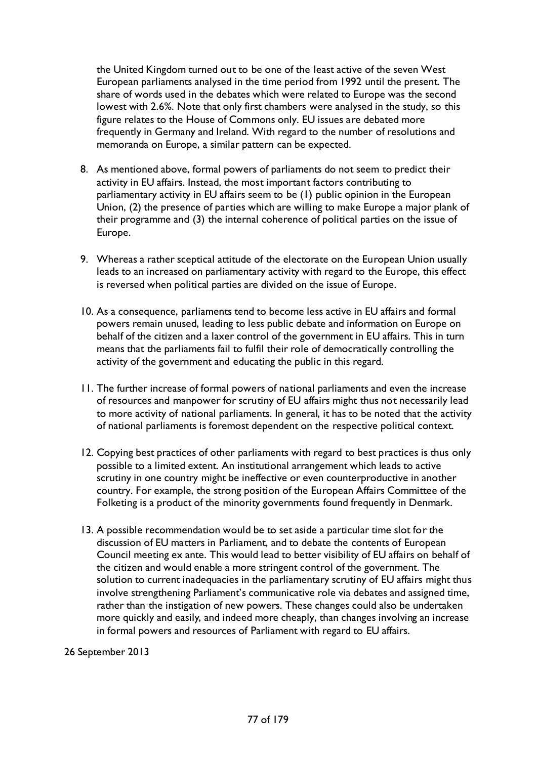the United Kingdom turned out to be one of the least active of the seven West European parliaments analysed in the time period from 1992 until the present. The share of words used in the debates which were related to Europe was the second lowest with 2.6%. Note that only first chambers were analysed in the study, so this figure relates to the House of Commons only. EU issues are debated more frequently in Germany and Ireland. With regard to the number of resolutions and memoranda on Europe, a similar pattern can be expected.

- 8. As mentioned above, formal powers of parliaments do not seem to predict their activity in EU affairs. Instead, the most important factors contributing to parliamentary activity in EU affairs seem to be (1) public opinion in the European Union, (2) the presence of parties which are willing to make Europe a major plank of their programme and (3) the internal coherence of political parties on the issue of Europe.
- 9. Whereas a rather sceptical attitude of the electorate on the European Union usually leads to an increased on parliamentary activity with regard to the Europe, this effect is reversed when political parties are divided on the issue of Europe.
- 10. As a consequence, parliaments tend to become less active in EU affairs and formal powers remain unused, leading to less public debate and information on Europe on behalf of the citizen and a laxer control of the government in EU affairs. This in turn means that the parliaments fail to fulfil their role of democratically controlling the activity of the government and educating the public in this regard.
- 11. The further increase of formal powers of national parliaments and even the increase of resources and manpower for scrutiny of EU affairs might thus not necessarily lead to more activity of national parliaments. In general, it has to be noted that the activity of national parliaments is foremost dependent on the respective political context.
- 12. Copying best practices of other parliaments with regard to best practices is thus only possible to a limited extent. An institutional arrangement which leads to active scrutiny in one country might be ineffective or even counterproductive in another country. For example, the strong position of the European Affairs Committee of the Folketing is a product of the minority governments found frequently in Denmark.
- 13. A possible recommendation would be to set aside a particular time slot for the discussion of EU matters in Parliament, and to debate the contents of European Council meeting ex ante. This would lead to better visibility of EU affairs on behalf of the citizen and would enable a more stringent control of the government. The solution to current inadequacies in the parliamentary scrutiny of EU affairs might thus involve strengthening Parliament's communicative role via debates and assigned time, rather than the instigation of new powers. These changes could also be undertaken more quickly and easily, and indeed more cheaply, than changes involving an increase in formal powers and resources of Parliament with regard to EU affairs.

### 26 September 2013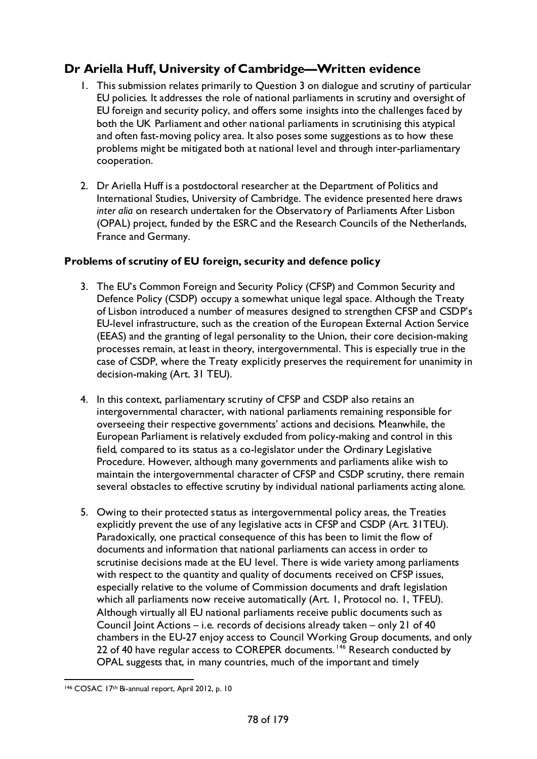# **Dr Ariella Huff, University of Cambridge—Written evidence**

- 1. This submission relates primarily to Question 3 on dialogue and scrutiny of particular EU policies. It addresses the role of national parliaments in scrutiny and oversight of EU foreign and security policy, and offers some insights into the challenges faced by both the UK Parliament and other national parliaments in scrutinising this atypical and often fast-moving policy area. It also poses some suggestions as to how these problems might be mitigated both at national level and through inter-parliamentary cooperation.
- 2. Dr Ariella Huff is a postdoctoral researcher at the Department of Politics and International Studies, University of Cambridge. The evidence presented here draws *inter alia* on research undertaken for the Observatory of Parliaments After Lisbon (OPAL) project, funded by the ESRC and the Research Councils of the Netherlands, France and Germany.

### **Problems of scrutiny of EU foreign, security and defence policy**

- 3. The EU's Common Foreign and Security Policy (CFSP) and Common Security and Defence Policy (CSDP) occupy a somewhat unique legal space. Although the Treaty of Lisbon introduced a number of measures designed to strengthen CFSP and CSDP's EU-level infrastructure, such as the creation of the European External Action Service (EEAS) and the granting of legal personality to the Union, their core decision-making processes remain, at least in theory, intergovernmental. This is especially true in the case of CSDP, where the Treaty explicitly preserves the requirement for unanimity in decision-making (Art. 31 TEU).
- 4. In this context, parliamentary scrutiny of CFSP and CSDP also retains an intergovernmental character, with national parliaments remaining responsible for overseeing their respective governments' actions and decisions. Meanwhile, the European Parliament is relatively excluded from policy-making and control in this field, compared to its status as a co-legislator under the Ordinary Legislative Procedure. However, although many governments and parliaments alike wish to maintain the intergovernmental character of CFSP and CSDP scrutiny, there remain several obstacles to effective scrutiny by individual national parliaments acting alone.
- 5. Owing to their protected status as intergovernmental policy areas, the Treaties explicitly prevent the use of any legislative acts in CFSP and CSDP (Art. 31TEU). Paradoxically, one practical consequence of this has been to limit the flow of documents and information that national parliaments can access in order to scrutinise decisions made at the EU level. There is wide variety among parliaments with respect to the quantity and quality of documents received on CFSP issues, especially relative to the volume of Commission documents and draft legislation which all parliaments now receive automatically (Art. 1, Protocol no. 1, TFEU). Although virtually all EU national parliaments receive public documents such as Council Joint Actions – i.e. records of decisions already taken – only 21 of 40 chambers in the EU-27 enjoy access to Council Working Group documents, and only 22 of 40 have regular access to COREPER documents.<sup>[146](#page-77-0)</sup> Research conducted by OPAL suggests that, in many countries, much of the important and timely

<span id="page-77-0"></span> <sup>146</sup> COSAC 17th Bi-annual report, April 2012, p. 10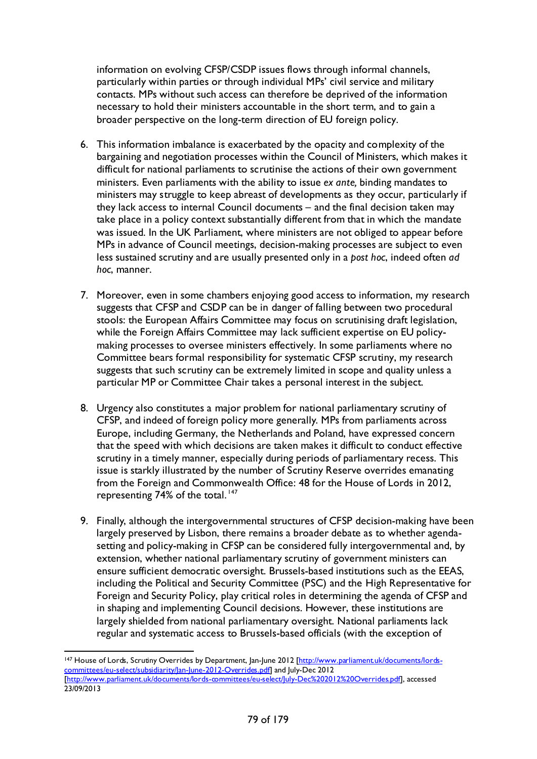information on evolving CFSP/CSDP issues flows through informal channels, particularly within parties or through individual MPs' civil service and military contacts. MPs without such access can therefore be deprived of the information necessary to hold their ministers accountable in the short term, and to gain a broader perspective on the long-term direction of EU foreign policy.

- 6. This information imbalance is exacerbated by the opacity and complexity of the bargaining and negotiation processes within the Council of Ministers, which makes it difficult for national parliaments to scrutinise the actions of their own government ministers. Even parliaments with the ability to issue *ex ante,* binding mandates to ministers may struggle to keep abreast of developments as they occur, particularly if they lack access to internal Council documents – and the final decision taken may take place in a policy context substantially different from that in which the mandate was issued. In the UK Parliament, where ministers are not obliged to appear before MPs in advance of Council meetings, decision-making processes are subject to even less sustained scrutiny and are usually presented only in a *post hoc*, indeed often *ad hoc*, manner.
- 7. Moreover, even in some chambers enjoying good access to information, my research suggests that CFSP and CSDP can be in danger of falling between two procedural stools: the European Affairs Committee may focus on scrutinising draft legislation, while the Foreign Affairs Committee may lack sufficient expertise on EU policymaking processes to oversee ministers effectively. In some parliaments where no Committee bears formal responsibility for systematic CFSP scrutiny, my research suggests that such scrutiny can be extremely limited in scope and quality unless a particular MP or Committee Chair takes a personal interest in the subject.
- 8. Urgency also constitutes a major problem for national parliamentary scrutiny of CFSP, and indeed of foreign policy more generally. MPs from parliaments across Europe, including Germany, the Netherlands and Poland, have expressed concern that the speed with which decisions are taken makes it difficult to conduct effective scrutiny in a timely manner, especially during periods of parliamentary recess. This issue is starkly illustrated by the number of Scrutiny Reserve overrides emanating from the Foreign and Commonwealth Office: 48 for the House of Lords in 2012, representing 74% of the total.<sup>[147](#page-78-0)</sup>
- 9. Finally, although the intergovernmental structures of CFSP decision-making have been largely preserved by Lisbon, there remains a broader debate as to whether agendasetting and policy-making in CFSP can be considered fully intergovernmental and, by extension, whether national parliamentary scrutiny of government ministers can ensure sufficient democratic oversight. Brussels-based institutions such as the EEAS, including the Political and Security Committee (PSC) and the High Representative for Foreign and Security Policy, play critical roles in determining the agenda of CFSP and in shaping and implementing Council decisions. However, these institutions are largely shielded from national parliamentary oversight. National parliaments lack regular and systematic access to Brussels-based officials (with the exception of

<span id="page-78-0"></span><sup>&</sup>lt;sup>147</sup> House of Lords, Scrutiny Overrides by Department, Jan-June 2012 [\[http://www.parliament.uk/documents/lords](http://www.parliament.uk/documents/lords-committees/eu-select/subsidiarity/Jan-June-2012-Overrides.pdf)[committees/eu-select/subsidiarity/Jan-June-2012-Overrides.pdf\]](http://www.parliament.uk/documents/lords-committees/eu-select/subsidiarity/Jan-June-2012-Overrides.pdf) and July-Dec 2012 [\[http://www.parliament.uk/documents/lords-committees/eu-select/July-Dec%202012%20Overrides.pdf\]](http://www.parliament.uk/documents/lords-committees/eu-select/July-Dec%202012%20Overrides.pdf), accessed 23/09/2013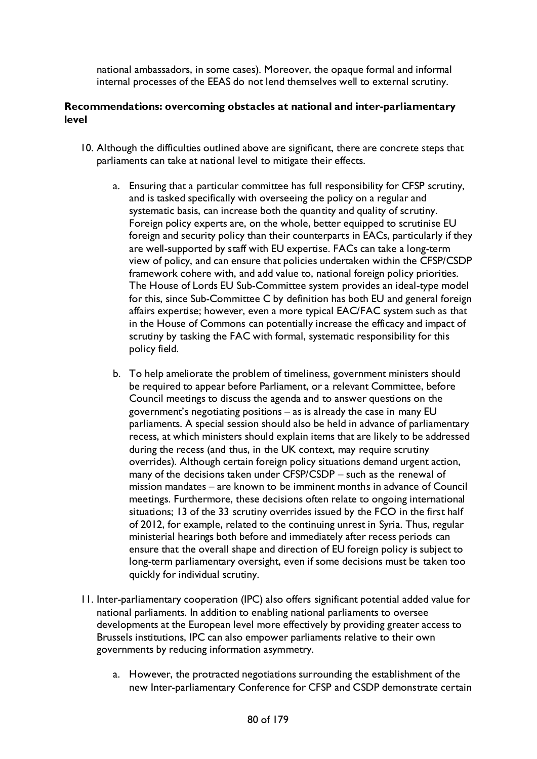national ambassadors, in some cases). Moreover, the opaque formal and informal internal processes of the EEAS do not lend themselves well to external scrutiny.

### **Recommendations: overcoming obstacles at national and inter-parliamentary level**

- 10. Although the difficulties outlined above are significant, there are concrete steps that parliaments can take at national level to mitigate their effects.
	- a. Ensuring that a particular committee has full responsibility for CFSP scrutiny, and is tasked specifically with overseeing the policy on a regular and systematic basis, can increase both the quantity and quality of scrutiny. Foreign policy experts are, on the whole, better equipped to scrutinise EU foreign and security policy than their counterparts in EACs, particularly if they are well-supported by staff with EU expertise. FACs can take a long-term view of policy, and can ensure that policies undertaken within the CFSP/CSDP framework cohere with, and add value to, national foreign policy priorities. The House of Lords EU Sub-Committee system provides an ideal-type model for this, since Sub-Committee C by definition has both EU and general foreign affairs expertise; however, even a more typical EAC/FAC system such as that in the House of Commons can potentially increase the efficacy and impact of scrutiny by tasking the FAC with formal, systematic responsibility for this policy field.
	- b. To help ameliorate the problem of timeliness, government ministers should be required to appear before Parliament, or a relevant Committee, before Council meetings to discuss the agenda and to answer questions on the government's negotiating positions – as is already the case in many EU parliaments. A special session should also be held in advance of parliamentary recess, at which ministers should explain items that are likely to be addressed during the recess (and thus, in the UK context, may require scrutiny overrides). Although certain foreign policy situations demand urgent action, many of the decisions taken under CFSP/CSDP – such as the renewal of mission mandates – are known to be imminent months in advance of Council meetings. Furthermore, these decisions often relate to ongoing international situations; 13 of the 33 scrutiny overrides issued by the FCO in the first half of 2012, for example, related to the continuing unrest in Syria. Thus, regular ministerial hearings both before and immediately after recess periods can ensure that the overall shape and direction of EU foreign policy is subject to long-term parliamentary oversight, even if some decisions must be taken too quickly for individual scrutiny.
- 11. Inter-parliamentary cooperation (IPC) also offers significant potential added value for national parliaments. In addition to enabling national parliaments to oversee developments at the European level more effectively by providing greater access to Brussels institutions, IPC can also empower parliaments relative to their own governments by reducing information asymmetry.
	- a. However, the protracted negotiations surrounding the establishment of the new Inter-parliamentary Conference for CFSP and CSDP demonstrate certain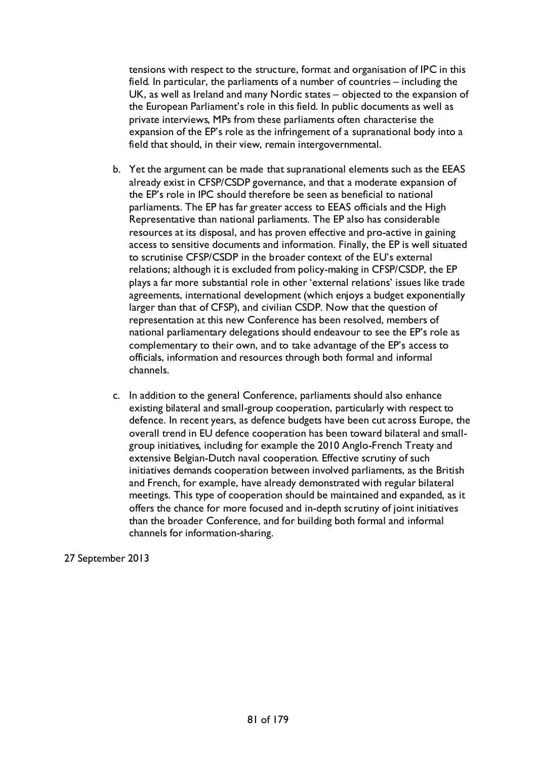tensions with respect to the structure, format and organisation of IPC in this field. In particular, the parliaments of a number of countries – including the UK, as well as Ireland and many Nordic states – objected to the expansion of the European Parliament's role in this field. In public documents as well as private interviews, MPs from these parliaments often characterise the expansion of the EP's role as the infringement of a supranational body into a field that should, in their view, remain intergovernmental.

- b. Yet the argument can be made that supranational elements such as the EEAS already exist in CFSP/CSDP governance, and that a moderate expansion of the EP's role in IPC should therefore be seen as beneficial to national parliaments. The EP has far greater access to EEAS officials and the High Representative than national parliaments. The EP also has considerable resources at its disposal, and has proven effective and pro-active in gaining access to sensitive documents and information. Finally, the EP is well situated to scrutinise CFSP/CSDP in the broader context of the EU's external relations; although it is excluded from policy-making in CFSP/CSDP, the EP plays a far more substantial role in other 'external relations' issues like trade agreements, international development (which enjoys a budget exponentially larger than that of CFSP), and civilian CSDP. Now that the question of representation at this new Conference has been resolved, members of national parliamentary delegations should endeavour to see the EP's role as complementary to their own, and to take advantage of the EP's access to officials, information and resources through both formal and informal channels.
- c. In addition to the general Conference, parliaments should also enhance existing bilateral and small-group cooperation, particularly with respect to defence. In recent years, as defence budgets have been cut across Europe, the overall trend in EU defence cooperation has been toward bilateral and smallgroup initiatives, including for example the 2010 Anglo-French Treaty and extensive Belgian-Dutch naval cooperation. Effective scrutiny of such initiatives demands cooperation between involved parliaments, as the British and French, for example, have already demonstrated with regular bilateral meetings. This type of cooperation should be maintained and expanded, as it offers the chance for more focused and in-depth scrutiny of joint initiatives than the broader Conference, and for building both formal and informal channels for information-sharing.

27 September 2013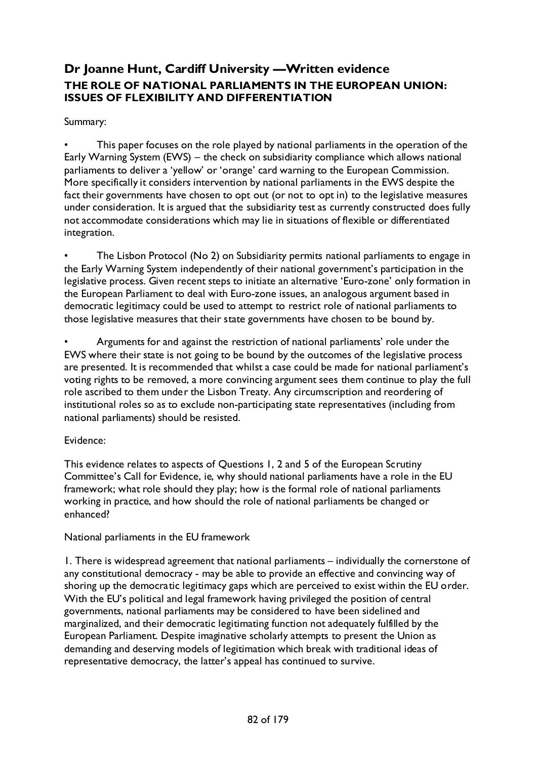## **Dr Joanne Hunt, Cardiff University —Written evidence THE ROLE OF NATIONAL PARLIAMENTS IN THE EUROPEAN UNION: ISSUES OF FLEXIBILITY AND DIFFERENTIATION**

### Summary:

This paper focuses on the role played by national parliaments in the operation of the Early Warning System (EWS) – the check on subsidiarity compliance which allows national parliaments to deliver a 'yellow' or 'orange' card warning to the European Commission. More specifically it considers intervention by national parliaments in the EWS despite the fact their governments have chosen to opt out (or not to opt in) to the legislative measures under consideration. It is argued that the subsidiarity test as currently constructed does fully not accommodate considerations which may lie in situations of flexible or differentiated integration.

The Lisbon Protocol (No 2) on Subsidiarity permits national parliaments to engage in the Early Warning System independently of their national government's participation in the legislative process. Given recent steps to initiate an alternative 'Euro-zone' only formation in the European Parliament to deal with Euro-zone issues, an analogous argument based in democratic legitimacy could be used to attempt to restrict role of national parliaments to those legislative measures that their state governments have chosen to be bound by.

• Arguments for and against the restriction of national parliaments' role under the EWS where their state is not going to be bound by the outcomes of the legislative process are presented. It is recommended that whilst a case could be made for national parliament's voting rights to be removed, a more convincing argument sees them continue to play the full role ascribed to them under the Lisbon Treaty. Any circumscription and reordering of institutional roles so as to exclude non-participating state representatives (including from national parliaments) should be resisted.

### Evidence:

This evidence relates to aspects of Questions 1, 2 and 5 of the European Scrutiny Committee's Call for Evidence, ie, why should national parliaments have a role in the EU framework; what role should they play; how is the formal role of national parliaments working in practice, and how should the role of national parliaments be changed or enhanced?

### National parliaments in the EU framework

1. There is widespread agreement that national parliaments – individually the cornerstone of any constitutional democracy - may be able to provide an effective and convincing way of shoring up the democratic legitimacy gaps which are perceived to exist within the EU order. With the EU's political and legal framework having privileged the position of central governments, national parliaments may be considered to have been sidelined and marginalized, and their democratic legitimating function not adequately fulfilled by the European Parliament. Despite imaginative scholarly attempts to present the Union as demanding and deserving models of legitimation which break with traditional ideas of representative democracy, the latter's appeal has continued to survive.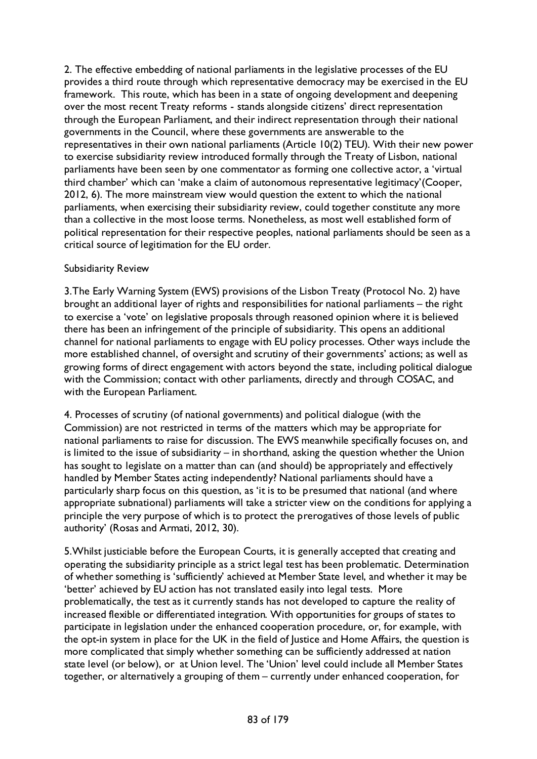2. The effective embedding of national parliaments in the legislative processes of the EU provides a third route through which representative democracy may be exercised in the EU framework. This route, which has been in a state of ongoing development and deepening over the most recent Treaty reforms - stands alongside citizens' direct representation through the European Parliament, and their indirect representation through their national governments in the Council, where these governments are answerable to the representatives in their own national parliaments (Article 10(2) TEU). With their new power to exercise subsidiarity review introduced formally through the Treaty of Lisbon, national parliaments have been seen by one commentator as forming one collective actor, a 'virtual third chamber' which can 'make a claim of autonomous representative legitimacy'(Cooper, 2012, 6). The more mainstream view would question the extent to which the national parliaments, when exercising their subsidiarity review, could together constitute any more than a collective in the most loose terms. Nonetheless, as most well established form of political representation for their respective peoples, national parliaments should be seen as a critical source of legitimation for the EU order.

## Subsidiarity Review

3.The Early Warning System (EWS) provisions of the Lisbon Treaty (Protocol No. 2) have brought an additional layer of rights and responsibilities for national parliaments – the right to exercise a 'vote' on legislative proposals through reasoned opinion where it is believed there has been an infringement of the principle of subsidiarity. This opens an additional channel for national parliaments to engage with EU policy processes. Other ways include the more established channel, of oversight and scrutiny of their governments' actions; as well as growing forms of direct engagement with actors beyond the state, including political dialogue with the Commission; contact with other parliaments, directly and through COSAC, and with the European Parliament.

4. Processes of scrutiny (of national governments) and political dialogue (with the Commission) are not restricted in terms of the matters which may be appropriate for national parliaments to raise for discussion. The EWS meanwhile specifically focuses on, and is limited to the issue of subsidiarity – in shorthand, asking the question whether the Union has sought to legislate on a matter than can (and should) be appropriately and effectively handled by Member States acting independently? National parliaments should have a particularly sharp focus on this question, as 'it is to be presumed that national (and where appropriate subnational) parliaments will take a stricter view on the conditions for applying a principle the very purpose of which is to protect the prerogatives of those levels of public authority' (Rosas and Armati, 2012, 30).

5.Whilst justiciable before the European Courts, it is generally accepted that creating and operating the subsidiarity principle as a strict legal test has been problematic. Determination of whether something is 'sufficiently' achieved at Member State level, and whether it may be 'better' achieved by EU action has not translated easily into legal tests. More problematically, the test as it currently stands has not developed to capture the reality of increased flexible or differentiated integration. With opportunities for groups of states to participate in legislation under the enhanced cooperation procedure, or, for example, with the opt-in system in place for the UK in the field of Justice and Home Affairs, the question is more complicated that simply whether something can be sufficiently addressed at nation state level (or below), or at Union level. The 'Union' level could include all Member States together, or alternatively a grouping of them – currently under enhanced cooperation, for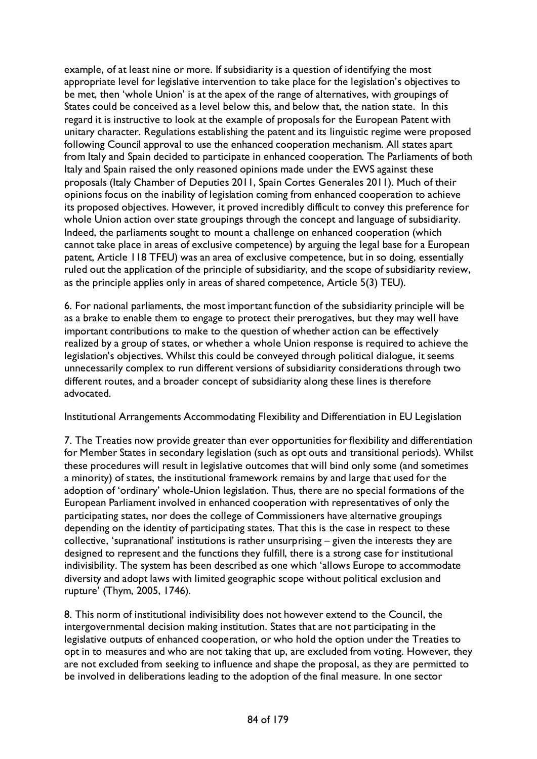example, of at least nine or more. If subsidiarity is a question of identifying the most appropriate level for legislative intervention to take place for the legislation's objectives to be met, then 'whole Union' is at the apex of the range of alternatives, with groupings of States could be conceived as a level below this, and below that, the nation state. In this regard it is instructive to look at the example of proposals for the European Patent with unitary character. Regulations establishing the patent and its linguistic regime were proposed following Council approval to use the enhanced cooperation mechanism. All states apart from Italy and Spain decided to participate in enhanced cooperation. The Parliaments of both Italy and Spain raised the only reasoned opinions made under the EWS against these proposals (Italy Chamber of Deputies 2011, Spain Cortes Generales 2011). Much of their opinions focus on the inability of legislation coming from enhanced cooperation to achieve its proposed objectives. However, it proved incredibly difficult to convey this preference for whole Union action over state groupings through the concept and language of subsidiarity. Indeed, the parliaments sought to mount a challenge on enhanced cooperation (which cannot take place in areas of exclusive competence) by arguing the legal base for a European patent, Article 118 TFEU) was an area of exclusive competence, but in so doing, essentially ruled out the application of the principle of subsidiarity, and the scope of subsidiarity review, as the principle applies only in areas of shared competence, Article 5(3) TEU).

6. For national parliaments, the most important function of the subsidiarity principle will be as a brake to enable them to engage to protect their prerogatives, but they may well have important contributions to make to the question of whether action can be effectively realized by a group of states, or whether a whole Union response is required to achieve the legislation's objectives. Whilst this could be conveyed through political dialogue, it seems unnecessarily complex to run different versions of subsidiarity considerations through two different routes, and a broader concept of subsidiarity along these lines is therefore advocated.

Institutional Arrangements Accommodating Flexibility and Differentiation in EU Legislation

7. The Treaties now provide greater than ever opportunities for flexibility and differentiation for Member States in secondary legislation (such as opt outs and transitional periods). Whilst these procedures will result in legislative outcomes that will bind only some (and sometimes a minority) of states, the institutional framework remains by and large that used for the adoption of 'ordinary' whole-Union legislation. Thus, there are no special formations of the European Parliament involved in enhanced cooperation with representatives of only the participating states, nor does the college of Commissioners have alternative groupings depending on the identity of participating states. That this is the case in respect to these collective, 'supranational' institutions is rather unsurprising – given the interests they are designed to represent and the functions they fulfill, there is a strong case for institutional indivisibility. The system has been described as one which 'allows Europe to accommodate diversity and adopt laws with limited geographic scope without political exclusion and rupture' (Thym, 2005, 1746).

8. This norm of institutional indivisibility does not however extend to the Council, the intergovernmental decision making institution. States that are not participating in the legislative outputs of enhanced cooperation, or who hold the option under the Treaties to opt in to measures and who are not taking that up, are excluded from voting. However, they are not excluded from seeking to influence and shape the proposal, as they are permitted to be involved in deliberations leading to the adoption of the final measure. In one sector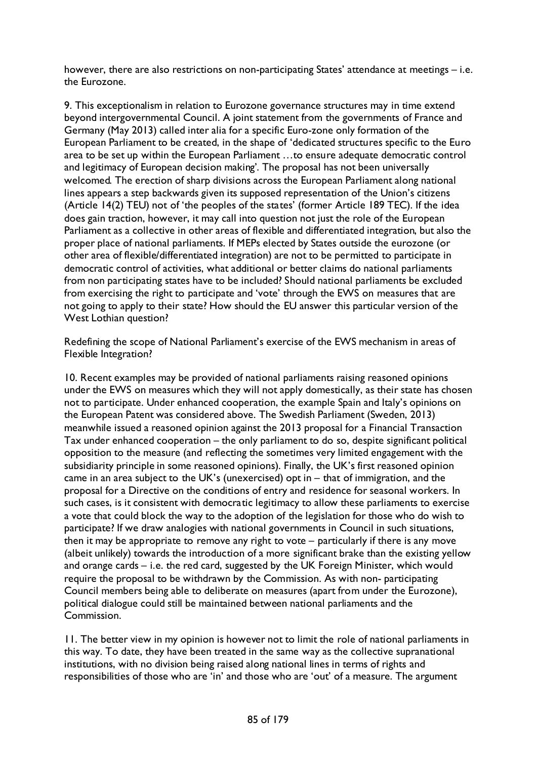however, there are also restrictions on non-participating States' attendance at meetings – i.e. the Eurozone.

9. This exceptionalism in relation to Eurozone governance structures may in time extend beyond intergovernmental Council. A joint statement from the governments of France and Germany (May 2013) called inter alia for a specific Euro-zone only formation of the European Parliament to be created, in the shape of 'dedicated structures specific to the Euro area to be set up within the European Parliament …to ensure adequate democratic control and legitimacy of European decision making'. The proposal has not been universally welcomed. The erection of sharp divisions across the European Parliament along national lines appears a step backwards given its supposed representation of the Union's citizens (Article 14(2) TEU) not of 'the peoples of the states' (former Article 189 TEC). If the idea does gain traction, however, it may call into question not just the role of the European Parliament as a collective in other areas of flexible and differentiated integration, but also the proper place of national parliaments. If MEPs elected by States outside the eurozone (or other area of flexible/differentiated integration) are not to be permitted to participate in democratic control of activities, what additional or better claims do national parliaments from non participating states have to be included? Should national parliaments be excluded from exercising the right to participate and 'vote' through the EWS on measures that are not going to apply to their state? How should the EU answer this particular version of the West Lothian question?

Redefining the scope of National Parliament's exercise of the EWS mechanism in areas of Flexible Integration?

10. Recent examples may be provided of national parliaments raising reasoned opinions under the EWS on measures which they will not apply domestically, as their state has chosen not to participate. Under enhanced cooperation, the example Spain and Italy's opinions on the European Patent was considered above. The Swedish Parliament (Sweden, 2013) meanwhile issued a reasoned opinion against the 2013 proposal for a Financial Transaction Tax under enhanced cooperation – the only parliament to do so, despite significant political opposition to the measure (and reflecting the sometimes very limited engagement with the subsidiarity principle in some reasoned opinions). Finally, the UK's first reasoned opinion came in an area subject to the UK's (unexercised) opt in – that of immigration, and the proposal for a Directive on the conditions of entry and residence for seasonal workers. In such cases, is it consistent with democratic legitimacy to allow these parliaments to exercise a vote that could block the way to the adoption of the legislation for those who do wish to participate? If we draw analogies with national governments in Council in such situations, then it may be appropriate to remove any right to vote – particularly if there is any move (albeit unlikely) towards the introduction of a more significant brake than the existing yellow and orange cards – i.e. the red card, suggested by the UK Foreign Minister, which would require the proposal to be withdrawn by the Commission. As with non- participating Council members being able to deliberate on measures (apart from under the Eurozone), political dialogue could still be maintained between national parliaments and the Commission.

11. The better view in my opinion is however not to limit the role of national parliaments in this way. To date, they have been treated in the same way as the collective supranational institutions, with no division being raised along national lines in terms of rights and responsibilities of those who are 'in' and those who are 'out' of a measure. The argument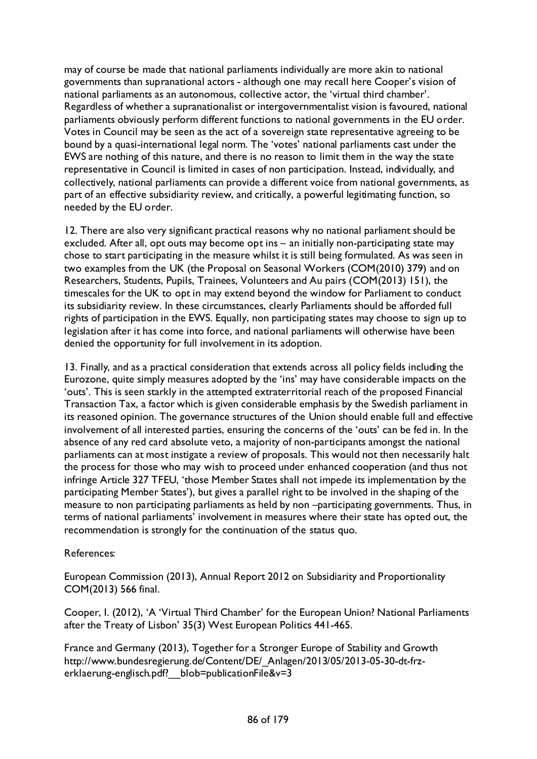may of course be made that national parliaments individually are more akin to national governments than supranational actors - although one may recall here Cooper's vision of national parliaments as an autonomous, collective actor, the 'virtual third chamber'. Regardless of whether a supranationalist or intergovernmentalist vision is favoured, national parliaments obviously perform different functions to national governments in the EU order. Votes in Council may be seen as the act of a sovereign state representative agreeing to be bound by a quasi-international legal norm. The 'votes' national parliaments cast under the EWS are nothing of this nature, and there is no reason to limit them in the way the state representative in Council is limited in cases of non participation. Instead, individually, and collectively, national parliaments can provide a different voice from national governments, as part of an effective subsidiarity review, and critically, a powerful legitimating function, so needed by the EU order.

12. There are also very significant practical reasons why no national parliament should be excluded. After all, opt outs may become opt ins – an initially non-participating state may chose to start participating in the measure whilst it is still being formulated. As was seen in two examples from the UK (the Proposal on Seasonal Workers (COM(2010) 379) and on Researchers, Students, Pupils, Trainees, Volunteers and Au pairs (COM(2013) 151), the timescales for the UK to opt in may extend beyond the window for Parliament to conduct its subsidiarity review. In these circumstances, clearly Parliaments should be afforded full rights of participation in the EWS. Equally, non participating states may choose to sign up to legislation after it has come into force, and national parliaments will otherwise have been denied the opportunity for full involvement in its adoption.

13. Finally, and as a practical consideration that extends across all policy fields including the Eurozone, quite simply measures adopted by the 'ins' may have considerable impacts on the 'outs'. This is seen starkly in the attempted extraterritorial reach of the proposed Financial Transaction Tax, a factor which is given considerable emphasis by the Swedish parliament in its reasoned opinion. The governance structures of the Union should enable full and effective involvement of all interested parties, ensuring the concerns of the 'outs' can be fed in. In the absence of any red card absolute veto, a majority of non-participants amongst the national parliaments can at most instigate a review of proposals. This would not then necessarily halt the process for those who may wish to proceed under enhanced cooperation (and thus not infringe Article 327 TFEU, 'those Member States shall not impede its implementation by the participating Member States'), but gives a parallel right to be involved in the shaping of the measure to non participating parliaments as held by non –participating governments. Thus, in terms of national parliaments' involvement in measures where their state has opted out, the recommendation is strongly for the continuation of the status quo.

### References:

European Commission (2013), Annual Report 2012 on Subsidiarity and Proportionality COM(2013) 566 final.

Cooper, I. (2012), 'A 'Virtual Third Chamber' for the European Union? National Parliaments after the Treaty of Lisbon' 35(3) West European Politics 441-465.

France and Germany (2013), Together for a Stronger Europe of Stability and Growth http://www.bundesregierung.de/Content/DE/\_Anlagen/2013/05/2013-05-30-dt-frzerklaerung-englisch.pdf? blob=publicationFile&v=3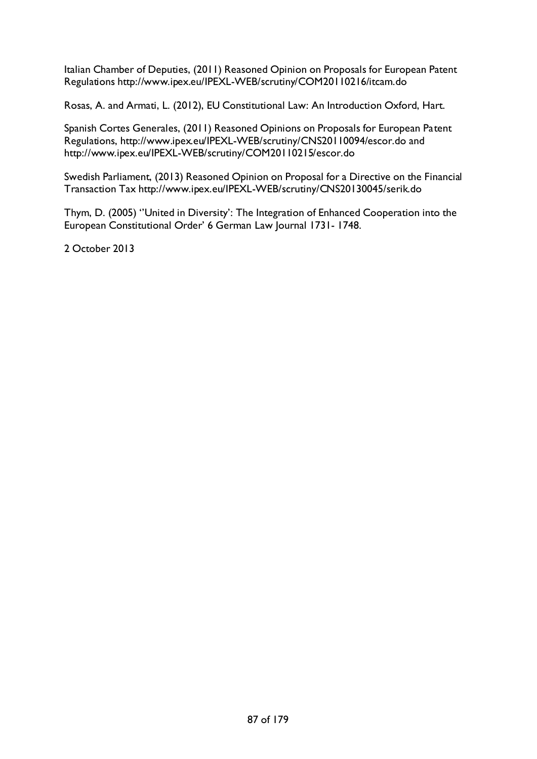Italian Chamber of Deputies, (2011) Reasoned Opinion on Proposals for European Patent Regulations http://www.ipex.eu/IPEXL-WEB/scrutiny/COM20110216/itcam.do

Rosas, A. and Armati, L. (2012), EU Constitutional Law: An Introduction Oxford, Hart.

Spanish Cortes Generales, (2011) Reasoned Opinions on Proposals for European Patent Regulations, http://www.ipex.eu/IPEXL-WEB/scrutiny/CNS20110094/escor.do and http://www.ipex.eu/IPEXL-WEB/scrutiny/COM20110215/escor.do

Swedish Parliament, (2013) Reasoned Opinion on Proposal for a Directive on the Financial Transaction Tax http://www.ipex.eu/IPEXL-WEB/scrutiny/CNS20130045/serik.do

Thym, D. (2005) ''United in Diversity': The Integration of Enhanced Cooperation into the European Constitutional Order' 6 German Law Journal 1731- 1748.

2 October 2013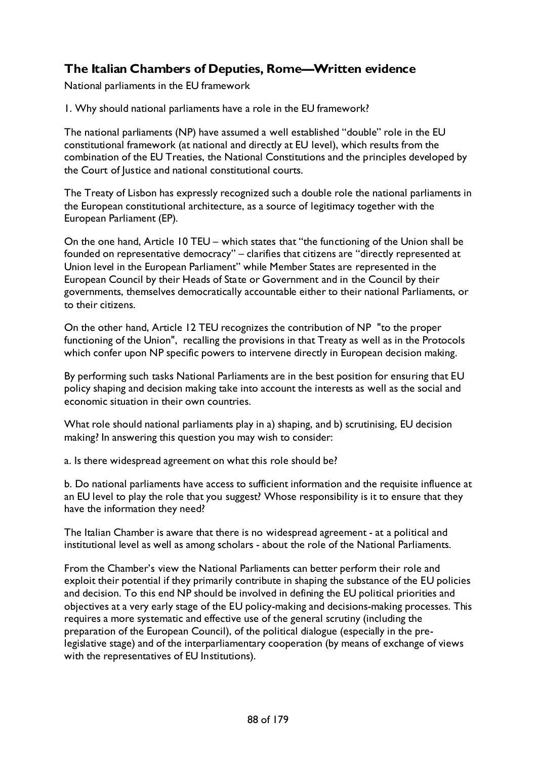# **The Italian Chambers of Deputies, Rome—Written evidence**

National parliaments in the EU framework

1. Why should national parliaments have a role in the EU framework?

The national parliaments (NP) have assumed a well established "double" role in the EU constitutional framework (at national and directly at EU level), which results from the combination of the EU Treaties, the National Constitutions and the principles developed by the Court of Justice and national constitutional courts.

The Treaty of Lisbon has expressly recognized such a double role the national parliaments in the European constitutional architecture, as a source of legitimacy together with the European Parliament (EP).

On the one hand, Article 10 TEU – which states that "the functioning of the Union shall be founded on representative democracy" – clarifies that citizens are "directly represented at Union level in the European Parliament" while Member States are represented in the European Council by their Heads of State or Government and in the Council by their governments, themselves democratically accountable either to their national Parliaments, or to their citizens.

On the other hand, Article 12 TEU recognizes the contribution of NP "to the proper functioning of the Union", recalling the provisions in that Treaty as well as in the Protocols which confer upon NP specific powers to intervene directly in European decision making.

By performing such tasks National Parliaments are in the best position for ensuring that EU policy shaping and decision making take into account the interests as well as the social and economic situation in their own countries.

What role should national parliaments play in a) shaping, and b) scrutinising, EU decision making? In answering this question you may wish to consider:

a. Is there widespread agreement on what this role should be?

b. Do national parliaments have access to sufficient information and the requisite influence at an EU level to play the role that you suggest? Whose responsibility is it to ensure that they have the information they need?

The Italian Chamber is aware that there is no widespread agreement - at a political and institutional level as well as among scholars - about the role of the National Parliaments.

From the Chamber's view the National Parliaments can better perform their role and exploit their potential if they primarily contribute in shaping the substance of the EU policies and decision. To this end NP should be involved in defining the EU political priorities and objectives at a very early stage of the EU policy-making and decisions-making processes. This requires a more systematic and effective use of the general scrutiny (including the preparation of the European Council), of the political dialogue (especially in the prelegislative stage) and of the interparliamentary cooperation (by means of exchange of views with the representatives of EU Institutions).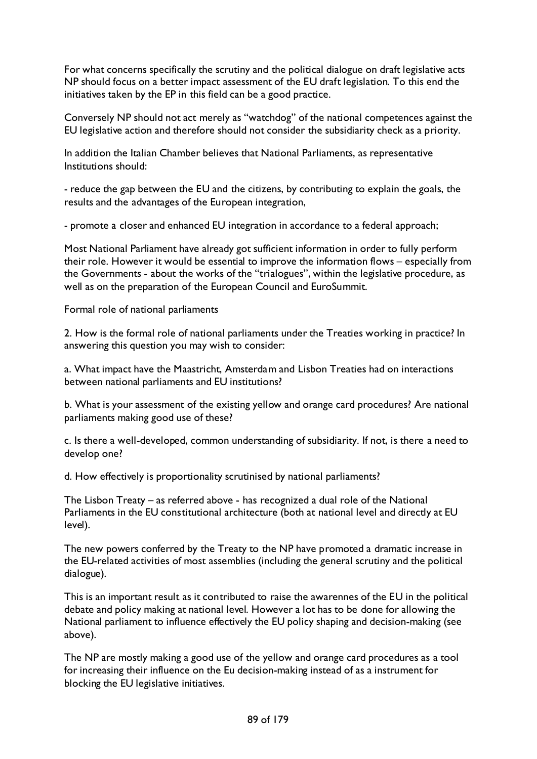For what concerns specifically the scrutiny and the political dialogue on draft legislative acts NP should focus on a better impact assessment of the EU draft legislation. To this end the initiatives taken by the EP in this field can be a good practice.

Conversely NP should not act merely as "watchdog" of the national competences against the EU legislative action and therefore should not consider the subsidiarity check as a priority.

In addition the Italian Chamber believes that National Parliaments, as representative Institutions should:

- reduce the gap between the EU and the citizens, by contributing to explain the goals, the results and the advantages of the European integration,

- promote a closer and enhanced EU integration in accordance to a federal approach;

Most National Parliament have already got sufficient information in order to fully perform their role. However it would be essential to improve the information flows – especially from the Governments - about the works of the "trialogues", within the legislative procedure, as well as on the preparation of the European Council and EuroSummit.

Formal role of national parliaments

2. How is the formal role of national parliaments under the Treaties working in practice? In answering this question you may wish to consider:

a. What impact have the Maastricht, Amsterdam and Lisbon Treaties had on interactions between national parliaments and EU institutions?

b. What is your assessment of the existing yellow and orange card procedures? Are national parliaments making good use of these?

c. Is there a well-developed, common understanding of subsidiarity. If not, is there a need to develop one?

d. How effectively is proportionality scrutinised by national parliaments?

The Lisbon Treaty – as referred above - has recognized a dual role of the National Parliaments in the EU constitutional architecture (both at national level and directly at EU level).

The new powers conferred by the Treaty to the NP have promoted a dramatic increase in the EU-related activities of most assemblies (including the general scrutiny and the political dialogue).

This is an important result as it contributed to raise the awarennes of the EU in the political debate and policy making at national level. However a lot has to be done for allowing the National parliament to influence effectively the EU policy shaping and decision-making (see above).

The NP are mostly making a good use of the yellow and orange card procedures as a tool for increasing their influence on the Eu decision-making instead of as a instrument for blocking the EU legislative initiatives.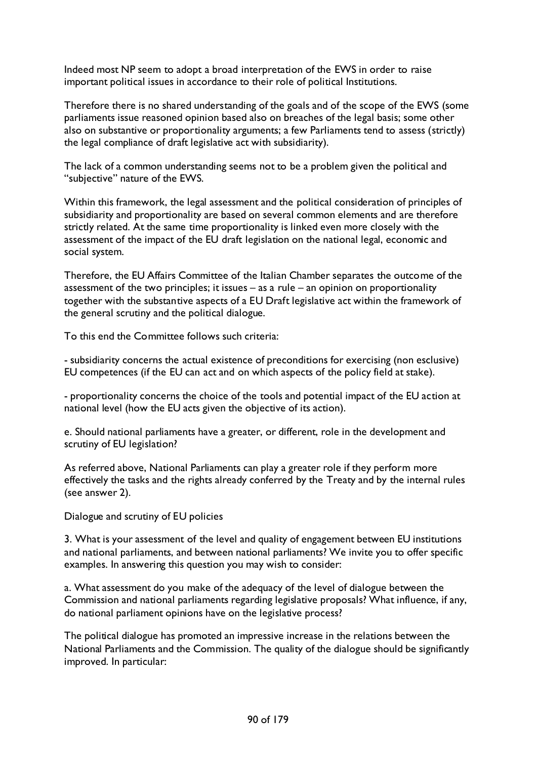Indeed most NP seem to adopt a broad interpretation of the EWS in order to raise important political issues in accordance to their role of political Institutions.

Therefore there is no shared understanding of the goals and of the scope of the EWS (some parliaments issue reasoned opinion based also on breaches of the legal basis; some other also on substantive or proportionality arguments; a few Parliaments tend to assess (strictly) the legal compliance of draft legislative act with subsidiarity).

The lack of a common understanding seems not to be a problem given the political and "subjective" nature of the EWS.

Within this framework, the legal assessment and the political consideration of principles of subsidiarity and proportionality are based on several common elements and are therefore strictly related. At the same time proportionality is linked even more closely with the assessment of the impact of the EU draft legislation on the national legal, economic and social system.

Therefore, the EU Affairs Committee of the Italian Chamber separates the outcome of the assessment of the two principles; it issues – as a rule – an opinion on proportionality together with the substantive aspects of a EU Draft legislative act within the framework of the general scrutiny and the political dialogue.

To this end the Committee follows such criteria:

- subsidiarity concerns the actual existence of preconditions for exercising (non esclusive) EU competences (if the EU can act and on which aspects of the policy field at stake).

- proportionality concerns the choice of the tools and potential impact of the EU action at national level (how the EU acts given the objective of its action).

e. Should national parliaments have a greater, or different, role in the development and scrutiny of EU legislation?

As referred above, National Parliaments can play a greater role if they perform more effectively the tasks and the rights already conferred by the Treaty and by the internal rules (see answer 2).

Dialogue and scrutiny of EU policies

3. What is your assessment of the level and quality of engagement between EU institutions and national parliaments, and between national parliaments? We invite you to offer specific examples. In answering this question you may wish to consider:

a. What assessment do you make of the adequacy of the level of dialogue between the Commission and national parliaments regarding legislative proposals? What influence, if any, do national parliament opinions have on the legislative process?

The political dialogue has promoted an impressive increase in the relations between the National Parliaments and the Commission. The quality of the dialogue should be significantly improved. In particular: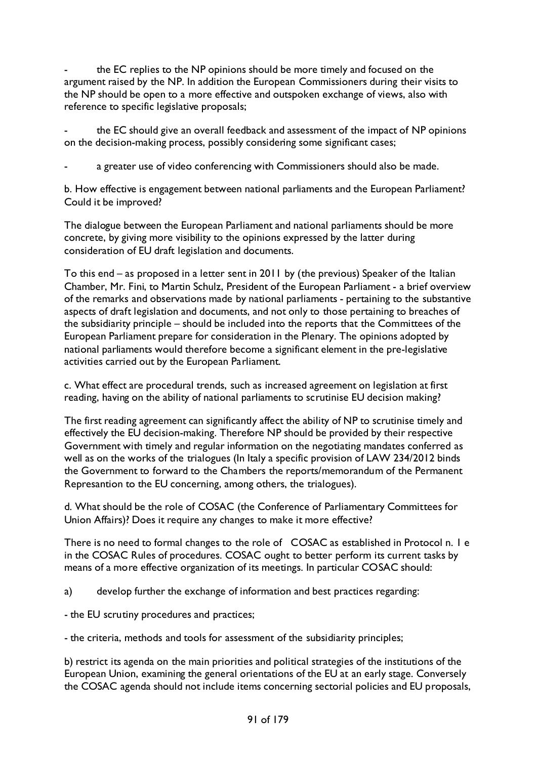the EC replies to the NP opinions should be more timely and focused on the argument raised by the NP. In addition the European Commissioners during their visits to the NP should be open to a more effective and outspoken exchange of views, also with reference to specific legislative proposals;

the EC should give an overall feedback and assessment of the impact of NP opinions on the decision-making process, possibly considering some significant cases;

a greater use of video conferencing with Commissioners should also be made.

b. How effective is engagement between national parliaments and the European Parliament? Could it be improved?

The dialogue between the European Parliament and national parliaments should be more concrete, by giving more visibility to the opinions expressed by the latter during consideration of EU draft legislation and documents.

To this end – as proposed in a letter sent in 2011 by (the previous) Speaker of the Italian Chamber, Mr. Fini, to Martin Schulz, President of the European Parliament - a brief overview of the remarks and observations made by national parliaments - pertaining to the substantive aspects of draft legislation and documents, and not only to those pertaining to breaches of the subsidiarity principle – should be included into the reports that the Committees of the European Parliament prepare for consideration in the Plenary. The opinions adopted by national parliaments would therefore become a significant element in the pre-legislative activities carried out by the European Parliament.

c. What effect are procedural trends, such as increased agreement on legislation at first reading, having on the ability of national parliaments to scrutinise EU decision making?

The first reading agreement can significantly affect the ability of NP to scrutinise timely and effectively the EU decision-making. Therefore NP should be provided by their respective Government with timely and regular information on the negotiating mandates conferred as well as on the works of the trialogues (In Italy a specific provision of LAW 234/2012 binds the Government to forward to the Chambers the reports/memorandum of the Permanent Represantion to the EU concerning, among others, the trialogues).

d. What should be the role of COSAC (the Conference of Parliamentary Committees for Union Affairs)? Does it require any changes to make it more effective?

There is no need to formal changes to the role of COSAC as established in Protocol n. 1 e in the COSAC Rules of procedures. COSAC ought to better perform its current tasks by means of a more effective organization of its meetings. In particular COSAC should:

a) develop further the exchange of information and best practices regarding:

- the EU scrutiny procedures and practices;

- the criteria, methods and tools for assessment of the subsidiarity principles;

b) restrict its agenda on the main priorities and political strategies of the institutions of the European Union, examining the general orientations of the EU at an early stage. Conversely the COSAC agenda should not include items concerning sectorial policies and EU proposals,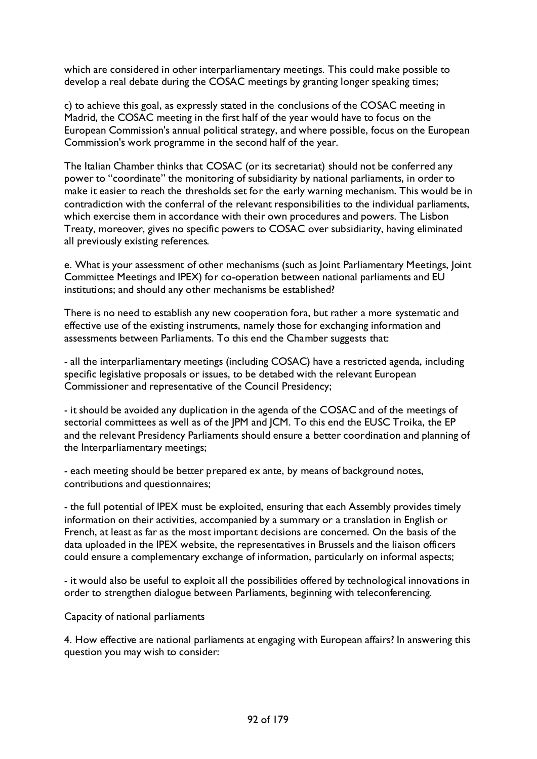which are considered in other interparliamentary meetings. This could make possible to develop a real debate during the COSAC meetings by granting longer speaking times;

c) to achieve this goal, as expressly stated in the conclusions of the COSAC meeting in Madrid, the COSAC meeting in the first half of the year would have to focus on the European Commission's annual political strategy, and where possible, focus on the European Commission's work programme in the second half of the year.

The Italian Chamber thinks that COSAC (or its secretariat) should not be conferred any power to "coordinate" the monitoring of subsidiarity by national parliaments, in order to make it easier to reach the thresholds set for the early warning mechanism. This would be in contradiction with the conferral of the relevant responsibilities to the individual parliaments, which exercise them in accordance with their own procedures and powers. The Lisbon Treaty, moreover, gives no specific powers to COSAC over subsidiarity, having eliminated all previously existing references.

e. What is your assessment of other mechanisms (such as Joint Parliamentary Meetings, Joint Committee Meetings and IPEX) for co-operation between national parliaments and EU institutions; and should any other mechanisms be established?

There is no need to establish any new cooperation fora, but rather a more systematic and effective use of the existing instruments, namely those for exchanging information and assessments between Parliaments. To this end the Chamber suggests that:

- all the interparliamentary meetings (including COSAC) have a restricted agenda, including specific legislative proposals or issues, to be detabed with the relevant European Commissioner and representative of the Council Presidency;

- it should be avoided any duplication in the agenda of the COSAC and of the meetings of sectorial committees as well as of the JPM and JCM. To this end the EUSC Troika, the EP and the relevant Presidency Parliaments should ensure a better coordination and planning of the Interparliamentary meetings;

- each meeting should be better prepared ex ante, by means of background notes, contributions and questionnaires;

- the full potential of IPEX must be exploited, ensuring that each Assembly provides timely information on their activities, accompanied by a summary or a translation in English or French, at least as far as the most important decisions are concerned. On the basis of the data uploaded in the IPEX website, the representatives in Brussels and the liaison officers could ensure a complementary exchange of information, particularly on informal aspects;

- it would also be useful to exploit all the possibilities offered by technological innovations in order to strengthen dialogue between Parliaments, beginning with teleconferencing.

Capacity of national parliaments

4. How effective are national parliaments at engaging with European affairs? In answering this question you may wish to consider: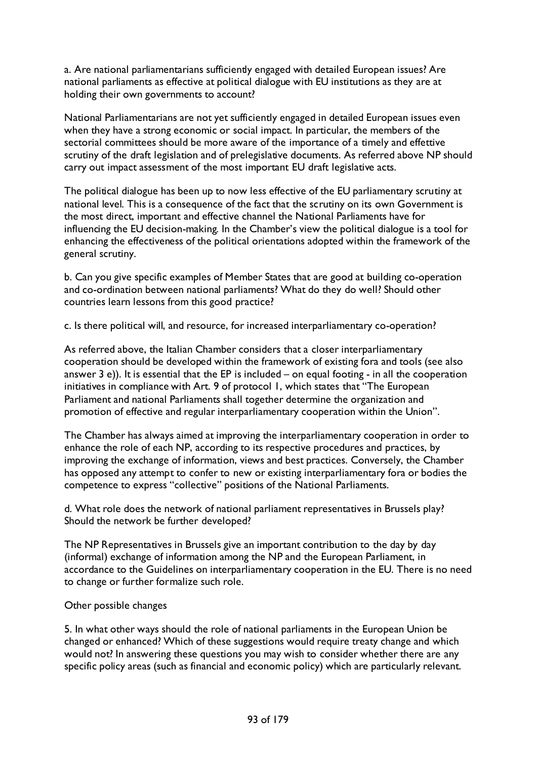a. Are national parliamentarians sufficiently engaged with detailed European issues? Are national parliaments as effective at political dialogue with EU institutions as they are at holding their own governments to account?

National Parliamentarians are not yet sufficiently engaged in detailed European issues even when they have a strong economic or social impact. In particular, the members of the sectorial committees should be more aware of the importance of a timely and effettive scrutiny of the draft legislation and of prelegislative documents. As referred above NP should carry out impact assessment of the most important EU draft legislative acts.

The political dialogue has been up to now less effective of the EU parliamentary scrutiny at national level. This is a consequence of the fact that the scrutiny on its own Government is the most direct, important and effective channel the National Parliaments have for influencing the EU decision-making. In the Chamber's view the political dialogue is a tool for enhancing the effectiveness of the political orientations adopted within the framework of the general scrutiny.

b. Can you give specific examples of Member States that are good at building co-operation and co-ordination between national parliaments? What do they do well? Should other countries learn lessons from this good practice?

c. Is there political will, and resource, for increased interparliamentary co-operation?

As referred above, the Italian Chamber considers that a closer interparliamentary cooperation should be developed within the framework of existing fora and tools (see also answer  $3$  e)). It is essential that the EP is included – on equal footing - in all the cooperation initiatives in compliance with Art. 9 of protocol 1, which states that "The European Parliament and national Parliaments shall together determine the organization and promotion of effective and regular interparliamentary cooperation within the Union".

The Chamber has always aimed at improving the interparliamentary cooperation in order to enhance the role of each NP, according to its respective procedures and practices, by improving the exchange of information, views and best practices. Conversely, the Chamber has opposed any attempt to confer to new or existing interparliamentary fora or bodies the competence to express "collective" positions of the National Parliaments.

d. What role does the network of national parliament representatives in Brussels play? Should the network be further developed?

The NP Representatives in Brussels give an important contribution to the day by day (informal) exchange of information among the NP and the European Parliament, in accordance to the Guidelines on interparliamentary cooperation in the EU. There is no need to change or further formalize such role.

### Other possible changes

5. In what other ways should the role of national parliaments in the European Union be changed or enhanced? Which of these suggestions would require treaty change and which would not? In answering these questions you may wish to consider whether there are any specific policy areas (such as financial and economic policy) which are particularly relevant.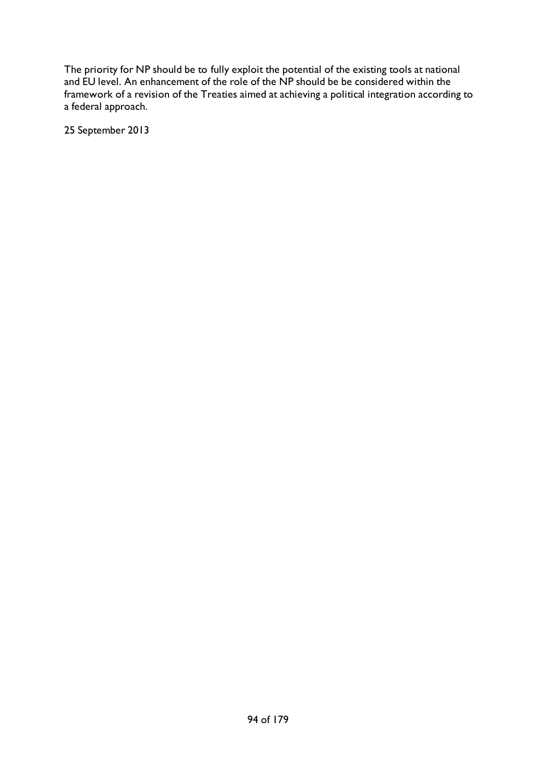The priority for NP should be to fully exploit the potential of the existing tools at national and EU level. An enhancement of the role of the NP should be be considered within the framework of a revision of the Treaties aimed at achieving a political integration according to a federal approach.

25 September 2013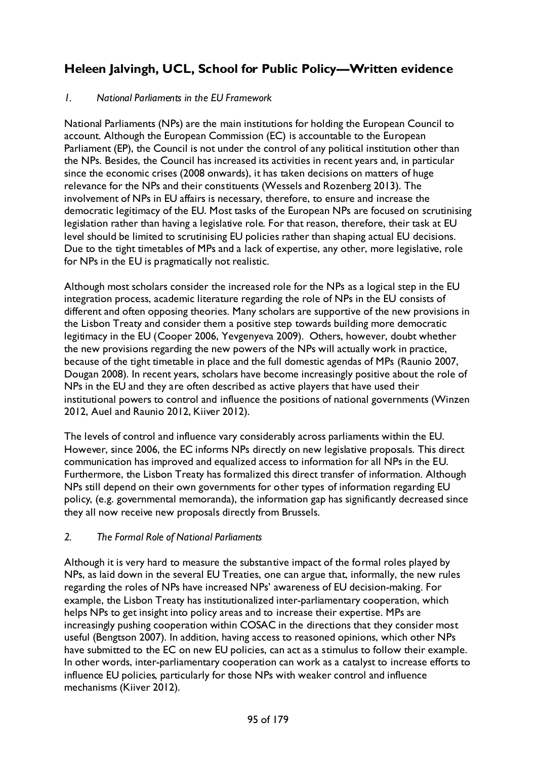# **Heleen Jalvingh, UCL, School for Public Policy—Written evidence**

### *1. National Parliaments in the EU Framework*

National Parliaments (NPs) are the main institutions for holding the European Council to account. Although the European Commission (EC) is accountable to the European Parliament (EP), the Council is not under the control of any political institution other than the NPs. Besides, the Council has increased its activities in recent years and, in particular since the economic crises (2008 onwards), it has taken decisions on matters of huge relevance for the NPs and their constituents (Wessels and Rozenberg 2013). The involvement of NPs in EU affairs is necessary, therefore, to ensure and increase the democratic legitimacy of the EU. Most tasks of the European NPs are focused on scrutinising legislation rather than having a legislative role. For that reason, therefore, their task at EU level should be limited to scrutinising EU policies rather than shaping actual EU decisions. Due to the tight timetables of MPs and a lack of expertise, any other, more legislative, role for NPs in the EU is pragmatically not realistic.

Although most scholars consider the increased role for the NPs as a logical step in the EU integration process, academic literature regarding the role of NPs in the EU consists of different and often opposing theories. Many scholars are supportive of the new provisions in the Lisbon Treaty and consider them a positive step towards building more democratic legitimacy in the EU (Cooper 2006, Yevgenyeva 2009). Others, however, doubt whether the new provisions regarding the new powers of the NPs will actually work in practice, because of the tight timetable in place and the full domestic agendas of MPs (Raunio 2007, Dougan 2008). In recent years, scholars have become increasingly positive about the role of NPs in the EU and they are often described as active players that have used their institutional powers to control and influence the positions of national governments (Winzen 2012, Auel and Raunio 2012, Kiiver 2012).

The levels of control and influence vary considerably across parliaments within the EU. However, since 2006, the EC informs NPs directly on new legislative proposals. This direct communication has improved and equalized access to information for all NPs in the EU. Furthermore, the Lisbon Treaty has formalized this direct transfer of information. Although NPs still depend on their own governments for other types of information regarding EU policy, (e.g. governmental memoranda), the information gap has significantly decreased since they all now receive new proposals directly from Brussels.

### *2. The Formal Role of National Parliaments*

Although it is very hard to measure the substantive impact of the formal roles played by NPs, as laid down in the several EU Treaties, one can argue that, informally, the new rules regarding the roles of NPs have increased NPs' awareness of EU decision-making. For example, the Lisbon Treaty has institutionalized inter-parliamentary cooperation, which helps NPs to get insight into policy areas and to increase their expertise. MPs are increasingly pushing cooperation within COSAC in the directions that they consider most useful (Bengtson 2007). In addition, having access to reasoned opinions, which other NPs have submitted to the EC on new EU policies, can act as a stimulus to follow their example. In other words, inter-parliamentary cooperation can work as a catalyst to increase efforts to influence EU policies, particularly for those NPs with weaker control and influence mechanisms (Kiiver 2012).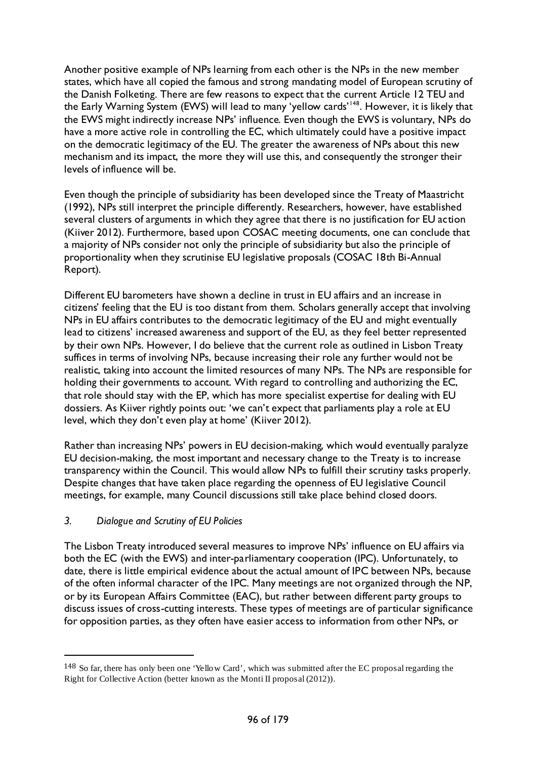Another positive example of NPs learning from each other is the NPs in the new member states, which have all copied the famous and strong mandating model of European scrutiny of the Danish Folketing. There are few reasons to expect that the current Article 12 TEU and the Early Warning System (EWS) will lead to many 'yellow cards'<sup>[148](#page-95-0)</sup>. However, it is likely that the EWS might indirectly increase NPs' influence. Even though the EWS is voluntary, NPs do have a more active role in controlling the EC, which ultimately could have a positive impact on the democratic legitimacy of the EU. The greater the awareness of NPs about this new mechanism and its impact, the more they will use this, and consequently the stronger their levels of influence will be.

Even though the principle of subsidiarity has been developed since the Treaty of Maastricht (1992), NPs still interpret the principle differently. Researchers, however, have established several clusters of arguments in which they agree that there is no justification for EU action (Kiiver 2012). Furthermore, based upon COSAC meeting documents, one can conclude that a majority of NPs consider not only the principle of subsidiarity but also the principle of proportionality when they scrutinise EU legislative proposals (COSAC 18th Bi-Annual Report).

Different EU barometers have shown a decline in trust in EU affairs and an increase in citizens' feeling that the EU is too distant from them. Scholars generally accept that involving NPs in EU affairs contributes to the democratic legitimacy of the EU and might eventually lead to citizens' increased awareness and support of the EU, as they feel better represented by their own NPs. However, I do believe that the current role as outlined in Lisbon Treaty suffices in terms of involving NPs, because increasing their role any further would not be realistic, taking into account the limited resources of many NPs. The NPs are responsible for holding their governments to account. With regard to controlling and authorizing the EC, that role should stay with the EP, which has more specialist expertise for dealing with EU dossiers. As Kiiver rightly points out: 'we can't expect that parliaments play a role at EU level, which they don't even play at home' (Kiiver 2012).

Rather than increasing NPs' powers in EU decision-making, which would eventually paralyze EU decision-making, the most important and necessary change to the Treaty is to increase transparency within the Council. This would allow NPs to fulfill their scrutiny tasks properly. Despite changes that have taken place regarding the openness of EU legislative Council meetings, for example, many Council discussions still take place behind closed doors.

### *3. Dialogue and Scrutiny of EU Policies*

-

The Lisbon Treaty introduced several measures to improve NPs' influence on EU affairs via both the EC (with the EWS) and inter-parliamentary cooperation (IPC). Unfortunately, to date, there is little empirical evidence about the actual amount of IPC between NPs, because of the often informal character of the IPC. Many meetings are not organized through the NP, or by its European Affairs Committee (EAC), but rather between different party groups to discuss issues of cross-cutting interests. These types of meetings are of particular significance for opposition parties, as they often have easier access to information from other NPs, or

<span id="page-95-0"></span><sup>148</sup> So far, there has only been one 'Yellow Card', which was submitted after the EC proposal regarding the Right for Collective Action (better known as the Monti II proposal (2012)).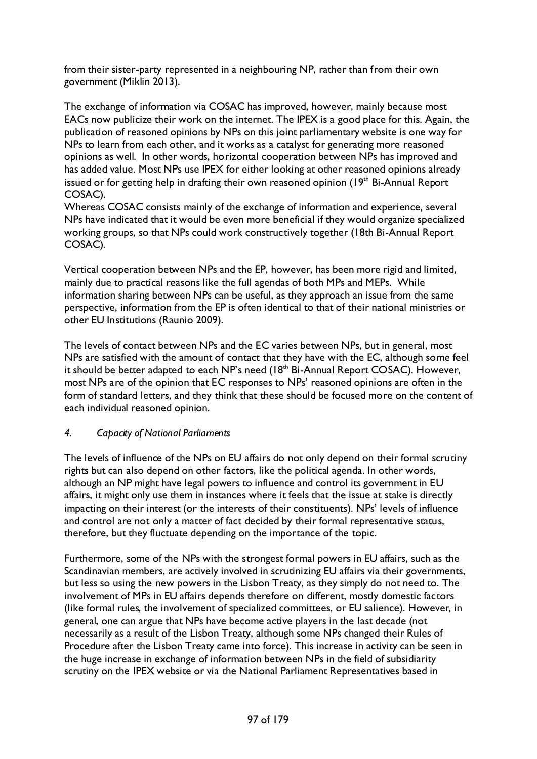from their sister-party represented in a neighbouring NP, rather than from their own government (Miklin 2013).

The exchange of information via COSAC has improved, however, mainly because most EACs now publicize their work on the internet. The IPEX is a good place for this. Again, the publication of reasoned opinions by NPs on this joint parliamentary website is one way for NPs to learn from each other, and it works as a catalyst for generating more reasoned opinions as well. In other words, horizontal cooperation between NPs has improved and has added value. Most NPs use IPEX for either looking at other reasoned opinions already issued or for getting help in drafting their own reasoned opinion  $(19<sup>th</sup> Bi-Annual Report$ COSAC).

Whereas COSAC consists mainly of the exchange of information and experience, several NPs have indicated that it would be even more beneficial if they would organize specialized working groups, so that NPs could work constructively together (18th Bi-Annual Report COSAC).

Vertical cooperation between NPs and the EP, however, has been more rigid and limited, mainly due to practical reasons like the full agendas of both MPs and MEPs. While information sharing between NPs can be useful, as they approach an issue from the same perspective, information from the EP is often identical to that of their national ministries or other EU Institutions (Raunio 2009).

The levels of contact between NPs and the EC varies between NPs, but in general, most NPs are satisfied with the amount of contact that they have with the EC, although some feel it should be better adapted to each NP's need  $(18<sup>th</sup>$  Bi-Annual Report COSAC). However, most NPs are of the opinion that EC responses to NPs' reasoned opinions are often in the form of standard letters, and they think that these should be focused more on the content of each individual reasoned opinion.

## *4. Capacity of National Parliaments*

The levels of influence of the NPs on EU affairs do not only depend on their formal scrutiny rights but can also depend on other factors, like the political agenda. In other words, although an NP might have legal powers to influence and control its government in EU affairs, it might only use them in instances where it feels that the issue at stake is directly impacting on their interest (or the interests of their constituents). NPs' levels of influence and control are not only a matter of fact decided by their formal representative status, therefore, but they fluctuate depending on the importance of the topic.

Furthermore, some of the NPs with the strongest formal powers in EU affairs, such as the Scandinavian members, are actively involved in scrutinizing EU affairs via their governments, but less so using the new powers in the Lisbon Treaty, as they simply do not need to. The involvement of MPs in EU affairs depends therefore on different, mostly domestic factors (like formal rules, the involvement of specialized committees, or EU salience). However, in general, one can argue that NPs have become active players in the last decade (not necessarily as a result of the Lisbon Treaty, although some NPs changed their Rules of Procedure after the Lisbon Treaty came into force). This increase in activity can be seen in the huge increase in exchange of information between NPs in the field of subsidiarity scrutiny on the IPEX website or via the National Parliament Representatives based in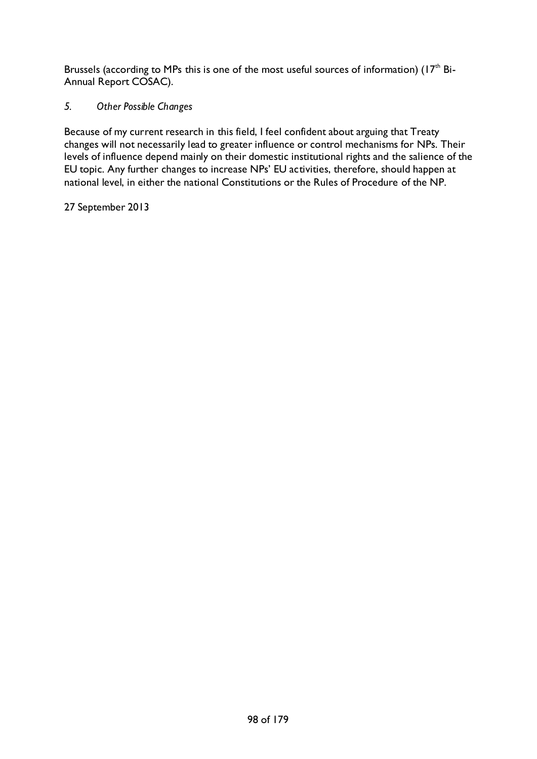Brussels (according to MPs this is one of the most useful sources of information) ( $17<sup>th</sup>$  Bi-Annual Report COSAC).

### *5. Other Possible Changes*

Because of my current research in this field, I feel confident about arguing that Treaty changes will not necessarily lead to greater influence or control mechanisms for NPs. Their levels of influence depend mainly on their domestic institutional rights and the salience of the EU topic. Any further changes to increase NPs' EU activities, therefore, should happen at national level, in either the national Constitutions or the Rules of Procedure of the NP.

27 September 2013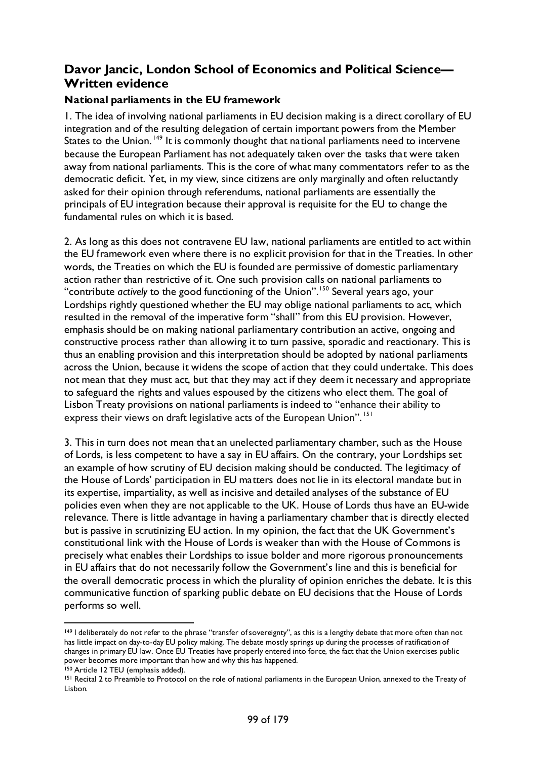## **Davor Jancic, London School of Economics and Political Science— Written evidence**

### **National parliaments in the EU framework**

1. The idea of involving national parliaments in EU decision making is a direct corollary of EU integration and of the resulting delegation of certain important powers from the Member States to the Union.<sup>[149](#page-98-0)</sup> It is commonly thought that national parliaments need to intervene because the European Parliament has not adequately taken over the tasks that were taken away from national parliaments. This is the core of what many commentators refer to as the democratic deficit. Yet, in my view, since citizens are only marginally and often reluctantly asked for their opinion through referendums, national parliaments are essentially the principals of EU integration because their approval is requisite for the EU to change the fundamental rules on which it is based.

2. As long as this does not contravene EU law, national parliaments are entitled to act within the EU framework even where there is no explicit provision for that in the Treaties. In other words, the Treaties on which the EU is founded are permissive of domestic parliamentary action rather than restrictive of it. One such provision calls on national parliaments to "contribute *actively* to the good functioning of the Union".[150](#page-98-1) Several years ago, your Lordships rightly questioned whether the EU may oblige national parliaments to act, which resulted in the removal of the imperative form "shall" from this EU provision. However, emphasis should be on making national parliamentary contribution an active, ongoing and constructive process rather than allowing it to turn passive, sporadic and reactionary. This is thus an enabling provision and this interpretation should be adopted by national parliaments across the Union, because it widens the scope of action that they could undertake. This does not mean that they must act, but that they may act if they deem it necessary and appropriate to safeguard the rights and values espoused by the citizens who elect them. The goal of Lisbon Treaty provisions on national parliaments is indeed to "enhance their ability to express their views on draft legislative acts of the European Union".<sup>[151](#page-98-2)</sup>

3. This in turn does not mean that an unelected parliamentary chamber, such as the House of Lords, is less competent to have a say in EU affairs. On the contrary, your Lordships set an example of how scrutiny of EU decision making should be conducted. The legitimacy of the House of Lords' participation in EU matters does not lie in its electoral mandate but in its expertise, impartiality, as well as incisive and detailed analyses of the substance of EU policies even when they are not applicable to the UK. House of Lords thus have an EU-wide relevance. There is little advantage in having a parliamentary chamber that is directly elected but is passive in scrutinizing EU action. In my opinion, the fact that the UK Government's constitutional link with the House of Lords is weaker than with the House of Commons is precisely what enables their Lordships to issue bolder and more rigorous pronouncements in EU affairs that do not necessarily follow the Government's line and this is beneficial for the overall democratic process in which the plurality of opinion enriches the debate. It is this communicative function of sparking public debate on EU decisions that the House of Lords performs so well.

<span id="page-98-0"></span><sup>&</sup>lt;sup>149</sup> I deliberately do not refer to the phrase "transfer of sovereignty", as this is a lengthy debate that more often than not has little impact on day-to-day EU policy making. The debate mostly springs up during the processes of ratification of changes in primary EU law. Once EU Treaties have properly entered into force, the fact that the Union exercises public power becomes more important than how and why this has happened.

<span id="page-98-1"></span><sup>150</sup> Article 12 TEU (emphasis added).

<span id="page-98-2"></span><sup>&</sup>lt;sup>151</sup> Recital 2 to Preamble to Protocol on the role of national parliaments in the European Union, annexed to the Treaty of Lisbon.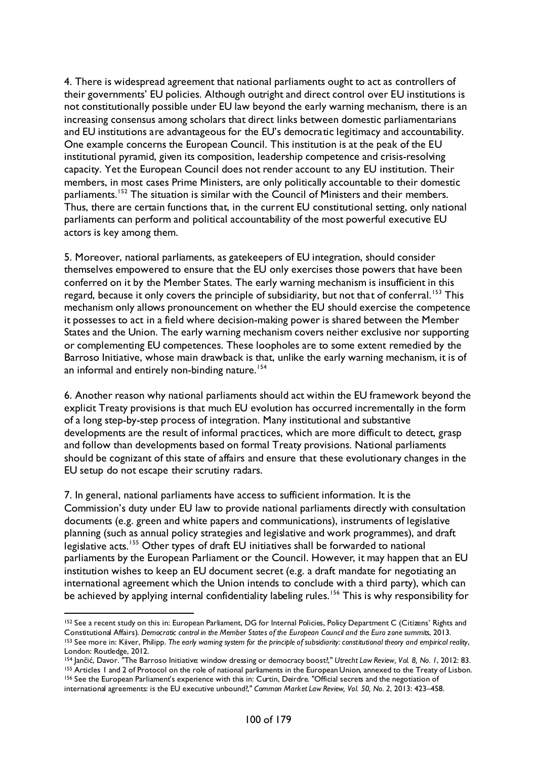4. There is widespread agreement that national parliaments ought to act as controllers of their governments' EU policies. Although outright and direct control over EU institutions is not constitutionally possible under EU law beyond the early warning mechanism, there is an increasing consensus among scholars that direct links between domestic parliamentarians and EU institutions are advantageous for the EU's democratic legitimacy and accountability. One example concerns the European Council. This institution is at the peak of the EU institutional pyramid, given its composition, leadership competence and crisis-resolving capacity. Yet the European Council does not render account to any EU institution. Their members, in most cases Prime Ministers, are only politically accountable to their domestic parliaments.<sup>[152](#page-99-0)</sup> The situation is similar with the Council of Ministers and their members. Thus, there are certain functions that, in the current EU constitutional setting, only national parliaments can perform and political accountability of the most powerful executive EU actors is key among them.

5. Moreover, national parliaments, as gatekeepers of EU integration, should consider themselves empowered to ensure that the EU only exercises those powers that have been conferred on it by the Member States. The early warning mechanism is insufficient in this regard, because it only covers the principle of subsidiarity, but not that of conferral.<sup>[153](#page-99-1)</sup> This mechanism only allows pronouncement on whether the EU should exercise the competence it possesses to act in a field where decision-making power is shared between the Member States and the Union. The early warning mechanism covers neither exclusive nor supporting or complementing EU competences. These loopholes are to some extent remedied by the Barroso Initiative, whose main drawback is that, unlike the early warning mechanism, it is of an informal and entirely non-binding nature.<sup>[154](#page-99-2)</sup>

6. Another reason why national parliaments should act within the EU framework beyond the explicit Treaty provisions is that much EU evolution has occurred incrementally in the form of a long step-by-step process of integration. Many institutional and substantive developments are the result of informal practices, which are more difficult to detect, grasp and follow than developments based on formal Treaty provisions. National parliaments should be cognizant of this state of affairs and ensure that these evolutionary changes in the EU setup do not escape their scrutiny radars.

7. In general, national parliaments have access to sufficient information. It is the Commission's duty under EU law to provide national parliaments directly with consultation documents (e.g. green and white papers and communications), instruments of legislative planning (such as annual policy strategies and legislative and work programmes), and draft legislative acts.<sup>[155](#page-99-3)</sup> Other types of draft EU initiatives shall be forwarded to national parliaments by the European Parliament or the Council. However, it may happen that an EU institution wishes to keep an EU document secret (e.g. a draft mandate for negotiating an international agreement which the Union intends to conclude with a third party), which can be achieved by applying internal confidentiality labeling rules.<sup>[156](#page-99-4)</sup> This is why responsibility for

<span id="page-99-0"></span><sup>&</sup>lt;sup>152</sup> See a recent study on this in: European Parliament, DG for Internal Policies, Policy Department C (Citizens' Rights and Constitutional Affairs). *Democratic control in the Member States of the European Council and the Euro zone summits*, 2013. <sup>153</sup> See more in: Kiiver, Philipp. *The early warning system for the principle of subsidiarity: constitutional theory and empirical reality*, London: Routledge, 2012.

<span id="page-99-2"></span><span id="page-99-1"></span><sup>154</sup> Jančić, Davor. "The Barroso Initiative: window dressing or democracy boost?," *Utrecht Law Review, Vol. 8, No. 1*, 2012: 83. <sup>155</sup> Articles 1 and 2 of Protocol on the role of national parliaments in the European Union, annexed to the Treaty of Lisbon.

<span id="page-99-4"></span><span id="page-99-3"></span><sup>156</sup> See the European Parliament's experience with this in: Curtin, Deirdre. "Official secrets and the negotiation of international agreements: is the EU executive unbound?," *Common Market Law Review, Vol. 50, No. 2*, 2013: 423–458.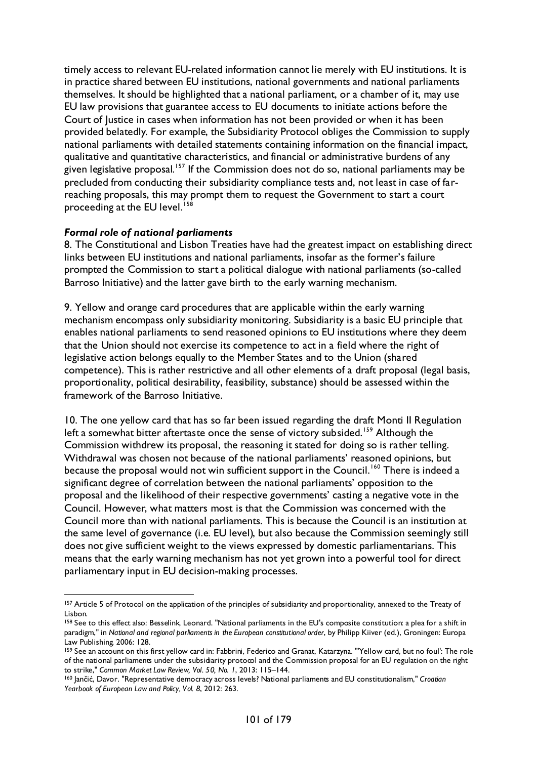timely access to relevant EU-related information cannot lie merely with EU institutions. It is in practice shared between EU institutions, national governments and national parliaments themselves. It should be highlighted that a national parliament, or a chamber of it, may use EU law provisions that guarantee access to EU documents to initiate actions before the Court of Justice in cases when information has not been provided or when it has been provided belatedly. For example, the Subsidiarity Protocol obliges the Commission to supply national parliaments with detailed statements containing information on the financial impact, qualitative and quantitative characteristics, and financial or administrative burdens of any given legislative proposal.<sup>[157](#page-100-0)</sup> If the Commission does not do so, national parliaments may be precluded from conducting their subsidiarity compliance tests and, not least in case of farreaching proposals, this may prompt them to request the Government to start a court proceeding at the EU level.<sup>[158](#page-100-1)</sup>

### *Formal role of national parliaments*

8. The Constitutional and Lisbon Treaties have had the greatest impact on establishing direct links between EU institutions and national parliaments, insofar as the former's failure prompted the Commission to start a political dialogue with national parliaments (so-called Barroso Initiative) and the latter gave birth to the early warning mechanism.

9. Yellow and orange card procedures that are applicable within the early warning mechanism encompass only subsidiarity monitoring. Subsidiarity is a basic EU principle that enables national parliaments to send reasoned opinions to EU institutions where they deem that the Union should not exercise its competence to act in a field where the right of legislative action belongs equally to the Member States and to the Union (shared competence). This is rather restrictive and all other elements of a draft proposal (legal basis, proportionality, political desirability, feasibility, substance) should be assessed within the framework of the Barroso Initiative.

10. The one yellow card that has so far been issued regarding the draft Monti II Regulation left a somewhat bitter aftertaste once the sense of victory subsided.<sup>[159](#page-100-2)</sup> Although the Commission withdrew its proposal, the reasoning it stated for doing so is rather telling. Withdrawal was chosen not because of the national parliaments' reasoned opinions, but because the proposal would not win sufficient support in the Council.<sup>[160](#page-100-3)</sup> There is indeed a significant degree of correlation between the national parliaments' opposition to the proposal and the likelihood of their respective governments' casting a negative vote in the Council. However, what matters most is that the Commission was concerned with the Council more than with national parliaments. This is because the Council is an institution at the same level of governance (i.e. EU level), but also because the Commission seemingly still does not give sufficient weight to the views expressed by domestic parliamentarians. This means that the early warning mechanism has not yet grown into a powerful tool for direct parliamentary input in EU decision-making processes.

<span id="page-100-0"></span><sup>157</sup> Article 5 of Protocol on the application of the principles of subsidiarity and proportionality, annexed to the Treaty of Lisbon.

<span id="page-100-1"></span><sup>158</sup> See to this effect also: Besselink, Leonard. "National parliaments in the EU's composite constitution: a plea for a shift in paradigm," in *National and regional parliaments in the European constitutional order*, by Philipp Kiiver (ed.), Groningen: Europa Law Publishing, 2006: 128.

<span id="page-100-2"></span><sup>159</sup> See an account on this first yellow card in: Fabbrini, Federico and Granat, Katarzyna. "'Yellow card, but no foul': The role of the national parliaments under the subsidiarity protocol and the Commission proposal for an EU regulation on the right to strike," *Common Market Law Review, Vol. 50, No. 1*, 2013: 115–144.

<span id="page-100-3"></span><sup>160</sup> Jančić, Davor. "Representative democracy across levels? National parliaments and EU constitutionalism," *Croatian Yearbook of European Law and Policy, Vol. 8*, 2012: 263.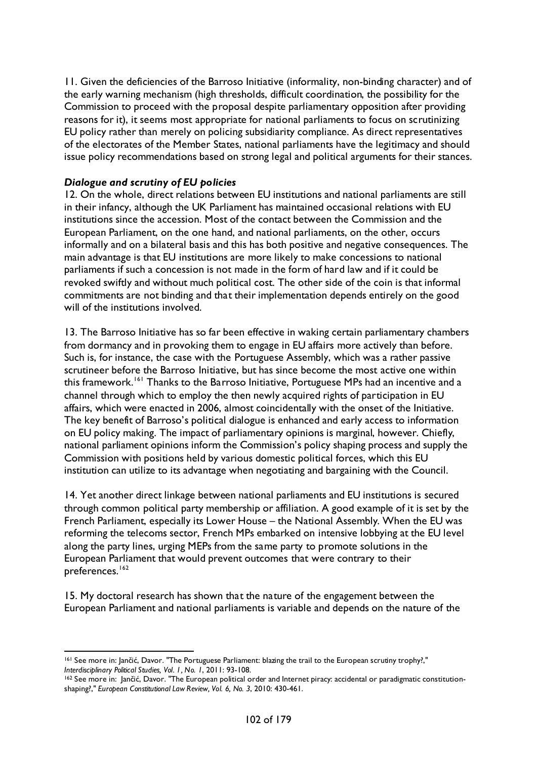11. Given the deficiencies of the Barroso Initiative (informality, non-binding character) and of the early warning mechanism (high thresholds, difficult coordination, the possibility for the Commission to proceed with the proposal despite parliamentary opposition after providing reasons for it), it seems most appropriate for national parliaments to focus on scrutinizing EU policy rather than merely on policing subsidiarity compliance. As direct representatives of the electorates of the Member States, national parliaments have the legitimacy and should issue policy recommendations based on strong legal and political arguments for their stances.

### *Dialogue and scrutiny of EU policies*

12. On the whole, direct relations between EU institutions and national parliaments are still in their infancy, although the UK Parliament has maintained occasional relations with EU institutions since the accession. Most of the contact between the Commission and the European Parliament, on the one hand, and national parliaments, on the other, occurs informally and on a bilateral basis and this has both positive and negative consequences. The main advantage is that EU institutions are more likely to make concessions to national parliaments if such a concession is not made in the form of hard law and if it could be revoked swiftly and without much political cost. The other side of the coin is that informal commitments are not binding and that their implementation depends entirely on the good will of the institutions involved.

13. The Barroso Initiative has so far been effective in waking certain parliamentary chambers from dormancy and in provoking them to engage in EU affairs more actively than before. Such is, for instance, the case with the Portuguese Assembly, which was a rather passive scrutineer before the Barroso Initiative, but has since become the most active one within this framework.<sup>[161](#page-101-0)</sup> Thanks to the Barroso Initiative, Portuguese MPs had an incentive and a channel through which to employ the then newly acquired rights of participation in EU affairs, which were enacted in 2006, almost coincidentally with the onset of the Initiative. The key benefit of Barroso's political dialogue is enhanced and early access to information on EU policy making. The impact of parliamentary opinions is marginal, however. Chiefly, national parliament opinions inform the Commission's policy shaping process and supply the Commission with positions held by various domestic political forces, which this EU institution can utilize to its advantage when negotiating and bargaining with the Council.

14. Yet another direct linkage between national parliaments and EU institutions is secured through common political party membership or affiliation. A good example of it is set by the French Parliament, especially its Lower House – the National Assembly. When the EU was reforming the telecoms sector, French MPs embarked on intensive lobbying at the EU level along the party lines, urging MEPs from the same party to promote solutions in the European Parliament that would prevent outcomes that were contrary to their preferences.<sup>[162](#page-101-1)</sup>

15. My doctoral research has shown that the nature of the engagement between the European Parliament and national parliaments is variable and depends on the nature of the

<span id="page-101-0"></span><sup>161</sup> See more in: Jančić, Davor. "The Portuguese Parliament: blazing the trail to the European scrutiny trophy?," *Interdisciplinary Political Studies, Vol. 1, No. 1*, 2011: 93-108.

<span id="page-101-1"></span><sup>&</sup>lt;sup>162</sup> See more in: Jančić, Davor. "The European political order and Internet piracy: accidental or paradigmatic constitutionshaping?," *European Constitutional Law Review, Vol. 6, No. 3*, 2010: 430-461.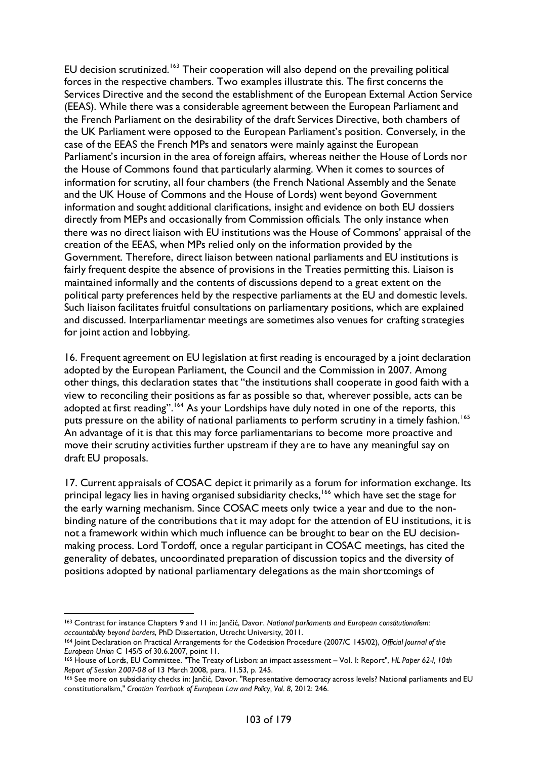EU decision scrutinized.<sup>[163](#page-102-0)</sup> Their cooperation will also depend on the prevailing political forces in the respective chambers. Two examples illustrate this. The first concerns the Services Directive and the second the establishment of the European External Action Service (EEAS). While there was a considerable agreement between the European Parliament and the French Parliament on the desirability of the draft Services Directive, both chambers of the UK Parliament were opposed to the European Parliament's position. Conversely, in the case of the EEAS the French MPs and senators were mainly against the European Parliament's incursion in the area of foreign affairs, whereas neither the House of Lords nor the House of Commons found that particularly alarming. When it comes to sources of information for scrutiny, all four chambers (the French National Assembly and the Senate and the UK House of Commons and the House of Lords) went beyond Government information and sought additional clarifications, insight and evidence on both EU dossiers directly from MEPs and occasionally from Commission officials. The only instance when there was no direct liaison with EU institutions was the House of Commons' appraisal of the creation of the EEAS, when MPs relied only on the information provided by the Government. Therefore, direct liaison between national parliaments and EU institutions is fairly frequent despite the absence of provisions in the Treaties permitting this. Liaison is maintained informally and the contents of discussions depend to a great extent on the political party preferences held by the respective parliaments at the EU and domestic levels. Such liaison facilitates fruitful consultations on parliamentary positions, which are explained and discussed. Interparliamentar meetings are sometimes also venues for crafting strategies for joint action and lobbying.

16. Frequent agreement on EU legislation at first reading is encouraged by a joint declaration adopted by the European Parliament, the Council and the Commission in 2007. Among other things, this declaration states that "the institutions shall cooperate in good faith with a view to reconciling their positions as far as possible so that, wherever possible, acts can be adopted at first reading".<sup>[164](#page-102-1)</sup> As your Lordships have duly noted in one of the reports, this puts pressure on the ability of national parliaments to perform scrutiny in a timely fashion.<sup>[165](#page-102-2)</sup> An advantage of it is that this may force parliamentarians to become more proactive and move their scrutiny activities further upstream if they are to have any meaningful say on draft EU proposals.

17. Current appraisals of COSAC depict it primarily as a forum for information exchange. Its principal legacy lies in having organised subsidiarity checks, <sup>[166](#page-102-3)</sup> which have set the stage for the early warning mechanism. Since COSAC meets only twice a year and due to the nonbinding nature of the contributions that it may adopt for the attention of EU institutions, it is not a framework within which much influence can be brought to bear on the EU decisionmaking process. Lord Tordoff, once a regular participant in COSAC meetings, has cited the generality of debates, uncoordinated preparation of discussion topics and the diversity of positions adopted by national parliamentary delegations as the main shortcomings of

<span id="page-102-0"></span> <sup>163</sup> Contrast for instance Chapters 9 and 11 in: Jančić, Davor. *National parliaments and European constitutionalism: accountability beyond borders*, PhD Dissertation, Utrecht University, 2011.

<span id="page-102-1"></span><sup>164</sup> Joint Declaration on Practical Arrangements for the Codecision Procedure (2007/C 145/02), *Official Journal of the European Union* C 145/5 of 30.6.2007, point 11.

<span id="page-102-2"></span><sup>165</sup> House of Lords, EU Committee. "The Treaty of Lisbon: an impact assessment – Vol. I: Report", *HL Paper 62-I, 10th Report of Session 2007-08* of 13 March 2008, para. 11.53, p. 245.

<span id="page-102-3"></span><sup>166</sup> See more on subsidiarity checks in: Jančić, Davor. "Representative democracy across levels? National parliaments and EU constitutionalism," *Croatian Yearbook of European Law and Policy, Vol. 8*, 2012: 246.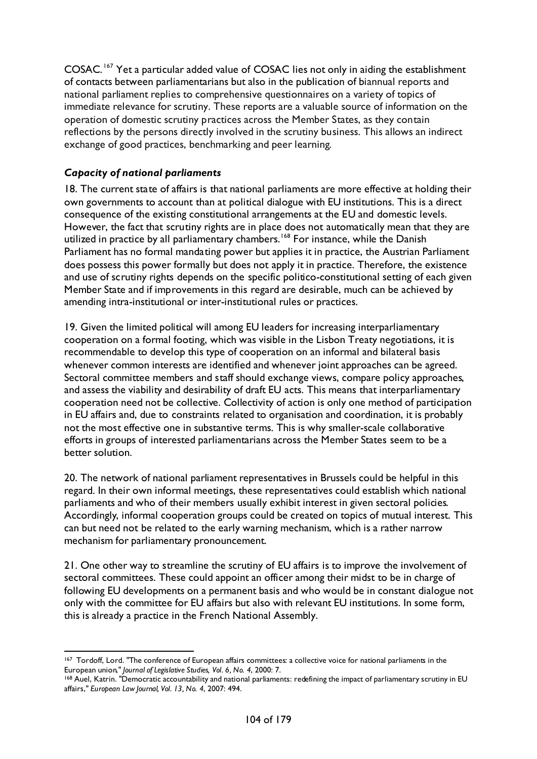COSAC. [167](#page-103-0) Yet a particular added value of COSAC lies not only in aiding the establishment of contacts between parliamentarians but also in the publication of biannual reports and national parliament replies to comprehensive questionnaires on a variety of topics of immediate relevance for scrutiny. These reports are a valuable source of information on the operation of domestic scrutiny practices across the Member States, as they contain reflections by the persons directly involved in the scrutiny business. This allows an indirect exchange of good practices, benchmarking and peer learning.

## *Capacity of national parliaments*

18. The current state of affairs is that national parliaments are more effective at holding their own governments to account than at political dialogue with EU institutions. This is a direct consequence of the existing constitutional arrangements at the EU and domestic levels. However, the fact that scrutiny rights are in place does not automatically mean that they are utilized in practice by all parliamentary chambers.<sup>[168](#page-103-1)</sup> For instance, while the Danish Parliament has no formal mandating power but applies it in practice, the Austrian Parliament does possess this power formally but does not apply it in practice. Therefore, the existence and use of scrutiny rights depends on the specific politico-constitutional setting of each given Member State and if improvements in this regard are desirable, much can be achieved by amending intra-institutional or inter-institutional rules or practices.

19. Given the limited political will among EU leaders for increasing interparliamentary cooperation on a formal footing, which was visible in the Lisbon Treaty negotiations, it is recommendable to develop this type of cooperation on an informal and bilateral basis whenever common interests are identified and whenever joint approaches can be agreed. Sectoral committee members and staff should exchange views, compare policy approaches, and assess the viability and desirability of draft EU acts. This means that interparliamentary cooperation need not be collective. Collectivity of action is only one method of participation in EU affairs and, due to constraints related to organisation and coordination, it is probably not the most effective one in substantive terms. This is why smaller-scale collaborative efforts in groups of interested parliamentarians across the Member States seem to be a better solution.

20. The network of national parliament representatives in Brussels could be helpful in this regard. In their own informal meetings, these representatives could establish which national parliaments and who of their members usually exhibit interest in given sectoral policies. Accordingly, informal cooperation groups could be created on topics of mutual interest. This can but need not be related to the early warning mechanism, which is a rather narrow mechanism for parliamentary pronouncement.

21. One other way to streamline the scrutiny of EU affairs is to improve the involvement of sectoral committees. These could appoint an officer among their midst to be in charge of following EU developments on a permanent basis and who would be in constant dialogue not only with the committee for EU affairs but also with relevant EU institutions. In some form, this is already a practice in the French National Assembly.

<span id="page-103-0"></span><sup>167</sup> Tordoff, Lord. "The conference of European affairs committees: a collective voice for national parliaments in the European union," *Journal of Legislative Studies, Vol. 6, No. 4*, 2000: 7.

<span id="page-103-1"></span><sup>168</sup> Auel, Katrin. "Democratic accountability and national parliaments: redefining the impact of parliamentary scrutiny in EU affairs," *European Law Journal, Vol. 13, No. 4*, 2007: 494.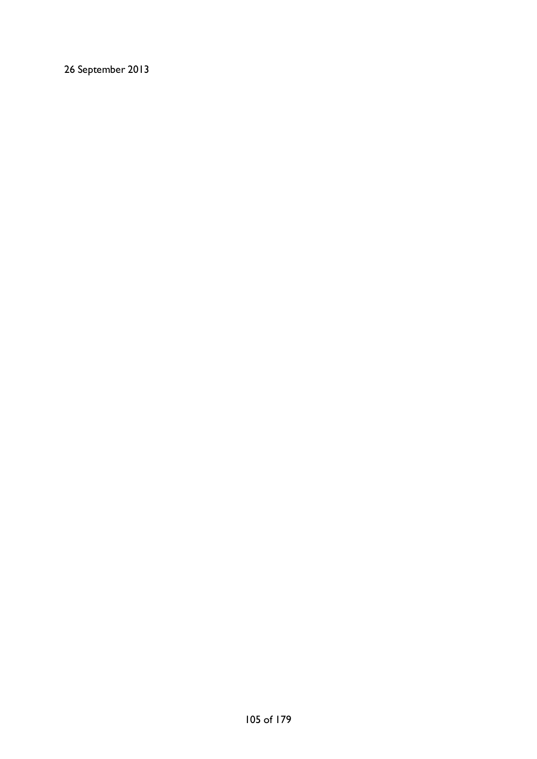26 September 2013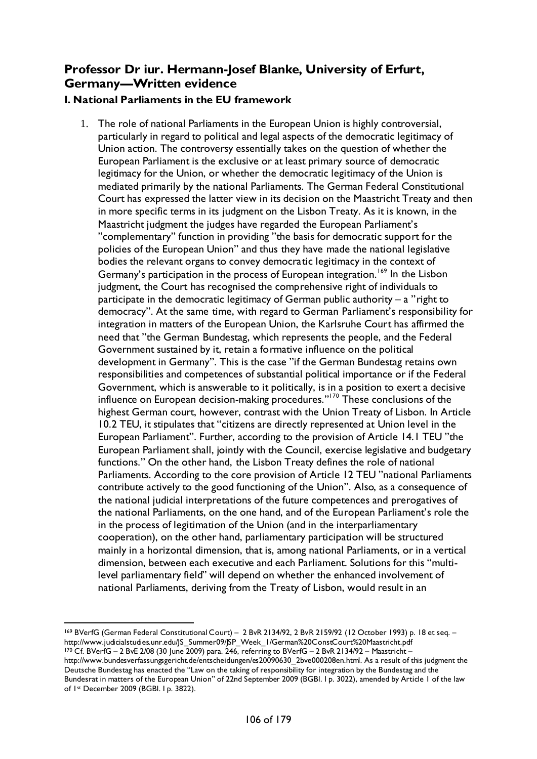# **Professor Dr iur. Hermann-Josef Blanke, University of Erfurt, Germany—Written evidence**

## **I. National Parliaments in the EU framework**

1. The role of national Parliaments in the European Union is highly controversial, particularly in regard to political and legal aspects of the democratic legitimacy of Union action. The controversy essentially takes on the question of whether the European Parliament is the exclusive or at least primary source of democratic legitimacy for the Union, or whether the democratic legitimacy of the Union is mediated primarily by the national Parliaments. The German Federal Constitutional Court has expressed the latter view in its decision on the Maastricht Treaty and then in more specific terms in its judgment on the Lisbon Treaty. As it is known, in the Maastricht judgment the judges have regarded the European Parliament's "complementary" function in providing "the basis for democratic support for the policies of the European Union" and thus they have made the national legislative bodies the relevant organs to convey democratic legitimacy in the context of Germany's participation in the process of European integration.<sup>[169](#page-105-0)</sup> In the Lisbon judgment, the Court has recognised the comprehensive right of individuals to participate in the democratic legitimacy of German public authority  $-$  a "right to democracy". At the same time, with regard to German Parliament's responsibility for integration in matters of the European Union, the Karlsruhe Court has affirmed the need that "the German Bundestag, which represents the people, and the Federal Government sustained by it, retain a formative influence on the political development in Germany". This is the case "if the German Bundestag retains own responsibilities and competences of substantial political importance or if the Federal Government, which is answerable to it politically, is in a position to exert a decisive influence on European decision-making procedures."[170](#page-105-1) These conclusions of the highest German court, however, contrast with the Union Treaty of Lisbon. In Article 10.2 TEU, it stipulates that "citizens are directly represented at Union level in the European Parliament". Further, according to the provision of Article 14.1 TEU "the European Parliament shall, jointly with the Council, exercise legislative and budgetary functions." On the other hand, the Lisbon Treaty defines the role of national Parliaments. According to the core provision of Article 12 TEU "national Parliaments contribute actively to the good functioning of the Union". Also, as a consequence of the national judicial interpretations of the future competences and prerogatives of the national Parliaments, on the one hand, and of the European Parliament's role the in the process of legitimation of the Union (and in the interparliamentary cooperation), on the other hand, parliamentary participation will be structured mainly in a horizontal dimension, that is, among national Parliaments, or in a vertical dimension, between each executive and each Parliament. Solutions for this "multilevel parliamentary field" will depend on whether the enhanced involvement of national Parliaments, deriving from the Treaty of Lisbon, would result in an

<span id="page-105-1"></span><span id="page-105-0"></span> <sup>169</sup> BVerfG (German Federal Constitutional Court) – 2 BvR 2134/92, 2 BvR 2159/92 (12 October 1993) p. 18 et seq. – http://www.judicialstudies.unr.edu/JS\_Summer09/JSP\_Week\_1/German%20ConstCourt%20Maastricht.pdf <sup>170</sup> Cf. BVerfG – 2 BvE 2/08 (30 June 2009) para. 246, referring to BVerfG – 2 BvR 2134/92 – Maastricht – http://www.bundesverfassungsgericht.de/entscheidungen/es20090630\_2bve000208en.html. As a result of this judgment the Deutsche Bundestag has enacted the "Law on the taking of responsibility for integration by the Bundestag and the Bundesrat in matters of the European Union" of 22nd September 2009 (BGBl. I p. 3022), amended by Article 1 of the law of 1st December 2009 (BGBl. I p. 3822).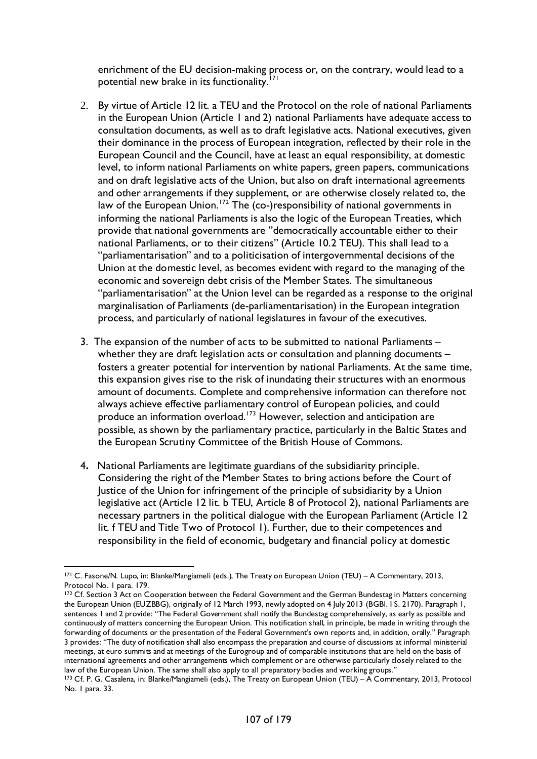enrichment of the EU decision-making process or, on the contrary, would lead to a potential new brake in its functionality.<sup>[171](#page-106-0)</sup>

- 2. By virtue of Article 12 lit. a TEU and the Protocol on the role of national Parliaments in the European Union (Article 1 and 2) national Parliaments have adequate access to consultation documents, as well as to draft legislative acts. National executives, given their dominance in the process of European integration, reflected by their role in the European Council and the Council, have at least an equal responsibility, at domestic level, to inform national Parliaments on white papers, green papers, communications and on draft legislative acts of the Union, but also on draft international agreements and other arrangements if they supplement, or are otherwise closely related to, the law of the European Union.<sup>[172](#page-106-1)</sup> The (co-)responsibility of national governments in informing the national Parliaments is also the logic of the European Treaties, which provide that national governments are "democratically accountable either to their national Parliaments, or to their citizens" (Article 10.2 TEU). This shall lead to a "parliamentarisation" and to a politicisation of intergovernmental decisions of the Union at the domestic level, as becomes evident with regard to the managing of the economic and sovereign debt crisis of the Member States. The simultaneous "parliamentarisation" at the Union level can be regarded as a response to the original marginalisation of Parliaments (de-parliamentarisation) in the European integration process, and particularly of national legislatures in favour of the executives.
- 3. The expansion of the number of acts to be submitted to national Parliaments whether they are draft legislation acts or consultation and planning documents fosters a greater potential for intervention by national Parliaments. At the same time, this expansion gives rise to the risk of inundating their structures with an enormous amount of documents. Complete and comprehensive information can therefore not always achieve effective parliamentary control of European policies, and could produce an information overload.<sup>[173](#page-106-2)</sup> However, selection and anticipation are possible, as shown by the parliamentary practice, particularly in the Baltic States and the European Scrutiny Committee of the British House of Commons.
- 4**.** National Parliaments are legitimate guardians of the subsidiarity principle. Considering the right of the Member States to bring actions before the Court of Justice of the Union for infringement of the principle of subsidiarity by a Union legislative act (Article 12 lit. b TEU, Article 8 of Protocol 2), national Parliaments are necessary partners in the political dialogue with the European Parliament (Article 12 lit. f TEU and Title Two of Protocol 1). Further, due to their competences and responsibility in the field of economic, budgetary and financial policy at domestic

<span id="page-106-0"></span> <sup>171</sup> C. Fasone/N. Lupo, in: Blanke/Mangiameli (eds.), The Treaty on European Union (TEU) – A Commentary, 2013, Protocol No. 1 para. 179.

<span id="page-106-1"></span><sup>&</sup>lt;sup>172</sup> Cf. Section 3 Act on Cooperation between the Federal Government and the German Bundestag in Matters concerning the European Union (EUZBBG), originally of 12 March 1993, newly adopted on 4 July 2013 (BGBl. I S. 2170). Paragraph 1, sentences 1 and 2 provide: "The Federal Government shall notify the Bundestag comprehensively, as early as possible and continuously of matters concerning the European Union. This notification shall, in principle, be made in writing through the forwarding of documents or the presentation of the Federal Government's own reports and, in addition, orally." Paragraph 3 provides: "The duty of notification shall also encompass the preparation and course of discussions at informal ministerial meetings, at euro summits and at meetings of the Eurogroup and of comparable institutions that are held on the basis of international agreements and other arrangements which complement or are otherwise particularly closely related to the law of the European Union. The same shall also apply to all preparatory bodies and working groups."

<span id="page-106-2"></span><sup>173</sup> Cf. P. G. Casalena, in: Blanke/Mangiameli (eds.), The Treaty on European Union (TEU) - A Commentary, 2013, Protocol No. 1 para. 33.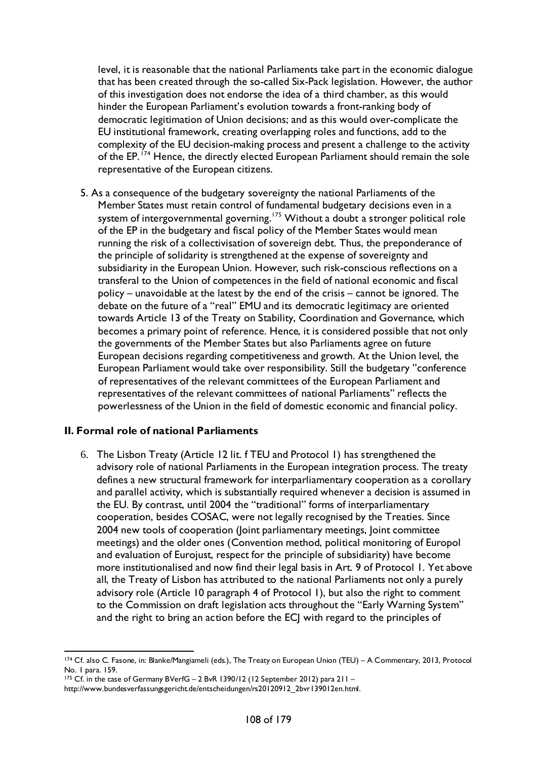level, it is reasonable that the national Parliaments take part in the economic dialogue that has been created through the so-called Six-Pack legislation. However, the author of this investigation does not endorse the idea of a third chamber, as this would hinder the European Parliament's evolution towards a front-ranking body of democratic legitimation of Union decisions; and as this would over-complicate the EU institutional framework, creating overlapping roles and functions, add to the complexity of the EU decision-making process and present a challenge to the activity of the EP.<sup>[174](#page-107-0)</sup> Hence, the directly elected European Parliament should remain the sole representative of the European citizens.

5. As a consequence of the budgetary sovereignty the national Parliaments of the Member States must retain control of fundamental budgetary decisions even in a system of intergovernmental governing. [175](#page-107-1) Without a doubt a stronger political role of the EP in the budgetary and fiscal policy of the Member States would mean running the risk of a collectivisation of sovereign debt. Thus, the preponderance of the principle of solidarity is strengthened at the expense of sovereignty and subsidiarity in the European Union. However, such risk-conscious reflections on a transferal to the Union of competences in the field of national economic and fiscal policy – unavoidable at the latest by the end of the crisis – cannot be ignored. The debate on the future of a "real" EMU and its democratic legitimacy are oriented towards Article 13 of the Treaty on Stability, Coordination and Governance, which becomes a primary point of reference. Hence, it is considered possible that not only the governments of the Member States but also Parliaments agree on future European decisions regarding competitiveness and growth. At the Union level, the European Parliament would take over responsibility. Still the budgetary "conference of representatives of the relevant committees of the European Parliament and representatives of the relevant committees of national Parliaments" reflects the powerlessness of the Union in the field of domestic economic and financial policy.

### **II. Formal role of national Parliaments**

6. The Lisbon Treaty (Article 12 lit. f TEU and Protocol 1) has strengthened the advisory role of national Parliaments in the European integration process. The treaty defines a new structural framework for interparliamentary cooperation as a corollary and parallel activity, which is substantially required whenever a decision is assumed in the EU. By contrast, until 2004 the "traditional" forms of interparliamentary cooperation, besides COSAC, were not legally recognised by the Treaties. Since 2004 new tools of cooperation (Joint parliamentary meetings, Joint committee meetings) and the older ones (Convention method, political monitoring of Europol and evaluation of Eurojust, respect for the principle of subsidiarity) have become more institutionalised and now find their legal basis in Art. 9 of Protocol 1. Yet above all, the Treaty of Lisbon has attributed to the national Parliaments not only a purely advisory role (Article 10 paragraph 4 of Protocol 1), but also the right to comment to the Commission on draft legislation acts throughout the "Early Warning System" and the right to bring an action before the ECJ with regard to the principles of

<span id="page-107-0"></span> <sup>174</sup> Cf. also C. Fasone, in: Blanke/Mangiameli (eds.), The Treaty on European Union (TEU) – A Commentary, 2013, Protocol No. 1 para. 159.

<sup>175</sup> Cf. in the case of Germany BVerfG - 2 BvR 1390/12 (12 September 2012) para 211 -

<span id="page-107-1"></span>http://www.bundesverfassungsgericht.de/entscheidungen/rs20120912\_2bvr139012en.html.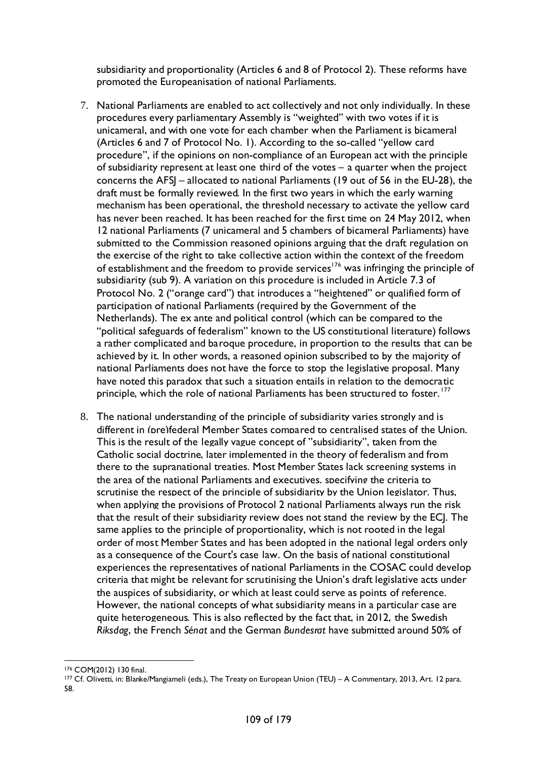subsidiarity and proportionality (Articles 6 and 8 of Protocol 2). These reforms have promoted the Europeanisation of national Parliaments.

- 7. National Parliaments are enabled to act collectively and not only individually. In these procedures every parliamentary Assembly is "weighted" with two votes if it is unicameral, and with one vote for each chamber when the Parliament is bicameral (Articles 6 and 7 of Protocol No. 1). According to the so-called "yellow card procedure", if the opinions on non-compliance of an European act with the principle of subsidiarity represent at least one third of the votes – a quarter when the project concerns the AFSJ – allocated to national Parliaments (19 out of 56 in the EU-28), the draft must be formally reviewed. In the first two years in which the early warning mechanism has been operational, the threshold necessary to activate the yellow card has never been reached. It has been reached for the first time on 24 May 2012, when 12 national Parliaments (7 unicameral and 5 chambers of bicameral Parliaments) have submitted to the Commission reasoned opinions arguing that the draft regulation on the exercise of the right to take collective action within the context of the freedom of establishment and the freedom to provide services<sup>[176](#page-108-0)</sup> was infringing the principle of subsidiarity (sub 9). A variation on this procedure is included in Article 7.3 of Protocol No. 2 ("orange card") that introduces a "heightened" or qualified form of participation of national Parliaments (required by the Government of the Netherlands). The ex ante and political control (which can be compared to the "political safeguards of federalism" known to the US constitutional literature) follows a rather complicated and baroque procedure, in proportion to the results that can be achieved by it. In other words, a reasoned opinion subscribed to by the majority of national Parliaments does not have the force to stop the legislative proposal. Many have noted this paradox that such a situation entails in relation to the democratic principle, which the role of national Parliaments has been structured to foster.<sup>[177](#page-108-1)</sup>
- 8. The national understanding of the principle of subsidiarity varies strongly and is different in (pre)federal Member States compared to centralised states of the Union. This is the result of the legally vague concept of "subsidiarity", taken from the Catholic social doctrine, later implemented in the theory of federalism and from there to the supranational treaties. Most Member States lack screening systems in the area of the national Parliaments and executives, specifying the criteria to scrutinise the respect of the principle of subsidiarity by the Union legislator. Thus, when applying the provisions of Protocol 2 national Parliaments always run the risk that the result of their subsidiarity review does not stand the review by the ECJ. The same applies to the principle of proportionality, which is not rooted in the legal order of most Member States and has been adopted in the national legal orders only as a consequence of the Court's case law. On the basis of national constitutional experiences the representatives of national Parliaments in the COSAC could develop criteria that might be relevant for scrutinising the Union's draft legislative acts under the auspices of subsidiarity, or which at least could serve as points of reference. However, the national concepts of what subsidiarity means in a particular case are quite heterogeneous. This is also reflected by the fact that, in 2012, the Swedish *Riksdag*, the French *Sénat* and the German *Bundesrat* have submitted around 50% of

<span id="page-108-0"></span> <sup>176</sup> COM(2012) 130 final.

<span id="page-108-1"></span><sup>177</sup> Cf. Olivetti, in: Blanke/Mangiameli (eds.), The Treaty on European Union (TEU) - A Commentary, 2013, Art. 12 para. 58.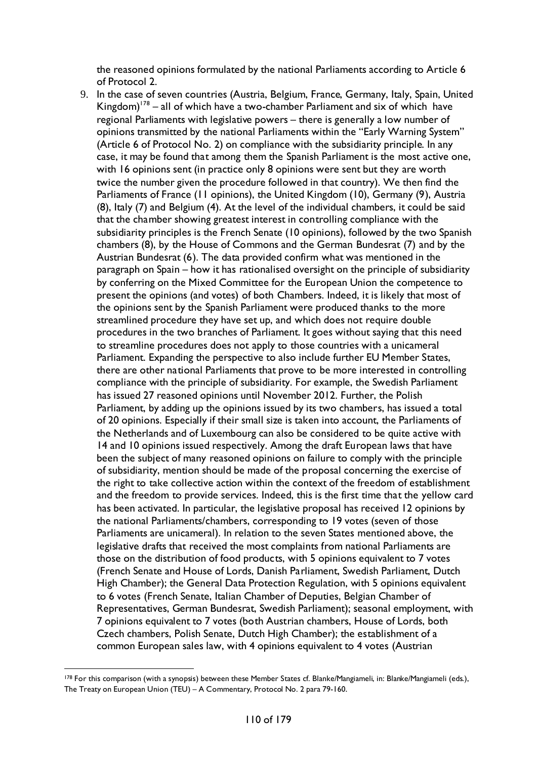the reasoned opinions formulated by the national Parliaments according to Article 6 of Protocol 2.

9. In the case of seven countries (Austria, Belgium, France, Germany, Italy, Spain, United Kingdom)<sup>178</sup> – all of which have a two-chamber Parliament and six of which have regional Parliaments with legislative powers – there is generally a low number of opinions transmitted by the national Parliaments within the "Early Warning System" (Article 6 of Protocol No. 2) on compliance with the subsidiarity principle. In any case, it may be found that among them the Spanish Parliament is the most active one, with 16 opinions sent (in practice only 8 opinions were sent but they are worth twice the number given the procedure followed in that country). We then find the Parliaments of France (11 opinions), the United Kingdom (10), Germany (9), Austria (8), Italy (7) and Belgium (4). At the level of the individual chambers, it could be said that the chamber showing greatest interest in controlling compliance with the subsidiarity principles is the French Senate (10 opinions), followed by the two Spanish chambers (8), by the House of Commons and the German Bundesrat (7) and by the Austrian Bundesrat (6). The data provided confirm what was mentioned in the paragraph on Spain – how it has rationalised oversight on the principle of subsidiarity by conferring on the Mixed Committee for the European Union the competence to present the opinions (and votes) of both Chambers. Indeed, it is likely that most of the opinions sent by the Spanish Parliament were produced thanks to the more streamlined procedure they have set up, and which does not require double procedures in the two branches of Parliament. It goes without saying that this need to streamline procedures does not apply to those countries with a unicameral Parliament. Expanding the perspective to also include further EU Member States, there are other national Parliaments that prove to be more interested in controlling compliance with the principle of subsidiarity. For example, the Swedish Parliament has issued 27 reasoned opinions until November 2012. Further, the Polish Parliament, by adding up the opinions issued by its two chambers, has issued a total of 20 opinions. Especially if their small size is taken into account, the Parliaments of the Netherlands and of Luxembourg can also be considered to be quite active with 14 and 10 opinions issued respectively. Among the draft European laws that have been the subject of many reasoned opinions on failure to comply with the principle of subsidiarity, mention should be made of the proposal concerning the exercise of the right to take collective action within the context of the freedom of establishment and the freedom to provide services. Indeed, this is the first time that the yellow card has been activated. In particular, the legislative proposal has received 12 opinions by the national Parliaments/chambers, corresponding to 19 votes (seven of those Parliaments are unicameral). In relation to the seven States mentioned above, the legislative drafts that received the most complaints from national Parliaments are those on the distribution of food products, with 5 opinions equivalent to 7 votes (French Senate and House of Lords, Danish Parliament, Swedish Parliament, Dutch High Chamber); the General Data Protection Regulation, with 5 opinions equivalent to 6 votes (French Senate, Italian Chamber of Deputies, Belgian Chamber of Representatives, German Bundesrat, Swedish Parliament); seasonal employment, with 7 opinions equivalent to 7 votes (both Austrian chambers, House of Lords, both Czech chambers, Polish Senate, Dutch High Chamber); the establishment of a common European sales law, with 4 opinions equivalent to 4 votes (Austrian

<span id="page-109-0"></span><sup>&</sup>lt;sup>178</sup> For this comparison (with a synopsis) between these Member States cf. Blanke/Mangiameli, in: Blanke/Mangiameli (eds.), The Treaty on European Union (TEU) – A Commentary, Protocol No. 2 para 79-160.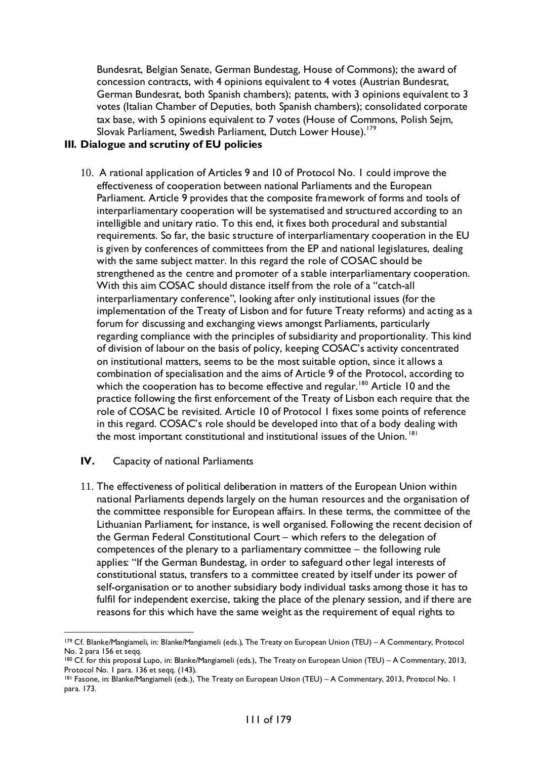Bundesrat, Belgian Senate, German Bundestag, House of Commons); the award of concession contracts, with 4 opinions equivalent to 4 votes (Austrian Bundesrat, German Bundesrat, both Spanish chambers); patents, with 3 opinions equivalent to 3 votes (Italian Chamber of Deputies, both Spanish chambers); consolidated corporate tax base, with 5 opinions equivalent to 7 votes (House of Commons, Polish Sejm, Slovak Parliament, Swedish Parliament, Dutch Lower House).<sup>[179](#page-110-0)</sup>

### **III***.* **Dialogue and scrutiny of EU policies**

- 10. A rational application of Articles 9 and 10 of Protocol No. 1 could improve the effectiveness of cooperation between national Parliaments and the European Parliament. Article 9 provides that the composite framework of forms and tools of interparliamentary cooperation will be systematised and structured according to an intelligible and unitary ratio. To this end, it fixes both procedural and substantial requirements. So far, the basic structure of interparliamentary cooperation in the EU is given by conferences of committees from the EP and national legislatures, dealing with the same subject matter. In this regard the role of COSAC should be strengthened as the centre and promoter of a stable interparliamentary cooperation. With this aim COSAC should distance itself from the role of a "catch-all interparliamentary conference", looking after only institutional issues (for the implementation of the Treaty of Lisbon and for future Treaty reforms) and acting as a forum for discussing and exchanging views amongst Parliaments, particularly regarding compliance with the principles of subsidiarity and proportionality. This kind of division of labour on the basis of policy, keeping COSAC's activity concentrated on institutional matters, seems to be the most suitable option, since it allows a combination of specialisation and the aims of Article 9 of the Protocol, according to which the cooperation has to become effective and regular.<sup>[180](#page-110-1)</sup> Article 10 and the practice following the first enforcement of the Treaty of Lisbon each require that the role of COSAC be revisited. Article 10 of Protocol 1 fixes some points of reference in this regard. COSAC's role should be developed into that of a body dealing with the most important constitutional and institutional issues of the Union.<sup>[181](#page-110-2)</sup>
- **IV.** Capacity of national Parliaments
- 11. The effectiveness of political deliberation in matters of the European Union within national Parliaments depends largely on the human resources and the organisation of the committee responsible for European affairs. In these terms, the committee of the Lithuanian Parliament, for instance, is well organised. Following the recent decision of the German Federal Constitutional Court – which refers to the delegation of competences of the plenary to a parliamentary committee – the following rule applies: "If the German Bundestag, in order to safeguard other legal interests of constitutional status, transfers to a committee created by itself under its power of self-organisation or to another subsidiary body individual tasks among those it has to fulfil for independent exercise, taking the place of the plenary session, and if there are reasons for this which have the same weight as the requirement of equal rights to

<span id="page-110-0"></span><sup>179</sup> Cf. Blanke/Mangiameli, in: Blanke/Mangiameli (eds.), The Treaty on European Union (TEU) - A Commentary, Protocol No. 2 para 156 et seqq.

<span id="page-110-1"></span><sup>180</sup> Cf. for this proposal Lupo, in: Blanke/Mangiameli (eds.), The Treaty on European Union (TEU) - A Commentary, 2013, Protocol No. 1 para. 136 et seqq. (143).

<span id="page-110-2"></span><sup>181</sup> Fasone, in: Blanke/Mangiameli (eds.), The Treaty on European Union (TEU) – A Commentary, 2013, Protocol No. 1 para. 173.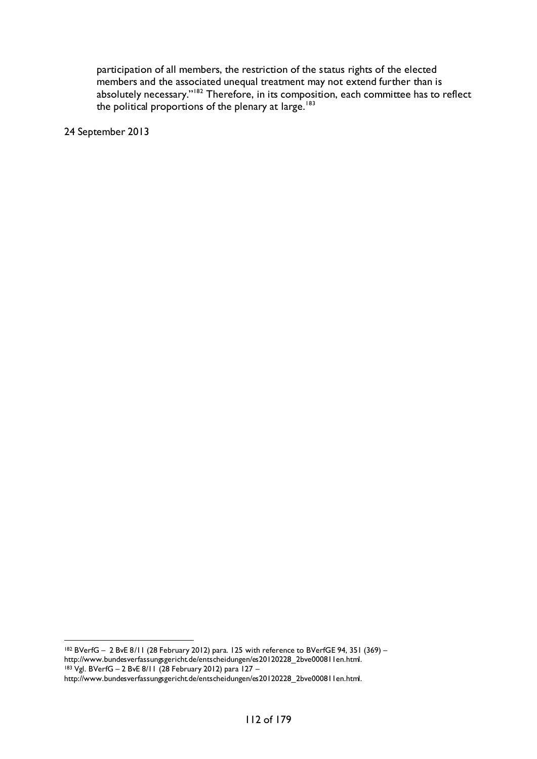participation of all members, the restriction of the status rights of the elected members and the associated unequal treatment may not extend further than is absolutely necessary."<sup>[182](#page-111-0)</sup> Therefore, in its composition, each committee has to reflect the political proportions of the plenary at large.<sup>[183](#page-111-1)</sup>

24 September 2013

<span id="page-111-0"></span> <sup>182</sup> BVerfG – 2 BvE 8/11 (28 February 2012) para. 125 with reference to BVerfGE 94, 351 (369) – http://www.bundesverfassungsgericht.de/entscheidungen/es20120228\_2bve000811en.html. <sup>183</sup> Vgl. BVerfG – 2 BvE 8/11 (28 February 2012) para 127 –

<span id="page-111-1"></span>http://www.bundesverfassungsgericht.de/entscheidungen/es20120228\_2bve000811en.html.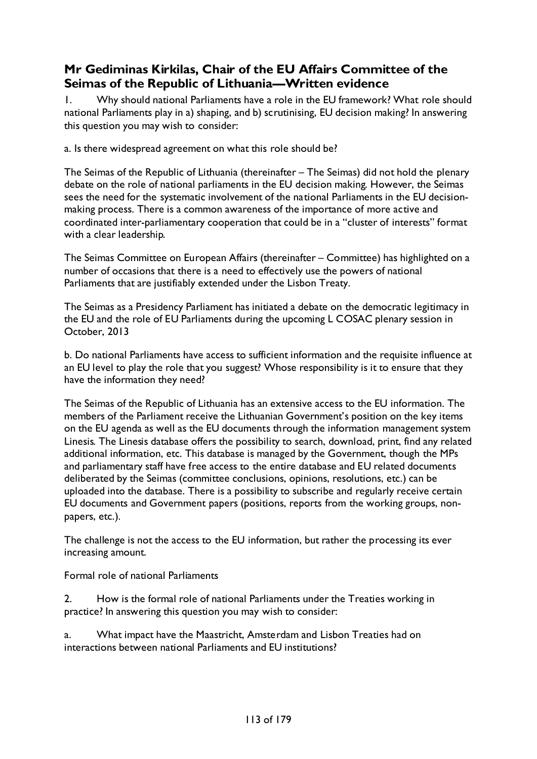# **Mr Gediminas Kirkilas, Chair of the EU Affairs Committee of the Seimas of the Republic of Lithuania—Written evidence**

1. Why should national Parliaments have a role in the EU framework? What role should national Parliaments play in a) shaping, and b) scrutinising, EU decision making? In answering this question you may wish to consider:

a. Is there widespread agreement on what this role should be?

The Seimas of the Republic of Lithuania (thereinafter – The Seimas) did not hold the plenary debate on the role of national parliaments in the EU decision making. However, the Seimas sees the need for the systematic involvement of the national Parliaments in the EU decisionmaking process. There is a common awareness of the importance of more active and coordinated inter-parliamentary cooperation that could be in a "cluster of interests" format with a clear leadership.

The Seimas Committee on European Affairs (thereinafter – Committee) has highlighted on a number of occasions that there is a need to effectively use the powers of national Parliaments that are justifiably extended under the Lisbon Treaty.

The Seimas as a Presidency Parliament has initiated a debate on the democratic legitimacy in the EU and the role of EU Parliaments during the upcoming L COSAC plenary session in October, 2013

b. Do national Parliaments have access to sufficient information and the requisite influence at an EU level to play the role that you suggest? Whose responsibility is it to ensure that they have the information they need?

The Seimas of the Republic of Lithuania has an extensive access to the EU information. The members of the Parliament receive the Lithuanian Government's position on the key items on the EU agenda as well as the EU documents through the information management system Linesis. The Linesis database offers the possibility to search, download, print, find any related additional information, etc. This database is managed by the Government, though the MPs and parliamentary staff have free access to the entire database and EU related documents deliberated by the Seimas (committee conclusions, opinions, resolutions, etc.) can be uploaded into the database. There is a possibility to subscribe and regularly receive certain EU documents and Government papers (positions, reports from the working groups, nonpapers, etc.).

The challenge is not the access to the EU information, but rather the processing its ever increasing amount.

Formal role of national Parliaments

2. How is the formal role of national Parliaments under the Treaties working in practice? In answering this question you may wish to consider:

a. What impact have the Maastricht, Amsterdam and Lisbon Treaties had on interactions between national Parliaments and EU institutions?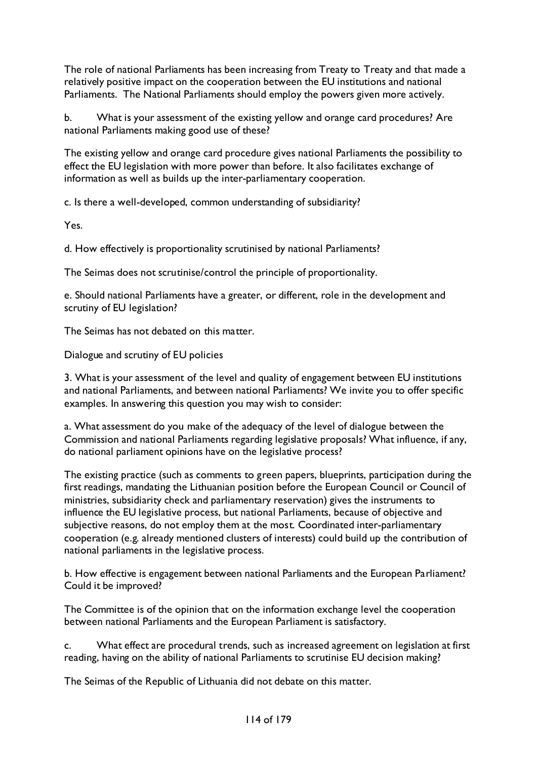The role of national Parliaments has been increasing from Treaty to Treaty and that made a relatively positive impact on the cooperation between the EU institutions and national Parliaments. The National Parliaments should employ the powers given more actively.

b. What is your assessment of the existing yellow and orange card procedures? Are national Parliaments making good use of these?

The existing yellow and orange card procedure gives national Parliaments the possibility to effect the EU legislation with more power than before. It also facilitates exchange of information as well as builds up the inter-parliamentary cooperation.

c. Is there a well-developed, common understanding of subsidiarity?

Yes.

d. How effectively is proportionality scrutinised by national Parliaments?

The Seimas does not scrutinise/control the principle of proportionality.

e. Should national Parliaments have a greater, or different, role in the development and scrutiny of EU legislation?

The Seimas has not debated on this matter.

Dialogue and scrutiny of EU policies

3. What is your assessment of the level and quality of engagement between EU institutions and national Parliaments, and between national Parliaments? We invite you to offer specific examples. In answering this question you may wish to consider:

a. What assessment do you make of the adequacy of the level of dialogue between the Commission and national Parliaments regarding legislative proposals? What influence, if any, do national parliament opinions have on the legislative process?

The existing practice (such as comments to green papers, blueprints, participation during the first readings, mandating the Lithuanian position before the European Council or Council of ministries, subsidiarity check and parliamentary reservation) gives the instruments to influence the EU legislative process, but national Parliaments, because of objective and subjective reasons, do not employ them at the most. Coordinated inter-parliamentary cooperation (e.g. already mentioned clusters of interests) could build up the contribution of national parliaments in the legislative process.

b. How effective is engagement between national Parliaments and the European Parliament? Could it be improved?

The Committee is of the opinion that on the information exchange level the cooperation between national Parliaments and the European Parliament is satisfactory.

c. What effect are procedural trends, such as increased agreement on legislation at first reading, having on the ability of national Parliaments to scrutinise EU decision making?

The Seimas of the Republic of Lithuania did not debate on this matter.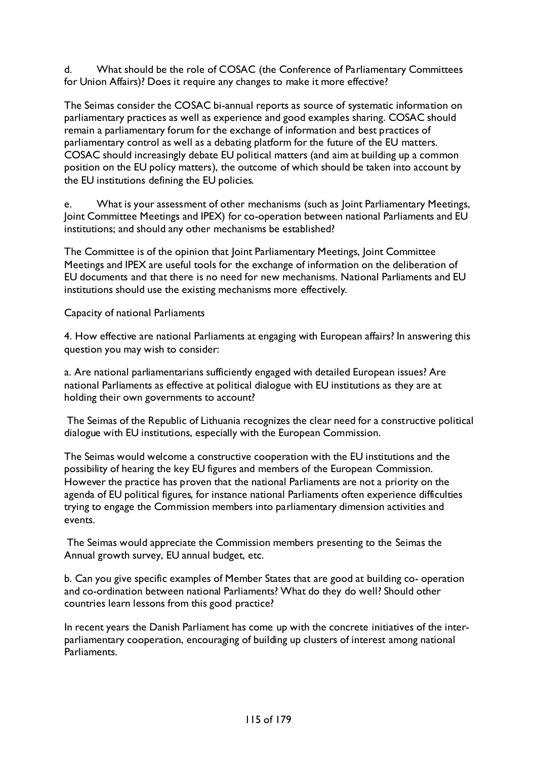d. What should be the role of COSAC (the Conference of Parliamentary Committees for Union Affairs)? Does it require any changes to make it more effective?

The Seimas consider the COSAC bi-annual reports as source of systematic information on parliamentary practices as well as experience and good examples sharing. COSAC should remain a parliamentary forum for the exchange of information and best practices of parliamentary control as well as a debating platform for the future of the EU matters. COSAC should increasingly debate EU political matters (and aim at building up a common position on the EU policy matters), the outcome of which should be taken into account by the EU institutions defining the EU policies.

e. What is your assessment of other mechanisms (such as Joint Parliamentary Meetings, Joint Committee Meetings and IPEX) for co-operation between national Parliaments and EU institutions; and should any other mechanisms be established?

The Committee is of the opinion that Joint Parliamentary Meetings, Joint Committee Meetings and IPEX are useful tools for the exchange of information on the deliberation of EU documents and that there is no need for new mechanisms. National Parliaments and EU institutions should use the existing mechanisms more effectively.

Capacity of national Parliaments

4. How effective are national Parliaments at engaging with European affairs? In answering this question you may wish to consider:

a. Are national parliamentarians sufficiently engaged with detailed European issues? Are national Parliaments as effective at political dialogue with EU institutions as they are at holding their own governments to account?

The Seimas of the Republic of Lithuania recognizes the clear need for a constructive political dialogue with EU institutions, especially with the European Commission.

The Seimas would welcome a constructive cooperation with the EU institutions and the possibility of hearing the key EU figures and members of the European Commission. However the practice has proven that the national Parliaments are not a priority on the agenda of EU political figures, for instance national Parliaments often experience difficulties trying to engage the Commission members into parliamentary dimension activities and events.

The Seimas would appreciate the Commission members presenting to the Seimas the Annual growth survey, EU annual budget, etc.

b. Can you give specific examples of Member States that are good at building co- operation and co-ordination between national Parliaments? What do they do well? Should other countries learn lessons from this good practice?

In recent years the Danish Parliament has come up with the concrete initiatives of the interparliamentary cooperation, encouraging of building up clusters of interest among national Parliaments.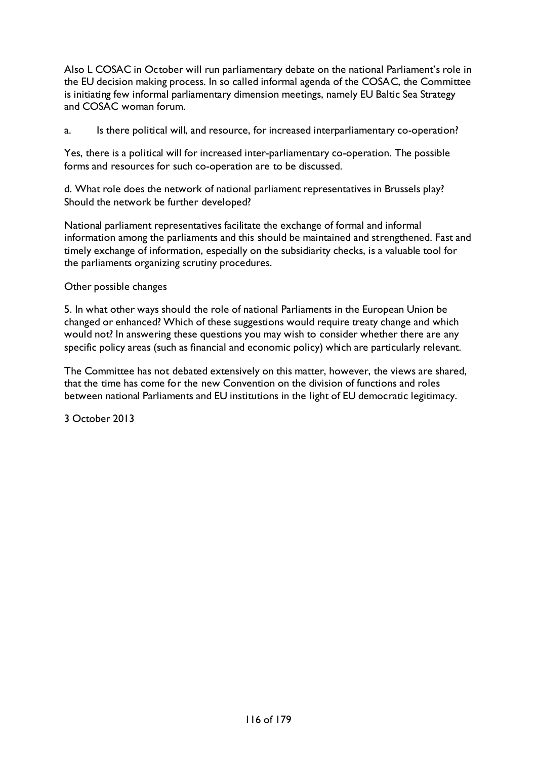Also L COSAC in October will run parliamentary debate on the national Parliament's role in the EU decision making process. In so called informal agenda of the COSAC, the Committee is initiating few informal parliamentary dimension meetings, namely EU Baltic Sea Strategy and COSAC woman forum.

a. Is there political will, and resource, for increased interparliamentary co-operation?

Yes, there is a political will for increased inter-parliamentary co-operation. The possible forms and resources for such co-operation are to be discussed.

d. What role does the network of national parliament representatives in Brussels play? Should the network be further developed?

National parliament representatives facilitate the exchange of formal and informal information among the parliaments and this should be maintained and strengthened. Fast and timely exchange of information, especially on the subsidiarity checks, is a valuable tool for the parliaments organizing scrutiny procedures.

#### Other possible changes

5. In what other ways should the role of national Parliaments in the European Union be changed or enhanced? Which of these suggestions would require treaty change and which would not? In answering these questions you may wish to consider whether there are any specific policy areas (such as financial and economic policy) which are particularly relevant.

The Committee has not debated extensively on this matter, however, the views are shared, that the time has come for the new Convention on the division of functions and roles between national Parliaments and EU institutions in the light of EU democratic legitimacy.

3 October 2013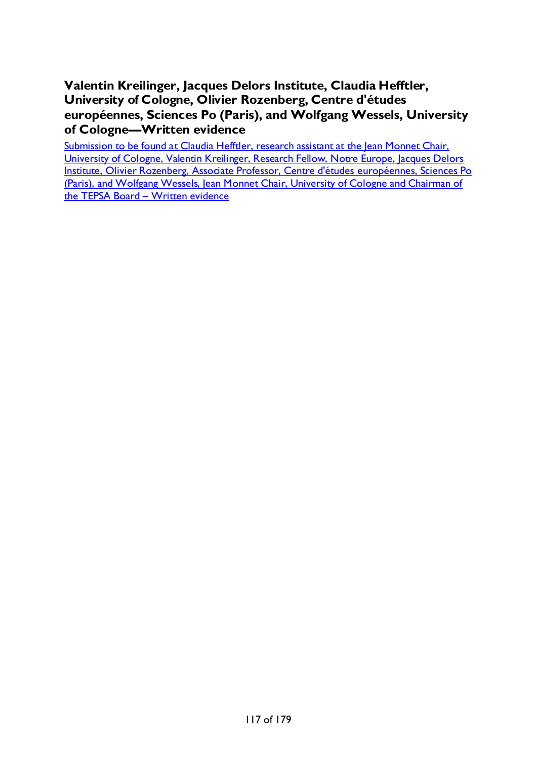**Valentin Kreilinger, Jacques Delors Institute, Claudia Hefftler, University of Cologne, Olivier Rozenberg, Centre d'études européennes, Sciences Po (Paris), and Wolfgang Wessels, University of Cologne—Written evidence**

Submission to be found at Claudia Hefftler, research assistant at the Jean Monnet Chair, University of Cologne, Valentin Kreilinger, Research Fellow, Notre Europe, Jacques Delors Institute, Olivier Rozenberg, Associate Professor, Centre d'études européennes, Sciences Po (Paris), and Wolfgang Wessels, Jean Monnet Chair, University of Cologne and Chairman of [the TEPSA Board –](#page-60-0) Written evidence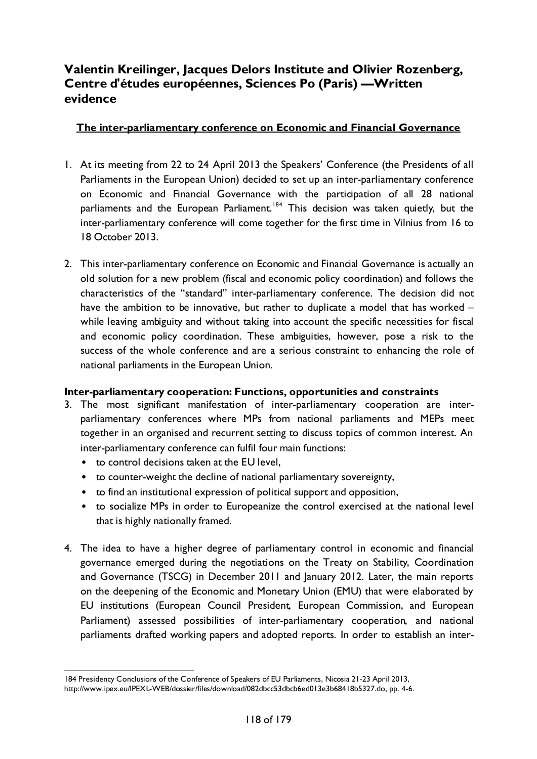### **Valentin Kreilinger, Jacques Delors Institute and Olivier Rozenberg, Centre d'études européennes, Sciences Po (Paris) —Written evidence**

### **The inter-parliamentary conference on Economic and Financial Governance**

- 1. At its meeting from 22 to 24 April 2013 the Speakers' Conference (the Presidents of all Parliaments in the European Union) decided to set up an inter-parliamentary conference on Economic and Financial Governance with the participation of all 28 national parliaments and the European Parliament.<sup>[184](#page-117-0)</sup> This decision was taken quietly, but the inter-parliamentary conference will come together for the first time in Vilnius from 16 to 18 October 2013.
- 2. This inter-parliamentary conference on Economic and Financial Governance is actually an old solution for a new problem (fiscal and economic policy coordination) and follows the characteristics of the "standard" inter-parliamentary conference. The decision did not have the ambition to be innovative, but rather to duplicate a model that has worked while leaving ambiguity and without taking into account the specific necessities for fiscal and economic policy coordination. These ambiguities, however, pose a risk to the success of the whole conference and are a serious constraint to enhancing the role of national parliaments in the European Union.

#### **Inter-parliamentary cooperation: Functions, opportunities and constraints**

- 3. The most significant manifestation of inter-parliamentary cooperation are interparliamentary conferences where MPs from national parliaments and MEPs meet together in an organised and recurrent setting to discuss topics of common interest. An inter-parliamentary conference can fulfil four main functions:
	- to control decisions taken at the EU level,
	- to counter-weight the decline of national parliamentary sovereignty,
	- to find an institutional expression of political support and opposition,
	- to socialize MPs in order to Europeanize the control exercised at the national level that is highly nationally framed.
- 4. The idea to have a higher degree of parliamentary control in economic and financial governance emerged during the negotiations on the Treaty on Stability, Coordination and Governance (TSCG) in December 2011 and January 2012. Later, the main reports on the deepening of the Economic and Monetary Union (EMU) that were elaborated by EU institutions (European Council President, European Commission, and European Parliament) assessed possibilities of inter-parliamentary cooperation, and national parliaments drafted working papers and adopted reports. In order to establish an inter-

<span id="page-117-0"></span> <sup>184</sup> Presidency Conclusions of the Conference of Speakers of EU Parliaments, Nicosia 21-23 April 2013, [http://www.ipex.eu/IPEXL-WEB/dossier/files/download/082dbcc53dbcb6ed013e3b68418b5327.do,](http://www.ipex.eu/IPEXL-WEB/dossier/files/download/082dbcc53dbcb6ed013e3b68418b5327.do) pp. 4-6.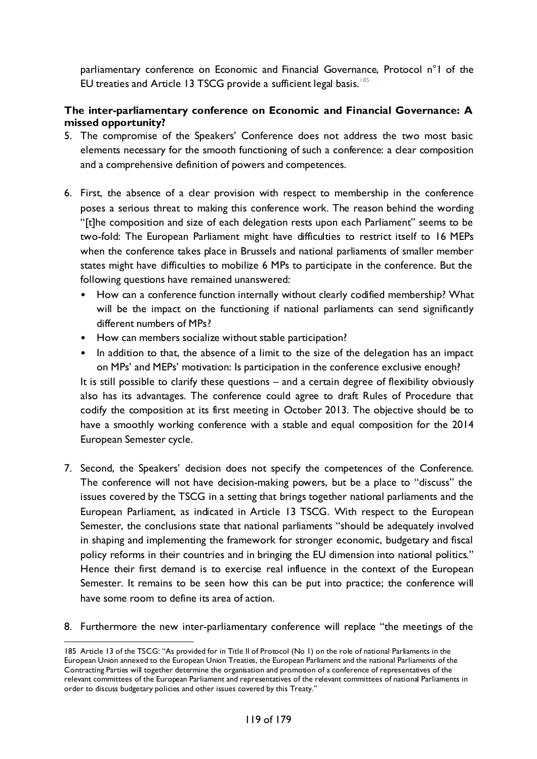parliamentary conference on Economic and Financial Governance, Protocol n°1 of the EU treaties and Article 13 TSCG provide a sufficient legal basis.<sup>[185](#page-118-0)</sup>

### **The inter-parliamentary conference on Economic and Financial Governance: A missed opportunity?**

- 5. The compromise of the Speakers' Conference does not address the two most basic elements necessary for the smooth functioning of such a conference: a clear composition and a comprehensive definition of powers and competences.
- 6. First, the absence of a clear provision with respect to membership in the conference poses a serious threat to making this conference work. The reason behind the wording "[t]he composition and size of each delegation rests upon each Parliament" seems to be two-fold: The European Parliament might have difficulties to restrict itself to 16 MEPs when the conference takes place in Brussels and national parliaments of smaller member states might have difficulties to mobilize 6 MPs to participate in the conference. But the following questions have remained unanswered:
	- How can a conference function internally without clearly codified membership? What will be the impact on the functioning if national parliaments can send significantly different numbers of MPs?
	- How can members socialize without stable participation?
	- In addition to that, the absence of a limit to the size of the delegation has an impact on MPs' and MEPs' motivation: Is participation in the conference exclusive enough?

It is still possible to clarify these questions – and a certain degree of flexibility obviously also has its advantages. The conference could agree to draft Rules of Procedure that codify the composition at its first meeting in October 2013. The objective should be to have a smoothly working conference with a stable and equal composition for the 2014 European Semester cycle.

- 7. Second, the Speakers' decision does not specify the competences of the Conference. The conference will not have decision-making powers, but be a place to "discuss" the issues covered by the TSCG in a setting that brings together national parliaments and the European Parliament, as indicated in Article 13 TSCG. With respect to the European Semester, the conclusions state that national parliaments "should be adequately involved in shaping and implementing the framework for stronger economic, budgetary and fiscal policy reforms in their countries and in bringing the EU dimension into national politics." Hence their first demand is to exercise real influence in the context of the European Semester. It remains to be seen how this can be put into practice; the conference will have some room to define its area of action.
- 8. Furthermore the new inter-parliamentary conference will replace "the meetings of the

<span id="page-118-0"></span> <sup>185</sup> Article 13 of the TSCG: "As provided for in Title II of Protocol (No 1) on the role of national Parliaments in the European Union annexed to the European Union Treaties, the European Parliament and the national Parliaments of the Contracting Parties will together determine the organisation and promotion of a conference of representatives of the relevant committees of the European Parliament and representatives of the relevant committees of national Parliaments in order to discuss budgetary policies and other issues covered by this Treaty."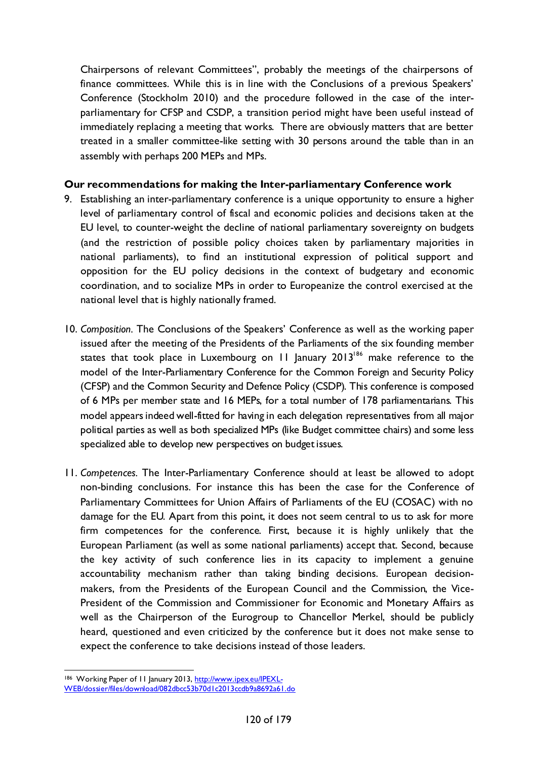Chairpersons of relevant Committees", probably the meetings of the chairpersons of finance committees. While this is in line with the Conclusions of a previous Speakers' Conference (Stockholm 2010) and the procedure followed in the case of the interparliamentary for CFSP and CSDP, a transition period might have been useful instead of immediately replacing a meeting that works. There are obviously matters that are better treated in a smaller committee-like setting with 30 persons around the table than in an assembly with perhaps 200 MEPs and MPs.

#### **Our recommendations for making the Inter-parliamentary Conference work**

- 9. Establishing an inter-parliamentary conference is a unique opportunity to ensure a higher level of parliamentary control of fiscal and economic policies and decisions taken at the EU level, to counter-weight the decline of national parliamentary sovereignty on budgets (and the restriction of possible policy choices taken by parliamentary majorities in national parliaments), to find an institutional expression of political support and opposition for the EU policy decisions in the context of budgetary and economic coordination, and to socialize MPs in order to Europeanize the control exercised at the national level that is highly nationally framed.
- 10. *Composition.* The Conclusions of the Speakers' Conference as well as the working paper issued after the meeting of the Presidents of the Parliaments of the six founding member states that took place in Luxembourg on  $11$  January 2013<sup>186</sup> make reference to the model of the Inter-Parliamentary Conference for the Common Foreign and Security Policy (CFSP) and the Common Security and Defence Policy (CSDP). This conference is composed of 6 MPs per member state and 16 MEPs, for a total number of 178 parliamentarians. This model appears indeed well-fitted for having in each delegation representatives from all major political parties as well as both specialized MPs (like Budget committee chairs) and some less specialized able to develop new perspectives on budget issues.
- 11. *Competences.* The Inter-Parliamentary Conference should at least be allowed to adopt non-binding conclusions. For instance this has been the case for the Conference of Parliamentary Committees for Union Affairs of Parliaments of the EU (COSAC) with no damage for the EU. Apart from this point, it does not seem central to us to ask for more firm competences for the conference. First, because it is highly unlikely that the European Parliament (as well as some national parliaments) accept that. Second, because the key activity of such conference lies in its capacity to implement a genuine accountability mechanism rather than taking binding decisions. European decisionmakers, from the Presidents of the European Council and the Commission, the Vice-President of the Commission and Commissioner for Economic and Monetary Affairs as well as the Chairperson of the Eurogroup to Chancellor Merkel, should be publicly heard, questioned and even criticized by the conference but it does not make sense to expect the conference to take decisions instead of those leaders.

<span id="page-119-0"></span> <sup>186</sup> Working Paper of 11 January 2013, [http://www.ipex.eu/IPEXL-](http://www.ipex.eu/IPEXL-WEB/dossier/files/download/082dbcc53b70d1c2013ccdb9a8692a61.do)[WEB/dossier/files/download/082dbcc53b70d1c2013ccdb9a8692a61.do](http://www.ipex.eu/IPEXL-WEB/dossier/files/download/082dbcc53b70d1c2013ccdb9a8692a61.do)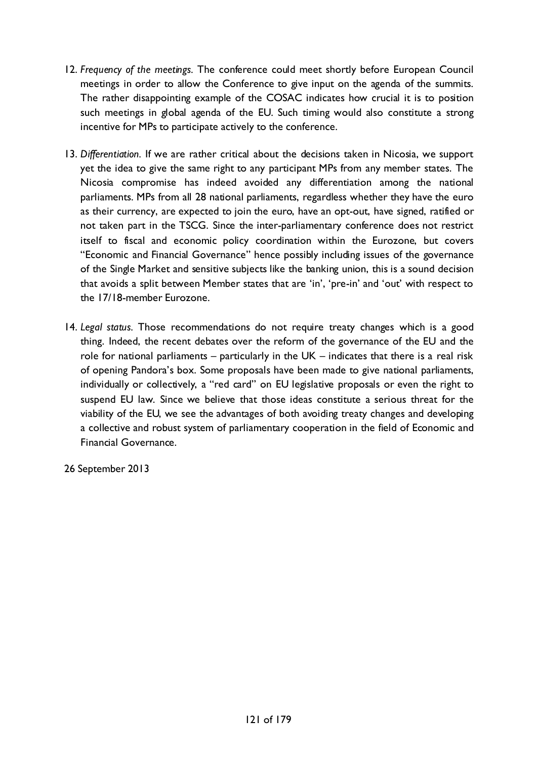- 12. *Frequency of the meetings.* The conference could meet shortly before European Council meetings in order to allow the Conference to give input on the agenda of the summits. The rather disappointing example of the COSAC indicates how crucial it is to position such meetings in global agenda of the EU. Such timing would also constitute a strong incentive for MPs to participate actively to the conference.
- 13. *Differentiation.* If we are rather critical about the decisions taken in Nicosia, we support yet the idea to give the same right to any participant MPs from any member states. The Nicosia compromise has indeed avoided any differentiation among the national parliaments. MPs from all 28 national parliaments, regardless whether they have the euro as their currency, are expected to join the euro, have an opt-out, have signed, ratified or not taken part in the TSCG. Since the inter-parliamentary conference does not restrict itself to fiscal and economic policy coordination within the Eurozone, but covers "Economic and Financial Governance" hence possibly including issues of the governance of the Single Market and sensitive subjects like the banking union, this is a sound decision that avoids a split between Member states that are 'in', 'pre-in' and 'out' with respect to the 17/18-member Eurozone.
- 14. *Legal status.* Those recommendations do not require treaty changes which is a good thing. Indeed, the recent debates over the reform of the governance of the EU and the role for national parliaments – particularly in the UK – indicates that there is a real risk of opening Pandora's box. Some proposals have been made to give national parliaments, individually or collectively, a "red card" on EU legislative proposals or even the right to suspend EU law. Since we believe that those ideas constitute a serious threat for the viability of the EU, we see the advantages of both avoiding treaty changes and developing a collective and robust system of parliamentary cooperation in the field of Economic and Financial Governance.

26 September 2013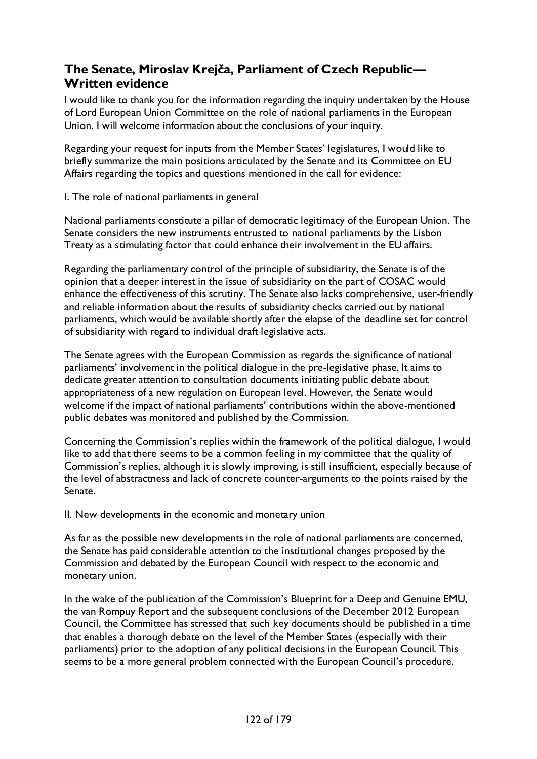# **The Senate, Miroslav Krejča, Parliament of Czech Republic— Written evidence**

I would like to thank you for the information regarding the inquiry undertaken by the House of Lord European Union Committee on the role of national parliaments in the European Union. I will welcome information about the conclusions of your inquiry.

Regarding your request for inputs from the Member States' legislatures, I would like to briefly summarize the main positions articulated by the Senate and its Committee on EU Affairs regarding the topics and questions mentioned in the call for evidence:

I. The role of national parliaments in general

National parliaments constitute a pillar of democratic legitimacy of the European Union. The Senate considers the new instruments entrusted to national parliaments by the Lisbon Treaty as a stimulating factor that could enhance their involvement in the EU affairs.

Regarding the parliamentary control of the principle of subsidiarity, the Senate is of the opinion that a deeper interest in the issue of subsidiarity on the part of COSAC would enhance the effectiveness of this scrutiny. The Senate also lacks comprehensive, user-friendly and reliable information about the results of subsidiarity checks carried out by national parliaments, which would be available shortly after the elapse of the deadline set for control of subsidiarity with regard to individual draft legislative acts.

The Senate agrees with the European Commission as regards the significance of national parliaments' involvement in the political dialogue in the pre-legislative phase. It aims to dedicate greater attention to consultation documents initiating public debate about appropriateness of a new regulation on European level. However, the Senate would welcome if the impact of national parliaments' contributions within the above-mentioned public debates was monitored and published by the Commission.

Concerning the Commission's replies within the framework of the political dialogue, I would like to add that there seems to be a common feeling in my committee that the quality of Commission's replies, although it is slowly improving, is still insufficient, especially because of the level of abstractness and lack of concrete counter-arguments to the points raised by the Senate.

II. New developments in the economic and monetary union

As far as the possible new developments in the role of national parliaments are concerned, the Senate has paid considerable attention to the institutional changes proposed by the Commission and debated by the European Council with respect to the economic and monetary union.

In the wake of the publication of the Commission's Blueprint for a Deep and Genuine EMU, the van Rompuy Report and the subsequent conclusions of the December 2012 European Council, the Committee has stressed that such key documents should be published in a time that enables a thorough debate on the level of the Member States (especially with their parliaments) prior to the adoption of any political decisions in the European Council. This seems to be a more general problem connected with the European Council's procedure.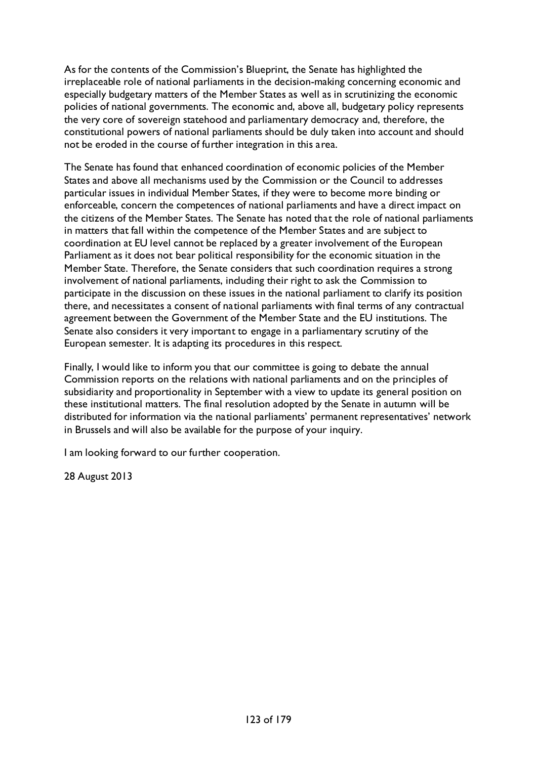As for the contents of the Commission's Blueprint, the Senate has highlighted the irreplaceable role of national parliaments in the decision-making concerning economic and especially budgetary matters of the Member States as well as in scrutinizing the economic policies of national governments. The economic and, above all, budgetary policy represents the very core of sovereign statehood and parliamentary democracy and, therefore, the constitutional powers of national parliaments should be duly taken into account and should not be eroded in the course of further integration in this area.

The Senate has found that enhanced coordination of economic policies of the Member States and above all mechanisms used by the Commission or the Council to addresses particular issues in individual Member States, if they were to become more binding or enforceable, concern the competences of national parliaments and have a direct impact on the citizens of the Member States. The Senate has noted that the role of national parliaments in matters that fall within the competence of the Member States and are subject to coordination at EU level cannot be replaced by a greater involvement of the European Parliament as it does not bear political responsibility for the economic situation in the Member State. Therefore, the Senate considers that such coordination requires a strong involvement of national parliaments, including their right to ask the Commission to participate in the discussion on these issues in the national parliament to clarify its position there, and necessitates a consent of national parliaments with final terms of any contractual agreement between the Government of the Member State and the EU institutions. The Senate also considers it very important to engage in a parliamentary scrutiny of the European semester. It is adapting its procedures in this respect.

Finally, I would like to inform you that our committee is going to debate the annual Commission reports on the relations with national parliaments and on the principles of subsidiarity and proportionality in September with a view to update its general position on these institutional matters. The final resolution adopted by the Senate in autumn will be distributed for information via the national parliaments' permanent representatives' network in Brussels and will also be available for the purpose of your inquiry.

I am looking forward to our further cooperation.

28 August 2013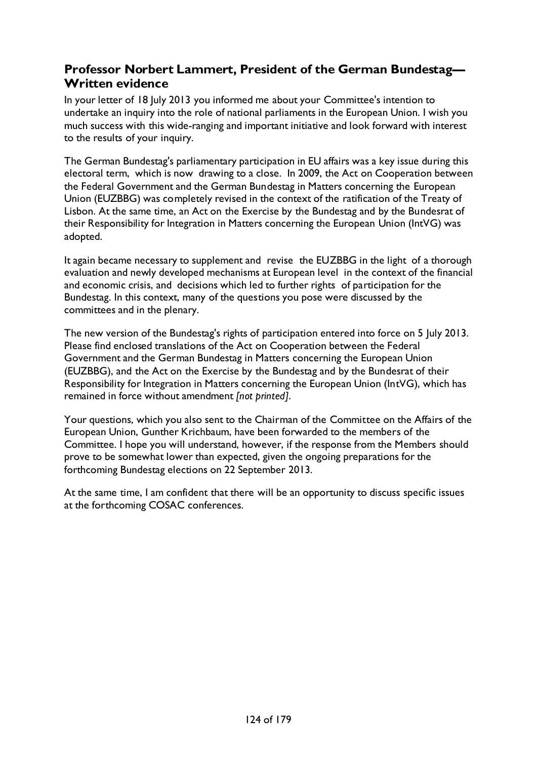# **Professor Norbert Lammert, President of the German Bundestag— Written evidence**

In your letter of 18 July 2013 you informed me about your Committee's intention to undertake an inquiry into the role of national parliaments in the European Union. I wish you much success with this wide-ranging and important initiative and look forward with interest to the results of your inquiry.

The German Bundestag's parliamentary participation in EU affairs was a key issue during this electoral term, which is now drawing to a close. In 2009, the Act on Cooperation between the Federal Government and the German Bundestag in Matters concerning the European Union (EUZBBG) was completely revised in the context of the ratification of the Treaty of Lisbon. At the same time, an Act on the Exercise by the Bundestag and by the Bundesrat of their Responsibility for Integration in Matters concerning the European Union (IntVG) was adopted.

It again became necessary to supplement and revise the EUZBBG in the light of a thorough evaluation and newly developed mechanisms at European level in the context of the financial and economic crisis, and decisions which led to further rights of participation for the Bundestag. In this context, many of the questions you pose were discussed by the committees and in the plenary.

The new version of the Bundestag's rights of participation entered into force on 5 July 2013. Please find enclosed translations of the Act on Cooperation between the Federal Government and the German Bundestag in Matters concerning the European Union (EUZBBG), and the Act on the Exercise by the Bundestag and by the Bundesrat of their Responsibility for Integration in Matters concerning the European Union (IntVG), which has remained in force without amendment *[not printed]*.

Your questions, which you also sent to the Chairman of the Committee on the Affairs of the European Union, Gunther Krichbaum, have been forwarded to the members of the Committee. I hope you will understand, however, if the response from the Members should prove to be somewhat lower than expected, given the ongoing preparations for the forthcoming Bundestag elections on 22 September 2013.

At the same time, I am confident that there will be an opportunity to discuss specific issues at the forthcoming COSAC conferences.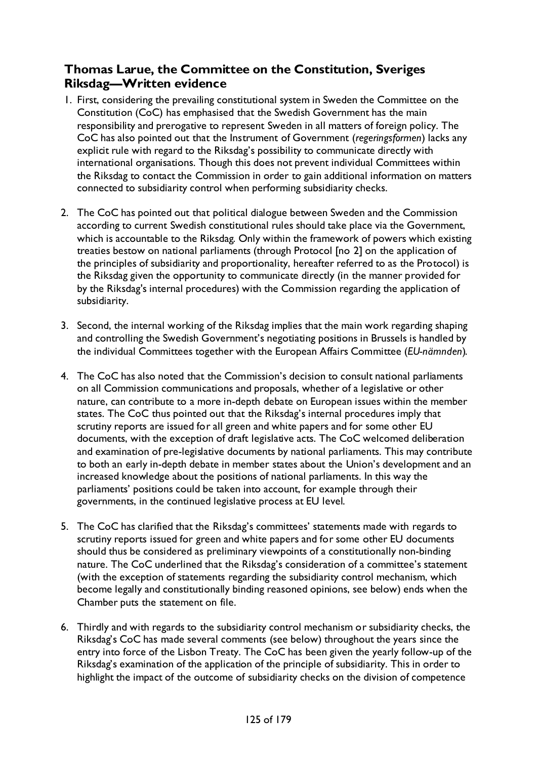# **Thomas Larue, the Committee on the Constitution, Sveriges Riksdag—Written evidence**

- 1. First, considering the prevailing constitutional system in Sweden the Committee on the Constitution (CoC) has emphasised that the Swedish Government has the main responsibility and prerogative to represent Sweden in all matters of foreign policy. The CoC has also pointed out that the Instrument of Government (*regeringsformen*) lacks any explicit rule with regard to the Riksdag's possibility to communicate directly with international organisations. Though this does not prevent individual Committees within the Riksdag to contact the Commission in order to gain additional information on matters connected to subsidiarity control when performing subsidiarity checks.
- 2. The CoC has pointed out that political dialogue between Sweden and the Commission according to current Swedish constitutional rules should take place via the Government, which is accountable to the Riksdag. Only within the framework of powers which existing treaties bestow on national parliaments (through Protocol [no 2] on the application of the principles of subsidiarity and proportionality, hereafter referred to as the Protocol) is the Riksdag given the opportunity to communicate directly (in the manner provided for by the Riksdag's internal procedures) with the Commission regarding the application of subsidiarity.
- 3. Second, the internal working of the Riksdag implies that the main work regarding shaping and controlling the Swedish Government's negotiating positions in Brussels is handled by the individual Committees together with the European Affairs Committee (*EU-nämnden*).
- 4. The CoC has also noted that the Commission's decision to consult national parliaments on all Commission communications and proposals, whether of a legislative or other nature, can contribute to a more in-depth debate on European issues within the member states. The CoC thus pointed out that the Riksdag's internal procedures imply that scrutiny reports are issued for all green and white papers and for some other EU documents, with the exception of draft legislative acts. The CoC welcomed deliberation and examination of pre-legislative documents by national parliaments. This may contribute to both an early in-depth debate in member states about the Union's development and an increased knowledge about the positions of national parliaments. In this way the parliaments' positions could be taken into account, for example through their governments, in the continued legislative process at EU level.
- 5. The CoC has clarified that the Riksdag's committees' statements made with regards to scrutiny reports issued for green and white papers and for some other EU documents should thus be considered as preliminary viewpoints of a constitutionally non-binding nature. The CoC underlined that the Riksdag's consideration of a committee's statement (with the exception of statements regarding the subsidiarity control mechanism, which become legally and constitutionally binding reasoned opinions, see below) ends when the Chamber puts the statement on file.
- 6. Thirdly and with regards to the subsidiarity control mechanism or subsidiarity checks, the Riksdag's CoC has made several comments (see below) throughout the years since the entry into force of the Lisbon Treaty. The CoC has been given the yearly follow-up of the Riksdag's examination of the application of the principle of subsidiarity. This in order to highlight the impact of the outcome of subsidiarity checks on the division of competence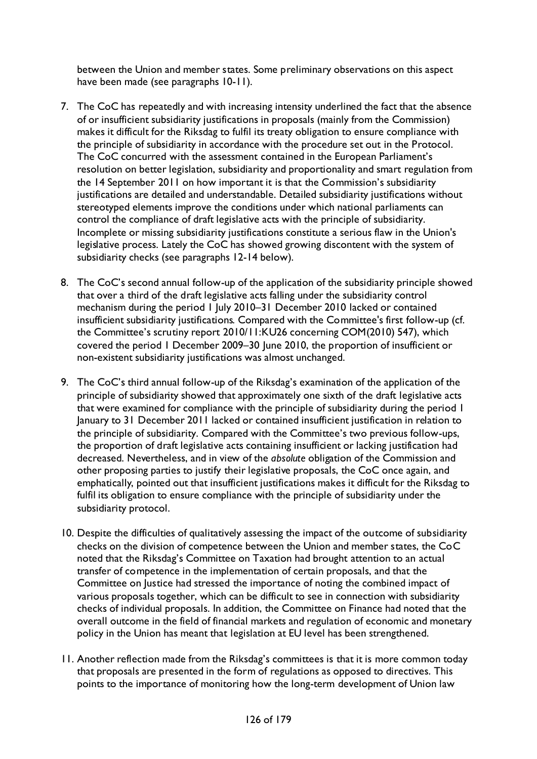between the Union and member states. Some preliminary observations on this aspect have been made (see paragraphs 10-11).

- 7. The CoC has repeatedly and with increasing intensity underlined the fact that the absence of or insufficient subsidiarity justifications in proposals (mainly from the Commission) makes it difficult for the Riksdag to fulfil its treaty obligation to ensure compliance with the principle of subsidiarity in accordance with the procedure set out in the Protocol. The CoC concurred with the assessment contained in the European Parliament's resolution on better legislation, subsidiarity and proportionality and smart regulation from the 14 September 2011 on how important it is that the Commission's subsidiarity justifications are detailed and understandable. Detailed subsidiarity justifications without stereotyped elements improve the conditions under which national parliaments can control the compliance of draft legislative acts with the principle of subsidiarity. Incomplete or missing subsidiarity justifications constitute a serious flaw in the Union's legislative process. Lately the CoC has showed growing discontent with the system of subsidiarity checks (see paragraphs 12-14 below).
- 8. The CoC's second annual follow-up of the application of the subsidiarity principle showed that over a third of the draft legislative acts falling under the subsidiarity control mechanism during the period 1 July 2010–31 December 2010 lacked or contained insufficient subsidiarity justifications. Compared with the Committee's first follow-up (cf. the Committee's scrutiny report 2010/11:KU26 concerning COM(2010) 547), which covered the period 1 December 2009–30 June 2010, the proportion of insufficient or non-existent subsidiarity justifications was almost unchanged.
- 9. The CoC's third annual follow-up of the Riksdag's examination of the application of the principle of subsidiarity showed that approximately one sixth of the draft legislative acts that were examined for compliance with the principle of subsidiarity during the period 1 January to 31 December 2011 lacked or contained insufficient justification in relation to the principle of subsidiarity. Compared with the Committee's two previous follow-ups, the proportion of draft legislative acts containing insufficient or lacking justification had decreased. Nevertheless, and in view of the *absolute* obligation of the Commission and other proposing parties to justify their legislative proposals, the CoC once again, and emphatically, pointed out that insufficient justifications makes it difficult for the Riksdag to fulfil its obligation to ensure compliance with the principle of subsidiarity under the subsidiarity protocol.
- 10. Despite the difficulties of qualitatively assessing the impact of the outcome of subsidiarity checks on the division of competence between the Union and member states, the CoC noted that the Riksdag's Committee on Taxation had brought attention to an actual transfer of competence in the implementation of certain proposals, and that the Committee on Justice had stressed the importance of noting the combined impact of various proposals together, which can be difficult to see in connection with subsidiarity checks of individual proposals. In addition, the Committee on Finance had noted that the overall outcome in the field of financial markets and regulation of economic and monetary policy in the Union has meant that legislation at EU level has been strengthened.
- 11. Another reflection made from the Riksdag's committees is that it is more common today that proposals are presented in the form of regulations as opposed to directives. This points to the importance of monitoring how the long-term development of Union law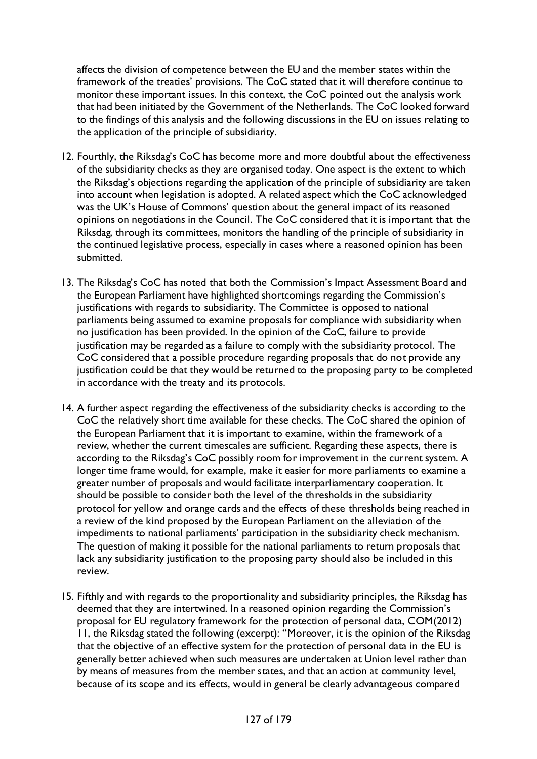affects the division of competence between the EU and the member states within the framework of the treaties' provisions. The CoC stated that it will therefore continue to monitor these important issues. In this context, the CoC pointed out the analysis work that had been initiated by the Government of the Netherlands. The CoC looked forward to the findings of this analysis and the following discussions in the EU on issues relating to the application of the principle of subsidiarity.

- 12. Fourthly, the Riksdag's CoC has become more and more doubtful about the effectiveness of the subsidiarity checks as they are organised today. One aspect is the extent to which the Riksdag's objections regarding the application of the principle of subsidiarity are taken into account when legislation is adopted. A related aspect which the CoC acknowledged was the UK's House of Commons' question about the general impact of its reasoned opinions on negotiations in the Council. The CoC considered that it is important that the Riksdag, through its committees, monitors the handling of the principle of subsidiarity in the continued legislative process, especially in cases where a reasoned opinion has been submitted.
- 13. The Riksdag's CoC has noted that both the Commission's Impact Assessment Board and the European Parliament have highlighted shortcomings regarding the Commission's justifications with regards to subsidiarity. The Committee is opposed to national parliaments being assumed to examine proposals for compliance with subsidiarity when no justification has been provided. In the opinion of the CoC, failure to provide justification may be regarded as a failure to comply with the subsidiarity protocol. The CoC considered that a possible procedure regarding proposals that do not provide any justification could be that they would be returned to the proposing party to be completed in accordance with the treaty and its protocols.
- 14. A further aspect regarding the effectiveness of the subsidiarity checks is according to the CoC the relatively short time available for these checks. The CoC shared the opinion of the European Parliament that it is important to examine, within the framework of a review, whether the current timescales are sufficient. Regarding these aspects, there is according to the Riksdag's CoC possibly room for improvement in the current system. A longer time frame would, for example, make it easier for more parliaments to examine a greater number of proposals and would facilitate interparliamentary cooperation. It should be possible to consider both the level of the thresholds in the subsidiarity protocol for yellow and orange cards and the effects of these thresholds being reached in a review of the kind proposed by the European Parliament on the alleviation of the impediments to national parliaments' participation in the subsidiarity check mechanism. The question of making it possible for the national parliaments to return proposals that lack any subsidiarity justification to the proposing party should also be included in this review.
- 15. Fifthly and with regards to the proportionality and subsidiarity principles, the Riksdag has deemed that they are intertwined. In a reasoned opinion regarding the Commission's proposal for EU regulatory framework for the protection of personal data, COM(2012) 11, the Riksdag stated the following (excerpt): "Moreover, it is the opinion of the Riksdag that the objective of an effective system for the protection of personal data in the EU is generally better achieved when such measures are undertaken at Union level rather than by means of measures from the member states, and that an action at community level, because of its scope and its effects, would in general be clearly advantageous compared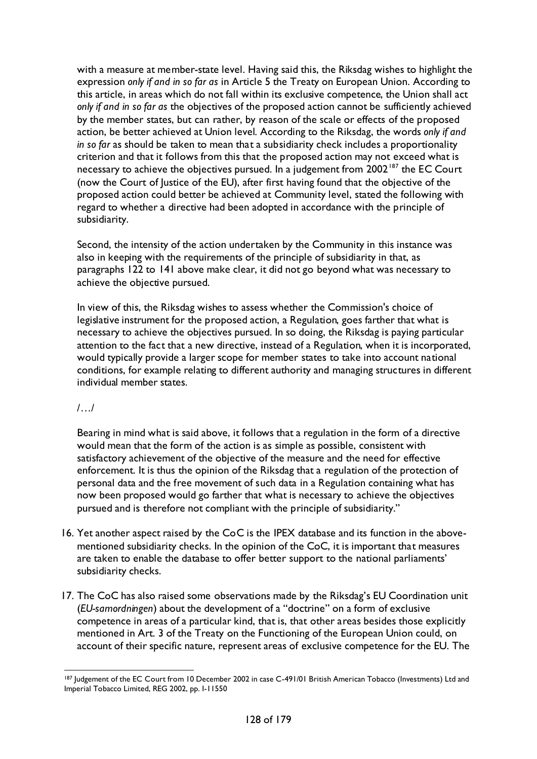with a measure at member-state level. Having said this, the Riksdag wishes to highlight the expression *only if and in so far as* in Article 5 the Treaty on European Union. According to this article, in areas which do not fall within its exclusive competence, the Union shall act *only if and in so far as* the objectives of the proposed action cannot be sufficiently achieved by the member states, but can rather, by reason of the scale or effects of the proposed action, be better achieved at Union level. According to the Riksdag, the words *only if and in so far* as should be taken to mean that a subsidiarity check includes a proportionality criterion and that it follows from this that the proposed action may not exceed what is necessary to achieve the objectives pursued. In a judgement from 2002<sup>[187](#page-127-0)</sup> the EC Court (now the Court of Justice of the EU), after first having found that the objective of the proposed action could better be achieved at Community level, stated the following with regard to whether a directive had been adopted in accordance with the principle of subsidiarity.

Second, the intensity of the action undertaken by the Community in this instance was also in keeping with the requirements of the principle of subsidiarity in that, as paragraphs 122 to 141 above make clear, it did not go beyond what was necessary to achieve the objective pursued.

In view of this, the Riksdag wishes to assess whether the Commission's choice of legislative instrument for the proposed action, a Regulation, goes farther that what is necessary to achieve the objectives pursued. In so doing, the Riksdag is paying particular attention to the fact that a new directive, instead of a Regulation, when it is incorporated, would typically provide a larger scope for member states to take into account national conditions, for example relating to different authority and managing structures in different individual member states.

/…/

Bearing in mind what is said above, it follows that a regulation in the form of a directive would mean that the form of the action is as simple as possible, consistent with satisfactory achievement of the objective of the measure and the need for effective enforcement. It is thus the opinion of the Riksdag that a regulation of the protection of personal data and the free movement of such data in a Regulation containing what has now been proposed would go farther that what is necessary to achieve the objectives pursued and is therefore not compliant with the principle of subsidiarity."

- 16. Yet another aspect raised by the CoC is the IPEX database and its function in the abovementioned subsidiarity checks. In the opinion of the CoC, it is important that measures are taken to enable the database to offer better support to the national parliaments' subsidiarity checks.
- 17. The CoC has also raised some observations made by the Riksdag's EU Coordination unit (*EU-samordningen*) about the development of a "doctrine" on a form of exclusive competence in areas of a particular kind, that is, that other areas besides those explicitly mentioned in Art. 3 of the Treaty on the Functioning of the European Union could, on account of their specific nature, represent areas of exclusive competence for the EU. The

<span id="page-127-0"></span><sup>187</sup> Judgement of the EC Court from 10 December 2002 in case C-491/01 British American Tobacco (Investments) Ltd and Imperial Tobacco Limited, REG 2002, pp. I-11550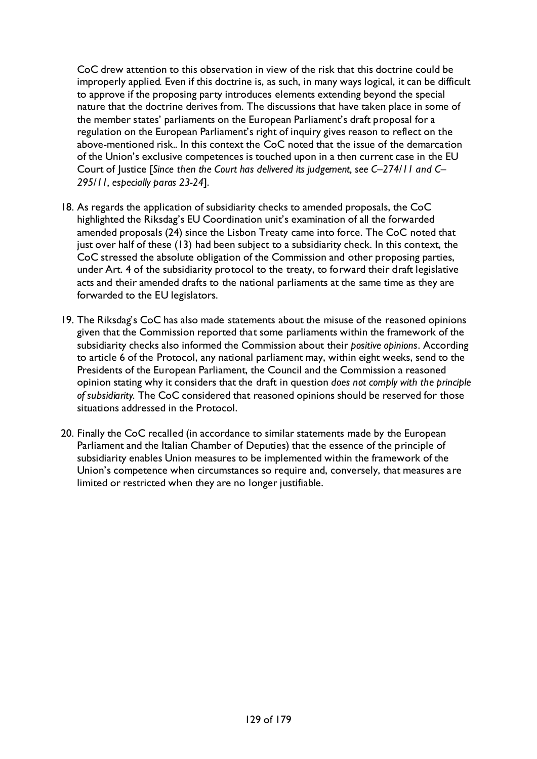CoC drew attention to this observation in view of the risk that this doctrine could be improperly applied. Even if this doctrine is, as such, in many ways logical, it can be difficult to approve if the proposing party introduces elements extending beyond the special nature that the doctrine derives from. The discussions that have taken place in some of the member states' parliaments on the European Parliament's draft proposal for a regulation on the European Parliament's right of inquiry gives reason to reflect on the above-mentioned risk.. In this context the CoC noted that the issue of the demarcation of the Union's exclusive competences is touched upon in a then current case in the EU Court of Justice [*Since then the Court has delivered its judgement, see C–274/11 and C– 295/11, especially paras 23-24*].

- 18. As regards the application of subsidiarity checks to amended proposals, the CoC highlighted the Riksdag's EU Coordination unit's examination of all the forwarded amended proposals (24) since the Lisbon Treaty came into force. The CoC noted that just over half of these (13) had been subject to a subsidiarity check. In this context, the CoC stressed the absolute obligation of the Commission and other proposing parties, under Art. 4 of the subsidiarity protocol to the treaty, to forward their draft legislative acts and their amended drafts to the national parliaments at the same time as they are forwarded to the EU legislators.
- 19. The Riksdag's CoC has also made statements about the misuse of the reasoned opinions given that the Commission reported that some parliaments within the framework of the subsidiarity checks also informed the Commission about their *positive opinions*. According to article 6 of the Protocol, any national parliament may, within eight weeks, send to the Presidents of the European Parliament, the Council and the Commission a reasoned opinion stating why it considers that the draft in question *does not comply with the principle of subsidiarity*. The CoC considered that reasoned opinions should be reserved for those situations addressed in the Protocol.
- 20. Finally the CoC recalled (in accordance to similar statements made by the European Parliament and the Italian Chamber of Deputies) that the essence of the principle of subsidiarity enables Union measures to be implemented within the framework of the Union's competence when circumstances so require and, conversely, that measures are limited or restricted when they are no longer justifiable.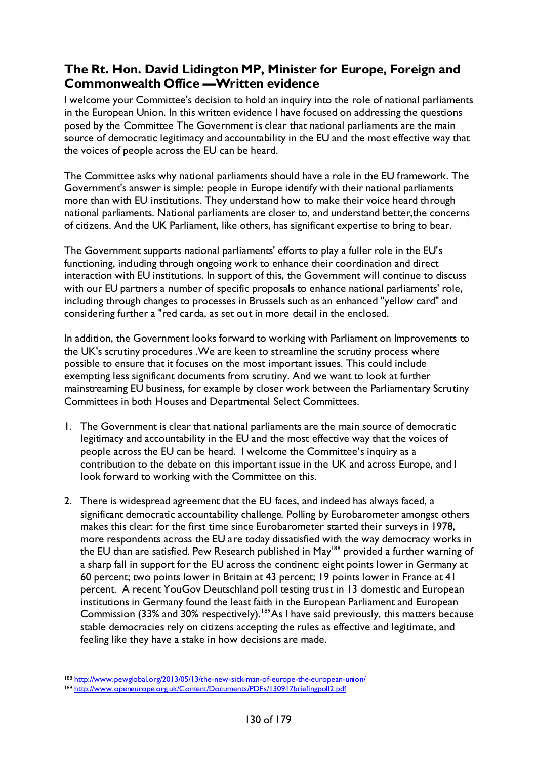### **The Rt. Hon. David Lidington MP, Minister for Europe, Foreign and Commonwealth Office —Written evidence**

I welcome your Committee's decision to hold an inquiry into the role of national parliaments in the European Union. In this written evidence I have focused on addressing the questions posed by the Committee The Government is clear that national parliaments are the main source of democratic legitimacy and accountability in the EU and the most effective way that the voices of people across the EU can be heard.

The Committee asks why national parliaments should have a role in the EU framework. The Government's answer is simple: people in Europe identify with their national parliaments more than with EU institutions. They understand how to make their voice heard through national parliaments. National parliaments are closer to, and understand better,the concerns of citizens. And the UK Parliament, like others, has significant expertise to bring to bear.

The Government supports national parliaments' efforts to play a fuller role in the EU's functioning, including through ongoing work to enhance their coordination and direct interaction with EU institutions. In support of this, the Government will continue to discuss with our EU partners a number of specific proposals to enhance national parliaments' role, including through changes to processes in Brussels such as an enhanced "yellow card" and considering further a "red carda, as set out in more detail in the enclosed.

In addition, the Government looks forward to working with Parliament on Improvements to the UK's scrutiny procedures .We are keen to streamline the scrutiny process where possible to ensure that it focuses on the most important issues. This could include exempting less significant documents from scrutiny. And we want to look at further mainstreaming EU business, for example by closer work between the Parliamentary Scrutiny Committees in both Houses and Departmental Select Committees.

- 1. The Government is clear that national parliaments are the main source of democratic legitimacy and accountability in the EU and the most effective way that the voices of people across the EU can be heard. I welcome the Committee's inquiry as a contribution to the debate on this important issue in the UK and across Europe, and I look forward to working with the Committee on this.
- 2. There is widespread agreement that the EU faces, and indeed has always faced, a significant democratic accountability challenge. Polling by Eurobarometer amongst others makes this clear: for the first time since Eurobarometer started their surveys in 1978, more respondents across the EU are today dissatisfied with the way democracy works in the EU than are satisfied. Pew Research published in May<sup>188</sup> provided a further warning of a sharp fall in support for the EU across the continent: eight points lower in Germany at 60 percent; two points lower in Britain at 43 percent; 19 points lower in France at 41 percent. A recent YouGov Deutschland poll testing trust in 13 domestic and European institutions in Germany found the least faith in the European Parliament and European Commission (33% and 30% respectively).<sup>189</sup>As I have said previously, this matters because stable democracies rely on citizens accepting the rules as effective and legitimate, and feeling like they have a stake in how decisions are made.

<span id="page-129-0"></span><sup>188</sup> <http://www.pewglobal.org/2013/05/13/the-new-sick-man-of-europe-the-european-union/>

<span id="page-129-1"></span><sup>189</sup> <http://www.openeurope.org.uk/Content/Documents/PDFs/130917briefingpoll2.pdf>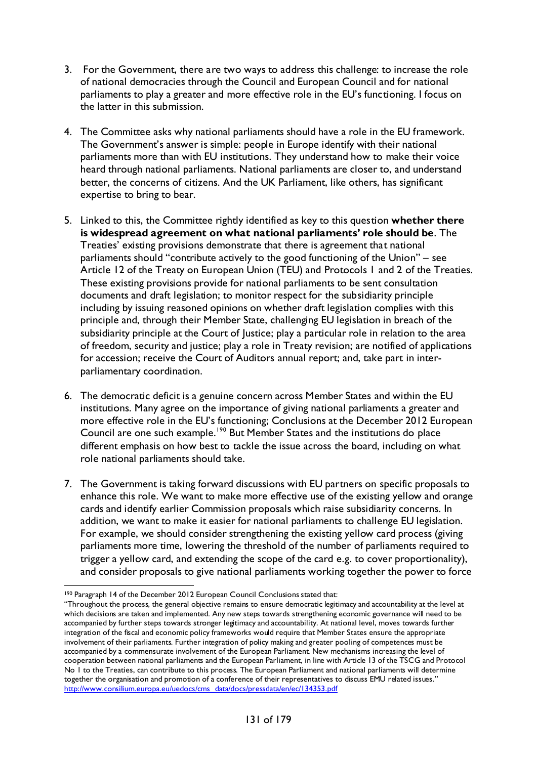- 3. For the Government, there are two ways to address this challenge: to increase the role of national democracies through the Council and European Council and for national parliaments to play a greater and more effective role in the EU's functioning. I focus on the latter in this submission.
- 4. The Committee asks why national parliaments should have a role in the EU framework. The Government's answer is simple: people in Europe identify with their national parliaments more than with EU institutions. They understand how to make their voice heard through national parliaments. National parliaments are closer to, and understand better, the concerns of citizens. And the UK Parliament, like others, has significant expertise to bring to bear.
- 5. Linked to this, the Committee rightly identified as key to this question **whether there is widespread agreement on what national parliaments' role should be**. The Treaties' existing provisions demonstrate that there is agreement that national parliaments should "contribute actively to the good functioning of the Union" – see Article 12 of the Treaty on European Union (TEU) and Protocols 1 and 2 of the Treaties. These existing provisions provide for national parliaments to be sent consultation documents and draft legislation; to monitor respect for the subsidiarity principle including by issuing reasoned opinions on whether draft legislation complies with this principle and, through their Member State, challenging EU legislation in breach of the subsidiarity principle at the Court of Justice; play a particular role in relation to the area of freedom, security and justice; play a role in Treaty revision; are notified of applications for accession; receive the Court of Auditors annual report; and, take part in interparliamentary coordination.
- 6. The democratic deficit is a genuine concern across Member States and within the EU institutions. Many agree on the importance of giving national parliaments a greater and more effective role in the EU's functioning; Conclusions at the December 2012 European Council are one such example.[190](#page-130-0) But Member States and the institutions do place different emphasis on how best to tackle the issue across the board, including on what role national parliaments should take.
- 7. The Government is taking forward discussions with EU partners on specific proposals to enhance this role. We want to make more effective use of the existing yellow and orange cards and identify earlier Commission proposals which raise subsidiarity concerns. In addition, we want to make it easier for national parliaments to challenge EU legislation. For example, we should consider strengthening the existing yellow card process (giving parliaments more time, lowering the threshold of the number of parliaments required to trigger a yellow card, and extending the scope of the card e.g. to cover proportionality), and consider proposals to give national parliaments working together the power to force

 <sup>190</sup> Paragraph 14 of the December 2012 European Council Conclusions stated that:

<span id="page-130-0"></span><sup>&</sup>quot;Throughout the process, the general objective remains to ensure democratic legitimacy and accountability at the level at which decisions are taken and implemented. Any new steps towards strengthening economic governance will need to be accompanied by further steps towards stronger legitimacy and accountability. At national level, moves towards further integration of the fiscal and economic policy frameworks would require that Member States ensure the appropriate involvement of their parliaments. Further integration of policy making and greater pooling of competences must be accompanied by a commensurate involvement of the European Parliament. New mechanisms increasing the level of cooperation between national parliaments and the European Parliament, in line with Article 13 of the TSCG and Protocol No 1 to the Treaties, can contribute to this process. The European Parliament and national parliaments will determine together the organisation and promotion of a conference of their representatives to discuss EMU related issues." [http://www.consilium.europa.eu/uedocs/cms\\_data/docs/pressdata/en/ec/134353.pdf](http://www.consilium.europa.eu/uedocs/cms_data/docs/pressdata/en/ec/134353.pdf)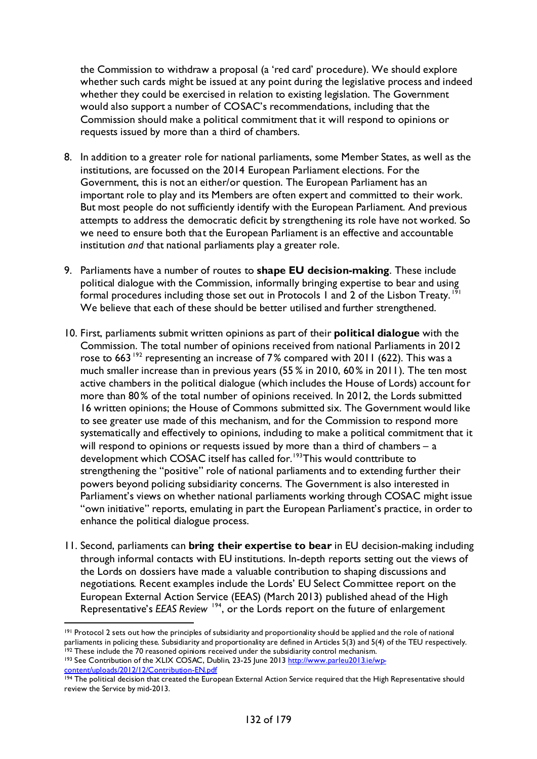the Commission to withdraw a proposal (a 'red card' procedure). We should explore whether such cards might be issued at any point during the legislative process and indeed whether they could be exercised in relation to existing legislation. The Government would also support a number of COSAC's recommendations, including that the Commission should make a political commitment that it will respond to opinions or requests issued by more than a third of chambers.

- 8. In addition to a greater role for national parliaments, some Member States, as well as the institutions, are focussed on the 2014 European Parliament elections. For the Government, this is not an either/or question. The European Parliament has an important role to play and its Members are often expert and committed to their work. But most people do not sufficiently identify with the European Parliament. And previous attempts to address the democratic deficit by strengthening its role have not worked. So we need to ensure both that the European Parliament is an effective and accountable institution *and* that national parliaments play a greater role.
- 9. Parliaments have a number of routes to **shape EU decision-making**. These include political dialogue with the Commission, informally bringing expertise to bear and using formal procedures including those set out in Protocols 1 and 2 of the Lisbon Treaty.<sup>1</sup> We believe that each of these should be better utilised and further strengthened.
- 10. First, parliaments submit written opinions as part of their **political dialogue** with the Commission. The total number of opinions received from national Parliaments in 2012 rose to 663<sup>[192](#page-131-1)</sup> representing an increase of 7% compared with 2011 (622). This was a much smaller increase than in previous years (55 % in 2010, 60% in 2011). The ten most active chambers in the political dialogue (which includes the House of Lords) account for more than 80% of the total number of opinions received. In 2012, the Lords submitted 16 written opinions; the House of Commons submitted six. The Government would like to see greater use made of this mechanism, and for the Commission to respond more systematically and effectively to opinions, including to make a political commitment that it will respond to opinions or requests issued by more than a third of chambers – a development which COSAC itself has called for.<sup>[193](#page-131-2)</sup>This would conttribute to strengthening the "positive" role of national parliaments and to extending further their powers beyond policing subsidiarity concerns. The Government is also interested in Parliament's views on whether national parliaments working through COSAC might issue "own initiative" reports, emulating in part the European Parliament's practice, in order to enhance the political dialogue process.
- 11. Second, parliaments can **bring their expertise to bear** in EU decision-making including through informal contacts with EU institutions. In-depth reports setting out the views of the Lords on dossiers have made a valuable contribution to shaping discussions and negotiations. Recent examples include the Lords' EU Select Committee report on the European External Action Service (EEAS) (March 2013) published ahead of the High Representative's *EEAS Review* [194](#page-131-3), or the Lords report on the future of enlargement

<span id="page-131-0"></span><sup>&</sup>lt;sup>191</sup> Protocol 2 sets out how the principles of subsidiarity and proportionality should be applied and the role of national parliaments in policing these. Subsidiarity and proportionality are defined in Articles 5(3) and 5(4) of the TEU respectively. 192 These include the 70 reasoned opinions received under the subsidiarity control mechanism. 193 See Contribution of the XLIX COSAC, Dublin, 23-25 June 201[3 http://www.parleu2013.ie/wp-](http://www.parleu2013.ie/wp-content/uploads/2012/12/Contribution-EN.pdf)

<span id="page-131-2"></span><span id="page-131-1"></span>[content/uploads/2012/12/Contribution-EN.pdf](http://www.parleu2013.ie/wp-content/uploads/2012/12/Contribution-EN.pdf)

<span id="page-131-3"></span><sup>194</sup> The political decision that created the European External Action Service required that the High Representative should review the Service by mid-2013.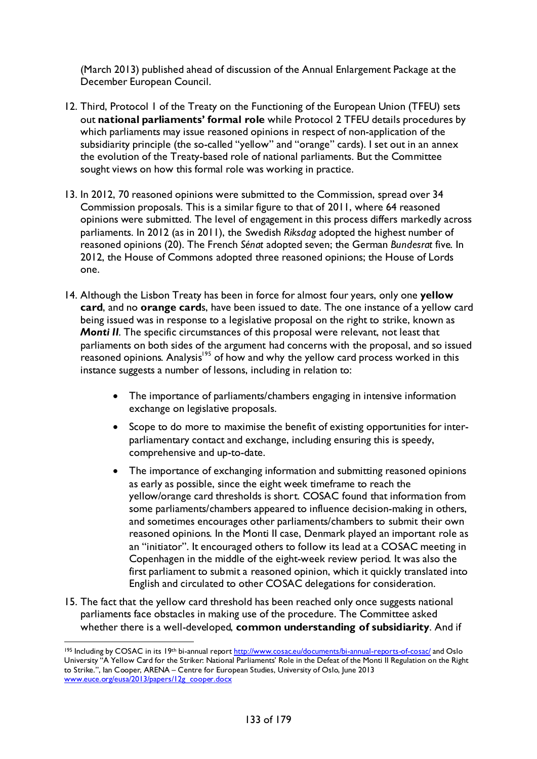(March 2013) published ahead of discussion of the Annual Enlargement Package at the December European Council.

- 12. Third, Protocol 1 of the Treaty on the Functioning of the European Union (TFEU) sets out **national parliaments' formal role** while Protocol 2 TFEU details procedures by which parliaments may issue reasoned opinions in respect of non-application of the subsidiarity principle (the so-called "yellow" and "orange" cards). I set out in an annex the evolution of the Treaty-based role of national parliaments. But the Committee sought views on how this formal role was working in practice.
- 13. In 2012, 70 reasoned opinions were submitted to the Commission, spread over 34 Commission proposals. This is a similar figure to that of 2011, where 64 reasoned opinions were submitted. The level of engagement in this process differs markedly across parliaments. In 2012 (as in 2011), the Swedish *Riksdag* adopted the highest number of reasoned opinions (20). The French *Sénat* adopted seven; the German *Bundesrat* five. In 2012, the House of Commons adopted three reasoned opinions; the House of Lords one.
- 14. Although the Lisbon Treaty has been in force for almost four years, only one **yellow card**, and no **orange card**s, have been issued to date. The one instance of a yellow card being issued was in response to a legislative proposal on the right to strike, known as *Monti II.* The specific circumstances of this proposal were relevant, not least that parliaments on both sides of the argument had concerns with the proposal, and so issued reasoned opinions. Analysis<sup>195</sup> of how and why the yellow card process worked in this instance suggests a number of lessons, including in relation to:
	- The importance of parliaments/chambers engaging in intensive information exchange on legislative proposals.
	- Scope to do more to maximise the benefit of existing opportunities for interparliamentary contact and exchange, including ensuring this is speedy, comprehensive and up-to-date.
	- The importance of exchanging information and submitting reasoned opinions as early as possible, since the eight week timeframe to reach the yellow/orange card thresholds is short. COSAC found that information from some parliaments/chambers appeared to influence decision-making in others, and sometimes encourages other parliaments/chambers to submit their own reasoned opinions. In the Monti II case, Denmark played an important role as an "initiator". It encouraged others to follow its lead at a COSAC meeting in Copenhagen in the middle of the eight-week review period. It was also the first parliament to submit a reasoned opinion, which it quickly translated into English and circulated to other COSAC delegations for consideration.
- 15. The fact that the yellow card threshold has been reached only once suggests national parliaments face obstacles in making use of the procedure. The Committee asked whether there is a well-developed, **common understanding of subsidiarity**. And if

<span id="page-132-0"></span><sup>195</sup> Including by COSAC in its 19th bi-annual repor[t http://www.cosac.eu/documents/bi-annual-reports-of-cosac/](http://www.cosac.eu/documents/bi-annual-reports-of-cosac/) and Oslo University "A Yellow Card for the Striker: National Parliaments' Role in the Defeat of the Monti II Regulation on the Right to Strike.", Ian Cooper, ARENA – Centre for European Studies, University of Oslo, June 2013 [www.euce.org/eusa/2013/papers/12g\\_cooper.docx](http://www.euce.org/eusa/2013/papers/12g_cooper.docx)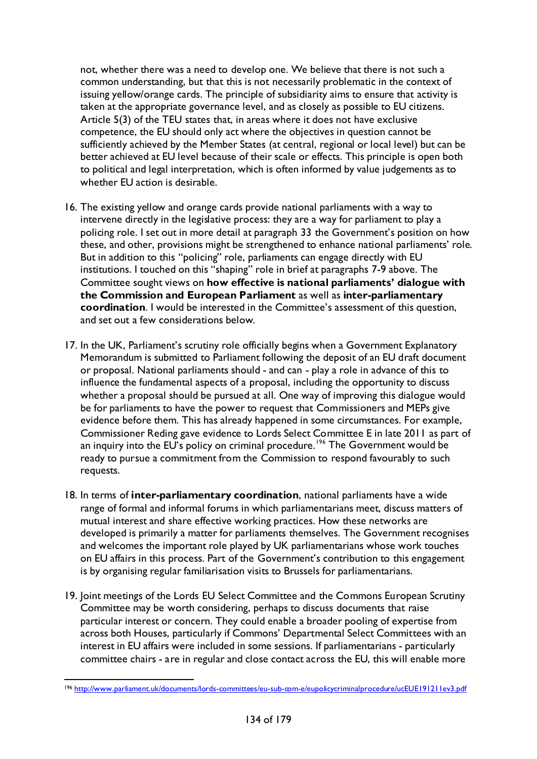not, whether there was a need to develop one. We believe that there is not such a common understanding, but that this is not necessarily problematic in the context of issuing yellow/orange cards. The principle of subsidiarity aims to ensure that activity is taken at the appropriate governance level, and as closely as possible to EU citizens. Article 5(3) of the TEU states that, in areas where it does not have exclusive competence, the EU should only act where the objectives in question cannot be sufficiently achieved by the Member States (at central, regional or local level) but can be better achieved at EU level because of their scale or effects. This principle is open both to political and legal interpretation, which is often informed by value judgements as to whether EU action is desirable.

- 16. The existing yellow and orange cards provide national parliaments with a way to intervene directly in the legislative process: they are a way for parliament to play a policing role. I set out in more detail at paragraph 33 the Government's position on how these, and other, provisions might be strengthened to enhance national parliaments' role. But in addition to this "policing" role, parliaments can engage directly with EU institutions. I touched on this "shaping" role in brief at paragraphs 7-9 above. The Committee sought views on **how effective is national parliaments' dialogue with the Commission and European Parliament** as well as **inter-parliamentary coordination**. I would be interested in the Committee's assessment of this question, and set out a few considerations below.
- 17. In the UK, Parliament's scrutiny role officially begins when a Government Explanatory Memorandum is submitted to Parliament following the deposit of an EU draft document or proposal. National parliaments should - and can - play a role in advance of this to influence the fundamental aspects of a proposal, including the opportunity to discuss whether a proposal should be pursued at all. One way of improving this dialogue would be for parliaments to have the power to request that Commissioners and MEPs give evidence before them. This has already happened in some circumstances. For example, Commissioner Reding gave evidence to Lords Select Committee E in late 2011 as part of an inquiry into the EU's policy on criminal procedure.<sup>[196](#page-133-0)</sup> The Government would be ready to pursue a commitment from the Commission to respond favourably to such requests.
- 18. In terms of **inter-parliamentary coordination**, national parliaments have a wide range of formal and informal forums in which parliamentarians meet, discuss matters of mutual interest and share effective working practices. How these networks are developed is primarily a matter for parliaments themselves. The Government recognises and welcomes the important role played by UK parliamentarians whose work touches on EU affairs in this process. Part of the Government's contribution to this engagement is by organising regular familiarisation visits to Brussels for parliamentarians.
- 19. Joint meetings of the Lords EU Select Committee and the Commons European Scrutiny Committee may be worth considering, perhaps to discuss documents that raise particular interest or concern. They could enable a broader pooling of expertise from across both Houses, particularly if Commons' Departmental Select Committees with an interest in EU affairs were included in some sessions. If parliamentarians - particularly committee chairs - are in regular and close contact across the EU, this will enable more

<span id="page-133-0"></span> <sup>196</sup> <http://www.parliament.uk/documents/lords-committees/eu-sub-com-e/eupolicycriminalprocedure/ucEUE191211ev3.pdf>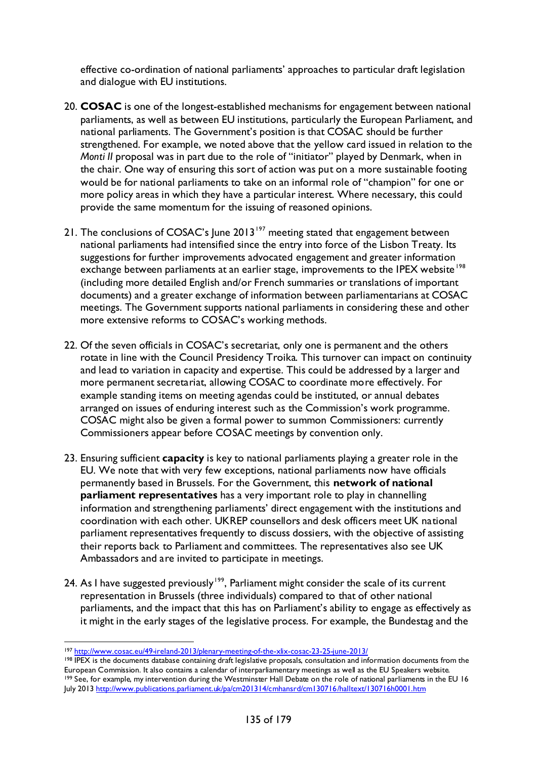effective co-ordination of national parliaments' approaches to particular draft legislation and dialogue with EU institutions.

- 20. **COSAC** is one of the longest-established mechanisms for engagement between national parliaments, as well as between EU institutions, particularly the European Parliament, and national parliaments. The Government's position is that COSAC should be further strengthened. For example, we noted above that the yellow card issued in relation to the *Monti II* proposal was in part due to the role of "initiator" played by Denmark, when in the chair. One way of ensuring this sort of action was put on a more sustainable footing would be for national parliaments to take on an informal role of "champion" for one or more policy areas in which they have a particular interest. Where necessary, this could provide the same momentum for the issuing of reasoned opinions.
- 21. The conclusions of COSAC's June 2013<sup>[197](#page-134-0)</sup> meeting stated that engagement between national parliaments had intensified since the entry into force of the Lisbon Treaty. Its suggestions for further improvements advocated engagement and greater information exchange between parliaments at an earlier stage, improvements to the IPEX website<sup>[198](#page-134-1)</sup> (including more detailed English and/or French summaries or translations of important documents) and a greater exchange of information between parliamentarians at COSAC meetings. The Government supports national parliaments in considering these and other more extensive reforms to COSAC's working methods.
- 22. Of the seven officials in COSAC's secretariat, only one is permanent and the others rotate in line with the Council Presidency Troika. This turnover can impact on continuity and lead to variation in capacity and expertise. This could be addressed by a larger and more permanent secretariat, allowing COSAC to coordinate more effectively. For example standing items on meeting agendas could be instituted, or annual debates arranged on issues of enduring interest such as the Commission's work programme. COSAC might also be given a formal power to summon Commissioners: currently Commissioners appear before COSAC meetings by convention only.
- 23. Ensuring sufficient **capacity** is key to national parliaments playing a greater role in the EU. We note that with very few exceptions, national parliaments now have officials permanently based in Brussels. For the Government, this **network of national parliament representatives** has a very important role to play in channelling information and strengthening parliaments' direct engagement with the institutions and coordination with each other. UKREP counsellors and desk officers meet UK national parliament representatives frequently to discuss dossiers, with the objective of assisting their reports back to Parliament and committees. The representatives also see UK Ambassadors and are invited to participate in meetings.
- 24. As I have suggested previously<sup>[199](#page-134-2)</sup>, Parliament might consider the scale of its current representation in Brussels (three individuals) compared to that of other national parliaments, and the impact that this has on Parliament's ability to engage as effectively as it might in the early stages of the legislative process. For example, the Bundestag and the

 <sup>197</sup> <http://www.cosac.eu/49-ireland-2013/plenary-meeting-of-the-xlix-cosac-23-25-june-2013/>

<span id="page-134-2"></span><span id="page-134-1"></span><span id="page-134-0"></span><sup>&</sup>lt;sup>198</sup> IPEX is the documents database containing draft legislative proposals, consultation and information documents from the European Commission. It also contains a calendar of interparliamentary meetings as well as the EU Speakers website. 199 See, for example, my intervention during the Westminster Hall Debate on the role of national parliaments in the EU 16 July 201[3 http://www.publications.parliament.uk/pa/cm201314/cmhansrd/cm130716/halltext/130716h0001.htm](http://www.publications.parliament.uk/pa/cm201314/cmhansrd/cm130716/halltext/130716h0001.htm)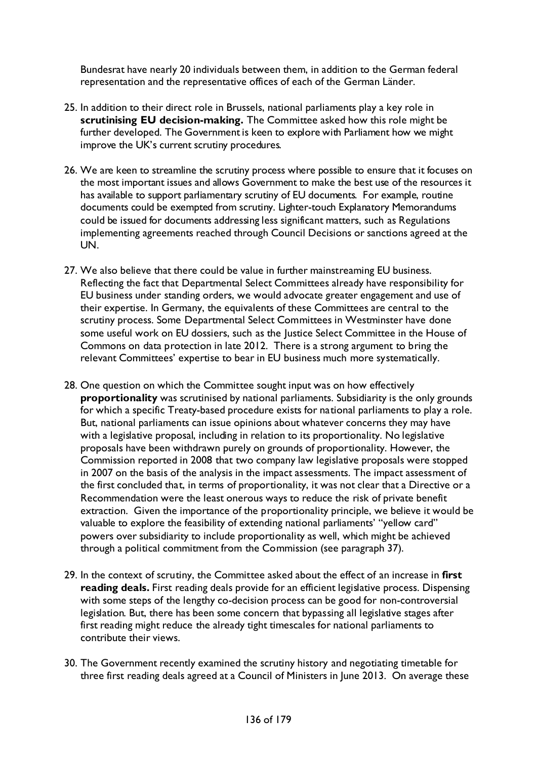Bundesrat have nearly 20 individuals between them, in addition to the German federal representation and the representative offices of each of the German Länder.

- 25. In addition to their direct role in Brussels, national parliaments play a key role in **scrutinising EU decision-making.** The Committee asked how this role might be further developed. The Government is keen to explore with Parliament how we might improve the UK's current scrutiny procedures.
- 26. We are keen to streamline the scrutiny process where possible to ensure that it focuses on the most important issues and allows Government to make the best use of the resources it has available to support parliamentary scrutiny of EU documents. For example, routine documents could be exempted from scrutiny. Lighter-touch Explanatory Memorandums could be issued for documents addressing less significant matters, such as Regulations implementing agreements reached through Council Decisions or sanctions agreed at the UN.
- 27. We also believe that there could be value in further mainstreaming EU business. Reflecting the fact that Departmental Select Committees already have responsibility for EU business under standing orders, we would advocate greater engagement and use of their expertise. In Germany, the equivalents of these Committees are central to the scrutiny process. Some Departmental Select Committees in Westminster have done some useful work on EU dossiers, such as the Justice Select Committee in the House of Commons on data protection in late 2012. There is a strong argument to bring the relevant Committees' expertise to bear in EU business much more systematically.
- 28. One question on which the Committee sought input was on how effectively **proportionality** was scrutinised by national parliaments. Subsidiarity is the only grounds for which a specific Treaty-based procedure exists for national parliaments to play a role. But, national parliaments can issue opinions about whatever concerns they may have with a legislative proposal, including in relation to its proportionality. No legislative proposals have been withdrawn purely on grounds of proportionality. However, the Commission reported in 2008 that two company law legislative proposals were stopped in 2007 on the basis of the analysis in the impact assessments. The impact assessment of the first concluded that, in terms of proportionality, it was not clear that a Directive or a Recommendation were the least onerous ways to reduce the risk of private benefit extraction. Given the importance of the proportionality principle, we believe it would be valuable to explore the feasibility of extending national parliaments' "yellow card" powers over subsidiarity to include proportionality as well, which might be achieved through a political commitment from the Commission (see paragraph 37).
- 29. In the context of scrutiny, the Committee asked about the effect of an increase in **first reading deals.** First reading deals provide for an efficient legislative process. Dispensing with some steps of the lengthy co-decision process can be good for non-controversial legislation. But, there has been some concern that bypassing all legislative stages after first reading might reduce the already tight timescales for national parliaments to contribute their views.
- 30. The Government recently examined the scrutiny history and negotiating timetable for three first reading deals agreed at a Council of Ministers in June 2013. On average these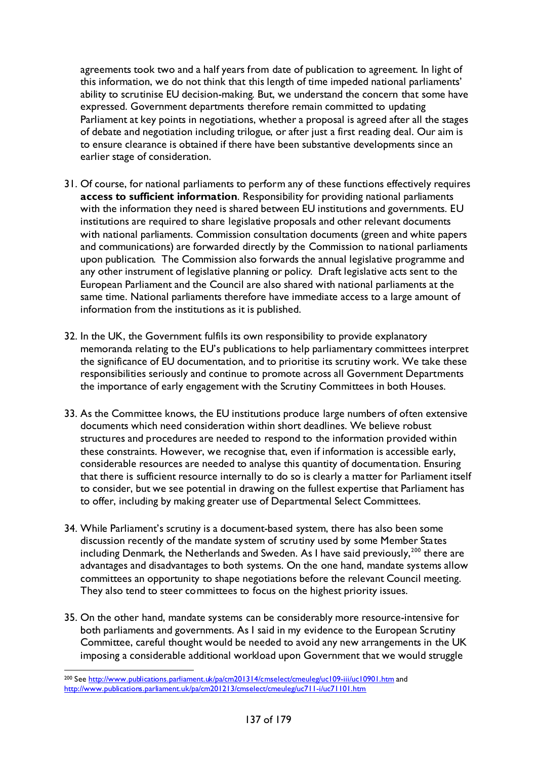agreements took two and a half years from date of publication to agreement. In light of this information, we do not think that this length of time impeded national parliaments' ability to scrutinise EU decision-making. But, we understand the concern that some have expressed. Government departments therefore remain committed to updating Parliament at key points in negotiations, whether a proposal is agreed after all the stages of debate and negotiation including trilogue, or after just a first reading deal. Our aim is to ensure clearance is obtained if there have been substantive developments since an earlier stage of consideration.

- 31. Of course, for national parliaments to perform any of these functions effectively requires **access to sufficient information**. Responsibility for providing national parliaments with the information they need is shared between EU institutions and governments. EU institutions are required to share legislative proposals and other relevant documents with national parliaments. Commission consultation documents (green and white papers and communications) are forwarded directly by the Commission to national parliaments upon publication. The Commission also forwards the annual legislative programme and any other instrument of legislative planning or policy. Draft legislative acts sent to the European Parliament and the Council are also shared with national parliaments at the same time. National parliaments therefore have immediate access to a large amount of information from the institutions as it is published.
- 32. In the UK, the Government fulfils its own responsibility to provide explanatory memoranda relating to the EU's publications to help parliamentary committees interpret the significance of EU documentation, and to prioritise its scrutiny work. We take these responsibilities seriously and continue to promote across all Government Departments the importance of early engagement with the Scrutiny Committees in both Houses.
- 33. As the Committee knows, the EU institutions produce large numbers of often extensive documents which need consideration within short deadlines. We believe robust structures and procedures are needed to respond to the information provided within these constraints. However, we recognise that, even if information is accessible early, considerable resources are needed to analyse this quantity of documentation. Ensuring that there is sufficient resource internally to do so is clearly a matter for Parliament itself to consider, but we see potential in drawing on the fullest expertise that Parliament has to offer, including by making greater use of Departmental Select Committees.
- 34. While Parliament's scrutiny is a document-based system, there has also been some discussion recently of the mandate system of scrutiny used by some Member States including Denmark, the Netherlands and Sweden. As I have said previously,<sup>[200](#page-136-0)</sup> there are advantages and disadvantages to both systems. On the one hand, mandate systems allow committees an opportunity to shape negotiations before the relevant Council meeting. They also tend to steer committees to focus on the highest priority issues.
- 35. On the other hand, mandate systems can be considerably more resource-intensive for both parliaments and governments. As I said in my evidence to the European Scrutiny Committee, careful thought would be needed to avoid any new arrangements in the UK imposing a considerable additional workload upon Government that we would struggle

<span id="page-136-0"></span><sup>&</sup>lt;sup>200</sup> Se[e http://www.publications.parliament.uk/pa/cm201314/cmselect/cmeuleg/uc109-iii/uc10901.htm](http://www.publications.parliament.uk/pa/cm201314/cmselect/cmeuleg/uc109-iii/uc10901.htm) and <http://www.publications.parliament.uk/pa/cm201213/cmselect/cmeuleg/uc711-i/uc71101.htm>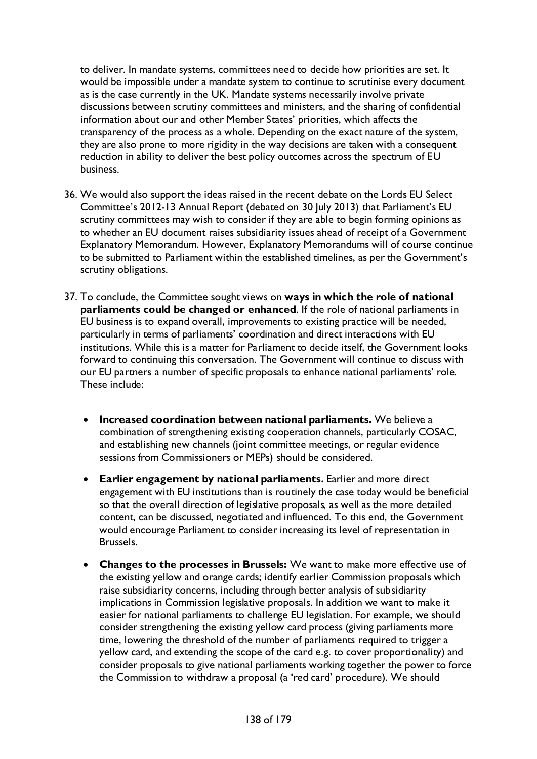to deliver. In mandate systems, committees need to decide how priorities are set. It would be impossible under a mandate system to continue to scrutinise every document as is the case currently in the UK. Mandate systems necessarily involve private discussions between scrutiny committees and ministers, and the sharing of confidential information about our and other Member States' priorities, which affects the transparency of the process as a whole. Depending on the exact nature of the system, they are also prone to more rigidity in the way decisions are taken with a consequent reduction in ability to deliver the best policy outcomes across the spectrum of EU business.

- 36. We would also support the ideas raised in the recent debate on the Lords EU Select Committee's 2012-13 Annual Report (debated on 30 July 2013) that Parliament's EU scrutiny committees may wish to consider if they are able to begin forming opinions as to whether an EU document raises subsidiarity issues ahead of receipt of a Government Explanatory Memorandum. However, Explanatory Memorandums will of course continue to be submitted to Parliament within the established timelines, as per the Government's scrutiny obligations.
- 37. To conclude, the Committee sought views on **ways in which the role of national parliaments could be changed or enhanced**. If the role of national parliaments in EU business is to expand overall, improvements to existing practice will be needed, particularly in terms of parliaments' coordination and direct interactions with EU institutions. While this is a matter for Parliament to decide itself, the Government looks forward to continuing this conversation. The Government will continue to discuss with our EU partners a number of specific proposals to enhance national parliaments' role. These include:
	- **Increased coordination between national parliaments.** We believe a combination of strengthening existing cooperation channels, particularly COSAC, and establishing new channels (joint committee meetings, or regular evidence sessions from Commissioners or MEPs) should be considered.
	- **Earlier engagement by national parliaments.** Earlier and more direct engagement with EU institutions than is routinely the case today would be beneficial so that the overall direction of legislative proposals, as well as the more detailed content, can be discussed, negotiated and influenced. To this end, the Government would encourage Parliament to consider increasing its level of representation in Brussels.
	- **Changes to the processes in Brussels:** We want to make more effective use of the existing yellow and orange cards; identify earlier Commission proposals which raise subsidiarity concerns, including through better analysis of subsidiarity implications in Commission legislative proposals. In addition we want to make it easier for national parliaments to challenge EU legislation. For example, we should consider strengthening the existing yellow card process (giving parliaments more time, lowering the threshold of the number of parliaments required to trigger a yellow card, and extending the scope of the card e.g. to cover proportionality) and consider proposals to give national parliaments working together the power to force the Commission to withdraw a proposal (a 'red card' procedure). We should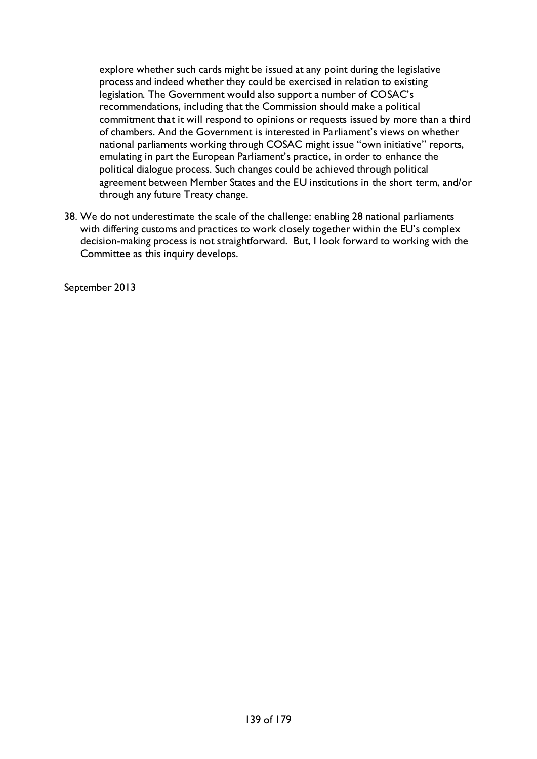explore whether such cards might be issued at any point during the legislative process and indeed whether they could be exercised in relation to existing legislation. The Government would also support a number of COSAC's recommendations, including that the Commission should make a political commitment that it will respond to opinions or requests issued by more than a third of chambers. And the Government is interested in Parliament's views on whether national parliaments working through COSAC might issue "own initiative" reports, emulating in part the European Parliament's practice, in order to enhance the political dialogue process. Such changes could be achieved through political agreement between Member States and the EU institutions in the short term, and/or through any future Treaty change.

38. We do not underestimate the scale of the challenge: enabling 28 national parliaments with differing customs and practices to work closely together within the EU's complex decision-making process is not straightforward. But, I look forward to working with the Committee as this inquiry develops.

September 2013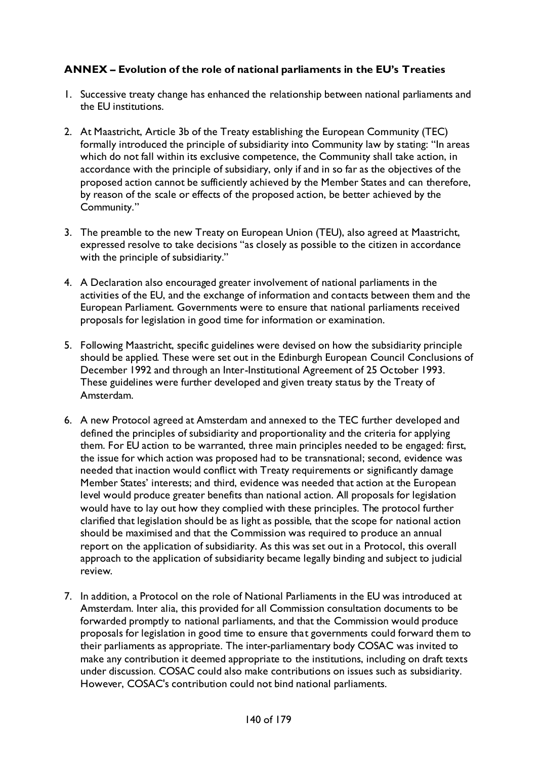### **ANNEX – Evolution of the role of national parliaments in the EU's Treaties**

- 1. Successive treaty change has enhanced the relationship between national parliaments and the EU institutions.
- 2. At Maastricht, Article 3b of the Treaty establishing the European Community (TEC) formally introduced the principle of subsidiarity into Community law by stating: "In areas which do not fall within its exclusive competence, the Community shall take action, in accordance with the principle of subsidiary, only if and in so far as the objectives of the proposed action cannot be sufficiently achieved by the Member States and can therefore, by reason of the scale or effects of the proposed action, be better achieved by the Community."
- 3. The preamble to the new Treaty on European Union (TEU), also agreed at Maastricht, expressed resolve to take decisions "as closely as possible to the citizen in accordance with the principle of subsidiarity."
- 4. A Declaration also encouraged greater involvement of national parliaments in the activities of the EU, and the exchange of information and contacts between them and the European Parliament. Governments were to ensure that national parliaments received proposals for legislation in good time for information or examination.
- 5. Following Maastricht, specific guidelines were devised on how the subsidiarity principle should be applied. These were set out in the Edinburgh European Council Conclusions of December 1992 and through an Inter-Institutional Agreement of 25 October 1993. These guidelines were further developed and given treaty status by the Treaty of Amsterdam.
- 6. A new Protocol agreed at Amsterdam and annexed to the TEC further developed and defined the principles of subsidiarity and proportionality and the criteria for applying them. For EU action to be warranted, three main principles needed to be engaged: first, the issue for which action was proposed had to be transnational; second, evidence was needed that inaction would conflict with Treaty requirements or significantly damage Member States' interests; and third, evidence was needed that action at the European level would produce greater benefits than national action. All proposals for legislation would have to lay out how they complied with these principles. The protocol further clarified that legislation should be as light as possible, that the scope for national action should be maximised and that the Commission was required to produce an annual report on the application of subsidiarity. As this was set out in a Protocol, this overall approach to the application of subsidiarity became legally binding and subject to judicial review.
- 7. In addition, a Protocol on the role of National Parliaments in the EU was introduced at Amsterdam. Inter alia, this provided for all Commission consultation documents to be forwarded promptly to national parliaments, and that the Commission would produce proposals for legislation in good time to ensure that governments could forward them to their parliaments as appropriate. The inter-parliamentary body COSAC was invited to make any contribution it deemed appropriate to the institutions, including on draft texts under discussion. COSAC could also make contributions on issues such as subsidiarity. However, COSAC's contribution could not bind national parliaments.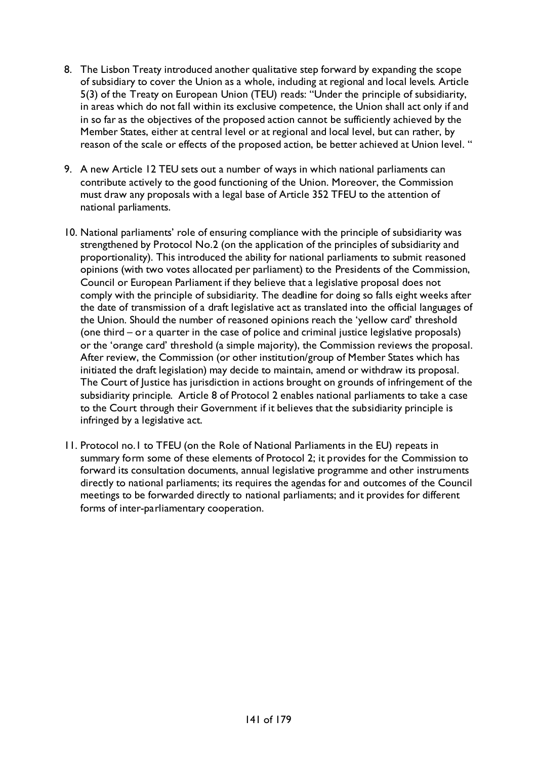- 8. The Lisbon Treaty introduced another qualitative step forward by expanding the scope of subsidiary to cover the Union as a whole, including at regional and local levels. Article 5(3) of the Treaty on European Union (TEU) reads: "Under the principle of subsidiarity, in areas which do not fall within its exclusive competence, the Union shall act only if and in so far as the objectives of the proposed action cannot be sufficiently achieved by the Member States, either at central level or at regional and local level, but can rather, by reason of the scale or effects of the proposed action, be better achieved at Union level. "
- 9. A new Article 12 TEU sets out a number of ways in which national parliaments can contribute actively to the good functioning of the Union. Moreover, the Commission must draw any proposals with a legal base of Article 352 TFEU to the attention of national parliaments.
- 10. National parliaments' role of ensuring compliance with the principle of subsidiarity was strengthened by Protocol No.2 (on the application of the principles of subsidiarity and proportionality). This introduced the ability for national parliaments to submit reasoned opinions (with two votes allocated per parliament) to the Presidents of the Commission, Council or European Parliament if they believe that a legislative proposal does not comply with the principle of subsidiarity. The deadline for doing so falls eight weeks after the date of transmission of a draft legislative act as translated into the official languages of the Union. Should the number of reasoned opinions reach the 'yellow card' threshold (one third – or a quarter in the case of police and criminal justice legislative proposals) or the 'orange card' threshold (a simple majority), the Commission reviews the proposal. After review, the Commission (or other institution/group of Member States which has initiated the draft legislation) may decide to maintain, amend or withdraw its proposal. The Court of Justice has jurisdiction in actions brought on grounds of infringement of the subsidiarity principle. Article 8 of Protocol 2 enables national parliaments to take a case to the Court through their Government if it believes that the subsidiarity principle is infringed by a legislative act.
- 11. Protocol no.1 to TFEU (on the Role of National Parliaments in the EU) repeats in summary form some of these elements of Protocol 2; it provides for the Commission to forward its consultation documents, annual legislative programme and other instruments directly to national parliaments; its requires the agendas for and outcomes of the Council meetings to be forwarded directly to national parliaments; and it provides for different forms of inter-parliamentary cooperation.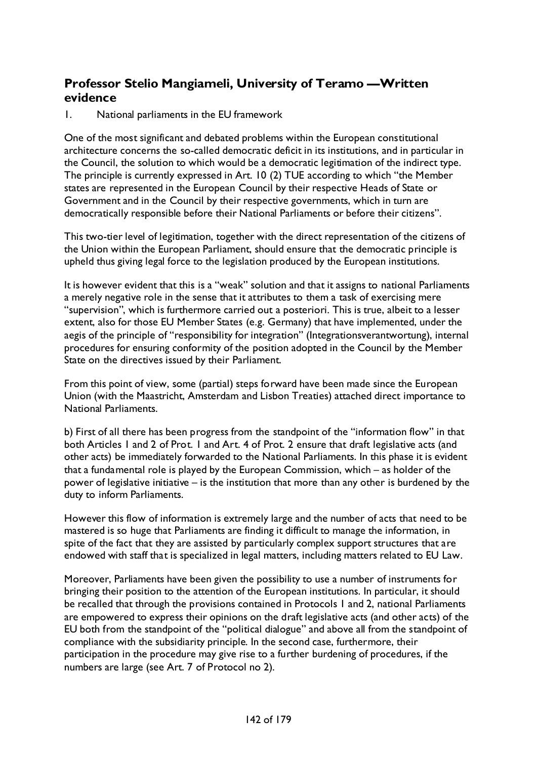# **Professor Stelio Mangiameli, University of Teramo —Written evidence**

1. National parliaments in the EU framework

One of the most significant and debated problems within the European constitutional architecture concerns the so-called democratic deficit in its institutions, and in particular in the Council, the solution to which would be a democratic legitimation of the indirect type. The principle is currently expressed in Art. 10 (2) TUE according to which "the Member states are represented in the European Council by their respective Heads of State or Government and in the Council by their respective governments, which in turn are democratically responsible before their National Parliaments or before their citizens".

This two-tier level of legitimation, together with the direct representation of the citizens of the Union within the European Parliament, should ensure that the democratic principle is upheld thus giving legal force to the legislation produced by the European institutions.

It is however evident that this is a "weak" solution and that it assigns to national Parliaments a merely negative role in the sense that it attributes to them a task of exercising mere "supervision", which is furthermore carried out a posteriori. This is true, albeit to a lesser extent, also for those EU Member States (e.g. Germany) that have implemented, under the aegis of the principle of "responsibility for integration" (Integrationsverantwortung), internal procedures for ensuring conformity of the position adopted in the Council by the Member State on the directives issued by their Parliament.

From this point of view, some (partial) steps forward have been made since the European Union (with the Maastricht, Amsterdam and Lisbon Treaties) attached direct importance to National Parliaments.

b) First of all there has been progress from the standpoint of the "information flow" in that both Articles 1 and 2 of Prot. 1 and Art. 4 of Prot. 2 ensure that draft legislative acts (and other acts) be immediately forwarded to the National Parliaments. In this phase it is evident that a fundamental role is played by the European Commission, which – as holder of the power of legislative initiative – is the institution that more than any other is burdened by the duty to inform Parliaments.

However this flow of information is extremely large and the number of acts that need to be mastered is so huge that Parliaments are finding it difficult to manage the information, in spite of the fact that they are assisted by particularly complex support structures that are endowed with staff that is specialized in legal matters, including matters related to EU Law.

Moreover, Parliaments have been given the possibility to use a number of instruments for bringing their position to the attention of the European institutions. In particular, it should be recalled that through the provisions contained in Protocols 1 and 2, national Parliaments are empowered to express their opinions on the draft legislative acts (and other acts) of the EU both from the standpoint of the "political dialogue" and above all from the standpoint of compliance with the subsidiarity principle. In the second case, furthermore, their participation in the procedure may give rise to a further burdening of procedures, if the numbers are large (see Art. 7 of Protocol no 2).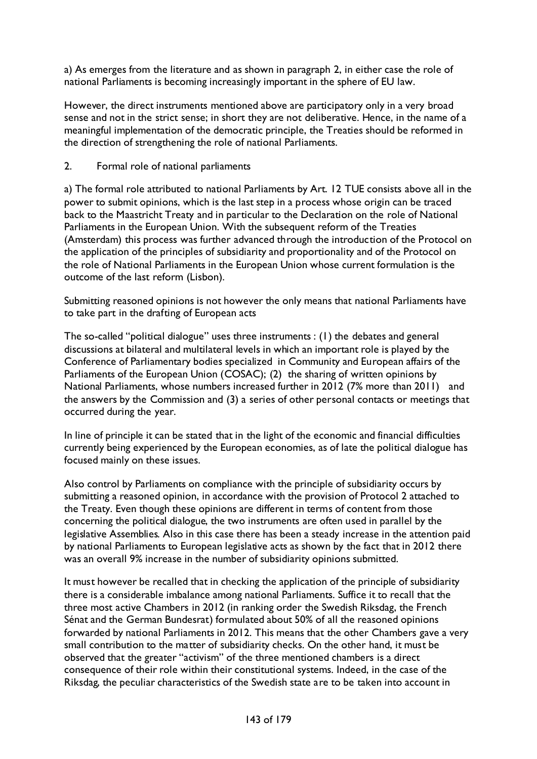a) As emerges from the literature and as shown in paragraph 2, in either case the role of national Parliaments is becoming increasingly important in the sphere of EU law.

However, the direct instruments mentioned above are participatory only in a very broad sense and not in the strict sense; in short they are not deliberative. Hence, in the name of a meaningful implementation of the democratic principle, the Treaties should be reformed in the direction of strengthening the role of national Parliaments.

### 2. Formal role of national parliaments

a) The formal role attributed to national Parliaments by Art. 12 TUE consists above all in the power to submit opinions, which is the last step in a process whose origin can be traced back to the Maastricht Treaty and in particular to the Declaration on the role of National Parliaments in the European Union. With the subsequent reform of the Treaties (Amsterdam) this process was further advanced through the introduction of the Protocol on the application of the principles of subsidiarity and proportionality and of the Protocol on the role of National Parliaments in the European Union whose current formulation is the outcome of the last reform (Lisbon).

Submitting reasoned opinions is not however the only means that national Parliaments have to take part in the drafting of European acts

The so-called "political dialogue" uses three instruments : (1) the debates and general discussions at bilateral and multilateral levels in which an important role is played by the Conference of Parliamentary bodies specialized in Community and European affairs of the Parliaments of the European Union (COSAC); (2) the sharing of written opinions by National Parliaments, whose numbers increased further in 2012 (7% more than 2011) and the answers by the Commission and (3) a series of other personal contacts or meetings that occurred during the year.

In line of principle it can be stated that in the light of the economic and financial difficulties currently being experienced by the European economies, as of late the political dialogue has focused mainly on these issues.

Also control by Parliaments on compliance with the principle of subsidiarity occurs by submitting a reasoned opinion, in accordance with the provision of Protocol 2 attached to the Treaty. Even though these opinions are different in terms of content from those concerning the political dialogue, the two instruments are often used in parallel by the legislative Assemblies. Also in this case there has been a steady increase in the attention paid by national Parliaments to European legislative acts as shown by the fact that in 2012 there was an overall 9% increase in the number of subsidiarity opinions submitted.

It must however be recalled that in checking the application of the principle of subsidiarity there is a considerable imbalance among national Parliaments. Suffice it to recall that the three most active Chambers in 2012 (in ranking order the Swedish Riksdag, the French Sénat and the German Bundesrat) formulated about 50% of all the reasoned opinions forwarded by national Parliaments in 2012. This means that the other Chambers gave a very small contribution to the matter of subsidiarity checks. On the other hand, it must be observed that the greater "activism" of the three mentioned chambers is a direct consequence of their role within their constitutional systems. Indeed, in the case of the Riksdag, the peculiar characteristics of the Swedish state are to be taken into account in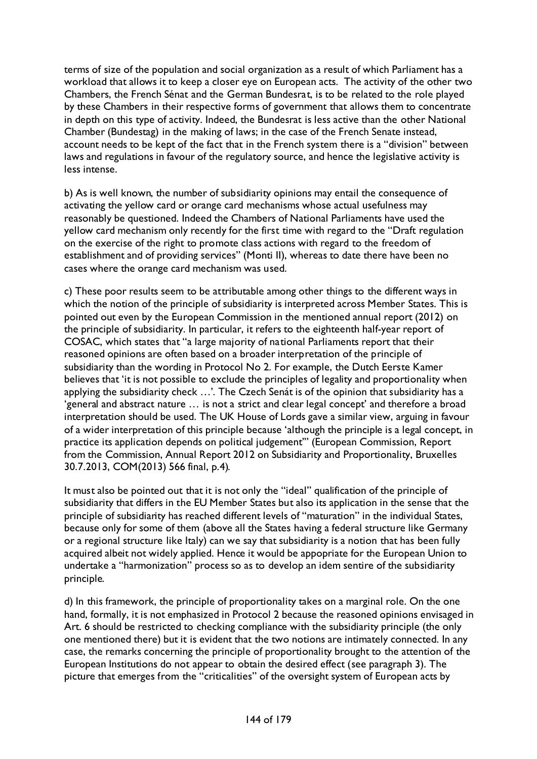terms of size of the population and social organization as a result of which Parliament has a workload that allows it to keep a closer eye on European acts. The activity of the other two Chambers, the French Sénat and the German Bundesrat, is to be related to the role played by these Chambers in their respective forms of government that allows them to concentrate in depth on this type of activity. Indeed, the Bundesrat is less active than the other National Chamber (Bundestag) in the making of laws; in the case of the French Senate instead, account needs to be kept of the fact that in the French system there is a "division" between laws and regulations in favour of the regulatory source, and hence the legislative activity is less intense.

b) As is well known, the number of subsidiarity opinions may entail the consequence of activating the yellow card or orange card mechanisms whose actual usefulness may reasonably be questioned. Indeed the Chambers of National Parliaments have used the yellow card mechanism only recently for the first time with regard to the "Draft regulation on the exercise of the right to promote class actions with regard to the freedom of establishment and of providing services" (Monti II), whereas to date there have been no cases where the orange card mechanism was used.

c) These poor results seem to be attributable among other things to the different ways in which the notion of the principle of subsidiarity is interpreted across Member States. This is pointed out even by the European Commission in the mentioned annual report (2012) on the principle of subsidiarity. In particular, it refers to the eighteenth half-year report of COSAC, which states that "a large majority of national Parliaments report that their reasoned opinions are often based on a broader interpretation of the principle of subsidiarity than the wording in Protocol No 2. For example, the Dutch Eerste Kamer believes that 'it is not possible to exclude the principles of legality and proportionality when applying the subsidiarity check …'. The Czech Senát is of the opinion that subsidiarity has a 'general and abstract nature … is not a strict and clear legal concept' and therefore a broad interpretation should be used. The UK House of Lords gave a similar view, arguing in favour of a wider interpretation of this principle because 'although the principle is a legal concept, in practice its application depends on political judgement'" (European Commission, Report from the Commission, Annual Report 2012 on Subsidiarity and Proportionality, Bruxelles 30.7.2013, COM(2013) 566 final, p.4).

It must also be pointed out that it is not only the "ideal" qualification of the principle of subsidiarity that differs in the EU Member States but also its application in the sense that the principle of subsidiarity has reached different levels of "maturation" in the individual States, because only for some of them (above all the States having a federal structure like Germany or a regional structure like Italy) can we say that subsidiarity is a notion that has been fully acquired albeit not widely applied. Hence it would be appopriate for the European Union to undertake a "harmonization" process so as to develop an idem sentire of the subsidiarity principle.

d) In this framework, the principle of proportionality takes on a marginal role. On the one hand, formally, it is not emphasized in Protocol 2 because the reasoned opinions envisaged in Art. 6 should be restricted to checking compliance with the subsidiarity principle (the only one mentioned there) but it is evident that the two notions are intimately connected. In any case, the remarks concerning the principle of proportionality brought to the attention of the European Institutions do not appear to obtain the desired effect (see paragraph 3). The picture that emerges from the "criticalities" of the oversight system of European acts by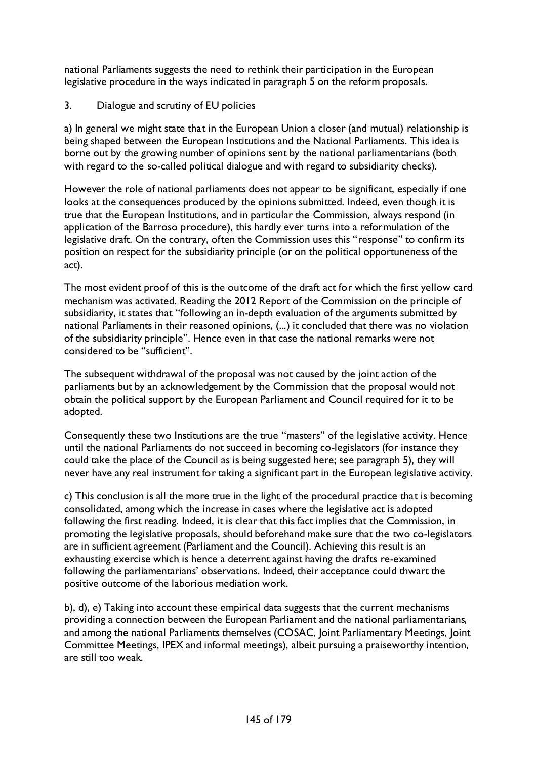national Parliaments suggests the need to rethink their participation in the European legislative procedure in the ways indicated in paragraph 5 on the reform proposals.

3. Dialogue and scrutiny of EU policies

a) In general we might state that in the European Union a closer (and mutual) relationship is being shaped between the European Institutions and the National Parliaments. This idea is borne out by the growing number of opinions sent by the national parliamentarians (both with regard to the so-called political dialogue and with regard to subsidiarity checks).

However the role of national parliaments does not appear to be significant, especially if one looks at the consequences produced by the opinions submitted. Indeed, even though it is true that the European Institutions, and in particular the Commission, always respond (in application of the Barroso procedure), this hardly ever turns into a reformulation of the legislative draft. On the contrary, often the Commission uses this "response" to confirm its position on respect for the subsidiarity principle (or on the political opportuneness of the act).

The most evident proof of this is the outcome of the draft act for which the first yellow card mechanism was activated. Reading the 2012 Report of the Commission on the principle of subsidiarity, it states that "following an in-depth evaluation of the arguments submitted by national Parliaments in their reasoned opinions, (...) it concluded that there was no violation of the subsidiarity principle". Hence even in that case the national remarks were not considered to be "sufficient".

The subsequent withdrawal of the proposal was not caused by the joint action of the parliaments but by an acknowledgement by the Commission that the proposal would not obtain the political support by the European Parliament and Council required for it to be adopted.

Consequently these two Institutions are the true "masters" of the legislative activity. Hence until the national Parliaments do not succeed in becoming co-legislators (for instance they could take the place of the Council as is being suggested here; see paragraph 5), they will never have any real instrument for taking a significant part in the European legislative activity.

c) This conclusion is all the more true in the light of the procedural practice that is becoming consolidated, among which the increase in cases where the legislative act is adopted following the first reading. Indeed, it is clear that this fact implies that the Commission, in promoting the legislative proposals, should beforehand make sure that the two co-legislators are in sufficient agreement (Parliament and the Council). Achieving this result is an exhausting exercise which is hence a deterrent against having the drafts re-examined following the parliamentarians' observations. Indeed, their acceptance could thwart the positive outcome of the laborious mediation work.

b), d), e) Taking into account these empirical data suggests that the current mechanisms providing a connection between the European Parliament and the national parliamentarians, and among the national Parliaments themselves (COSAC, Joint Parliamentary Meetings, Joint Committee Meetings, IPEX and informal meetings), albeit pursuing a praiseworthy intention, are still too weak.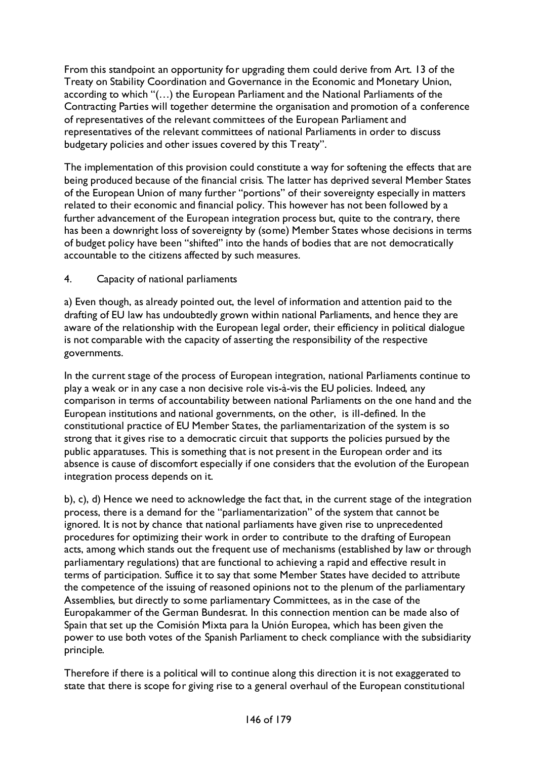From this standpoint an opportunity for upgrading them could derive from Art. 13 of the Treaty on Stability Coordination and Governance in the Economic and Monetary Union, according to which "(…) the European Parliament and the National Parliaments of the Contracting Parties will together determine the organisation and promotion of a conference of representatives of the relevant committees of the European Parliament and representatives of the relevant committees of national Parliaments in order to discuss budgetary policies and other issues covered by this Treaty".

The implementation of this provision could constitute a way for softening the effects that are being produced because of the financial crisis. The latter has deprived several Member States of the European Union of many further "portions" of their sovereignty especially in matters related to their economic and financial policy. This however has not been followed by a further advancement of the European integration process but, quite to the contrary, there has been a downright loss of sovereignty by (some) Member States whose decisions in terms of budget policy have been "shifted" into the hands of bodies that are not democratically accountable to the citizens affected by such measures.

## 4. Capacity of national parliaments

a) Even though, as already pointed out, the level of information and attention paid to the drafting of EU law has undoubtedly grown within national Parliaments, and hence they are aware of the relationship with the European legal order, their efficiency in political dialogue is not comparable with the capacity of asserting the responsibility of the respective governments.

In the current stage of the process of European integration, national Parliaments continue to play a weak or in any case a non decisive role vis-à-vis the EU policies. Indeed, any comparison in terms of accountability between national Parliaments on the one hand and the European institutions and national governments, on the other, is ill-defined. In the constitutional practice of EU Member States, the parliamentarization of the system is so strong that it gives rise to a democratic circuit that supports the policies pursued by the public apparatuses. This is something that is not present in the European order and its absence is cause of discomfort especially if one considers that the evolution of the European integration process depends on it.

b), c), d) Hence we need to acknowledge the fact that, in the current stage of the integration process, there is a demand for the "parliamentarization" of the system that cannot be ignored. It is not by chance that national parliaments have given rise to unprecedented procedures for optimizing their work in order to contribute to the drafting of European acts, among which stands out the frequent use of mechanisms (established by law or through parliamentary regulations) that are functional to achieving a rapid and effective result in terms of participation. Suffice it to say that some Member States have decided to attribute the competence of the issuing of reasoned opinions not to the plenum of the parliamentary Assemblies, but directly to some parliamentary Committees, as in the case of the Europakammer of the German Bundesrat. In this connection mention can be made also of Spain that set up the Comisión Mixta para la Unión Europea, which has been given the power to use both votes of the Spanish Parliament to check compliance with the subsidiarity principle.

Therefore if there is a political will to continue along this direction it is not exaggerated to state that there is scope for giving rise to a general overhaul of the European constitutional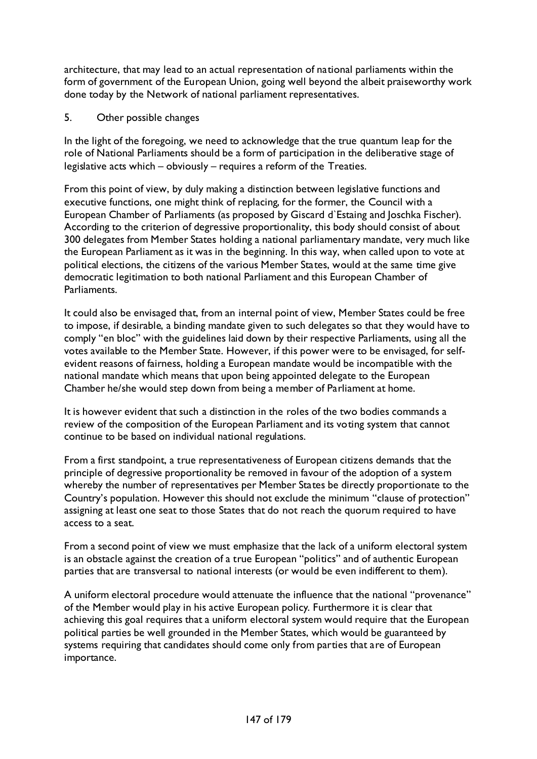architecture, that may lead to an actual representation of national parliaments within the form of government of the European Union, going well beyond the albeit praiseworthy work done today by the Network of national parliament representatives.

5. Other possible changes

In the light of the foregoing, we need to acknowledge that the true quantum leap for the role of National Parliaments should be a form of participation in the deliberative stage of legislative acts which – obviously – requires a reform of the Treaties.

From this point of view, by duly making a distinction between legislative functions and executive functions, one might think of replacing, for the former, the Council with a European Chamber of Parliaments (as proposed by Giscard d`Estaing and Joschka Fischer). According to the criterion of degressive proportionality, this body should consist of about 300 delegates from Member States holding a national parliamentary mandate, very much like the European Parliament as it was in the beginning. In this way, when called upon to vote at political elections, the citizens of the various Member States, would at the same time give democratic legitimation to both national Parliament and this European Chamber of Parliaments.

It could also be envisaged that, from an internal point of view, Member States could be free to impose, if desirable, a binding mandate given to such delegates so that they would have to comply "en bloc" with the guidelines laid down by their respective Parliaments, using all the votes available to the Member State. However, if this power were to be envisaged, for selfevident reasons of fairness, holding a European mandate would be incompatible with the national mandate which means that upon being appointed delegate to the European Chamber he/she would step down from being a member of Parliament at home.

It is however evident that such a distinction in the roles of the two bodies commands a review of the composition of the European Parliament and its voting system that cannot continue to be based on individual national regulations.

From a first standpoint, a true representativeness of European citizens demands that the principle of degressive proportionality be removed in favour of the adoption of a system whereby the number of representatives per Member States be directly proportionate to the Country's population. However this should not exclude the minimum "clause of protection" assigning at least one seat to those States that do not reach the quorum required to have access to a seat.

From a second point of view we must emphasize that the lack of a uniform electoral system is an obstacle against the creation of a true European "politics" and of authentic European parties that are transversal to national interests (or would be even indifferent to them).

A uniform electoral procedure would attenuate the influence that the national "provenance" of the Member would play in his active European policy. Furthermore it is clear that achieving this goal requires that a uniform electoral system would require that the European political parties be well grounded in the Member States, which would be guaranteed by systems requiring that candidates should come only from parties that are of European importance.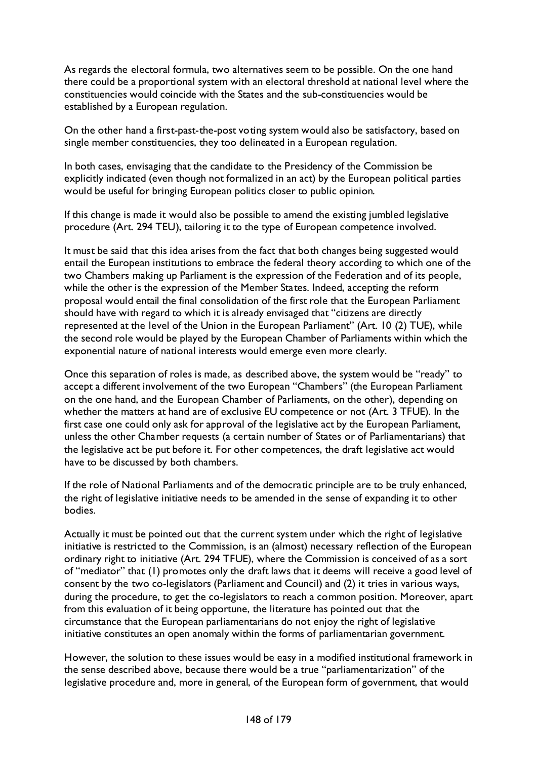As regards the electoral formula, two alternatives seem to be possible. On the one hand there could be a proportional system with an electoral threshold at national level where the constituencies would coincide with the States and the sub-constituencies would be established by a European regulation.

On the other hand a first-past-the-post voting system would also be satisfactory, based on single member constituencies, they too delineated in a European regulation.

In both cases, envisaging that the candidate to the Presidency of the Commission be explicitly indicated (even though not formalized in an act) by the European political parties would be useful for bringing European politics closer to public opinion.

If this change is made it would also be possible to amend the existing jumbled legislative procedure (Art. 294 TEU), tailoring it to the type of European competence involved.

It must be said that this idea arises from the fact that both changes being suggested would entail the European institutions to embrace the federal theory according to which one of the two Chambers making up Parliament is the expression of the Federation and of its people, while the other is the expression of the Member States. Indeed, accepting the reform proposal would entail the final consolidation of the first role that the European Parliament should have with regard to which it is already envisaged that "citizens are directly represented at the level of the Union in the European Parliament" (Art. 10 (2) TUE), while the second role would be played by the European Chamber of Parliaments within which the exponential nature of national interests would emerge even more clearly.

Once this separation of roles is made, as described above, the system would be "ready" to accept a different involvement of the two European "Chambers" (the European Parliament on the one hand, and the European Chamber of Parliaments, on the other), depending on whether the matters at hand are of exclusive EU competence or not (Art. 3 TFUE). In the first case one could only ask for approval of the legislative act by the European Parliament, unless the other Chamber requests (a certain number of States or of Parliamentarians) that the legislative act be put before it. For other competences, the draft legislative act would have to be discussed by both chambers.

If the role of National Parliaments and of the democratic principle are to be truly enhanced, the right of legislative initiative needs to be amended in the sense of expanding it to other bodies.

Actually it must be pointed out that the current system under which the right of legislative initiative is restricted to the Commission, is an (almost) necessary reflection of the European ordinary right to initiative (Art. 294 TFUE), where the Commission is conceived of as a sort of "mediator" that (1) promotes only the draft laws that it deems will receive a good level of consent by the two co-legislators (Parliament and Council) and (2) it tries in various ways, during the procedure, to get the co-legislators to reach a common position. Moreover, apart from this evaluation of it being opportune, the literature has pointed out that the circumstance that the European parliamentarians do not enjoy the right of legislative initiative constitutes an open anomaly within the forms of parliamentarian government.

However, the solution to these issues would be easy in a modified institutional framework in the sense described above, because there would be a true "parliamentarization" of the legislative procedure and, more in general, of the European form of government, that would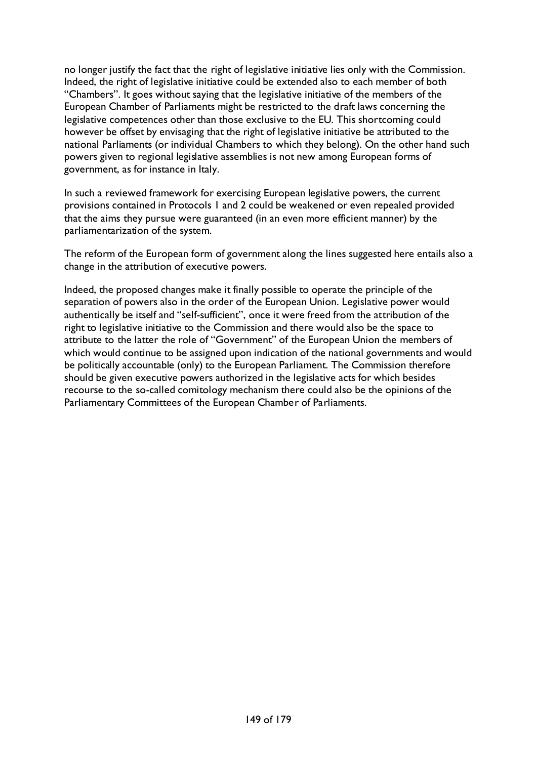no longer justify the fact that the right of legislative initiative lies only with the Commission. Indeed, the right of legislative initiative could be extended also to each member of both "Chambers". It goes without saying that the legislative initiative of the members of the European Chamber of Parliaments might be restricted to the draft laws concerning the legislative competences other than those exclusive to the EU. This shortcoming could however be offset by envisaging that the right of legislative initiative be attributed to the national Parliaments (or individual Chambers to which they belong). On the other hand such powers given to regional legislative assemblies is not new among European forms of government, as for instance in Italy.

In such a reviewed framework for exercising European legislative powers, the current provisions contained in Protocols 1 and 2 could be weakened or even repealed provided that the aims they pursue were guaranteed (in an even more efficient manner) by the parliamentarization of the system.

The reform of the European form of government along the lines suggested here entails also a change in the attribution of executive powers.

Indeed, the proposed changes make it finally possible to operate the principle of the separation of powers also in the order of the European Union. Legislative power would authentically be itself and "self-sufficient", once it were freed from the attribution of the right to legislative initiative to the Commission and there would also be the space to attribute to the latter the role of "Government" of the European Union the members of which would continue to be assigned upon indication of the national governments and would be politically accountable (only) to the European Parliament. The Commission therefore should be given executive powers authorized in the legislative acts for which besides recourse to the so-called comitology mechanism there could also be the opinions of the Parliamentary Committees of the European Chamber of Parliaments.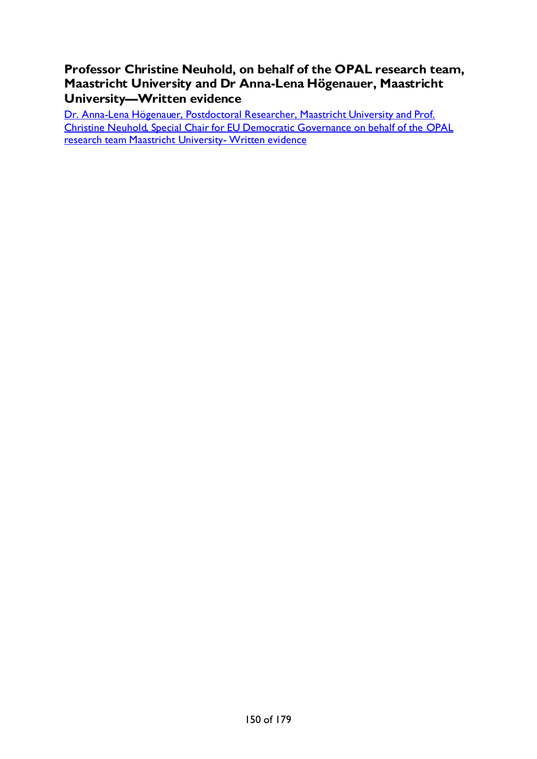**Professor Christine Neuhold, on behalf of the OPAL research team, Maastricht University and Dr Anna-Lena Högenauer, Maastricht University—Written evidence**

[Dr. Anna-Lena Högenauer, Postdoctoral Researcher, Maastricht University and Prof.](#page-72-0)  [Christine Neuhold, Special Chair for EU Democratic Governance on behalf of the OPAL](#page-72-0)  [research team Maastricht University-](#page-72-0) Written evidence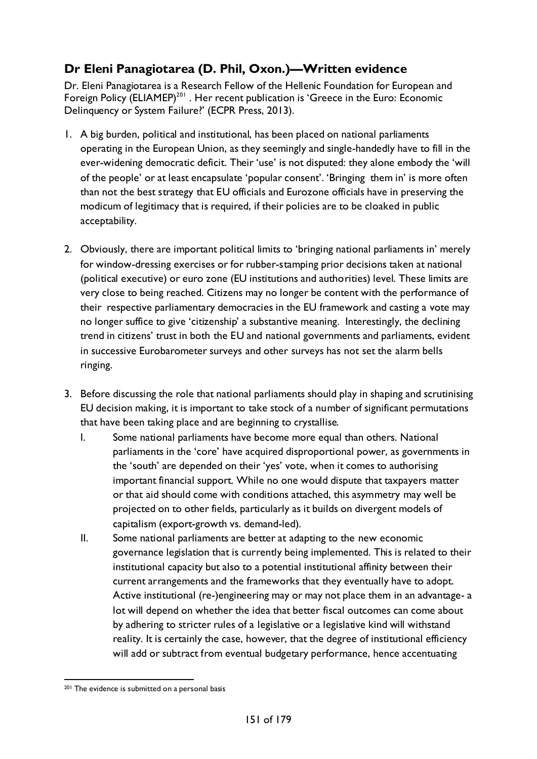# **Dr Eleni Panagiotarea (D. Phil, Oxon.)—Written evidence**

Dr. Eleni Panagiotarea is a Research Fellow of the Hellenic Foundation for European and Foreign Policy (ELIAMEP)<sup>[201](#page-150-0)</sup>. Her recent publication is 'Greece in the Euro: Economic Delinquency or System Failure?' (ECPR Press, 2013).

- 1. A big burden, political and institutional, has been placed on national parliaments operating in the European Union, as they seemingly and single-handedly have to fill in the ever-widening democratic deficit. Their 'use' is not disputed: they alone embody the 'will of the people' or at least encapsulate 'popular consent'. 'Bringing them in' is more often than not the best strategy that EU officials and Eurozone officials have in preserving the modicum of legitimacy that is required, if their policies are to be cloaked in public acceptability.
- 2. Obviously, there are important political limits to 'bringing national parliaments in' merely for window-dressing exercises or for rubber-stamping prior decisions taken at national (political executive) or euro zone (EU institutions and authorities) level. These limits are very close to being reached. Citizens may no longer be content with the performance of their respective parliamentary democracies in the EU framework and casting a vote may no longer suffice to give 'citizenship' a substantive meaning. Interestingly, the declining trend in citizens' trust in both the EU and national governments and parliaments, evident in successive Eurobarometer surveys and other surveys has not set the alarm bells ringing.
- 3. Before discussing the role that national parliaments should play in shaping and scrutinising EU decision making, it is important to take stock of a number of significant permutations that have been taking place and are beginning to crystallise.
	- I. Some national parliaments have become more equal than others. National parliaments in the 'core' have acquired disproportional power, as governments in the 'south' are depended on their 'yes' vote, when it comes to authorising important financial support. While no one would dispute that taxpayers matter or that aid should come with conditions attached, this asymmetry may well be projected on to other fields, particularly as it builds on divergent models of capitalism (export-growth vs. demand-led).
	- II. Some national parliaments are better at adapting to the new economic governance legislation that is currently being implemented. This is related to their institutional capacity but also to a potential institutional affinity between their current arrangements and the frameworks that they eventually have to adopt. Active institutional (re-)engineering may or may not place them in an advantage- a lot will depend on whether the idea that better fiscal outcomes can come about by adhering to stricter rules of a legislative or a legislative kind will withstand reality. It is certainly the case, however, that the degree of institutional efficiency will add or subtract from eventual budgetary performance, hence accentuating

<span id="page-150-0"></span><sup>201</sup> The evidence is submitted on a personal basis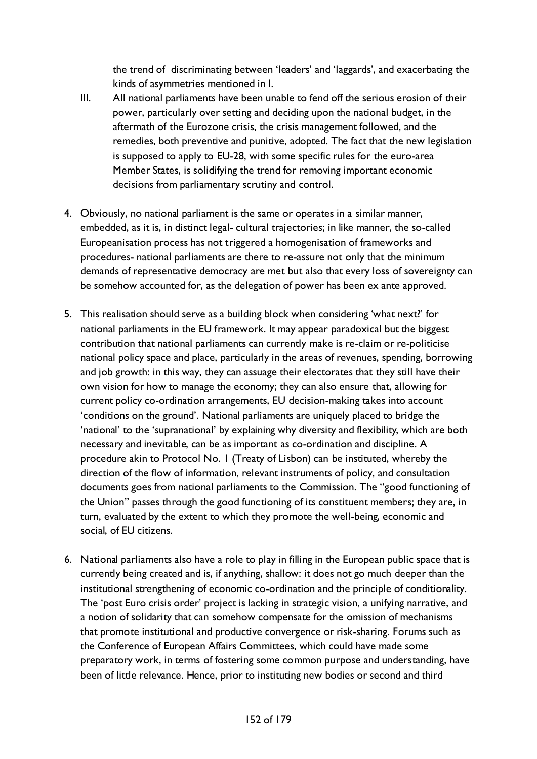the trend of discriminating between 'leaders' and 'laggards', and exacerbating the kinds of asymmetries mentioned in I.

- III. All national parliaments have been unable to fend off the serious erosion of their power, particularly over setting and deciding upon the national budget, in the aftermath of the Eurozone crisis, the crisis management followed, and the remedies, both preventive and punitive, adopted. The fact that the new legislation is supposed to apply to EU-28, with some specific rules for the euro-area Member States, is solidifying the trend for removing important economic decisions from parliamentary scrutiny and control.
- 4. Obviously, no national parliament is the same or operates in a similar manner, embedded, as it is, in distinct legal- cultural trajectories; in like manner, the so-called Europeanisation process has not triggered a homogenisation of frameworks and procedures- national parliaments are there to re-assure not only that the minimum demands of representative democracy are met but also that every loss of sovereignty can be somehow accounted for, as the delegation of power has been ex ante approved.
- 5. This realisation should serve as a building block when considering 'what next?' for national parliaments in the EU framework. It may appear paradoxical but the biggest contribution that national parliaments can currently make is re-claim or re-politicise national policy space and place, particularly in the areas of revenues, spending, borrowing and job growth: in this way, they can assuage their electorates that they still have their own vision for how to manage the economy; they can also ensure that, allowing for current policy co-ordination arrangements, EU decision-making takes into account 'conditions on the ground'. National parliaments are uniquely placed to bridge the 'national' to the 'supranational' by explaining why diversity and flexibility, which are both necessary and inevitable, can be as important as co-ordination and discipline. A procedure akin to Protocol No. 1 (Treaty of Lisbon) can be instituted, whereby the direction of the flow of information, relevant instruments of policy, and consultation documents goes from national parliaments to the Commission. The "good functioning of the Union" passes through the good functioning of its constituent members; they are, in turn, evaluated by the extent to which they promote the well-being, economic and social, of EU citizens.
- 6. National parliaments also have a role to play in filling in the European public space that is currently being created and is, if anything, shallow: it does not go much deeper than the institutional strengthening of economic co-ordination and the principle of conditionality. The 'post Euro crisis order' project is lacking in strategic vision, a unifying narrative, and a notion of solidarity that can somehow compensate for the omission of mechanisms that promote institutional and productive convergence or risk-sharing. Forums such as the Conference of European Affairs Committees, which could have made some preparatory work, in terms of fostering some common purpose and understanding, have been of little relevance. Hence, prior to instituting new bodies or second and third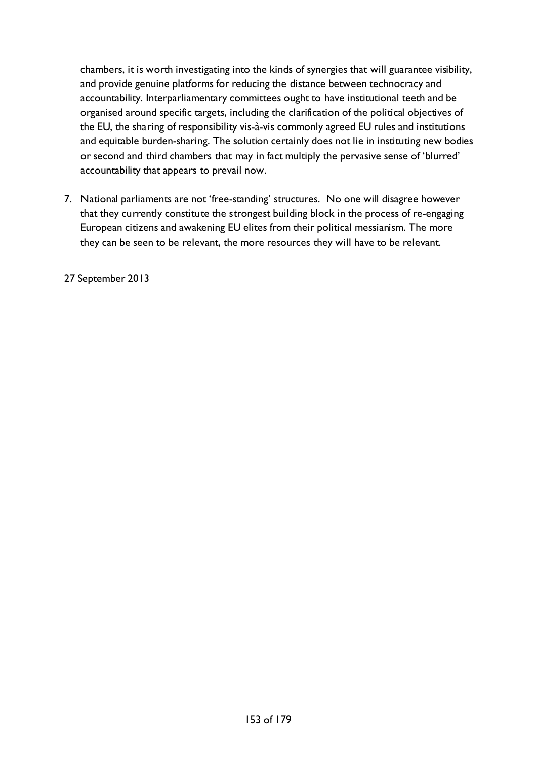chambers, it is worth investigating into the kinds of synergies that will guarantee visibility, and provide genuine platforms for reducing the distance between technocracy and accountability. Interparliamentary committees ought to have institutional teeth and be organised around specific targets, including the clarification of the political objectives of the EU, the sharing of responsibility vis-à-vis commonly agreed EU rules and institutions and equitable burden-sharing. The solution certainly does not lie in instituting new bodies or second and third chambers that may in fact multiply the pervasive sense of 'blurred' accountability that appears to prevail now.

7. National parliaments are not 'free-standing' structures. No one will disagree however that they currently constitute the strongest building block in the process of re-engaging European citizens and awakening EU elites from their political messianism. The more they can be seen to be relevant, the more resources they will have to be relevant.

27 September 2013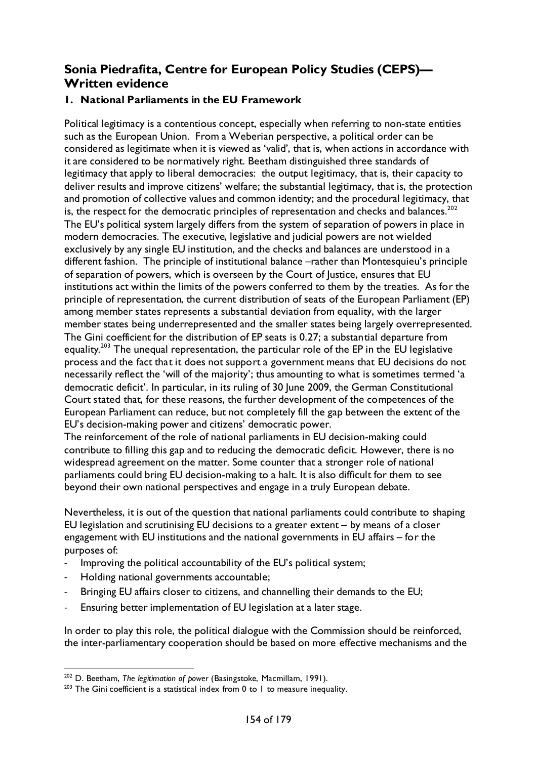## **Sonia Piedrafita, Centre for European Policy Studies (CEPS)— Written evidence**

## **1. National Parliaments in the EU Framework**

Political legitimacy is a contentious concept, especially when referring to non-state entities such as the European Union. From a Weberian perspective, a political order can be considered as legitimate when it is viewed as 'valid', that is, when actions in accordance with it are considered to be normatively right. Beetham distinguished three standards of legitimacy that apply to liberal democracies: the output legitimacy, that is, their capacity to deliver results and improve citizens' welfare; the substantial legitimacy, that is, the protection and promotion of collective values and common identity; and the procedural legitimacy, that is, the respect for the democratic principles of representation and checks and balances.<sup>[202](#page-153-0)</sup> The EU's political system largely differs from the system of separation of powers in place in modern democracies. The executive, legislative and judicial powers are not wielded exclusively by any single EU institution, and the checks and balances are understood in a different fashion. The principle of institutional balance –rather than Montesquieu's principle of separation of powers, which is overseen by the Court of Justice, ensures that EU institutions act within the limits of the powers conferred to them by the treaties. As for the principle of representation, the current distribution of seats of the European Parliament (EP) among member states represents a substantial deviation from equality, with the larger member states being underrepresented and the smaller states being largely overrepresented. The Gini coefficient for the distribution of EP seats is 0.27; a substantial departure from equality.<sup>[203](#page-153-1)</sup> The unequal representation, the particular role of the EP in the EU legislative process and the fact that it does not support a government means that EU decisions do not necessarily reflect the 'will of the majority'; thus amounting to what is sometimes termed 'a democratic deficit'. In particular, in its ruling of 30 June 2009, the German Constitutional Court stated that, for these reasons, the further development of the competences of the European Parliament can reduce, but not completely fill the gap between the extent of the EU's decision-making power and citizens' democratic power.

The reinforcement of the role of national parliaments in EU decision-making could contribute to filling this gap and to reducing the democratic deficit. However, there is no widespread agreement on the matter. Some counter that a stronger role of national parliaments could bring EU decision-making to a halt. It is also difficult for them to see beyond their own national perspectives and engage in a truly European debate.

Nevertheless, it is out of the question that national parliaments could contribute to shaping EU legislation and scrutinising EU decisions to a greater extent – by means of a closer engagement with EU institutions and the national governments in EU affairs – for the purposes of:

- Improving the political accountability of the EU's political system;
- Holding national governments accountable;
- Bringing EU affairs closer to citizens, and channelling their demands to the EU;
- Ensuring better implementation of EU legislation at a later stage.

In order to play this role, the political dialogue with the Commission should be reinforced, the inter-parliamentary cooperation should be based on more effective mechanisms and the

<span id="page-153-0"></span> <sup>202</sup> D. Beetham, *The legitimation of power* (Basingstoke, Macmillam, 1991).

<span id="page-153-1"></span> $203$  The Gini coefficient is a statistical index from 0 to 1 to measure inequality.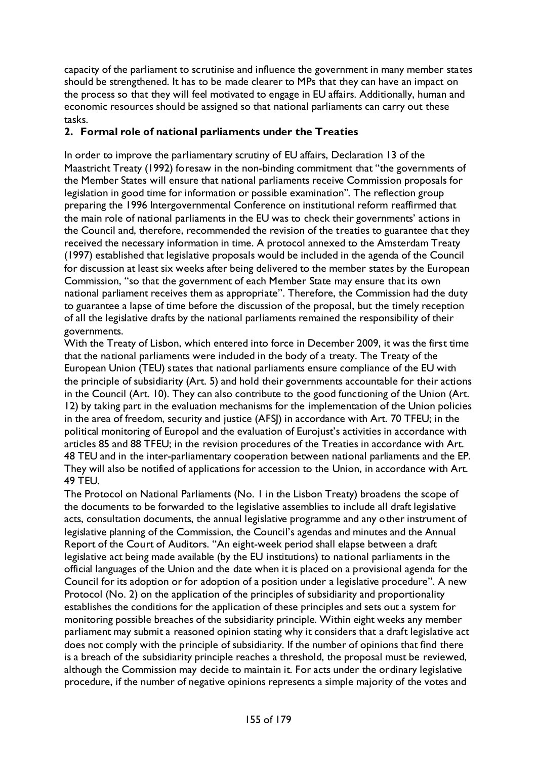capacity of the parliament to scrutinise and influence the government in many member states should be strengthened. It has to be made clearer to MPs that they can have an impact on the process so that they will feel motivated to engage in EU affairs. Additionally, human and economic resources should be assigned so that national parliaments can carry out these tasks.

## **2. Formal role of national parliaments under the Treaties**

In order to improve the parliamentary scrutiny of EU affairs, Declaration 13 of the Maastricht Treaty (1992) foresaw in the non-binding commitment that "the governments of the Member States will ensure that national parliaments receive Commission proposals for legislation in good time for information or possible examination". The reflection group preparing the 1996 Intergovernmental Conference on institutional reform reaffirmed that the main role of national parliaments in the EU was to check their governments' actions in the Council and, therefore, recommended the revision of the treaties to guarantee that they received the necessary information in time. A protocol annexed to the Amsterdam Treaty (1997) established that legislative proposals would be included in the agenda of the Council for discussion at least six weeks after being delivered to the member states by the European Commission, "so that the government of each Member State may ensure that its own national parliament receives them as appropriate". Therefore, the Commission had the duty to guarantee a lapse of time before the discussion of the proposal, but the timely reception of all the legislative drafts by the national parliaments remained the responsibility of their governments.

With the Treaty of Lisbon, which entered into force in December 2009, it was the first time that the national parliaments were included in the body of a treaty. The Treaty of the European Union (TEU) states that national parliaments ensure compliance of the EU with the principle of subsidiarity (Art. 5) and hold their governments accountable for their actions in the Council (Art. 10). They can also contribute to the good functioning of the Union (Art. 12) by taking part in the evaluation mechanisms for the implementation of the Union policies in the area of freedom, security and justice (AFSJ) in accordance with Art. 70 TFEU; in the political monitoring of Europol and the evaluation of Eurojust's activities in accordance with articles 85 and 88 TFEU; in the revision procedures of the Treaties in accordance with Art. 48 TEU and in the inter-parliamentary cooperation between national parliaments and the EP. They will also be notified of applications for accession to the Union, in accordance with Art. 49 TEU.

The Protocol on National Parliaments (No. 1 in the Lisbon Treaty) broadens the scope of the documents to be forwarded to the legislative assemblies to include all draft legislative acts, consultation documents, the annual legislative programme and any other instrument of legislative planning of the Commission, the Council's agendas and minutes and the Annual Report of the Court of Auditors. "An eight-week period shall elapse between a draft legislative act being made available (by the EU institutions) to national parliaments in the official languages of the Union and the date when it is placed on a provisional agenda for the Council for its adoption or for adoption of a position under a legislative procedure". A new Protocol (No. 2) on the application of the principles of subsidiarity and proportionality establishes the conditions for the application of these principles and sets out a system for monitoring possible breaches of the subsidiarity principle. Within eight weeks any member parliament may submit a reasoned opinion stating why it considers that a draft legislative act does not comply with the principle of subsidiarity. If the number of opinions that find there is a breach of the subsidiarity principle reaches a threshold, the proposal must be reviewed, although the Commission may decide to maintain it. For acts under the ordinary legislative procedure, if the number of negative opinions represents a simple majority of the votes and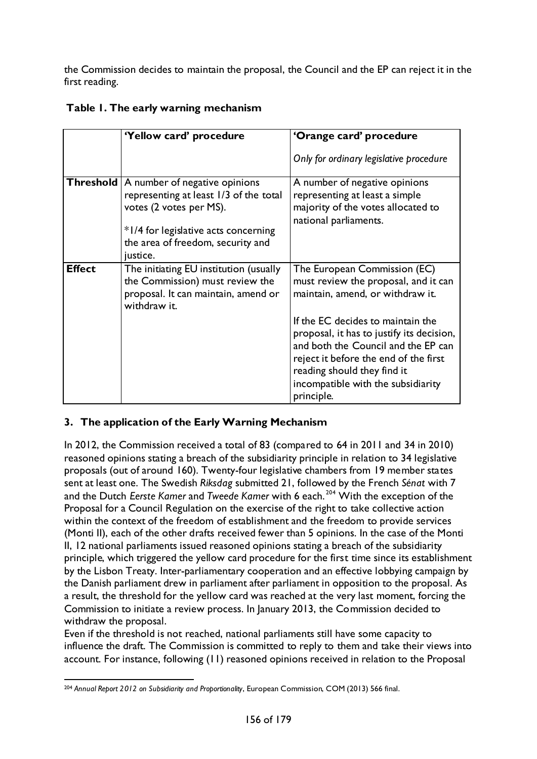the Commission decides to maintain the proposal, the Council and the EP can reject it in the first reading.

|               | 'Yellow card' procedure                                                                                                                                                                                 | 'Orange card' procedure                                                                                                                                                                                                                           |  |
|---------------|---------------------------------------------------------------------------------------------------------------------------------------------------------------------------------------------------------|---------------------------------------------------------------------------------------------------------------------------------------------------------------------------------------------------------------------------------------------------|--|
|               |                                                                                                                                                                                                         | Only for ordinary legislative procedure                                                                                                                                                                                                           |  |
|               | Threshold   A number of negative opinions<br>representing at least 1/3 of the total<br>votes (2 votes per MS).<br>*1/4 for legislative acts concerning<br>the area of freedom, security and<br>justice. | A number of negative opinions<br>representing at least a simple<br>majority of the votes allocated to<br>national parliaments.                                                                                                                    |  |
| <b>Effect</b> | The initiating EU institution (usually<br>the Commission) must review the<br>proposal. It can maintain, amend or<br>withdraw it.                                                                        | The European Commission (EC)<br>must review the proposal, and it can<br>maintain, amend, or withdraw it.                                                                                                                                          |  |
|               |                                                                                                                                                                                                         | If the EC decides to maintain the<br>proposal, it has to justify its decision,<br>and both the Council and the EP can<br>reject it before the end of the first<br>reading should they find it<br>incompatible with the subsidiarity<br>principle. |  |

## **Table 1. The early warning mechanism**

## **3. The application of the Early Warning Mechanism**

In 2012, the Commission received a total of 83 (compared to 64 in 2011 and 34 in 2010) reasoned opinions stating a breach of the subsidiarity principle in relation to 34 legislative proposals (out of around 160). Twenty-four legislative chambers from 19 member states sent at least one. The Swedish *Riksdag* submitted 21, followed by the French *Sénat* with 7 and the Dutch *Eerste Kamer* and *Tweede Kamer* with 6 each. [204](#page-155-0) With the exception of the Proposal for a Council Regulation on the exercise of the right to take collective action within the context of the freedom of establishment and the freedom to provide services (Monti II), each of the other drafts received fewer than 5 opinions. In the case of the Monti II, 12 national parliaments issued reasoned opinions stating a breach of the subsidiarity principle, which triggered the yellow card procedure for the first time since its establishment by the Lisbon Treaty. Inter-parliamentary cooperation and an effective lobbying campaign by the Danish parliament drew in parliament after parliament in opposition to the proposal. As a result, the threshold for the yellow card was reached at the very last moment, forcing the Commission to initiate a review process. In January 2013, the Commission decided to withdraw the proposal.

Even if the threshold is not reached, national parliaments still have some capacity to influence the draft. The Commission is committed to reply to them and take their views into account. For instance, following (11) reasoned opinions received in relation to the Proposal

<span id="page-155-0"></span> <sup>204</sup> *Annual Report 2012 on Subsidiarity and Proportionality*, European Commission, COM (2013) 566 final.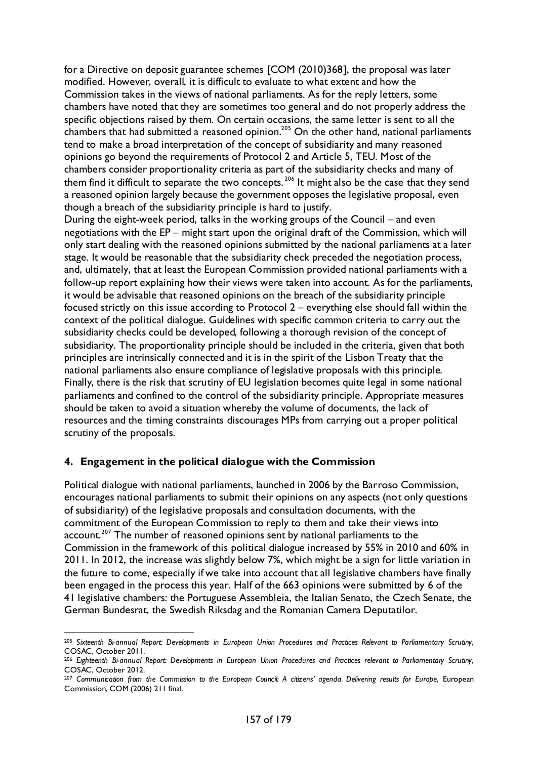for a Directive on deposit guarantee schemes [COM (2010)368], the proposal was later modified. However, overall, it is difficult to evaluate to what extent and how the Commission takes in the views of national parliaments. As for the reply letters, some chambers have noted that they are sometimes too general and do not properly address the specific objections raised by them. On certain occasions, the same letter is sent to all the chambers that had submitted a reasoned opinion.<sup>205</sup> On the other hand, national parliaments tend to make a broad interpretation of the concept of subsidiarity and many reasoned opinions go beyond the requirements of Protocol 2 and Article 5, TEU. Most of the chambers consider proportionality criteria as part of the subsidiarity checks and many of them find it difficult to separate the two concepts.<sup>[206](#page-156-1)</sup> It might also be the case that they send a reasoned opinion largely because the government opposes the legislative proposal, even though a breach of the subsidiarity principle is hard to justify.

During the eight-week period, talks in the working groups of the Council – and even negotiations with the EP – might start upon the original draft of the Commission, which will only start dealing with the reasoned opinions submitted by the national parliaments at a later stage. It would be reasonable that the subsidiarity check preceded the negotiation process, and, ultimately, that at least the European Commission provided national parliaments with a follow-up report explaining how their views were taken into account. As for the parliaments, it would be advisable that reasoned opinions on the breach of the subsidiarity principle focused strictly on this issue according to Protocol 2 – everything else should fall within the context of the political dialogue. Guidelines with specific common criteria to carry out the subsidiarity checks could be developed, following a thorough revision of the concept of subsidiarity. The proportionality principle should be included in the criteria, given that both principles are intrinsically connected and it is in the spirit of the Lisbon Treaty that the national parliaments also ensure compliance of legislative proposals with this principle. Finally, there is the risk that scrutiny of EU legislation becomes quite legal in some national parliaments and confined to the control of the subsidiarity principle. Appropriate measures should be taken to avoid a situation whereby the volume of documents, the lack of resources and the timing constraints discourages MPs from carrying out a proper political scrutiny of the proposals.

#### **4. Engagement in the political dialogue with the Commission**

Political dialogue with national parliaments, launched in 2006 by the Barroso Commission, encourages national parliaments to submit their opinions on any aspects (not only questions of subsidiarity) of the legislative proposals and consultation documents, with the commitment of the European Commission to reply to them and take their views into account.<sup>[207](#page-156-2)</sup> The number of reasoned opinions sent by national parliaments to the Commission in the framework of this political dialogue increased by 55% in 2010 and 60% in 2011. In 2012, the increase was slightly below 7%, which might be a sign for little variation in the future to come, especially if we take into account that all legislative chambers have finally been engaged in the process this year. Half of the 663 opinions were submitted by 6 of the 41 legislative chambers: the Portuguese Assembleia, the Italian Senato, the Czech Senate, the German Bundesrat, the Swedish Riksdag and the Romanian Camera Deputatilor.

<span id="page-156-0"></span> <sup>205</sup> *Sixteenth Bi-annual Report: Developments in European Union Procedures and Practices Relevant to Parliamentary Scrutiny*, COSAC, October 2011.

<span id="page-156-1"></span><sup>206</sup> *Eighteenth Bi-annual Report: Developments in European Union Procedures and Practices relevant to Parliamentary Scrutiny*, COSAC, October 2012.

<span id="page-156-2"></span><sup>&</sup>lt;sup>207</sup> Communication from the Commission to the European Council: A citizens' agenda. Delivering results for Europe, European Commission, COM (2006) 211 final.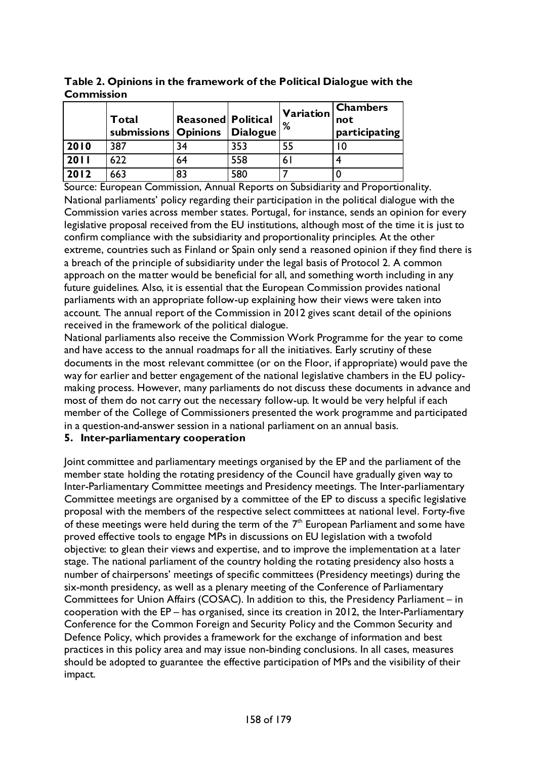**Table 2. Opinions in the framework of the Political Dialogue with the Commission**

|      | Total<br>submissions Opinions | <b>Reasoned Political</b> | Dialogue | Variation<br>%  | <b>Chambers</b><br>not<br>participating |
|------|-------------------------------|---------------------------|----------|-----------------|-----------------------------------------|
| 2010 | 387                           | 34                        | 353      | 55              |                                         |
| 2011 | 622                           | 64                        | 558      | $\vert 6 \vert$ |                                         |
| 2012 | 663                           | 83                        | 580      |                 |                                         |

Source: European Commission, Annual Reports on Subsidiarity and Proportionality. National parliaments' policy regarding their participation in the political dialogue with the Commission varies across member states. Portugal, for instance, sends an opinion for every legislative proposal received from the EU institutions, although most of the time it is just to confirm compliance with the subsidiarity and proportionality principles. At the other extreme, countries such as Finland or Spain only send a reasoned opinion if they find there is a breach of the principle of subsidiarity under the legal basis of Protocol 2. A common approach on the matter would be beneficial for all, and something worth including in any future guidelines. Also, it is essential that the European Commission provides national parliaments with an appropriate follow-up explaining how their views were taken into account. The annual report of the Commission in 2012 gives scant detail of the opinions received in the framework of the political dialogue.

National parliaments also receive the Commission Work Programme for the year to come and have access to the annual roadmaps for all the initiatives. Early scrutiny of these documents in the most relevant committee (or on the Floor, if appropriate) would pave the way for earlier and better engagement of the national legislative chambers in the EU policymaking process. However, many parliaments do not discuss these documents in advance and most of them do not carry out the necessary follow-up. It would be very helpful if each member of the College of Commissioners presented the work programme and participated in a question-and-answer session in a national parliament on an annual basis.

## **5. Inter-parliamentary cooperation**

Joint committee and parliamentary meetings organised by the EP and the parliament of the member state holding the rotating presidency of the Council have gradually given way to Inter-Parliamentary Committee meetings and Presidency meetings. The Inter-parliamentary Committee meetings are organised by a committee of the EP to discuss a specific legislative proposal with the members of the respective select committees at national level. Forty-five of these meetings were held during the term of the  $7<sup>th</sup>$  European Parliament and some have proved effective tools to engage MPs in discussions on EU legislation with a twofold objective: to glean their views and expertise, and to improve the implementation at a later stage. The national parliament of the country holding the rotating presidency also hosts a number of chairpersons' meetings of specific committees (Presidency meetings) during the six-month presidency, as well as a plenary meeting of the Conference of Parliamentary Committees for Union Affairs (COSAC). In addition to this, the Presidency Parliament – in cooperation with the EP – has organised, since its creation in 2012, the Inter-Parliamentary Conference for the Common Foreign and Security Policy and the Common Security and Defence Policy, which provides a framework for the exchange of information and best practices in this policy area and may issue non-binding conclusions. In all cases, measures should be adopted to guarantee the effective participation of MPs and the visibility of their impact.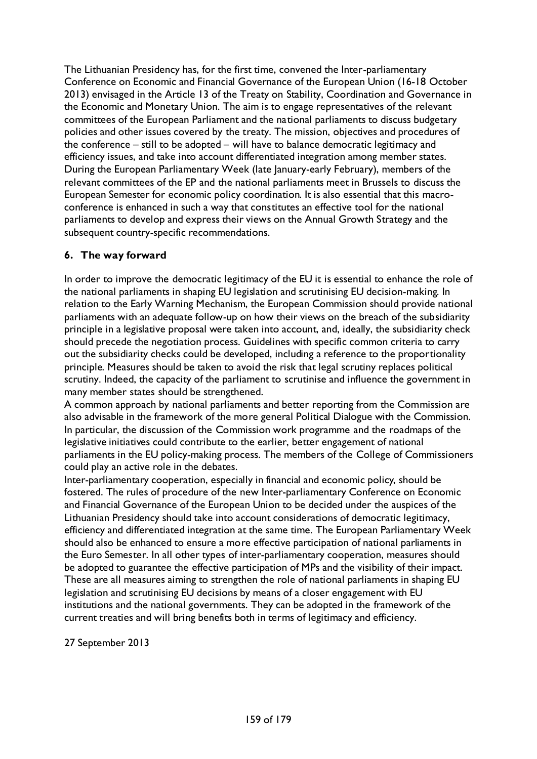The Lithuanian Presidency has, for the first time, convened the Inter-parliamentary Conference on Economic and Financial Governance of the European Union (16-18 October 2013) envisaged in the Article 13 of the Treaty on Stability, Coordination and Governance in the Economic and Monetary Union. The aim is to engage representatives of the relevant committees of the European Parliament and the national parliaments to discuss budgetary policies and other issues covered by the treaty. The mission, objectives and procedures of the conference – still to be adopted – will have to balance democratic legitimacy and efficiency issues, and take into account differentiated integration among member states. During the European Parliamentary Week (late January-early February), members of the relevant committees of the EP and the national parliaments meet in Brussels to discuss the European Semester for economic policy coordination. It is also essential that this macroconference is enhanced in such a way that constitutes an effective tool for the national parliaments to develop and express their views on the Annual Growth Strategy and the subsequent country-specific recommendations.

## **6. The way forward**

In order to improve the democratic legitimacy of the EU it is essential to enhance the role of the national parliaments in shaping EU legislation and scrutinising EU decision-making. In relation to the Early Warning Mechanism, the European Commission should provide national parliaments with an adequate follow-up on how their views on the breach of the subsidiarity principle in a legislative proposal were taken into account, and, ideally, the subsidiarity check should precede the negotiation process. Guidelines with specific common criteria to carry out the subsidiarity checks could be developed, including a reference to the proportionality principle. Measures should be taken to avoid the risk that legal scrutiny replaces political scrutiny. Indeed, the capacity of the parliament to scrutinise and influence the government in many member states should be strengthened.

A common approach by national parliaments and better reporting from the Commission are also advisable in the framework of the more general Political Dialogue with the Commission. In particular, the discussion of the Commission work programme and the roadmaps of the legislative initiatives could contribute to the earlier, better engagement of national parliaments in the EU policy-making process. The members of the College of Commissioners could play an active role in the debates.

Inter-parliamentary cooperation, especially in financial and economic policy, should be fostered. The rules of procedure of the new Inter-parliamentary Conference on Economic and Financial Governance of the European Union to be decided under the auspices of the Lithuanian Presidency should take into account considerations of democratic legitimacy, efficiency and differentiated integration at the same time. The European Parliamentary Week should also be enhanced to ensure a more effective participation of national parliaments in the Euro Semester. In all other types of inter-parliamentary cooperation, measures should be adopted to guarantee the effective participation of MPs and the visibility of their impact. These are all measures aiming to strengthen the role of national parliaments in shaping EU legislation and scrutinising EU decisions by means of a closer engagement with EU institutions and the national governments. They can be adopted in the framework of the current treaties and will bring benefits both in terms of legitimacy and efficiency.

27 September 2013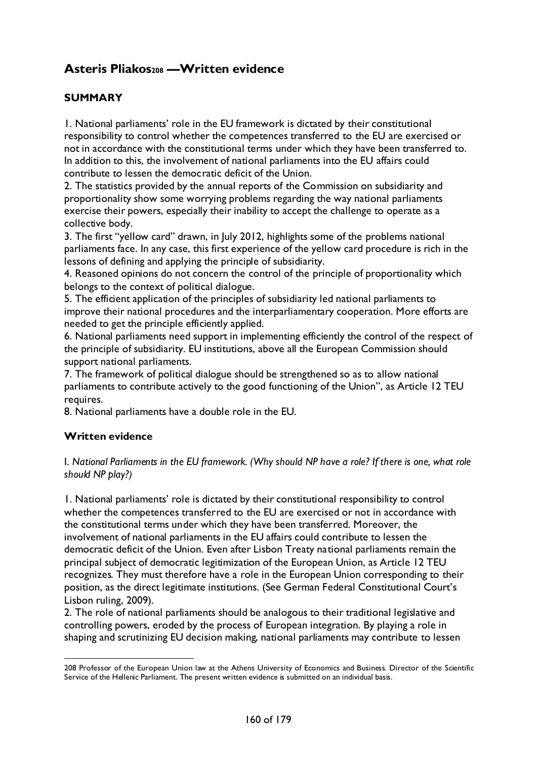# **Asteris Pliako[s208](#page-159-0) —Written evidence**

## **SUMMARY**

1. National parliaments' role in the EU framework is dictated by their constitutional responsibility to control whether the competences transferred to the EU are exercised or not in accordance with the constitutional terms under which they have been transferred to. In addition to this, the involvement of national parliaments into the EU affairs could contribute to lessen the democratic deficit of the Union.

2. The statistics provided by the annual reports of the Commission on subsidiarity and proportionality show some worrying problems regarding the way national parliaments exercise their powers, especially their inability to accept the challenge to operate as a collective body.

3. The first "yellow card" drawn, in July 2012, highlights some of the problems national parliaments face. In any case, this first experience of the yellow card procedure is rich in the lessons of defining and applying the principle of subsidiarity.

4. Reasoned opinions do not concern the control of the principle of proportionality which belongs to the context of political dialogue.

5. The efficient application of the principles of subsidiarity led national parliaments to improve their national procedures and the interparliamentary cooperation. More efforts are needed to get the principle efficiently applied.

6. National parliaments need support in implementing efficiently the control of the respect of the principle of subsidiarity. EU institutions, above all the European Commission should support national parliaments.

7. The framework of political dialogue should be strengthened so as to allow national parliaments to contribute actively to the good functioning of the Union", as Article 12 TEU requires.

8. National parliaments have a double role in the EU.

#### **Written evidence**

I. *National Parliaments in the EU framework. (Why should NP have a role? If there is one, what role should NP play?)* 

1. National parliaments' role is dictated by their constitutional responsibility to control whether the competences transferred to the EU are exercised or not in accordance with the constitutional terms under which they have been transferred. Moreover, the involvement of national parliaments in the EU affairs could contribute to lessen the democratic deficit of the Union. Even after Lisbon Treaty national parliaments remain the principal subject of democratic legitimization of the European Union, as Article 12 TEU recognizes. They must therefore have a role in the European Union corresponding to their position, as the direct legitimate institutions. (See German Federal Constitutional Court's Lisbon ruling, 2009).

2. The role of national parliaments should be analogous to their traditional legislative and controlling powers, eroded by the process of European integration. By playing a role in shaping and scrutinizing EU decision making, national parliaments may contribute to lessen

<span id="page-159-0"></span> <sup>208</sup> Professor of the European Union law at the Athens University of Economics and Business. Director of the Scientific Service of the Hellenic Parliament. The present written evidence is submitted on an individual basis.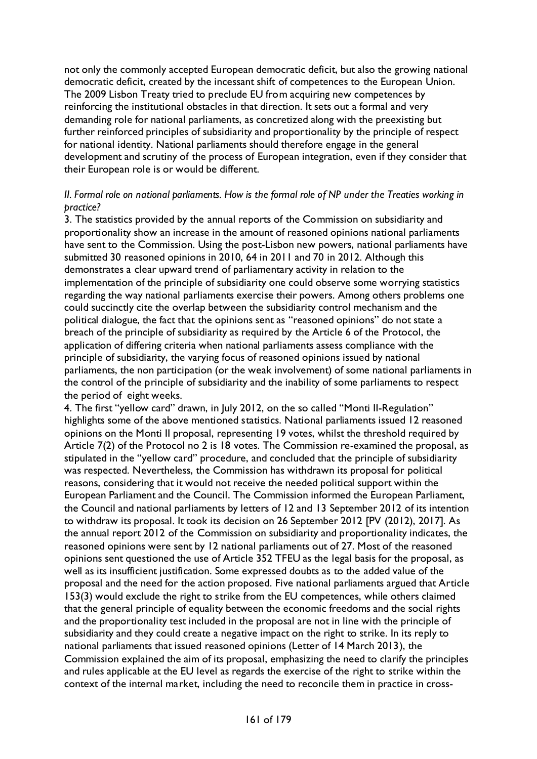not only the commonly accepted European democratic deficit, but also the growing national democratic deficit, created by the incessant shift of competences to the European Union. The 2009 Lisbon Treaty tried to preclude EU from acquiring new competences by reinforcing the institutional obstacles in that direction. It sets out a formal and very demanding role for national parliaments, as concretized along with the preexisting but further reinforced principles of subsidiarity and proportionality by the principle of respect for national identity. National parliaments should therefore engage in the general development and scrutiny of the process of European integration, even if they consider that their European role is or would be different.

#### *II. Formal role on national parliaments. How is the formal role of NP under the Treaties working in practice?*

3. The statistics provided by the annual reports of the Commission on subsidiarity and proportionality show an increase in the amount of reasoned opinions national parliaments have sent to the Commission. Using the post-Lisbon new powers, national parliaments have submitted 30 reasoned opinions in 2010, 64 in 2011 and 70 in 2012. Although this demonstrates a clear upward trend of parliamentary activity in relation to the implementation of the principle of subsidiarity one could observe some worrying statistics regarding the way national parliaments exercise their powers. Among others problems one could succinctly cite the overlap between the subsidiarity control mechanism and the political dialogue, the fact that the opinions sent as "reasoned opinions" do not state a breach of the principle of subsidiarity as required by the Article 6 of the Protocol, the application of differing criteria when national parliaments assess compliance with the principle of subsidiarity, the varying focus of reasoned opinions issued by national parliaments, the non participation (or the weak involvement) of some national parliaments in the control of the principle of subsidiarity and the inability of some parliaments to respect the period of eight weeks.

4. The first "yellow card" drawn, in July 2012, on the so called "Monti II-Regulation" highlights some of the above mentioned statistics. National parliaments issued 12 reasoned opinions on the Monti II proposal, representing 19 votes, whilst the threshold required by Article 7(2) of the Protocol no 2 is 18 votes. The Commission re-examined the proposal, as stipulated in the "yellow card" procedure, and concluded that the principle of subsidiarity was respected. Nevertheless, the Commission has withdrawn its proposal for political reasons, considering that it would not receive the needed political support within the European Parliament and the Council. The Commission informed the European Parliament, the Council and national parliaments by letters of 12 and 13 September 2012 of its intention to withdraw its proposal. It took its decision on 26 September 2012 [PV (2012), 2017]. As the annual report 2012 of the Commission on subsidiarity and proportionality indicates, the reasoned opinions were sent by 12 national parliaments out of 27. Most of the reasoned opinions sent questioned the use of Article 352 TFEU as the legal basis for the proposal, as well as its insufficient justification. Some expressed doubts as to the added value of the proposal and the need for the action proposed. Five national parliaments argued that Article 153(3) would exclude the right to strike from the EU competences, while others claimed that the general principle of equality between the economic freedoms and the social rights and the proportionality test included in the proposal are not in line with the principle of subsidiarity and they could create a negative impact on the right to strike. In its reply to national parliaments that issued reasoned opinions (Letter of 14 March 2013), the Commission explained the aim of its proposal, emphasizing the need to clarify the principles and rules applicable at the EU level as regards the exercise of the right to strike within the context of the internal market, including the need to reconcile them in practice in cross-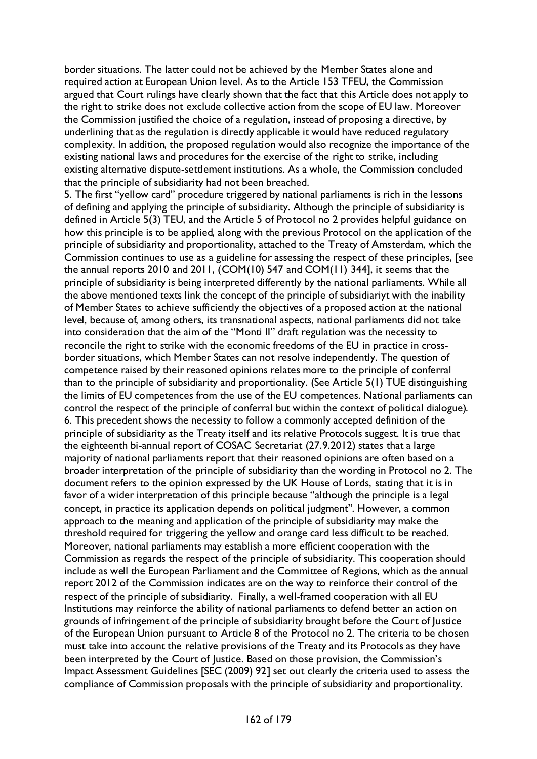border situations. The latter could not be achieved by the Member States alone and required action at European Union level. As to the Article 153 TFEU, the Commission argued that Court rulings have clearly shown that the fact that this Article does not apply to the right to strike does not exclude collective action from the scope of EU law. Moreover the Commission justified the choice of a regulation, instead of proposing a directive, by underlining that as the regulation is directly applicable it would have reduced regulatory complexity. In addition, the proposed regulation would also recognize the importance of the existing national laws and procedures for the exercise of the right to strike, including existing alternative dispute-settlement institutions. As a whole, the Commission concluded that the principle of subsidiarity had not been breached.

5. The first "yellow card" procedure triggered by national parliaments is rich in the lessons of defining and applying the principle of subsidiarity. Although the principle of subsidiarity is defined in Article 5(3) TEU, and the Article 5 of Protocol no 2 provides helpful guidance on how this principle is to be applied, along with the previous Protocol on the application of the principle of subsidiarity and proportionality, attached to the Treaty of Amsterdam, which the Commission continues to use as a guideline for assessing the respect of these principles, [see the annual reports 2010 and 2011, (COM(10) 547 and COM(11) 344], it seems that the principle of subsidiarity is being interpreted differently by the national parliaments. While all the above mentioned texts link the concept of the principle of subsidiariyt with the inability of Member States to achieve sufficiently the objectives of a proposed action at the national level, because of, among others, its transnational aspects, national parliaments did not take into consideration that the aim of the "Monti II" draft regulation was the necessity to reconcile the right to strike with the economic freedoms of the EU in practice in crossborder situations, which Member States can not resolve independently. The question of competence raised by their reasoned opinions relates more to the principle of conferral than to the principle of subsidiarity and proportionality. (See Article 5(1) TUE distinguishing the limits of EU competences from the use of the EU competences. National parliaments can control the respect of the principle of conferral but within the context of political dialogue). 6. This precedent shows the necessity to follow a commonly accepted definition of the principle of subsidiarity as the Treaty itself and its relative Protocols suggest. It is true that the eighteenth bi-annual report of COSAC Secretariat (27.9.2012) states that a large majority of national parliaments report that their reasoned opinions are often based on a broader interpretation of the principle of subsidiarity than the wording in Protocol no 2. The document refers to the opinion expressed by the UK House of Lords, stating that it is in favor of a wider interpretation of this principle because "although the principle is a legal concept, in practice its application depends on political judgment". However, a common approach to the meaning and application of the principle of subsidiarity may make the threshold required for triggering the yellow and orange card less difficult to be reached. Moreover, national parliaments may establish a more efficient cooperation with the Commission as regards the respect of the principle of subsidiarity. This cooperation should include as well the European Parliament and the Committee of Regions, which as the annual report 2012 of the Commission indicates are on the way to reinforce their control of the respect of the principle of subsidiarity. Finally, a well-framed cooperation with all EU Institutions may reinforce the ability of national parliaments to defend better an action on grounds of infringement of the principle of subsidiarity brought before the Court of Justice of the European Union pursuant to Article 8 of the Protocol no 2. The criteria to be chosen must take into account the relative provisions of the Treaty and its Protocols as they have been interpreted by the Court of Justice. Based on those provision, the Commission's Impact Assessment Guidelines [SEC (2009) 92] set out clearly the criteria used to assess the compliance of Commission proposals with the principle of subsidiarity and proportionality.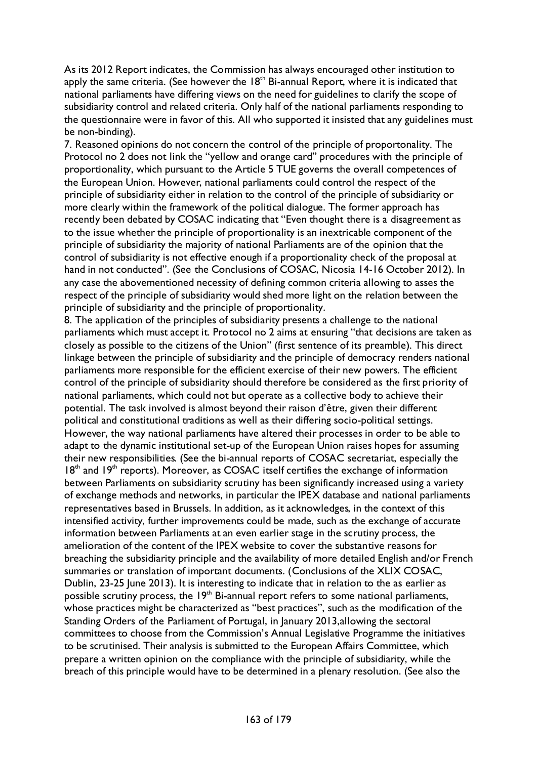As its 2012 Report indicates, the Commission has always encouraged other institution to apply the same criteria. (See however the  $18<sup>th</sup>$  Bi-annual Report, where it is indicated that national parliaments have differing views on the need for guidelines to clarify the scope of subsidiarity control and related criteria. Only half of the national parliaments responding to the questionnaire were in favor of this. All who supported it insisted that any guidelines must be non-binding).

7. Reasoned opinions do not concern the control of the principle of proportonality. The Protocol no 2 does not link the "yellow and orange card" procedures with the principle of proportionality, which pursuant to the Article 5 TUE governs the overall competences of the European Union. However, national parliaments could control the respect of the principle of subsidiarity either in relation to the control of the principle of subsidiarity or more clearly within the framework of the political dialogue. The former approach has recently been debated by COSAC indicating that "Even thought there is a disagreement as to the issue whether the principle of proportionality is an inextricable component of the principle of subsidiarity the majority of national Parliaments are of the opinion that the control of subsidiarity is not effective enough if a proportionality check of the proposal at hand in not conducted". (See the Conclusions of COSAC, Nicosia 14-16 October 2012). In any case the abovementioned necessity of defining common criteria allowing to asses the respect of the principle of subsidiarity would shed more light on the relation between the principle of subsidiarity and the principle of proportionality.

8. The application of the principles of subsidiarity presents a challenge to the national parliaments which must accept it. Protocol no 2 aims at ensuring "that decisions are taken as closely as possible to the citizens of the Union" (first sentence of its preamble). This direct linkage between the principle of subsidiarity and the principle of democracy renders national parliaments more responsible for the efficient exercise of their new powers. The efficient control of the principle of subsidiarity should therefore be considered as the first priority of national parliaments, which could not but operate as a collective body to achieve their potential. The task involved is almost beyond their raison d'être, given their different political and constitutional traditions as well as their differing socio-political settings. However, the way national parliaments have altered their processes in order to be able to adapt to the dynamic institutional set-up of the European Union raises hopes for assuming their new responsibilities. (See the bi-annual reports of COSAC secretariat, especially the  $18<sup>th</sup>$  and  $19<sup>th</sup>$  reports). Moreover, as COSAC itself certifies the exchange of information between Parliaments on subsidiarity scrutiny has been significantly increased using a variety of exchange methods and networks, in particular the IPEX database and national parliaments representatives based in Brussels. In addition, as it acknowledges, in the context of this intensified activity, further improvements could be made, such as the exchange of accurate information between Parliaments at an even earlier stage in the scrutiny process, the amelioration of the content of the IPEX website to cover the substantive reasons for breaching the subsidiarity principle and the availability of more detailed English and/or French summaries or translation of important documents. (Conclusions of the XLIX COSAC, Dublin, 23-25 June 2013). It is interesting to indicate that in relation to the as earlier as possible scrutiny process, the  $19<sup>th</sup>$  Bi-annual report refers to some national parliaments, whose practices might be characterized as "best practices", such as the modification of the Standing Orders of the Parliament of Portugal, in January 2013,allowing the sectoral committees to choose from the Commission's Annual Legislative Programme the initiatives to be scrutinised. Their analysis is submitted to the European Affairs Committee, which prepare a written opinion on the compliance with the principle of subsidiarity, while the breach of this principle would have to be determined in a plenary resolution. (See also the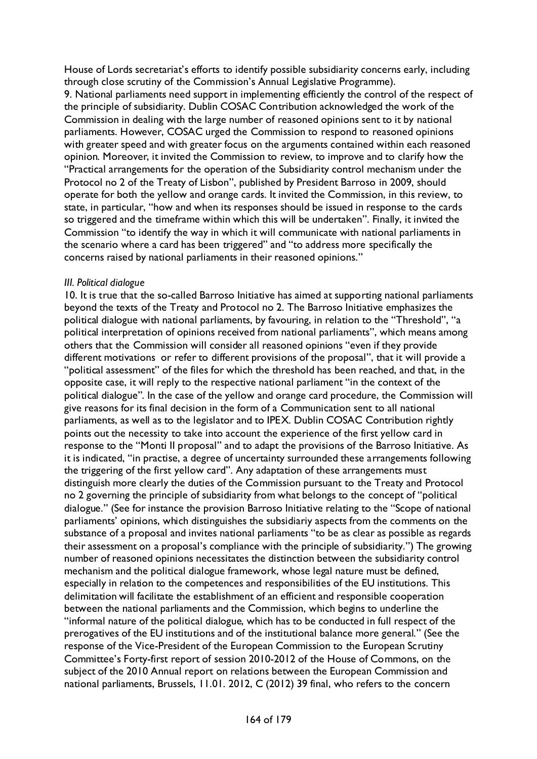House of Lords secretariat's efforts to identify possible subsidiarity concerns early, including through close scrutiny of the Commission's Annual Legislative Programme).

9. National parliaments need support in implementing efficiently the control of the respect of the principle of subsidiarity. Dublin COSAC Contribution acknowledged the work of the Commission in dealing with the large number of reasoned opinions sent to it by national parliaments. However, COSAC urged the Commission to respond to reasoned opinions with greater speed and with greater focus on the arguments contained within each reasoned opinion. Moreover, it invited the Commission to review, to improve and to clarify how the "Practical arrangements for the operation of the Subsidiarity control mechanism under the Protocol no 2 of the Treaty of Lisbon", published by President Barroso in 2009, should operate for both the yellow and orange cards. It invited the Commission, in this review, to state, in particular, "how and when its responses should be issued in response to the cards so triggered and the timeframe within which this will be undertaken". Finally, it invited the Commission "to identify the way in which it will communicate with national parliaments in the scenario where a card has been triggered" and "to address more specifically the concerns raised by national parliaments in their reasoned opinions."

#### *III. Political dialogue*

10. It is true that the so-called Barroso Initiative has aimed at supporting national parliaments beyond the texts of the Treaty and Protocol no 2. The Barroso Initiative emphasizes the political dialogue with national parliaments, by favouring, in relation to the "Threshold", "a political interpretation of opinions received from national parliaments", which means among others that the Commission will consider all reasoned opinions "even if they provide different motivations or refer to different provisions of the proposal", that it will provide a "political assessment" of the files for which the threshold has been reached, and that, in the opposite case, it will reply to the respective national parliament "in the context of the political dialogue". In the case of the yellow and orange card procedure, the Commission will give reasons for its final decision in the form of a Communication sent to all national parliaments, as well as to the legislator and to IPEX. Dublin COSAC Contribution rightly points out the necessity to take into account the experience of the first yellow card in response to the "Monti II proposal" and to adapt the provisions of the Barroso Initiative. As it is indicated, "in practise, a degree of uncertainty surrounded these arrangements following the triggering of the first yellow card". Any adaptation of these arrangements must distinguish more clearly the duties of the Commission pursuant to the Treaty and Protocol no 2 governing the principle of subsidiarity from what belongs to the concept of "political dialogue." (See for instance the provision Barroso Initiative relating to the "Scope of national parliaments' opinions, which distinguishes the subsidiariy aspects from the comments on the substance of a proposal and invites national parliaments "to be as clear as possible as regards their assessment on a proposal's compliance with the principle of subsidiarity.") The growing number of reasoned opinions necessitates the distinction between the subsidiarity control mechanism and the political dialogue framework, whose legal nature must be defined, especially in relation to the competences and responsibilities of the EU institutions. This delimitation will facilitate the establishment of an efficient and responsible cooperation between the national parliaments and the Commission, which begins to underline the "informal nature of the political dialogue, which has to be conducted in full respect of the prerogatives of the EU institutions and of the institutional balance more general." (See the response of the Vice-President of the European Commission to the European Scrutiny Committee's Forty-first report of session 2010-2012 of the House of Commons, on the subject of the 2010 Annual report on relations between the European Commission and national parliaments, Brussels, 11.01. 2012, C (2012) 39 final, who refers to the concern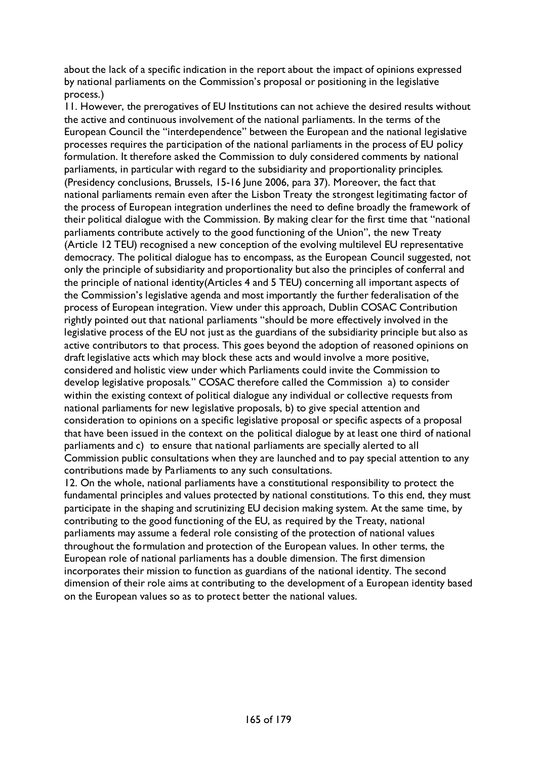about the lack of a specific indication in the report about the impact of opinions expressed by national parliaments on the Commission's proposal or positioning in the legislative process.)

11. However, the prerogatives of EU Institutions can not achieve the desired results without the active and continuous involvement of the national parliaments. In the terms of the European Council the "interdependence" between the European and the national legislative processes requires the participation of the national parliaments in the process of EU policy formulation. It therefore asked the Commission to duly considered comments by national parliaments, in particular with regard to the subsidiarity and proportionality principles. (Presidency conclusions, Brussels, 15-16 June 2006, para 37). Moreover, the fact that national parliaments remain even after the Lisbon Treaty the strongest legitimating factor of the process of European integration underlines the need to define broadly the framework of their political dialogue with the Commission. By making clear for the first time that "national parliaments contribute actively to the good functioning of the Union", the new Treaty (Article 12 TEU) recognised a new conception of the evolving multilevel EU representative democracy. The political dialogue has to encompass, as the European Council suggested, not only the principle of subsidiarity and proportionality but also the principles of conferral and the principle of national identity(Articles 4 and 5 TEU) concerning all important aspects of the Commission's legislative agenda and most importantly the further federalisation of the process of European integration. View under this approach, Dublin COSAC Contribution rightly pointed out that national parliaments "should be more effectively involved in the legislative process of the EU not just as the guardians of the subsidiarity principle but also as active contributors to that process. This goes beyond the adoption of reasoned opinions on draft legislative acts which may block these acts and would involve a more positive, considered and holistic view under which Parliaments could invite the Commission to develop legislative proposals." COSAC therefore called the Commission a) to consider within the existing context of political dialogue any individual or collective requests from national parliaments for new legislative proposals, b) to give special attention and consideration to opinions on a specific legislative proposal or specific aspects of a proposal that have been issued in the context on the political dialogue by at least one third of national parliaments and c) to ensure that national parliaments are specially alerted to all Commission public consultations when they are launched and to pay special attention to any contributions made by Parliaments to any such consultations.

12. On the whole, national parliaments have a constitutional responsibility to protect the fundamental principles and values protected by national constitutions. To this end, they must participate in the shaping and scrutinizing EU decision making system. At the same time, by contributing to the good functioning of the EU, as required by the Treaty, national parliaments may assume a federal role consisting of the protection of national values throughout the formulation and protection of the European values. In other terms, the European role of national parliaments has a double dimension. The first dimension incorporates their mission to function as guardians of the national identity. The second dimension of their role aims at contributing to the development of a European identity based on the European values so as to protect better the national values.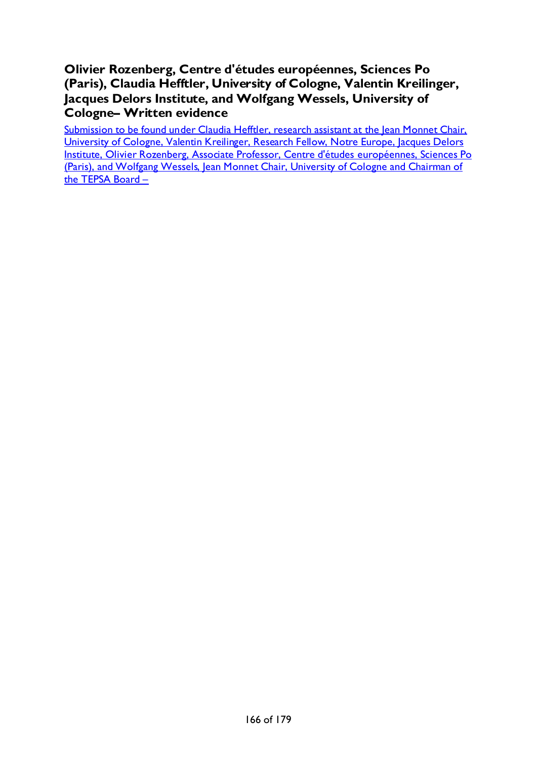## **Olivier Rozenberg, Centre d'études européennes, Sciences Po (Paris), Claudia Hefftler, University of Cologne, Valentin Kreilinger, Jacques Delors Institute, and Wolfgang Wessels, University of Cologne– Written evidence**

Submission to be found under Claudia Hefftler, research assistant at the Jean Monnet Chair, [University of Cologne, Valentin Kreilinger, Research Fellow, Notre Europe, Jacques Delors](#page-60-0)  [Institute, Olivier Rozenberg, Associate Professor, Centre d'études européennes, Sciences Po](#page-60-0)  [\(Paris\), and Wolfgang Wessels, Jean Monnet Chair, University of Cologne and](#page-60-0) Chairman of the TEPSA Board  $-$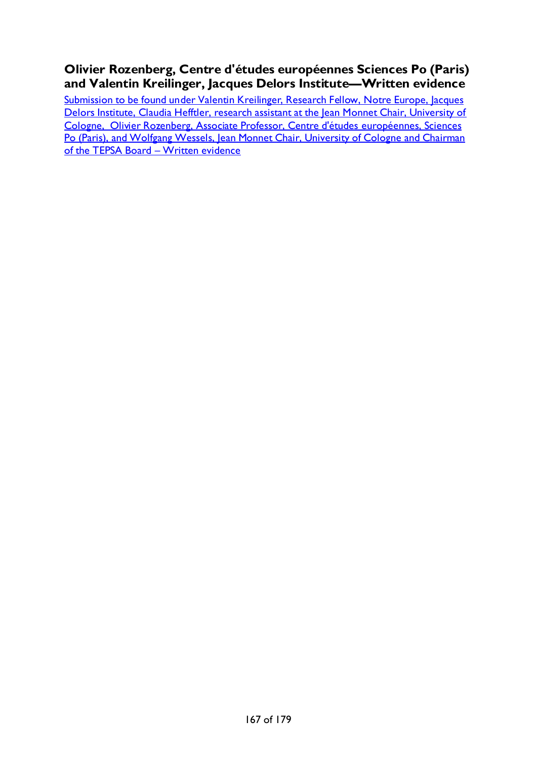## **Olivier Rozenberg, Centre d'études européennes Sciences Po (Paris) and Valentin Kreilinger, Jacques Delors Institute—Written evidence**

Submission to be found under Valentin Kreilinger, Research Fellow, Notre Europe, Jacques Delors Institute, Claudia Hefftler, research assistant at the Jean Monnet Chair, University of [Cologne, Olivier Rozenberg, Associate Professor, Centre d'études européennes, Sciences](#page-116-0)  Po (Paris), and Wolfgang Wessels, Jean Monnet Chair, University of Cologne and Chairman of the TEPSA Board - Written evidence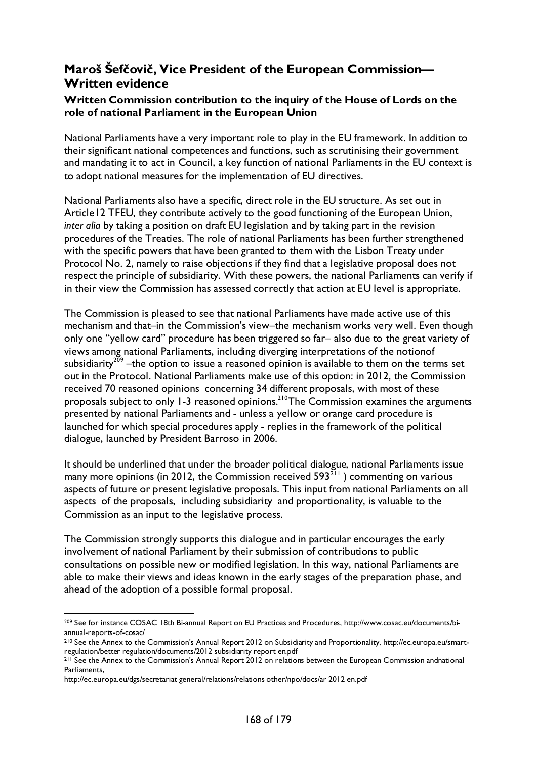## **Maroš Šefčovič, Vice President of the European Commission— Written evidence**

## **Written Commission contribution to the inquiry of the House of Lords on the role of national Parliament in the European Union**

National Parliaments have a very important role to play in the EU framework. In addition to their significant national competences and functions, such as scrutinising their government and mandating it to act in Council, a key function of national Parliaments in the EU context is to adopt national measures for the implementation of EU directives.

National Parliaments also have a specific, direct role in the EU structure. As set out in Article12 TFEU, they contribute actively to the good functioning of the European Union, *inter alia* by taking a position on draft EU legislation and by taking part in the revision procedures of the Treaties. The role of national Parliaments has been further strengthened with the specific powers that have been granted to them with the Lisbon Treaty under Protocol No. 2, namely to raise objections if they find that a legislative proposal does not respect the principle of subsidiarity. With these powers, the national Parliaments can verify if in their view the Commission has assessed correctly that action at EU level is appropriate.

The Commission is pleased to see that national Parliaments have made active use of this mechanism and that–in the Commission's view–the mechanism works very well. Even though only one "yellow card" procedure has been triggered so far– also due to the great variety of views among national Parliaments, including diverging interpretations of the notionof subsidiarity<sup>[209](#page-167-0)</sup> –the option to issue a reasoned opinion is available to them on the terms set out in the Protocol. National Parliaments make use of this option: in 2012, the Commission received 70 reasoned opinions concerning 34 different proposals, with most of these proposals subject to only 1-3 reasoned opinions.<sup>210</sup>The Commission examines the arguments presented by national Parliaments and - unless a yellow or orange card procedure is launched for which special procedures apply - replies in the framework of the political dialogue, launched by President Barroso in 2006.

It should be underlined that under the broader political dialogue, national Parliaments issue many more opinions (in 2012, the Commission received  $593^{211}$  $593^{211}$  $593^{211}$ ) commenting on various aspects of future or present legislative proposals. This input from national Parliaments on all aspects of the proposals, including subsidiarity and proportionality, is valuable to the Commission as an input to the legislative process.

The Commission strongly supports this dialogue and in particular encourages the early involvement of national Parliament by their submission of contributions to public consultations on possible new or modified legislation. In this way, national Parliaments are able to make their views and ideas known in the early stages of the preparation phase, and ahead of the adoption of a possible formal proposal.

<span id="page-167-0"></span> <sup>209</sup> See for instance COSAC 18th Bi-annual Report on EU Practices and Procedures, http://www.cosac.eu/documents/biannual-reports-of-cosac/

<span id="page-167-1"></span><sup>210</sup> See the Annex to the Commission's Annual Report 2012 on Subsidiarity and Proportionality, http://ec.europa.eu/smartregulation/better regulation/documents/2012 subsidiarity report en.pdf

<span id="page-167-2"></span><sup>&</sup>lt;sup>211</sup> See the Annex to the Commission's Annual Report 2012 on relations between the European Commission andnational Parliaments,

http://ec.europa.eu/dgs/secretariat general/relations/relations other/npo/docs/ar 2012 en.pdf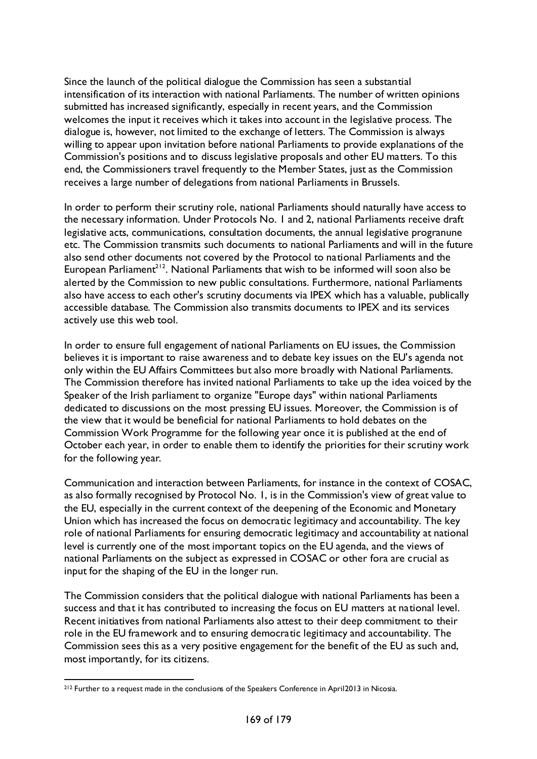Since the launch of the political dialogue the Commission has seen a substantial intensification of its interaction with national Parliaments. The number of written opinions submitted has increased significantly, especially in recent years, and the Commission welcomes the input it receives which it takes into account in the legislative process. The dialogue is, however, not limited to the exchange of letters. The Commission is always willing to appear upon invitation before national Parliaments to provide explanations of the Commission's positions and to discuss legislative proposals and other EU matters. To this end, the Commissioners travel frequently to the Member States, just as the Commission receives a large number of delegations from national Parliaments in Brussels.

In order to perform their scrutiny role, national Parliaments should naturally have access to the necessary information. Under Protocols No. 1 and 2, national Parliaments receive draft legislative acts, communications, consultation documents, the annual legislative progranune etc. The Commission transmits such documents to national Parliaments and will in the future also send other documents not covered by the Protocol to national Parliaments and the European Parliament<sup>212</sup>. National Parliaments that wish to be informed will soon also be alerted by the Commission to new public consultations. Furthermore, national Parliaments also have access to each other's scrutiny documents via IPEX which has a valuable, publically accessible database. The Commission also transmits documents to IPEX and its services actively use this web tool.

In order to ensure full engagement of national Parliaments on EU issues, the Commission believes it is important to raise awareness and to debate key issues on the EU's agenda not only within the EU Affairs Committees but also more broadly with National Parliaments. The Commission therefore has invited national Parliaments to take up the idea voiced by the Speaker of the Irish parliament to organize "Europe days" within national Parliaments dedicated to discussions on the most pressing EU issues. Moreover, the Commission is of the view that it would be beneficial for national Parliaments to hold debates on the Commission Work Programme for the following year once it is published at the end of October each year, in order to enable them to identify the priorities for their scrutiny work for the following year.

Communication and interaction between Parliaments, for instance in the context of COSAC, as also formally recognised by Protocol No. 1, is in the Commission's view of great value to the EU, especially in the current context of the deepening of the Economic and Monetary Union which has increased the focus on democratic legitimacy and accountability. The key role of national Parliaments for ensuring democratic legitimacy and accountability at national level is currently one of the most important topics on the EU agenda, and the views of national Parliaments on the subject as expressed in COSAC or other fora are crucial as input for the shaping of the EU in the longer run.

The Commission considers that the political dialogue with national Parliaments has been a success and that it has contributed to increasing the focus on EU matters at national level. Recent initiatives from national Parliaments also attest to their deep commitment to their role in the EU framework and to ensuring democratic legitimacy and accountability. The Commission sees this as a very positive engagement for the benefit of the EU as such and, most importantly, for its citizens.

<span id="page-168-0"></span><sup>&</sup>lt;sup>212</sup> Further to a request made in the conclusions of the Speakers Conference in April2013 in Nicosia.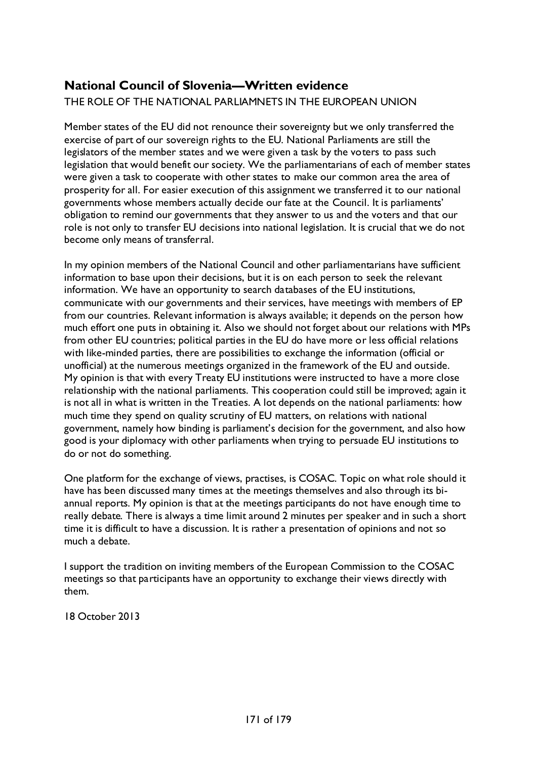# **National Council of Slovenia—Written evidence**

## THE ROLE OF THE NATIONAL PARLIAMNETS IN THE EUROPEAN UNION

Member states of the EU did not renounce their sovereignty but we only transferred the exercise of part of our sovereign rights to the EU. National Parliaments are still the legislators of the member states and we were given a task by the voters to pass such legislation that would benefit our society. We the parliamentarians of each of member states were given a task to cooperate with other states to make our common area the area of prosperity for all. For easier execution of this assignment we transferred it to our national governments whose members actually decide our fate at the Council. It is parliaments' obligation to remind our governments that they answer to us and the voters and that our role is not only to transfer EU decisions into national legislation. It is crucial that we do not become only means of transferral.

In my opinion members of the National Council and other parliamentarians have sufficient information to base upon their decisions, but it is on each person to seek the relevant information. We have an opportunity to search databases of the EU institutions, communicate with our governments and their services, have meetings with members of EP from our countries. Relevant information is always available; it depends on the person how much effort one puts in obtaining it. Also we should not forget about our relations with MPs from other EU countries; political parties in the EU do have more or less official relations with like-minded parties, there are possibilities to exchange the information (official or unofficial) at the numerous meetings organized in the framework of the EU and outside. My opinion is that with every Treaty EU institutions were instructed to have a more close relationship with the national parliaments. This cooperation could still be improved; again it is not all in what is written in the Treaties. A lot depends on the national parliaments: how much time they spend on quality scrutiny of EU matters, on relations with national government, namely how binding is parliament's decision for the government, and also how good is your diplomacy with other parliaments when trying to persuade EU institutions to do or not do something.

One platform for the exchange of views, practises, is COSAC. Topic on what role should it have has been discussed many times at the meetings themselves and also through its biannual reports. My opinion is that at the meetings participants do not have enough time to really debate. There is always a time limit around 2 minutes per speaker and in such a short time it is difficult to have a discussion. It is rather a presentation of opinions and not so much a debate.

I support the tradition on inviting members of the European Commission to the COSAC meetings so that participants have an opportunity to exchange their views directly with them.

18 October 2013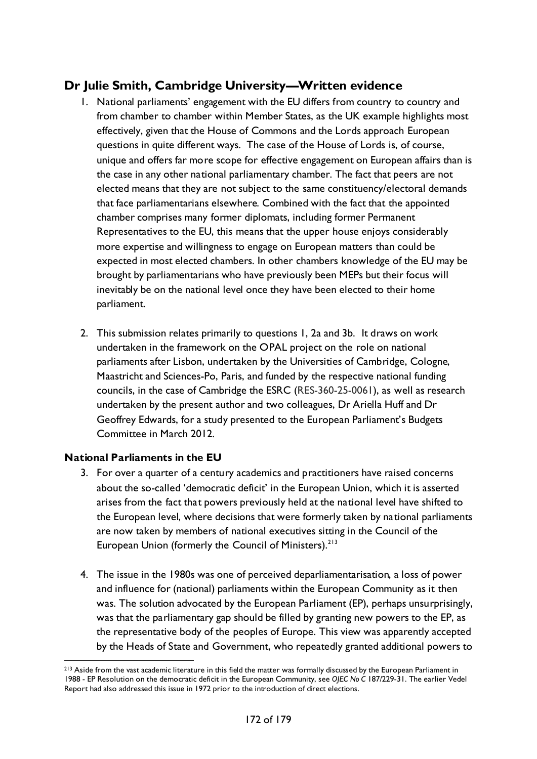## **Dr Julie Smith, Cambridge University—Written evidence**

- 1. National parliaments' engagement with the EU differs from country to country and from chamber to chamber within Member States, as the UK example highlights most effectively, given that the House of Commons and the Lords approach European questions in quite different ways. The case of the House of Lords is, of course, unique and offers far more scope for effective engagement on European affairs than is the case in any other national parliamentary chamber. The fact that peers are not elected means that they are not subject to the same constituency/electoral demands that face parliamentarians elsewhere. Combined with the fact that the appointed chamber comprises many former diplomats, including former Permanent Representatives to the EU, this means that the upper house enjoys considerably more expertise and willingness to engage on European matters than could be expected in most elected chambers. In other chambers knowledge of the EU may be brought by parliamentarians who have previously been MEPs but their focus will inevitably be on the national level once they have been elected to their home parliament.
- 2. This submission relates primarily to questions 1, 2a and 3b. It draws on work undertaken in the framework on the OPAL project on the role on national parliaments after Lisbon, undertaken by the Universities of Cambridge, Cologne, Maastricht and Sciences-Po, Paris, and funded by the respective national funding councils, in the case of Cambridge the ESRC (RES-360-25-0061), as well as research undertaken by the present author and two colleagues, Dr Ariella Huff and Dr Geoffrey Edwards, for a study presented to the European Parliament's Budgets Committee in March 2012.

#### **National Parliaments in the EU**

- 3. For over a quarter of a century academics and practitioners have raised concerns about the so-called 'democratic deficit' in the European Union, which it is asserted arises from the fact that powers previously held at the national level have shifted to the European level, where decisions that were formerly taken by national parliaments are now taken by members of national executives sitting in the Council of the European Union (formerly the Council of Ministers).<sup>[213](#page-171-0)</sup>
- 4. The issue in the 1980s was one of perceived deparliamentarisation, a loss of power and influence for (national) parliaments within the European Community as it then was. The solution advocated by the European Parliament (EP), perhaps unsurprisingly, was that the parliamentary gap should be filled by granting new powers to the EP, as the representative body of the peoples of Europe. This view was apparently accepted by the Heads of State and Government, who repeatedly granted additional powers to

<span id="page-171-0"></span><sup>&</sup>lt;sup>213</sup> Aside from the vast academic literature in this field the matter was formally discussed by the European Parliament in 1988 - EP Resolution on the democratic deficit in the European Community, see *OJEC No C* 187/229-31. The earlier Vedel Report had also addressed this issue in 1972 prior to the introduction of direct elections.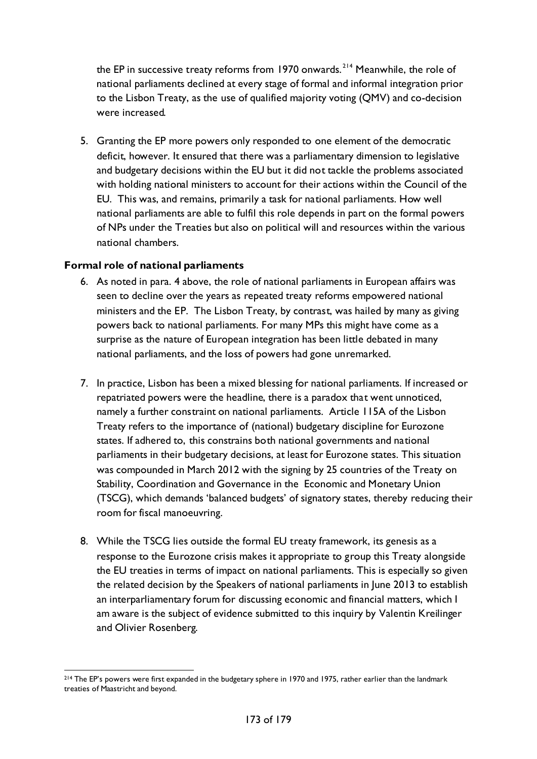the EP in successive treaty reforms from 1970 onwards.<sup>[214](#page-172-0)</sup> Meanwhile, the role of national parliaments declined at every stage of formal and informal integration prior to the Lisbon Treaty, as the use of qualified majority voting (QMV) and co-decision were increased.

5. Granting the EP more powers only responded to one element of the democratic deficit, however. It ensured that there was a parliamentary dimension to legislative and budgetary decisions within the EU but it did not tackle the problems associated with holding national ministers to account for their actions within the Council of the EU. This was, and remains, primarily a task for national parliaments. How well national parliaments are able to fulfil this role depends in part on the formal powers of NPs under the Treaties but also on political will and resources within the various national chambers.

#### **Formal role of national parliaments**

- 6. As noted in para. 4 above, the role of national parliaments in European affairs was seen to decline over the years as repeated treaty reforms empowered national ministers and the EP. The Lisbon Treaty, by contrast, was hailed by many as giving powers back to national parliaments. For many MPs this might have come as a surprise as the nature of European integration has been little debated in many national parliaments, and the loss of powers had gone unremarked.
- 7. In practice, Lisbon has been a mixed blessing for national parliaments. If increased or repatriated powers were the headline, there is a paradox that went unnoticed, namely a further constraint on national parliaments. Article 115A of the Lisbon Treaty refers to the importance of (national) budgetary discipline for Eurozone states. If adhered to, this constrains both national governments and national parliaments in their budgetary decisions, at least for Eurozone states. This situation was compounded in March 2012 with the signing by 25 countries of the Treaty on Stability, Coordination and Governance in the Economic and Monetary Union (TSCG), which demands 'balanced budgets' of signatory states, thereby reducing their room for fiscal manoeuvring.
- 8. While the TSCG lies outside the formal EU treaty framework, its genesis as a response to the Eurozone crisis makes it appropriate to group this Treaty alongside the EU treaties in terms of impact on national parliaments. This is especially so given the related decision by the Speakers of national parliaments in June 2013 to establish an interparliamentary forum for discussing economic and financial matters, which I am aware is the subject of evidence submitted to this inquiry by Valentin Kreilinger and Olivier Rosenberg.

<span id="page-172-0"></span><sup>&</sup>lt;sup>214</sup> The EP's powers were first expanded in the budgetary sphere in 1970 and 1975, rather earlier than the landmark treaties of Maastricht and beyond.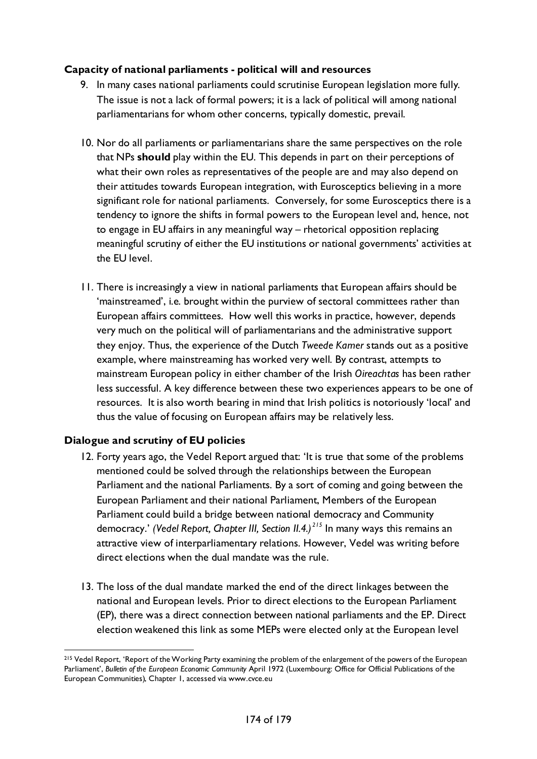## **Capacity of national parliaments - political will and resources**

- 9. In many cases national parliaments could scrutinise European legislation more fully. The issue is not a lack of formal powers; it is a lack of political will among national parliamentarians for whom other concerns, typically domestic, prevail.
- 10. Nor do all parliaments or parliamentarians share the same perspectives on the role that NPs **should** play within the EU. This depends in part on their perceptions of what their own roles as representatives of the people are and may also depend on their attitudes towards European integration, with Eurosceptics believing in a more significant role for national parliaments. Conversely, for some Eurosceptics there is a tendency to ignore the shifts in formal powers to the European level and, hence, not to engage in EU affairs in any meaningful way – rhetorical opposition replacing meaningful scrutiny of either the EU institutions or national governments' activities at the EU level.
- 11. There is increasingly a view in national parliaments that European affairs should be 'mainstreamed', i.e. brought within the purview of sectoral committees rather than European affairs committees. How well this works in practice, however, depends very much on the political will of parliamentarians and the administrative support they enjoy. Thus, the experience of the Dutch *Tweede Kamer* stands out as a positive example, where mainstreaming has worked very well. By contrast, attempts to mainstream European policy in either chamber of the Irish *Oireachtas* has been rather less successful. A key difference between these two experiences appears to be one of resources. It is also worth bearing in mind that Irish politics is notoriously 'local' and thus the value of focusing on European affairs may be relatively less.

## **Dialogue and scrutiny of EU policies**

- 12. Forty years ago, the Vedel Report argued that: 'It is true that some of the problems mentioned could be solved through the relationships between the European Parliament and the national Parliaments. By a sort of coming and going between the European Parliament and their national Parliament, Members of the European Parliament could build a bridge between national democracy and Community democracy.' *(Vedel Report, Chapter III, Section II.4.) [215](#page-173-0)* In many ways this remains an attractive view of interparliamentary relations. However, Vedel was writing before direct elections when the dual mandate was the rule.
- 13. The loss of the dual mandate marked the end of the direct linkages between the national and European levels. Prior to direct elections to the European Parliament (EP), there was a direct connection between national parliaments and the EP. Direct election weakened this link as some MEPs were elected only at the European level

<span id="page-173-0"></span><sup>&</sup>lt;sup>215</sup> Vedel Report, 'Report of the Working Party examining the problem of the enlargement of the powers of the European Parliament', *Bulletin of the European Economic Community* April 1972 (Luxembourg: Office for Official Publications of the European Communities), Chapter 1, accessed via www.cvce.eu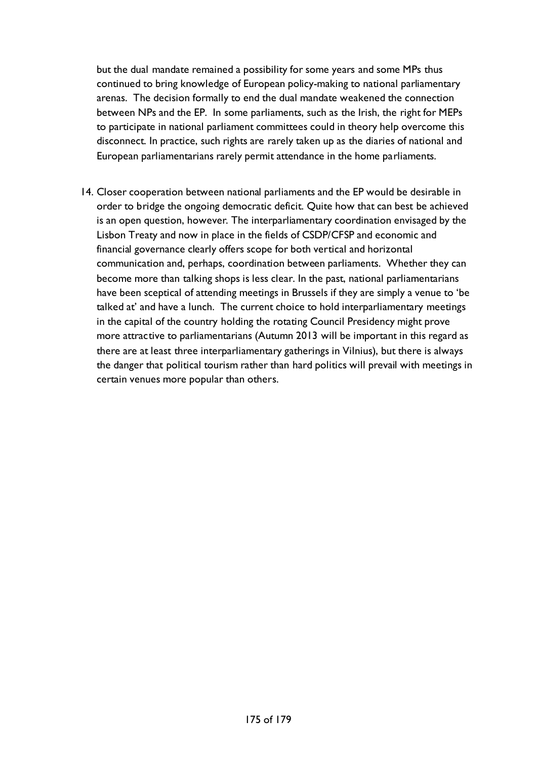but the dual mandate remained a possibility for some years and some MPs thus continued to bring knowledge of European policy-making to national parliamentary arenas. The decision formally to end the dual mandate weakened the connection between NPs and the EP. In some parliaments, such as the Irish, the right for MEPs to participate in national parliament committees could in theory help overcome this disconnect. In practice, such rights are rarely taken up as the diaries of national and European parliamentarians rarely permit attendance in the home parliaments.

14. Closer cooperation between national parliaments and the EP would be desirable in order to bridge the ongoing democratic deficit. Quite how that can best be achieved is an open question, however. The interparliamentary coordination envisaged by the Lisbon Treaty and now in place in the fields of CSDP/CFSP and economic and financial governance clearly offers scope for both vertical and horizontal communication and, perhaps, coordination between parliaments. Whether they can become more than talking shops is less clear. In the past, national parliamentarians have been sceptical of attending meetings in Brussels if they are simply a venue to 'be talked at' and have a lunch. The current choice to hold interparliamentary meetings in the capital of the country holding the rotating Council Presidency might prove more attractive to parliamentarians (Autumn 2013 will be important in this regard as there are at least three interparliamentary gatherings in Vilnius), but there is always the danger that political tourism rather than hard politics will prevail with meetings in certain venues more popular than others.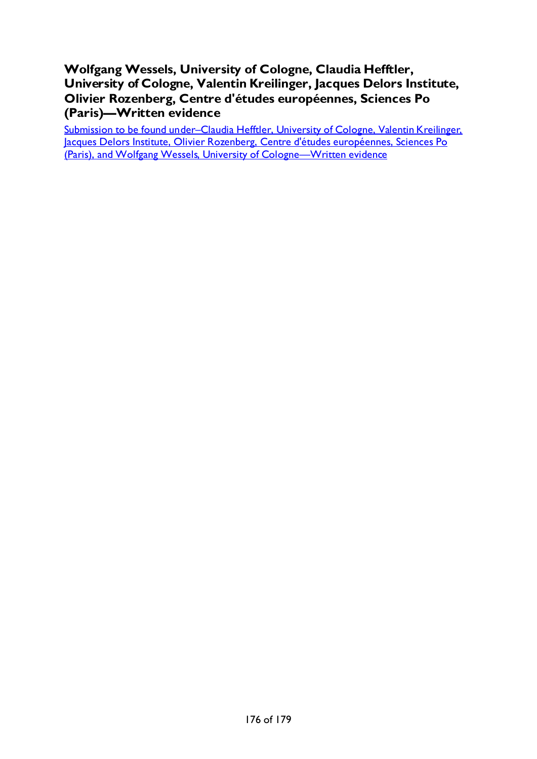## **Wolfgang Wessels, University of Cologne, Claudia Hefftler, University of Cologne, Valentin Kreilinger, Jacques Delors Institute, Olivier Rozenberg, Centre d'études européennes, Sciences Po (Paris)—Written evidence**

Submission to be found under-Claudia Hefftler, University of Cologne, Valentin Kreilinger, [Jacques Delors Institute, Olivier Rozenberg, Centre d'études européennes, Sciences Po](#page-60-0)  [\(Paris\), and Wolfgang Wessels, University of Cologne—Written evidence](#page-60-0)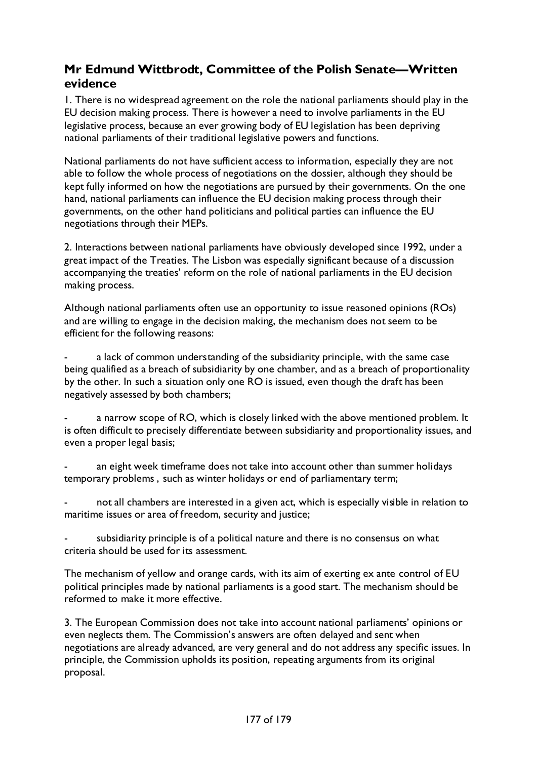## **Mr Edmund Wittbrodt, Committee of the Polish Senate—Written evidence**

1. There is no widespread agreement on the role the national parliaments should play in the EU decision making process. There is however a need to involve parliaments in the EU legislative process, because an ever growing body of EU legislation has been depriving national parliaments of their traditional legislative powers and functions.

National parliaments do not have sufficient access to information, especially they are not able to follow the whole process of negotiations on the dossier, although they should be kept fully informed on how the negotiations are pursued by their governments. On the one hand, national parliaments can influence the EU decision making process through their governments, on the other hand politicians and political parties can influence the EU negotiations through their MEPs.

2. Interactions between national parliaments have obviously developed since 1992, under a great impact of the Treaties. The Lisbon was especially significant because of a discussion accompanying the treaties' reform on the role of national parliaments in the EU decision making process.

Although national parliaments often use an opportunity to issue reasoned opinions (ROs) and are willing to engage in the decision making, the mechanism does not seem to be efficient for the following reasons:

a lack of common understanding of the subsidiarity principle, with the same case being qualified as a breach of subsidiarity by one chamber, and as a breach of proportionality by the other. In such a situation only one RO is issued, even though the draft has been negatively assessed by both chambers;

a narrow scope of RO, which is closely linked with the above mentioned problem. It is often difficult to precisely differentiate between subsidiarity and proportionality issues, and even a proper legal basis;

an eight week timeframe does not take into account other than summer holidays temporary problems , such as winter holidays or end of parliamentary term;

not all chambers are interested in a given act, which is especially visible in relation to maritime issues or area of freedom, security and justice;

subsidiarity principle is of a political nature and there is no consensus on what criteria should be used for its assessment.

The mechanism of yellow and orange cards, with its aim of exerting ex ante control of EU political principles made by national parliaments is a good start. The mechanism should be reformed to make it more effective.

3. The European Commission does not take into account national parliaments' opinions or even neglects them. The Commission's answers are often delayed and sent when negotiations are already advanced, are very general and do not address any specific issues. In principle, the Commission upholds its position, repeating arguments from its original proposal.